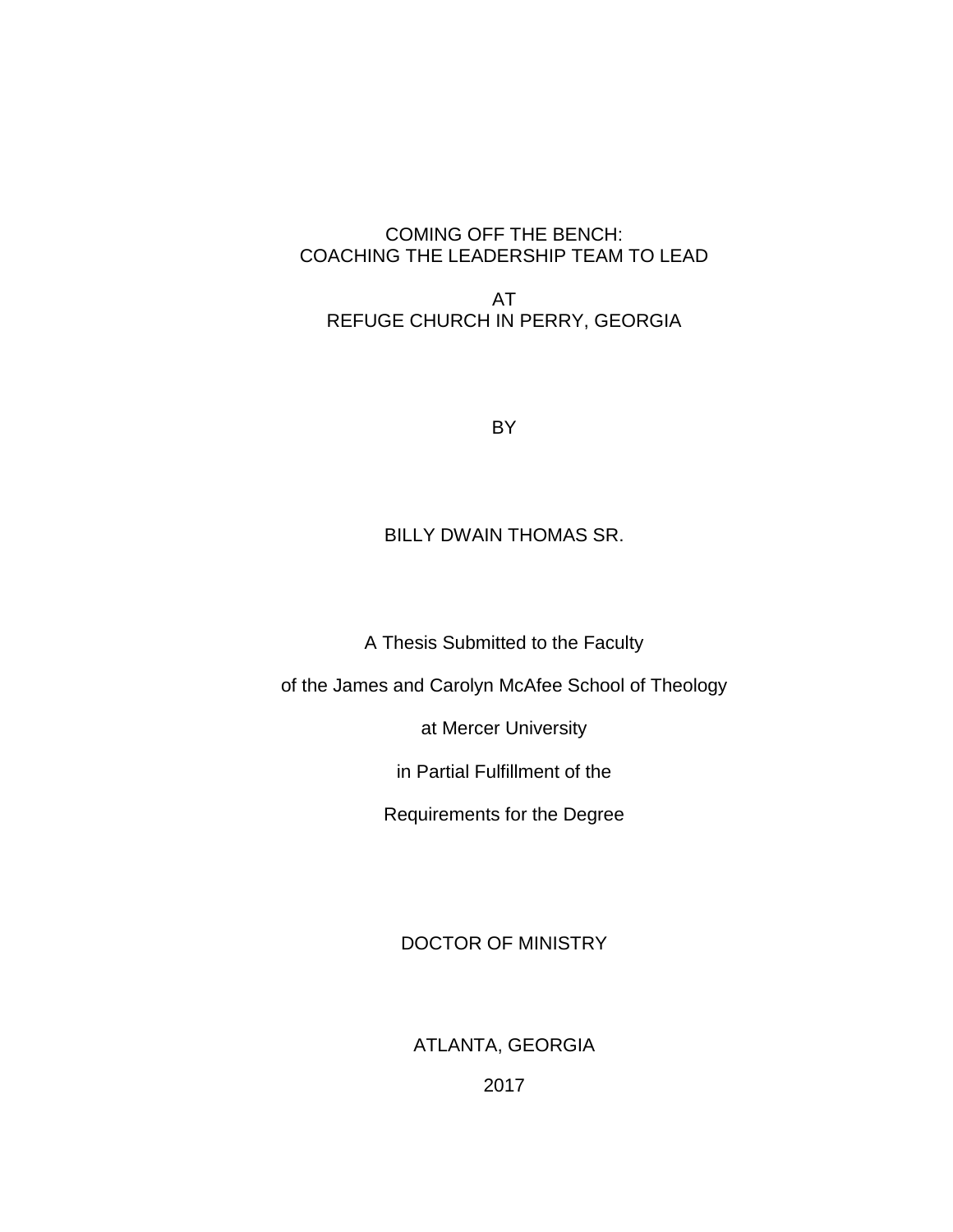## COMING OFF THE BENCH: COACHING THE LEADERSHIP TEAM TO LEAD

AT REFUGE CHURCH IN PERRY, GEORGIA

BY

## BILLY DWAIN THOMAS SR.

A Thesis Submitted to the Faculty

of the James and Carolyn McAfee School of Theology

at Mercer University

in Partial Fulfillment of the

Requirements for the Degree

DOCTOR OF MINISTRY

ATLANTA, GEORGIA

2017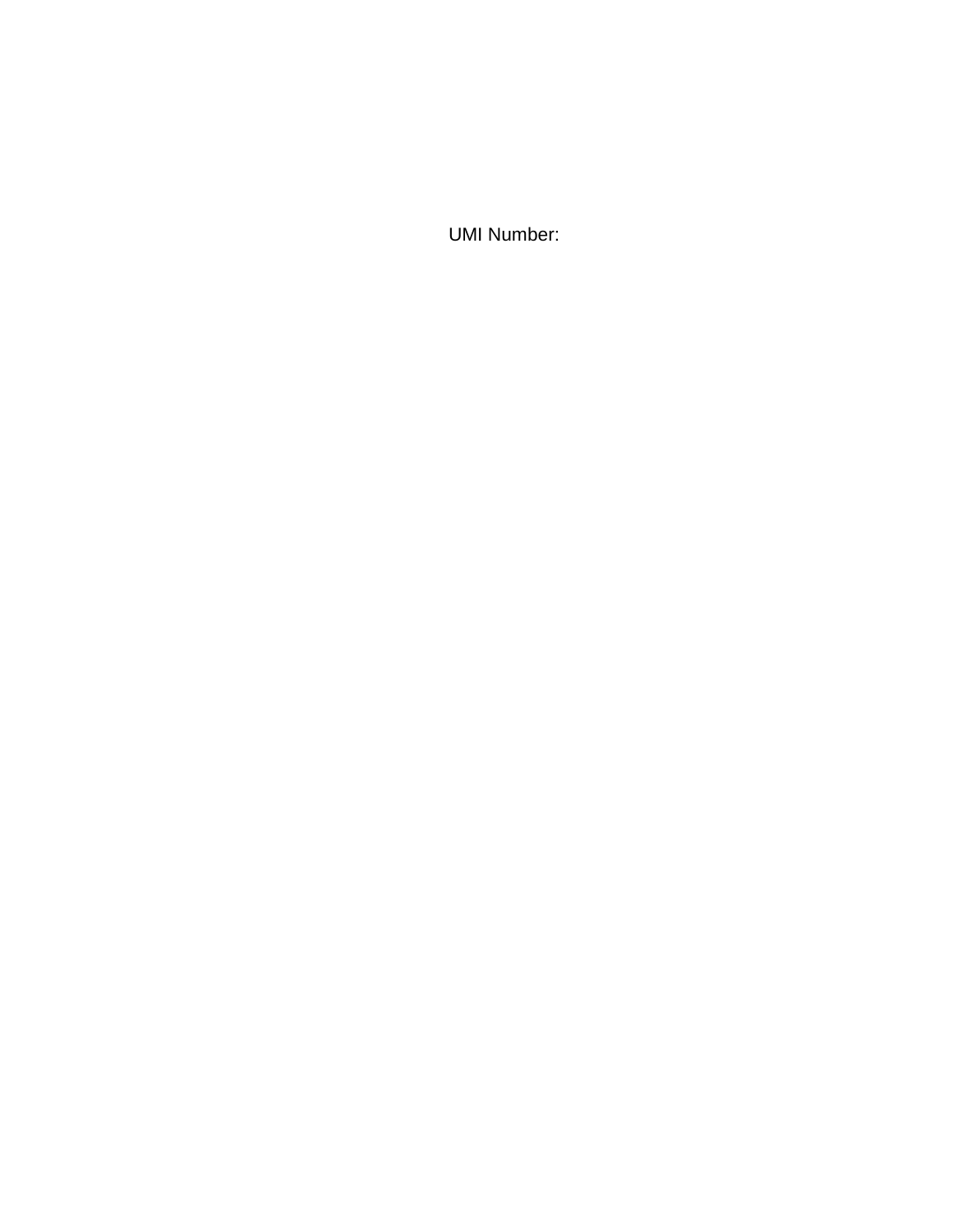UMI Number: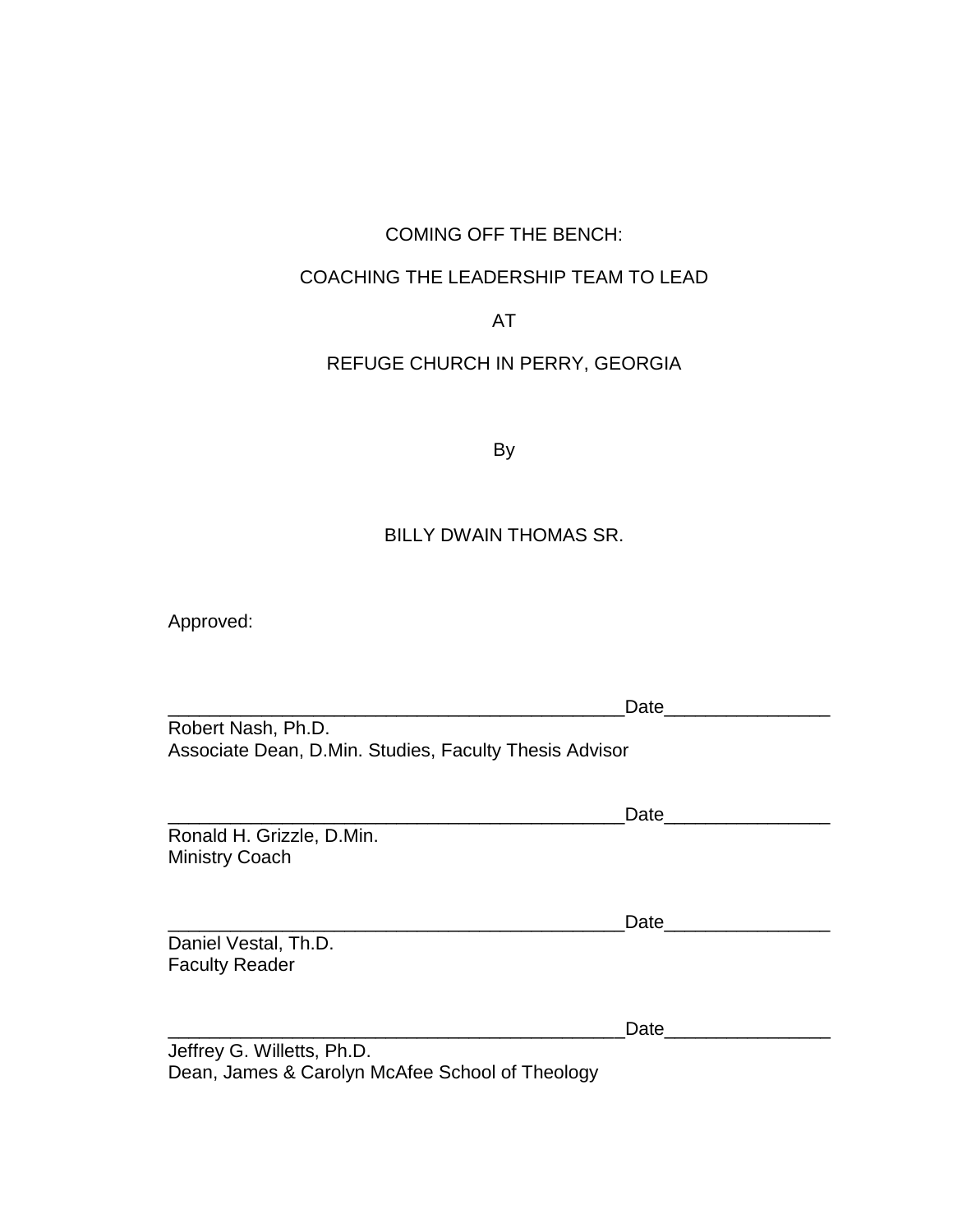# COMING OFF THE BENCH:

## COACHING THE LEADERSHIP TEAM TO LEAD

## AT

# REFUGE CHURCH IN PERRY, GEORGIA

By

## BILLY DWAIN THOMAS SR.

Approved:

|                                                        | Date             |
|--------------------------------------------------------|------------------|
| Robert Nash, Ph.D.                                     |                  |
| Associate Dean, D.Min. Studies, Faculty Thesis Advisor |                  |
|                                                        |                  |
|                                                        | Date             |
| Ronald H. Grizzle, D.Min.                              |                  |
| <b>Ministry Coach</b>                                  |                  |
|                                                        |                  |
|                                                        | Date <b>Date</b> |
| Daniel Vestal, Th.D.                                   |                  |
| <b>Faculty Reader</b>                                  |                  |
|                                                        |                  |
|                                                        |                  |
|                                                        | Date             |
| Jeffrey G. Willetts, Ph.D.                             |                  |
| Dean, James & Carolyn McAfee School of Theology        |                  |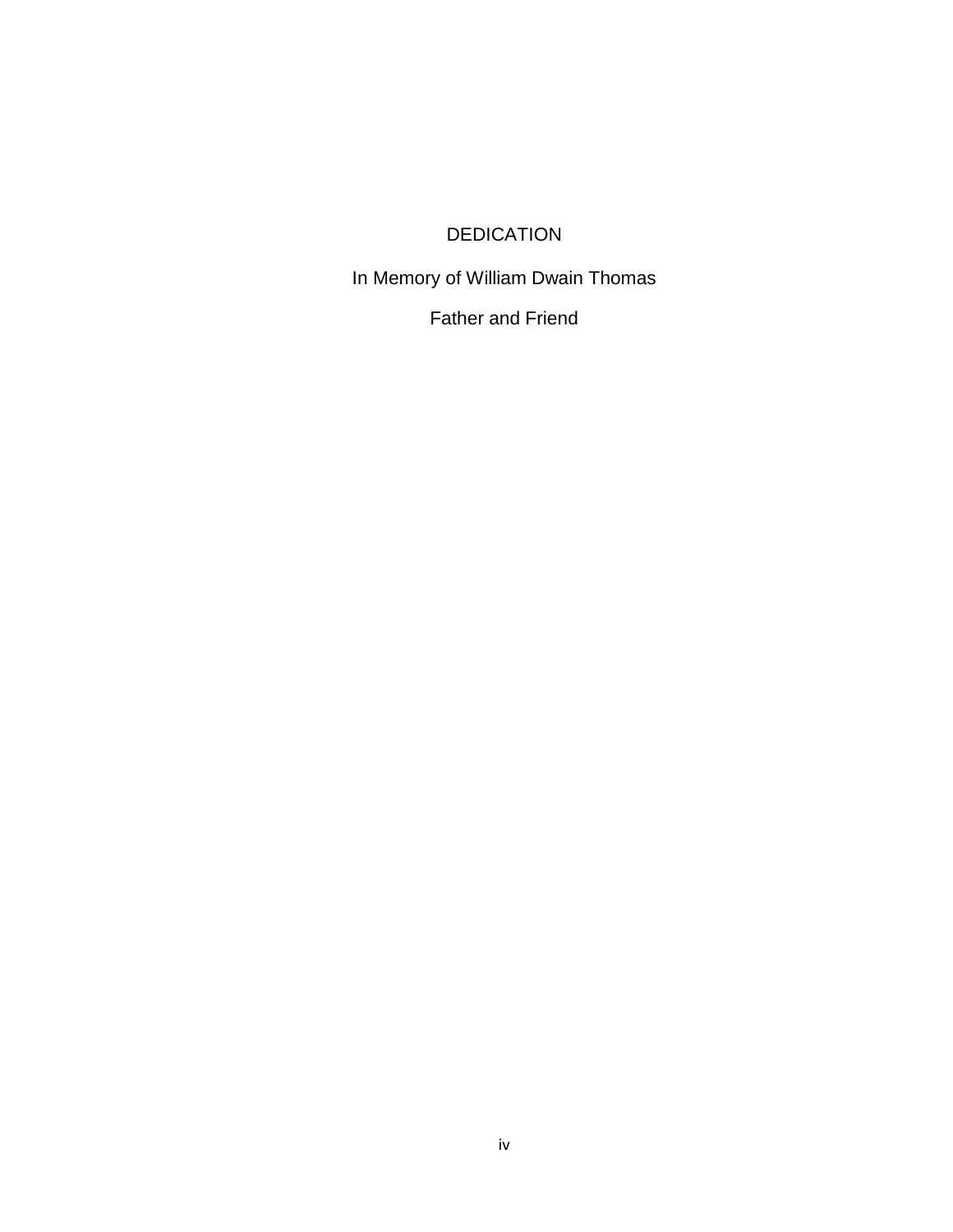# DEDICATION

<span id="page-3-0"></span>In Memory of William Dwain Thomas

Father and Friend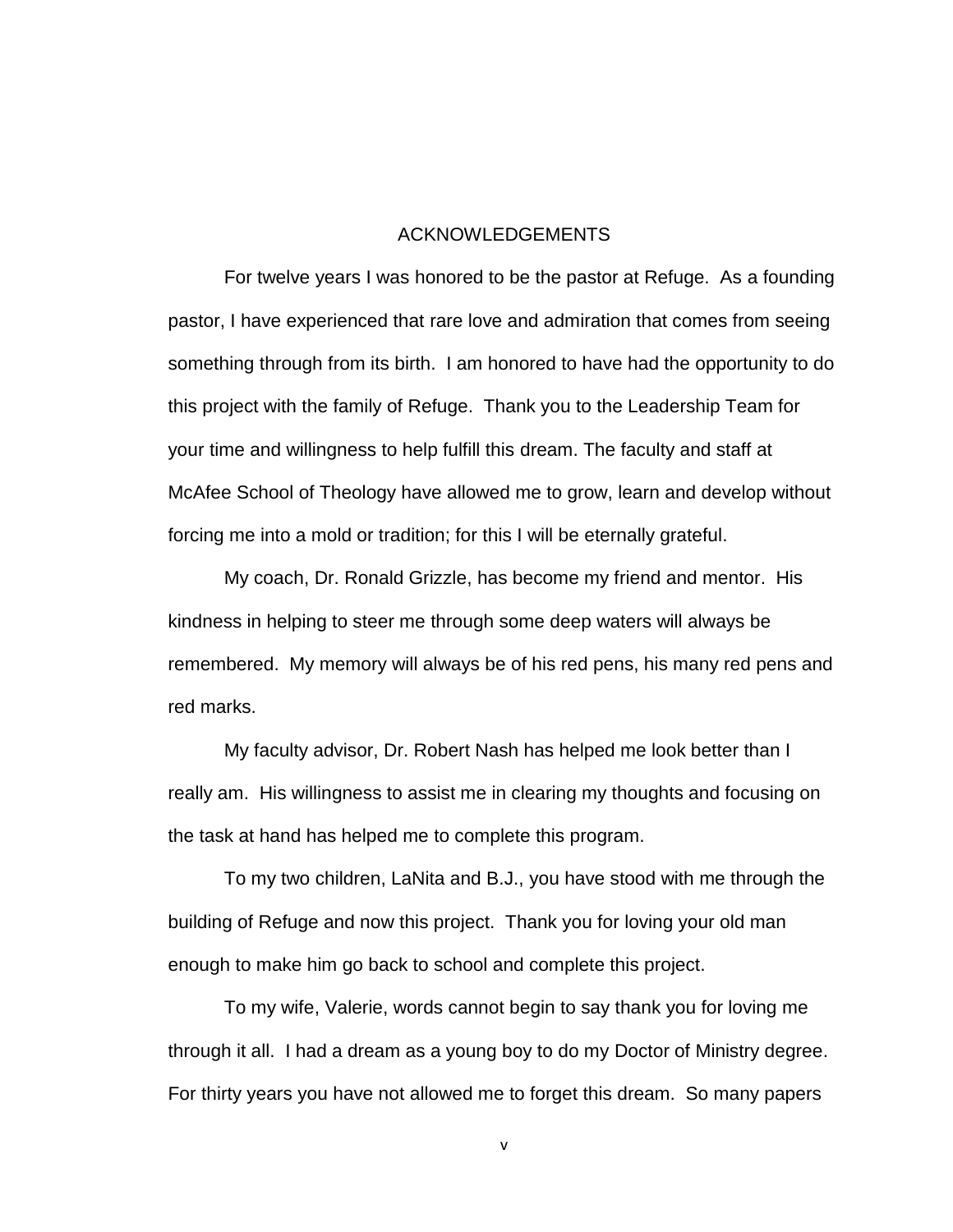#### ACKNOWLEDGEMENTS

<span id="page-4-0"></span>For twelve years I was honored to be the pastor at Refuge. As a founding pastor, I have experienced that rare love and admiration that comes from seeing something through from its birth. I am honored to have had the opportunity to do this project with the family of Refuge. Thank you to the Leadership Team for your time and willingness to help fulfill this dream. The faculty and staff at McAfee School of Theology have allowed me to grow, learn and develop without forcing me into a mold or tradition; for this I will be eternally grateful.

My coach, Dr. Ronald Grizzle, has become my friend and mentor. His kindness in helping to steer me through some deep waters will always be remembered. My memory will always be of his red pens, his many red pens and red marks.

My faculty advisor, Dr. Robert Nash has helped me look better than I really am. His willingness to assist me in clearing my thoughts and focusing on the task at hand has helped me to complete this program.

To my two children, LaNita and B.J., you have stood with me through the building of Refuge and now this project. Thank you for loving your old man enough to make him go back to school and complete this project.

To my wife, Valerie, words cannot begin to say thank you for loving me through it all. I had a dream as a young boy to do my Doctor of Ministry degree. For thirty years you have not allowed me to forget this dream. So many papers

v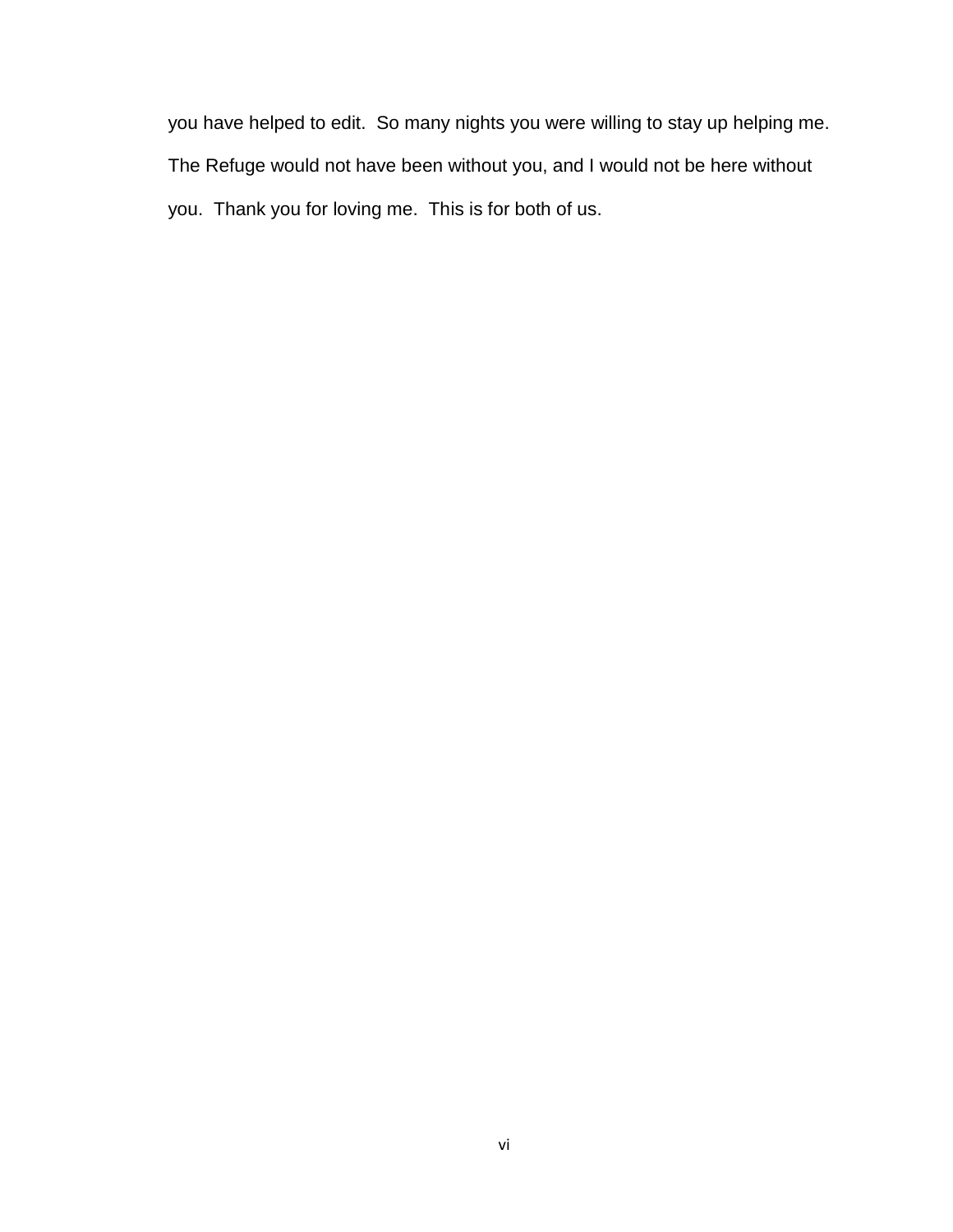you have helped to edit. So many nights you were willing to stay up helping me. The Refuge would not have been without you, and I would not be here without you. Thank you for loving me. This is for both of us.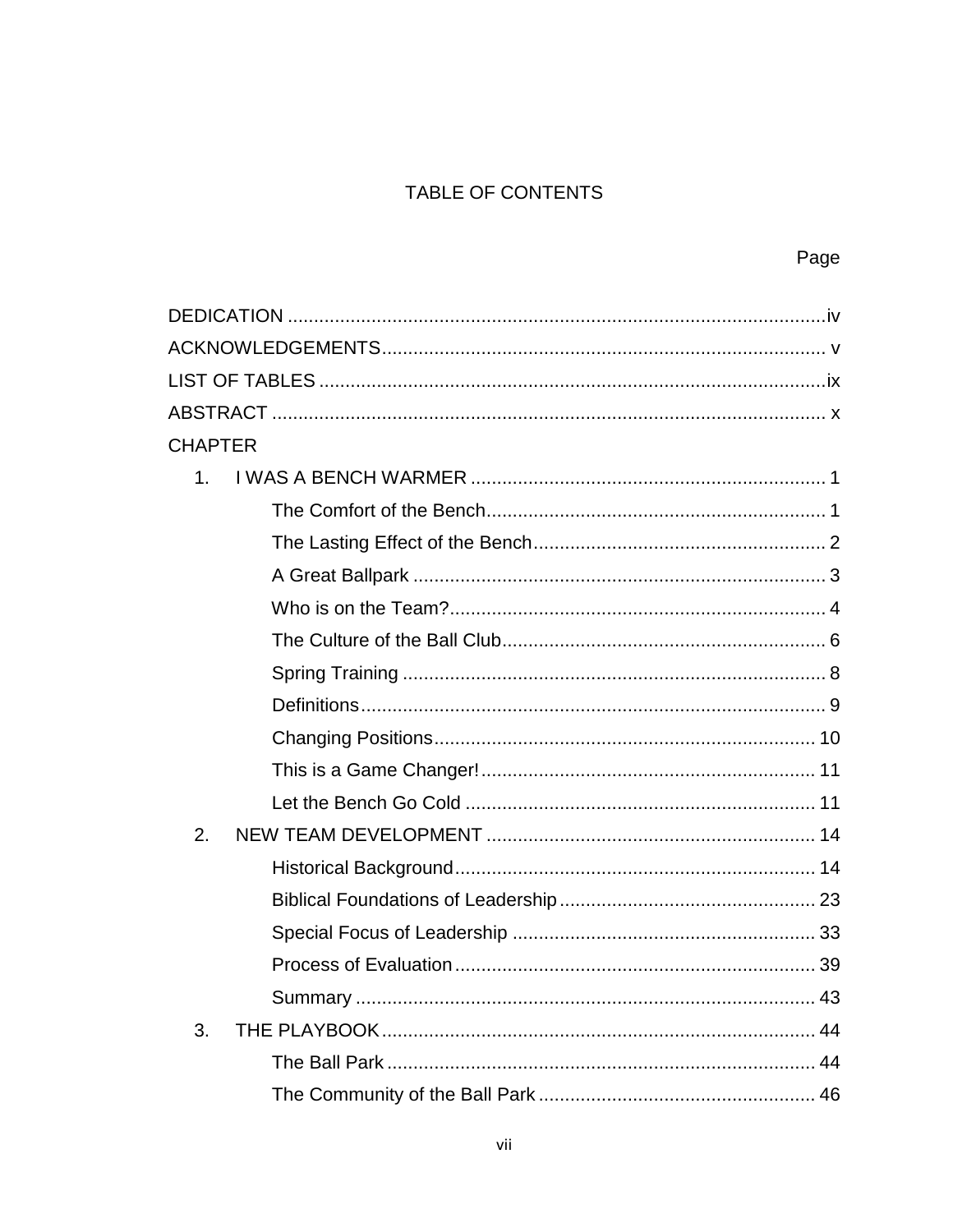# TABLE OF CONTENTS

| <b>CHAPTER</b> |  |
|----------------|--|
| 1 <sub>1</sub> |  |
|                |  |
|                |  |
|                |  |
|                |  |
|                |  |
|                |  |
|                |  |
|                |  |
|                |  |
|                |  |
| 2.             |  |
|                |  |
|                |  |
|                |  |
|                |  |
|                |  |
| 3.             |  |
|                |  |
|                |  |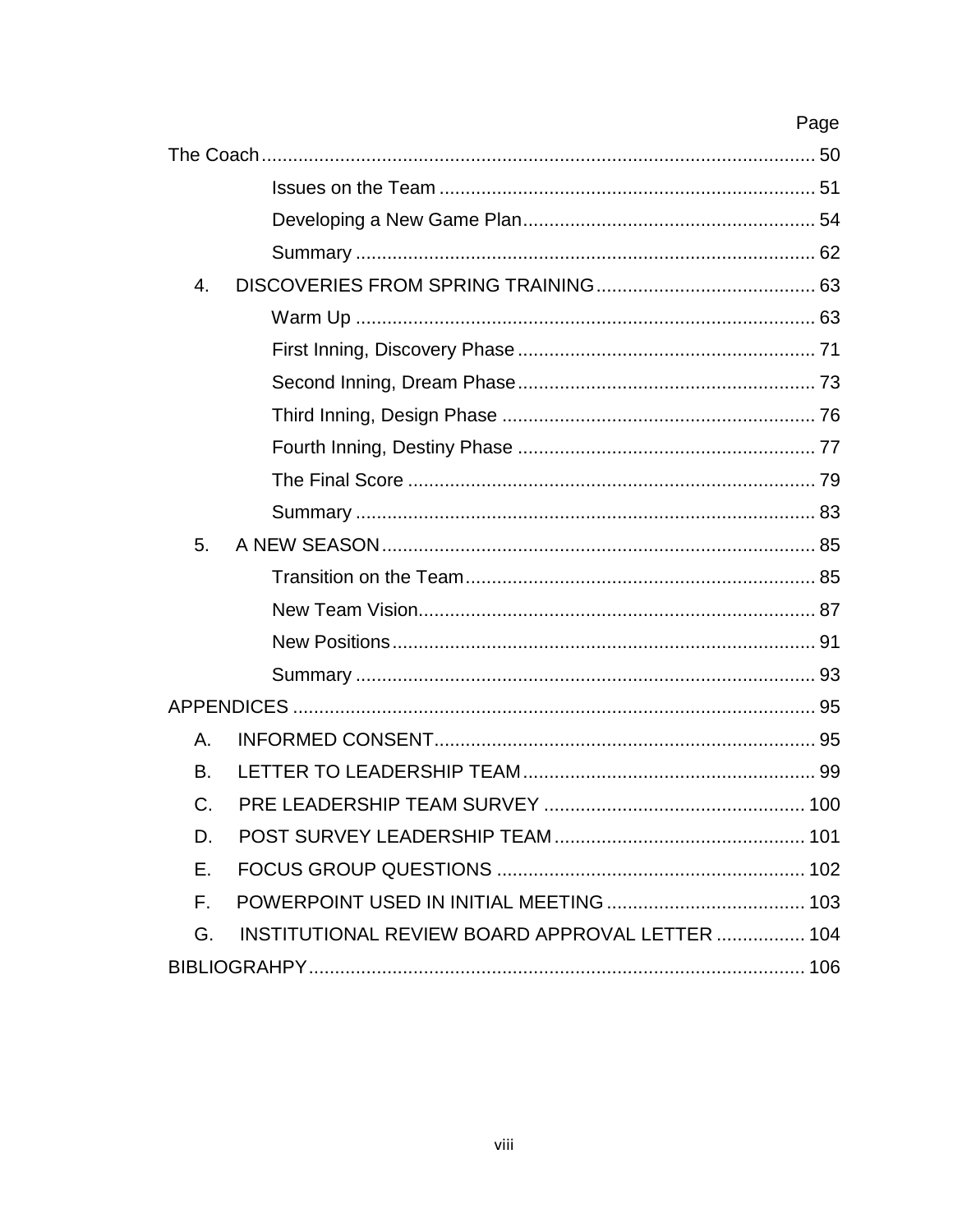# Page

| 4. |                                                 |     |
|----|-------------------------------------------------|-----|
|    |                                                 |     |
|    |                                                 |     |
|    |                                                 |     |
|    |                                                 |     |
|    |                                                 |     |
|    |                                                 |     |
|    |                                                 |     |
| 5. |                                                 |     |
|    |                                                 |     |
|    |                                                 |     |
|    |                                                 |     |
|    |                                                 |     |
|    |                                                 |     |
| А. |                                                 |     |
| B. |                                                 |     |
| C. |                                                 |     |
| D. |                                                 | 101 |
| Е. |                                                 |     |
| Е. |                                                 |     |
| G. | INSTITUTIONAL REVIEW BOARD APPROVAL LETTER  104 |     |
|    |                                                 |     |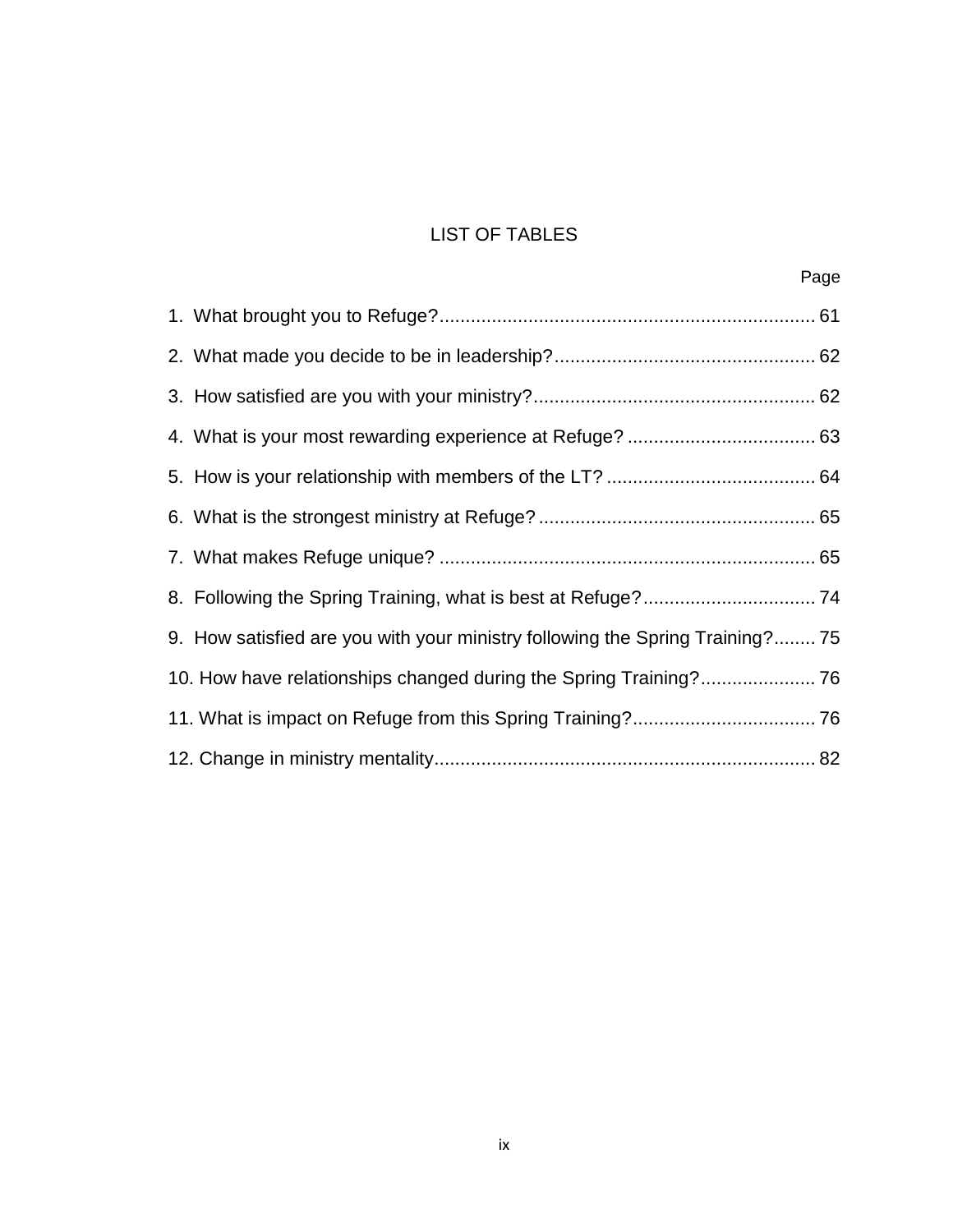# LIST OF TABLES

<span id="page-8-0"></span>

| 9. How satisfied are you with your ministry following the Spring Training?75 |  |
|------------------------------------------------------------------------------|--|
|                                                                              |  |
|                                                                              |  |
|                                                                              |  |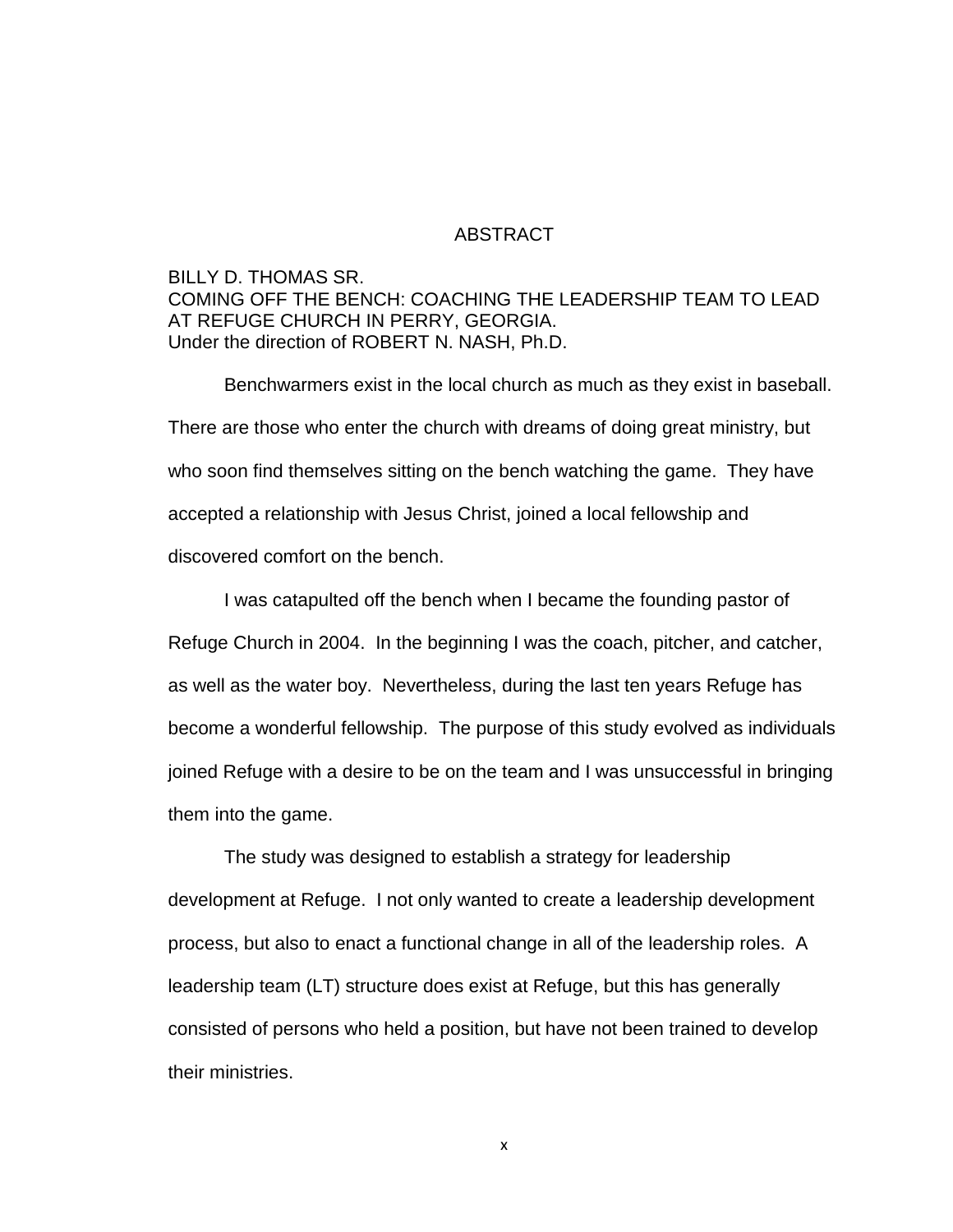#### ABSTRACT

## <span id="page-9-0"></span>BILLY D. THOMAS SR. COMING OFF THE BENCH: COACHING THE LEADERSHIP TEAM TO LEAD AT REFUGE CHURCH IN PERRY, GEORGIA. Under the direction of ROBERT N. NASH, Ph.D.

Benchwarmers exist in the local church as much as they exist in baseball. There are those who enter the church with dreams of doing great ministry, but who soon find themselves sitting on the bench watching the game. They have accepted a relationship with Jesus Christ, joined a local fellowship and discovered comfort on the bench.

I was catapulted off the bench when I became the founding pastor of Refuge Church in 2004. In the beginning I was the coach, pitcher, and catcher, as well as the water boy. Nevertheless, during the last ten years Refuge has become a wonderful fellowship. The purpose of this study evolved as individuals joined Refuge with a desire to be on the team and I was unsuccessful in bringing them into the game.

The study was designed to establish a strategy for leadership development at Refuge. I not only wanted to create a leadership development process, but also to enact a functional change in all of the leadership roles. A leadership team (LT) structure does exist at Refuge, but this has generally consisted of persons who held a position, but have not been trained to develop their ministries.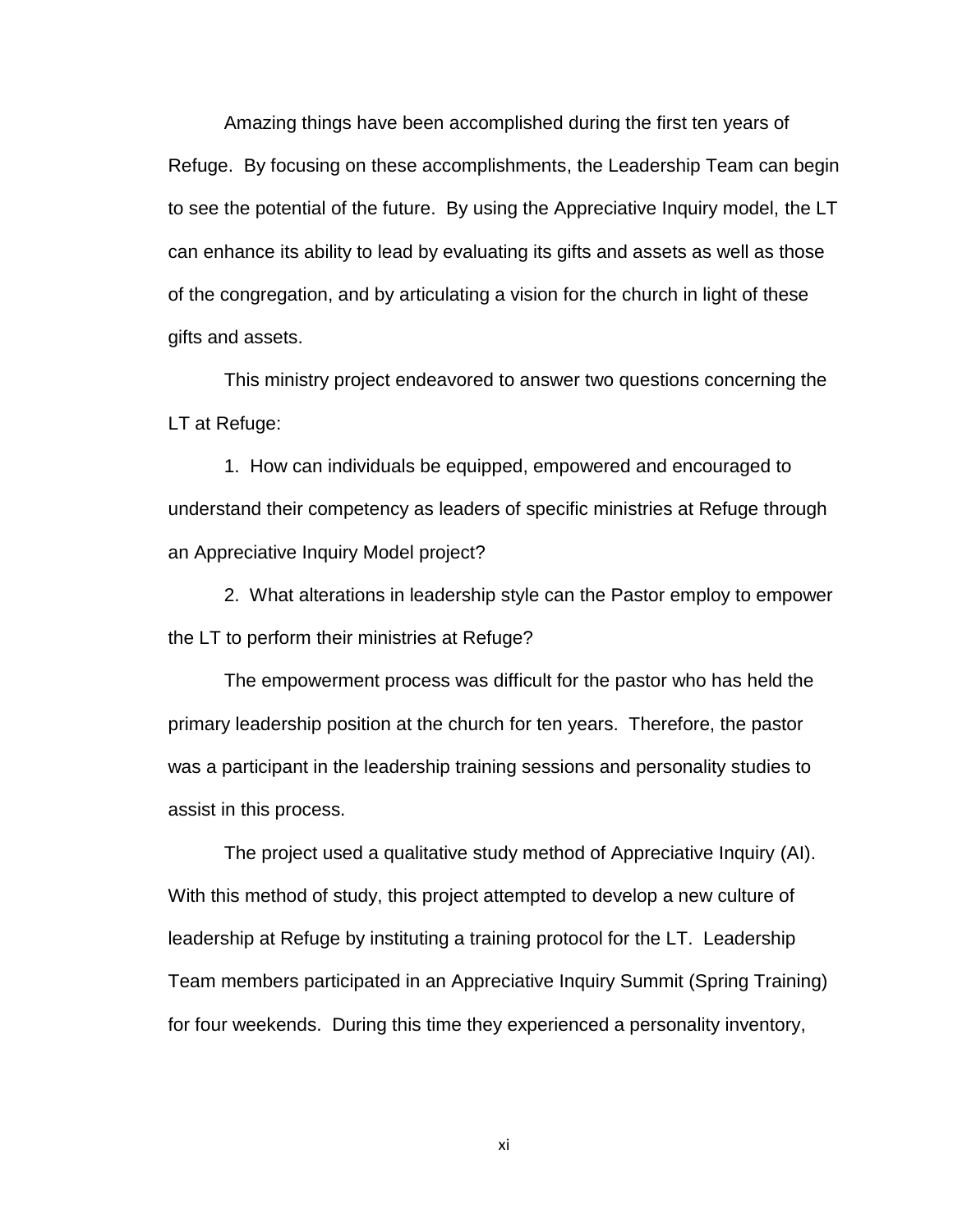Amazing things have been accomplished during the first ten years of Refuge. By focusing on these accomplishments, the Leadership Team can begin to see the potential of the future. By using the Appreciative Inquiry model, the LT can enhance its ability to lead by evaluating its gifts and assets as well as those of the congregation, and by articulating a vision for the church in light of these gifts and assets.

This ministry project endeavored to answer two questions concerning the LT at Refuge:

1. How can individuals be equipped, empowered and encouraged to understand their competency as leaders of specific ministries at Refuge through an Appreciative Inquiry Model project?

2. What alterations in leadership style can the Pastor employ to empower the LT to perform their ministries at Refuge?

The empowerment process was difficult for the pastor who has held the primary leadership position at the church for ten years. Therefore, the pastor was a participant in the leadership training sessions and personality studies to assist in this process.

The project used a qualitative study method of Appreciative Inquiry (AI). With this method of study, this project attempted to develop a new culture of leadership at Refuge by instituting a training protocol for the LT. Leadership Team members participated in an Appreciative Inquiry Summit (Spring Training) for four weekends. During this time they experienced a personality inventory,

xi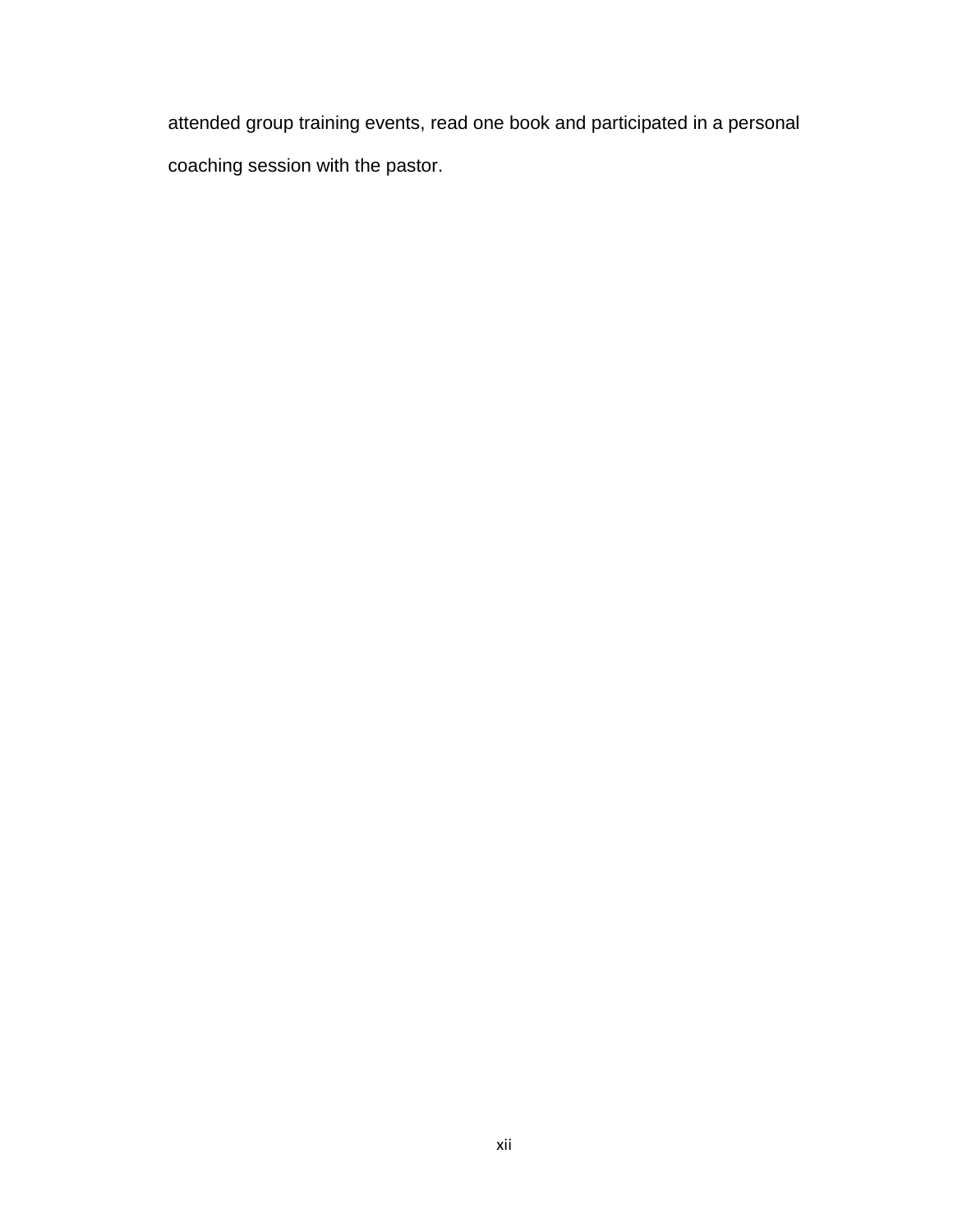attended group training events, read one book and participated in a personal coaching session with the pastor.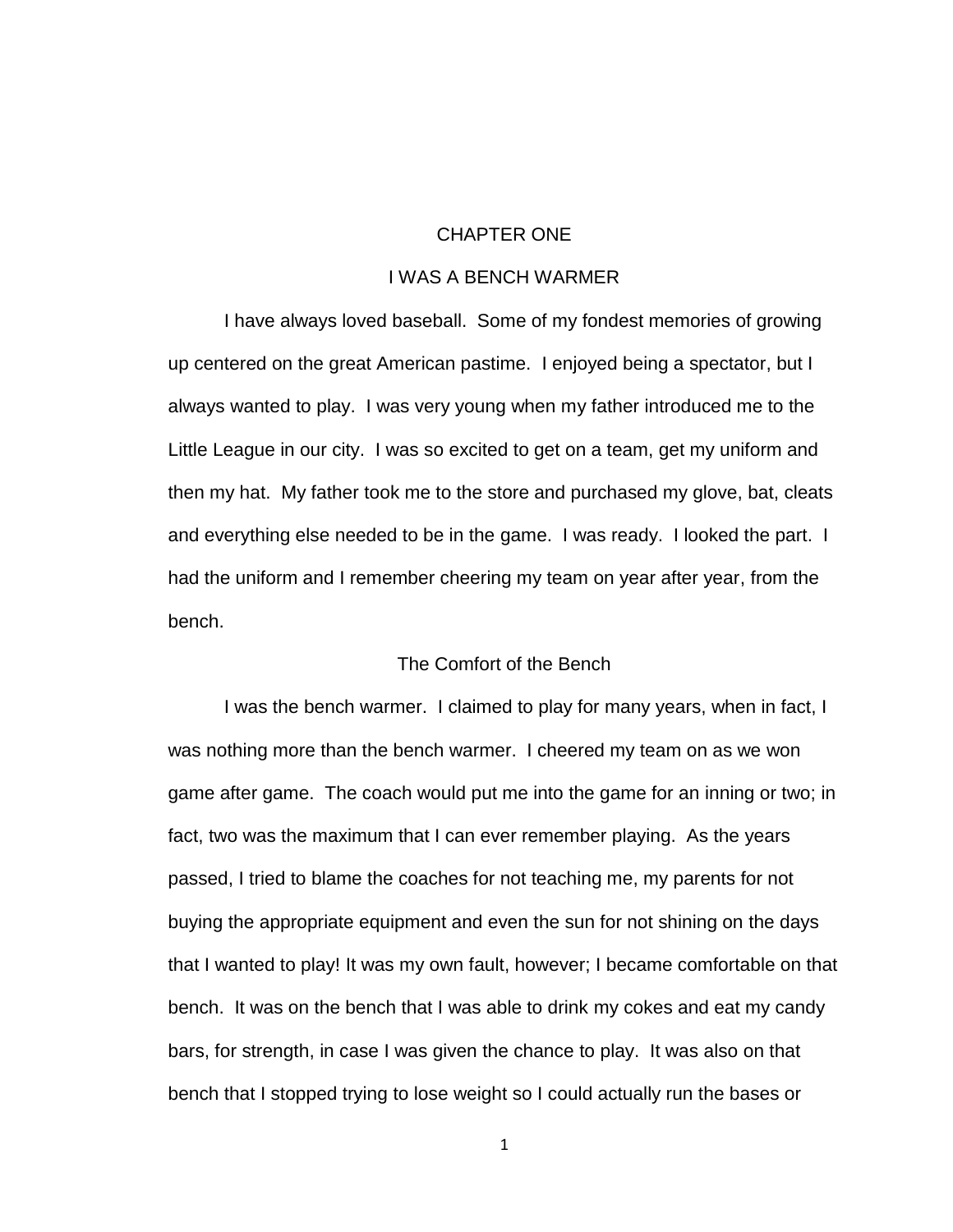## CHAPTER ONE

### I WAS A BENCH WARMER

<span id="page-12-0"></span>I have always loved baseball. Some of my fondest memories of growing up centered on the great American pastime. I enjoyed being a spectator, but I always wanted to play. I was very young when my father introduced me to the Little League in our city. I was so excited to get on a team, get my uniform and then my hat. My father took me to the store and purchased my glove, bat, cleats and everything else needed to be in the game. I was ready. I looked the part. I had the uniform and I remember cheering my team on year after year, from the bench.

### The Comfort of the Bench

<span id="page-12-1"></span>I was the bench warmer. I claimed to play for many years, when in fact, I was nothing more than the bench warmer. I cheered my team on as we won game after game. The coach would put me into the game for an inning or two; in fact, two was the maximum that I can ever remember playing. As the years passed, I tried to blame the coaches for not teaching me, my parents for not buying the appropriate equipment and even the sun for not shining on the days that I wanted to play! It was my own fault, however; I became comfortable on that bench. It was on the bench that I was able to drink my cokes and eat my candy bars, for strength, in case I was given the chance to play. It was also on that bench that I stopped trying to lose weight so I could actually run the bases or

1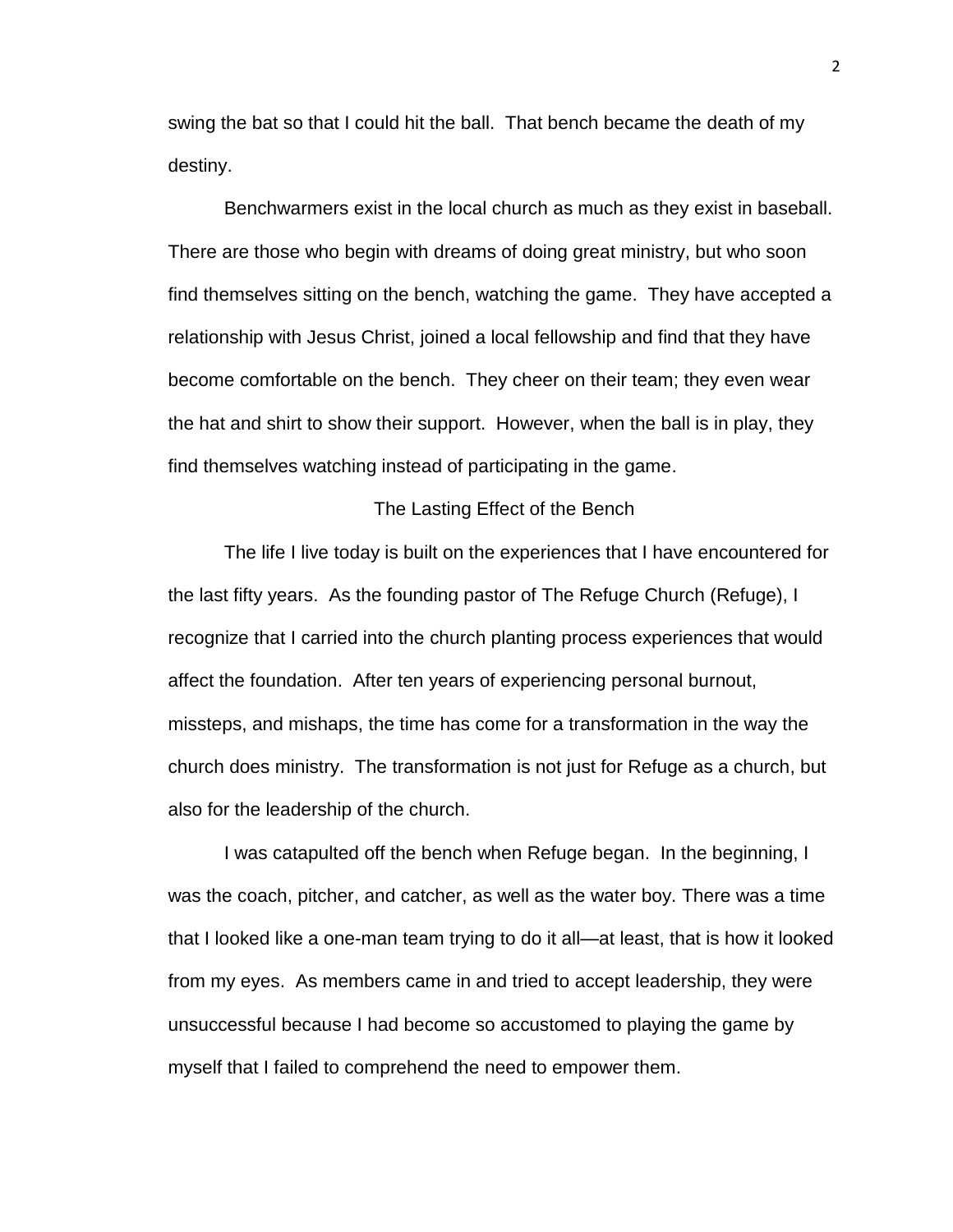swing the bat so that I could hit the ball. That bench became the death of my destiny.

Benchwarmers exist in the local church as much as they exist in baseball. There are those who begin with dreams of doing great ministry, but who soon find themselves sitting on the bench, watching the game. They have accepted a relationship with Jesus Christ, joined a local fellowship and find that they have become comfortable on the bench. They cheer on their team; they even wear the hat and shirt to show their support. However, when the ball is in play, they find themselves watching instead of participating in the game.

### The Lasting Effect of the Bench

<span id="page-13-0"></span>The life I live today is built on the experiences that I have encountered for the last fifty years. As the founding pastor of The Refuge Church (Refuge), I recognize that I carried into the church planting process experiences that would affect the foundation. After ten years of experiencing personal burnout, missteps, and mishaps, the time has come for a transformation in the way the church does ministry. The transformation is not just for Refuge as a church, but also for the leadership of the church.

I was catapulted off the bench when Refuge began. In the beginning, I was the coach, pitcher, and catcher, as well as the water boy. There was a time that I looked like a one-man team trying to do it all—at least, that is how it looked from my eyes. As members came in and tried to accept leadership, they were unsuccessful because I had become so accustomed to playing the game by myself that I failed to comprehend the need to empower them.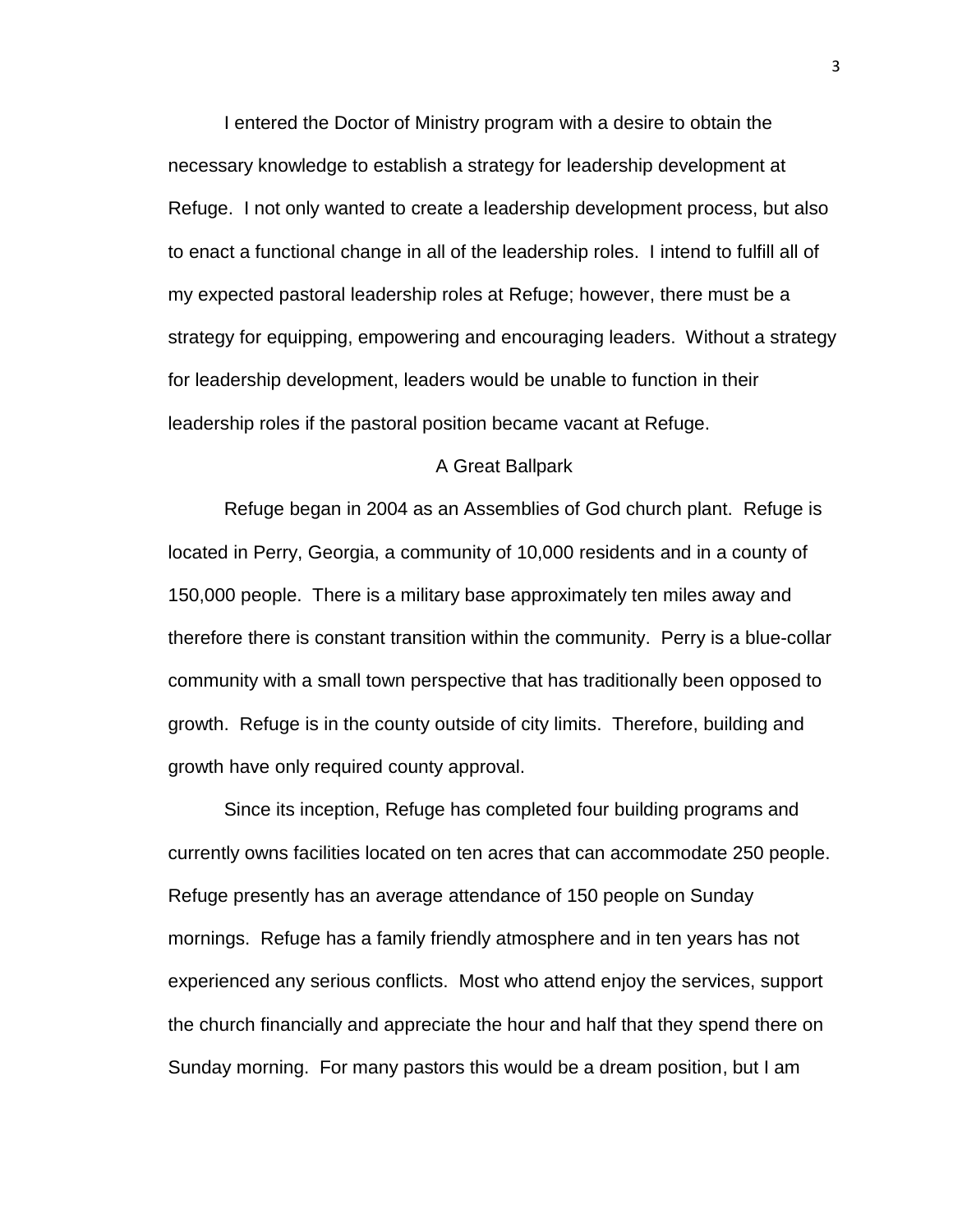I entered the Doctor of Ministry program with a desire to obtain the necessary knowledge to establish a strategy for leadership development at Refuge. I not only wanted to create a leadership development process, but also to enact a functional change in all of the leadership roles. I intend to fulfill all of my expected pastoral leadership roles at Refuge; however, there must be a strategy for equipping, empowering and encouraging leaders. Without a strategy for leadership development, leaders would be unable to function in their leadership roles if the pastoral position became vacant at Refuge.

#### A Great Ballpark

<span id="page-14-0"></span>Refuge began in 2004 as an Assemblies of God church plant. Refuge is located in Perry, Georgia, a community of 10,000 residents and in a county of 150,000 people. There is a military base approximately ten miles away and therefore there is constant transition within the community. Perry is a blue-collar community with a small town perspective that has traditionally been opposed to growth. Refuge is in the county outside of city limits. Therefore, building and growth have only required county approval.

Since its inception, Refuge has completed four building programs and currently owns facilities located on ten acres that can accommodate 250 people. Refuge presently has an average attendance of 150 people on Sunday mornings. Refuge has a family friendly atmosphere and in ten years has not experienced any serious conflicts. Most who attend enjoy the services, support the church financially and appreciate the hour and half that they spend there on Sunday morning. For many pastors this would be a dream position, but I am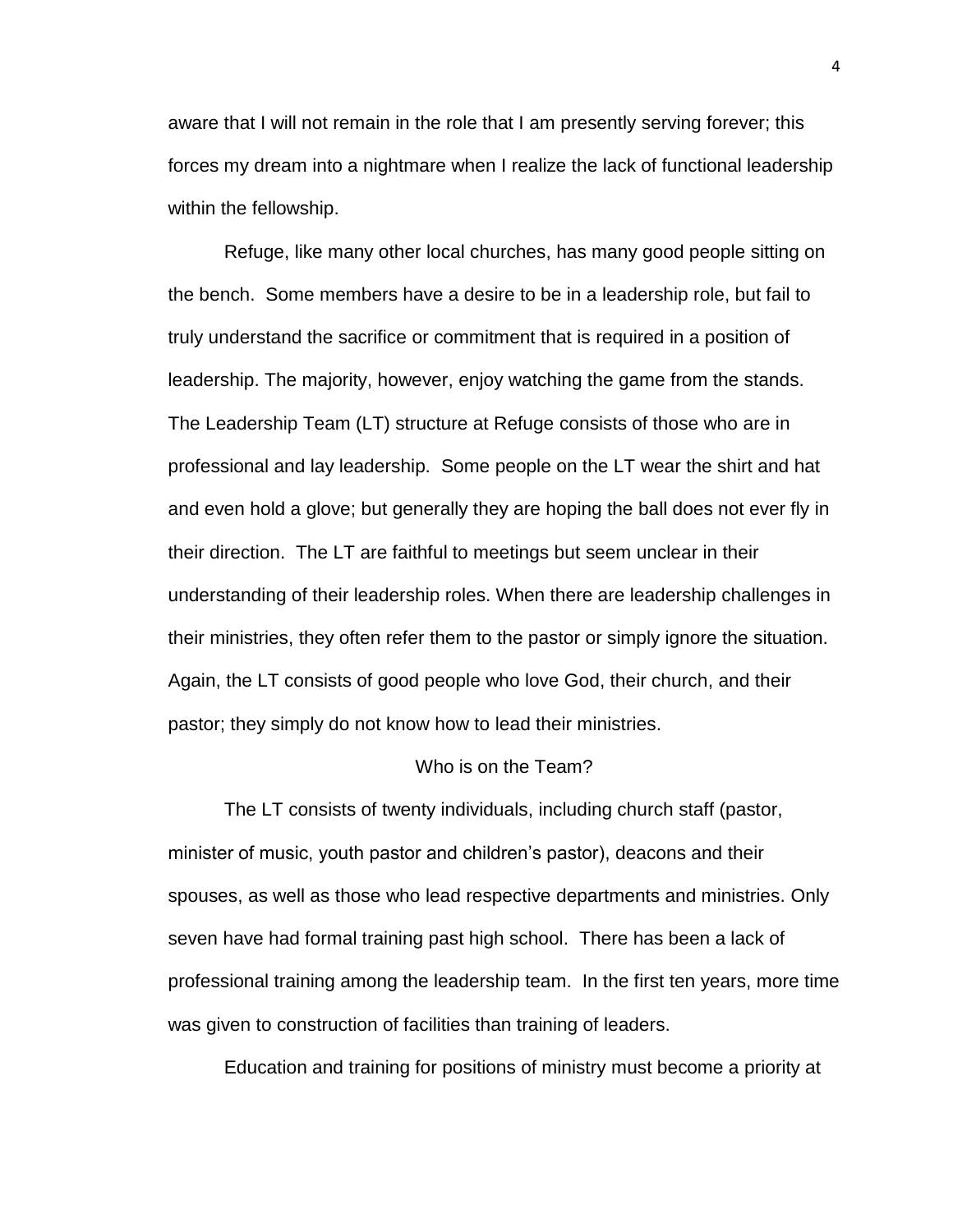aware that I will not remain in the role that I am presently serving forever; this forces my dream into a nightmare when I realize the lack of functional leadership within the fellowship.

Refuge, like many other local churches, has many good people sitting on the bench. Some members have a desire to be in a leadership role, but fail to truly understand the sacrifice or commitment that is required in a position of leadership. The majority, however, enjoy watching the game from the stands. The Leadership Team (LT) structure at Refuge consists of those who are in professional and lay leadership. Some people on the LT wear the shirt and hat and even hold a glove; but generally they are hoping the ball does not ever fly in their direction. The LT are faithful to meetings but seem unclear in their understanding of their leadership roles. When there are leadership challenges in their ministries, they often refer them to the pastor or simply ignore the situation. Again, the LT consists of good people who love God, their church, and their pastor; they simply do not know how to lead their ministries.

#### Who is on the Team?

<span id="page-15-0"></span>The LT consists of twenty individuals, including church staff (pastor, minister of music, youth pastor and children's pastor), deacons and their spouses, as well as those who lead respective departments and ministries. Only seven have had formal training past high school. There has been a lack of professional training among the leadership team. In the first ten years, more time was given to construction of facilities than training of leaders.

Education and training for positions of ministry must become a priority at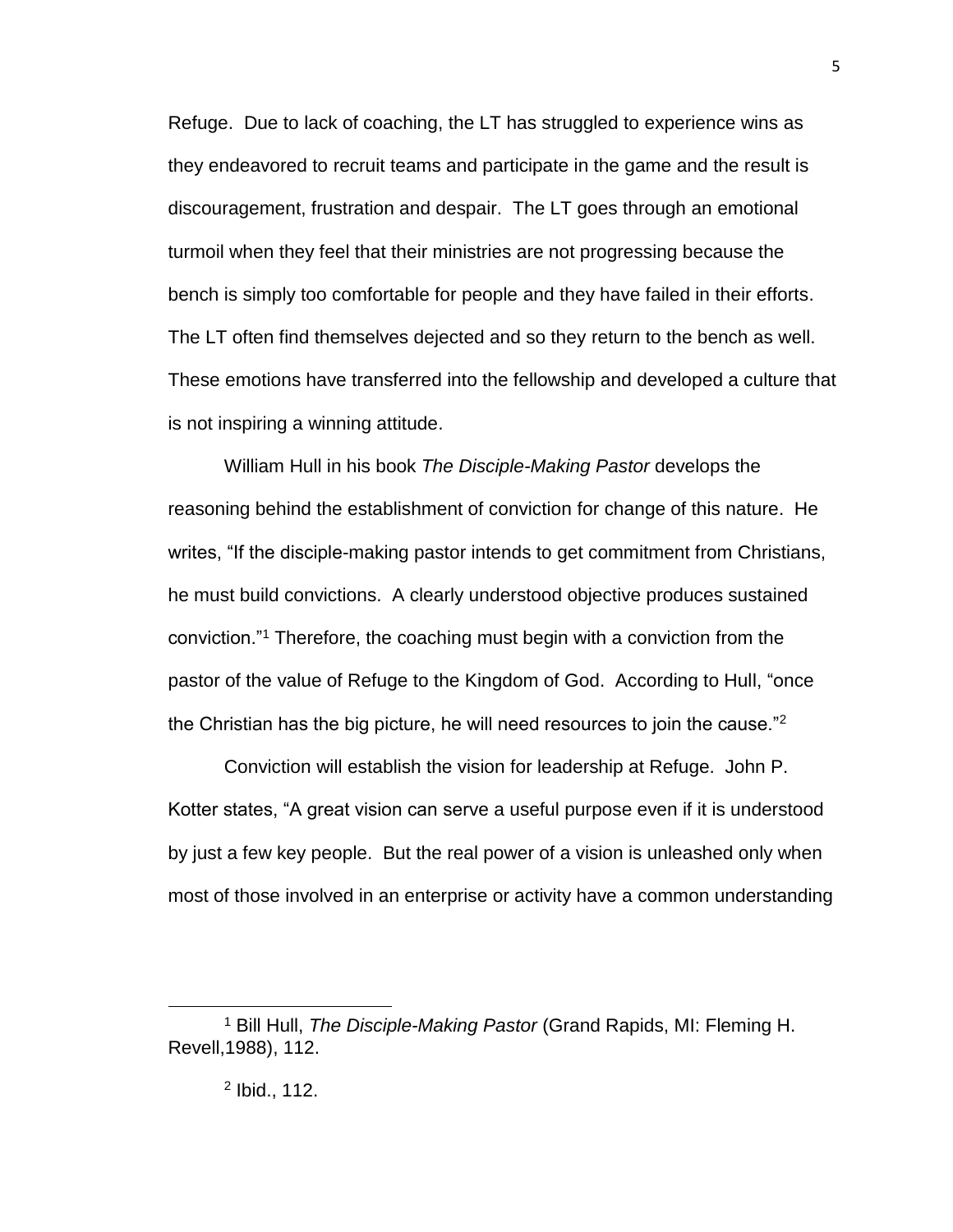Refuge. Due to lack of coaching, the LT has struggled to experience wins as they endeavored to recruit teams and participate in the game and the result is discouragement, frustration and despair. The LT goes through an emotional turmoil when they feel that their ministries are not progressing because the bench is simply too comfortable for people and they have failed in their efforts. The LT often find themselves dejected and so they return to the bench as well. These emotions have transferred into the fellowship and developed a culture that is not inspiring a winning attitude.

William Hull in his book *The Disciple-Making Pastor* develops the reasoning behind the establishment of conviction for change of this nature. He writes, "If the disciple-making pastor intends to get commitment from Christians, he must build convictions. A clearly understood objective produces sustained conviction."<sup>1</sup> Therefore, the coaching must begin with a conviction from the pastor of the value of Refuge to the Kingdom of God. According to Hull, "once the Christian has the big picture, he will need resources to join the cause."<sup>2</sup>

Conviction will establish the vision for leadership at Refuge. John P. Kotter states, "A great vision can serve a useful purpose even if it is understood by just a few key people. But the real power of a vision is unleashed only when most of those involved in an enterprise or activity have a common understanding

<sup>1</sup> Bill Hull, *The Disciple-Making Pastor* (Grand Rapids, MI: Fleming H. Revell,1988), 112.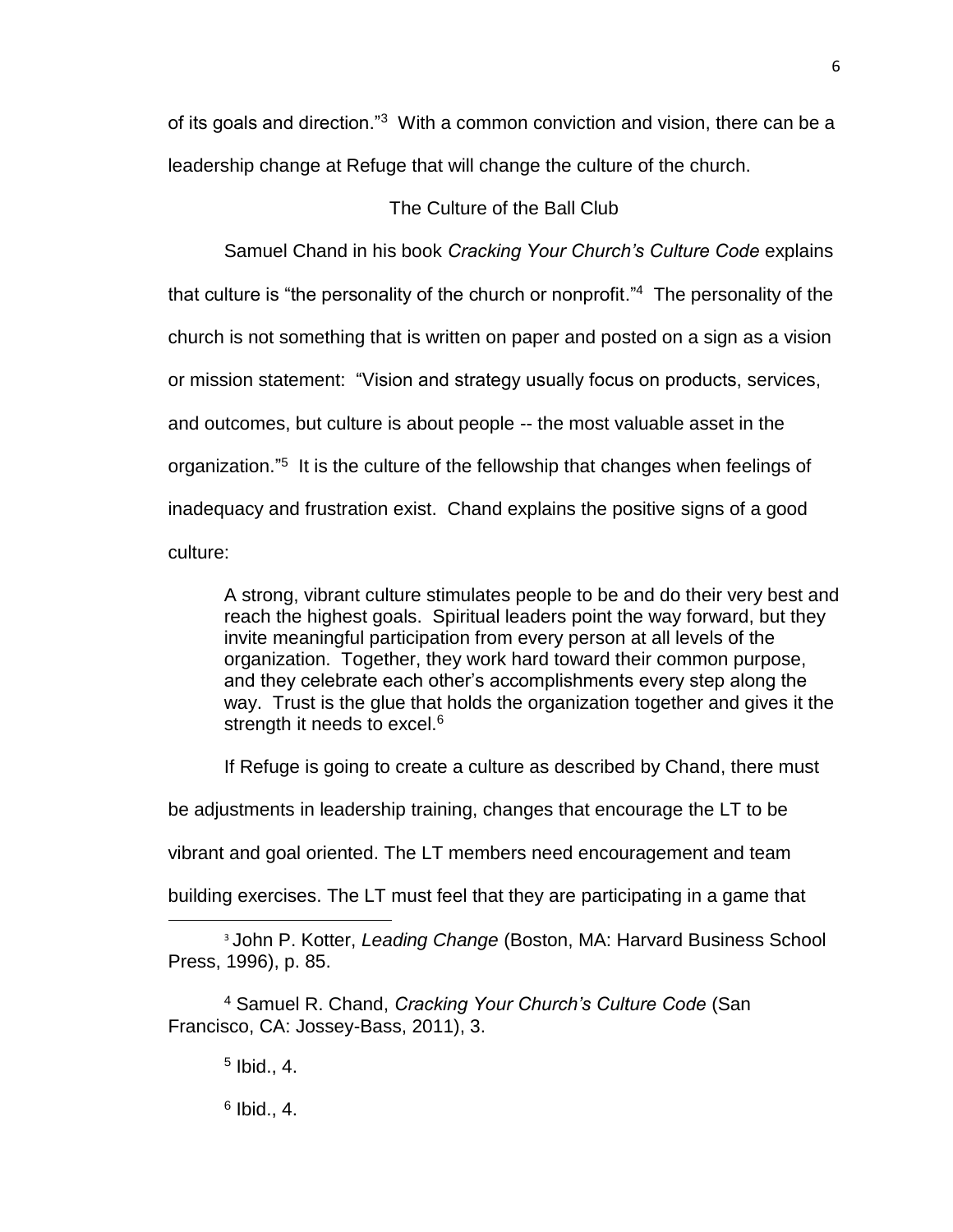of its goals and direction."<sup>3</sup> With a common conviction and vision, there can be a leadership change at Refuge that will change the culture of the church.

### The Culture of the Ball Club

<span id="page-17-0"></span>Samuel Chand in his book *Cracking Your Church's Culture Code* explains that culture is "the personality of the church or nonprofit."<sup>4</sup> The personality of the church is not something that is written on paper and posted on a sign as a vision or mission statement: "Vision and strategy usually focus on products, services, and outcomes, but culture is about people -- the most valuable asset in the organization."<sup>5</sup> It is the culture of the fellowship that changes when feelings of inadequacy and frustration exist. Chand explains the positive signs of a good culture:

A strong, vibrant culture stimulates people to be and do their very best and reach the highest goals. Spiritual leaders point the way forward, but they invite meaningful participation from every person at all levels of the organization. Together, they work hard toward their common purpose, and they celebrate each other's accomplishments every step along the way. Trust is the glue that holds the organization together and gives it the strength it needs to excel.<sup>6</sup>

If Refuge is going to create a culture as described by Chand, there must

be adjustments in leadership training, changes that encourage the LT to be

vibrant and goal oriented. The LT members need encouragement and team

building exercises. The LT must feel that they are participating in a game that

<sup>3</sup> John P. Kotter, *Leading Change* (Boston, MA: Harvard Business School Press, 1996), p. 85.

<sup>4</sup> Samuel R. Chand, *Cracking Your Church's Culture Code* (San Francisco, CA: Jossey-Bass, 2011), 3.

5 Ibid., 4.

 $\overline{\phantom{a}}$ 

 $6$  Ibid., 4.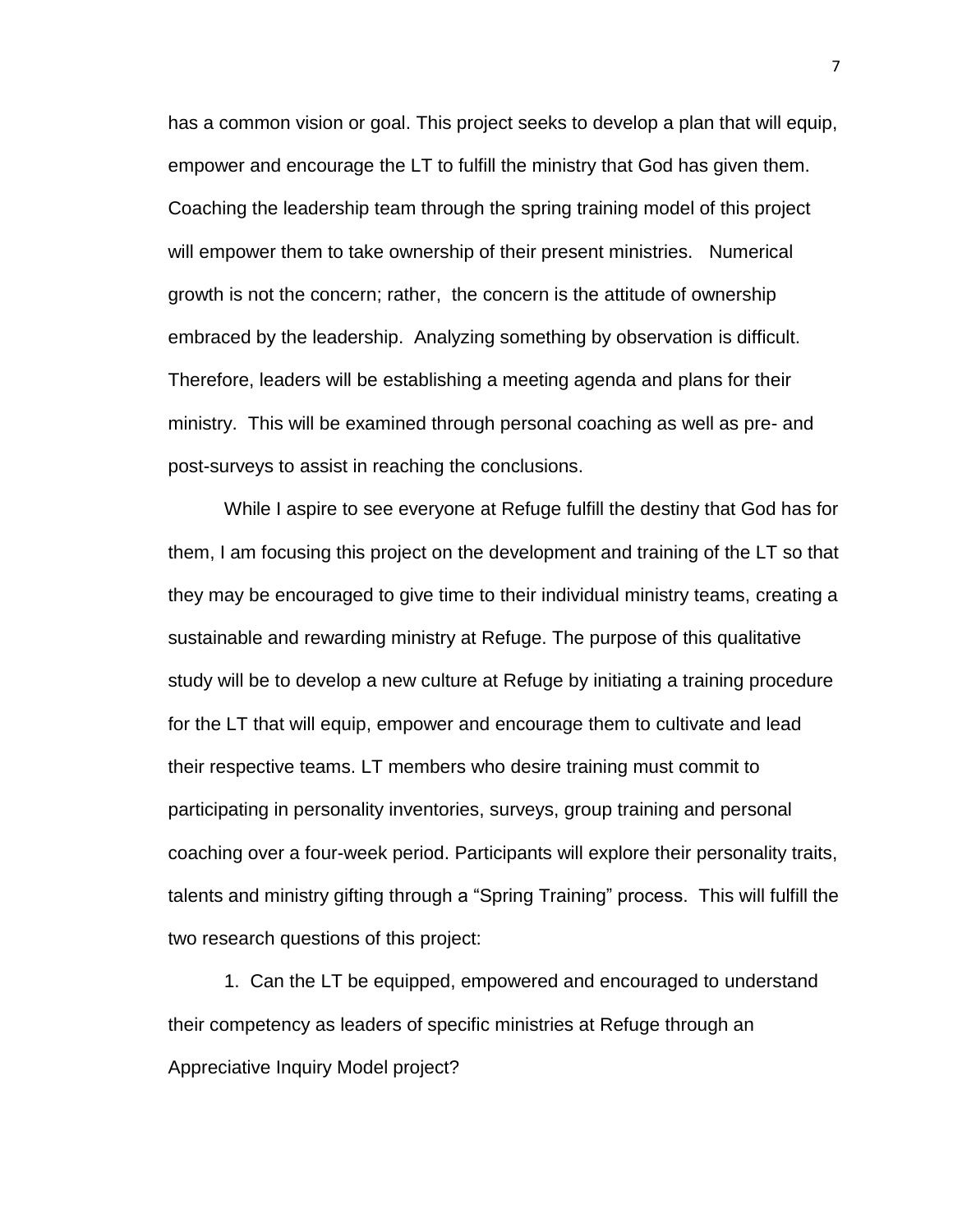has a common vision or goal. This project seeks to develop a plan that will equip, empower and encourage the LT to fulfill the ministry that God has given them. Coaching the leadership team through the spring training model of this project will empower them to take ownership of their present ministries. Numerical growth is not the concern; rather, the concern is the attitude of ownership embraced by the leadership. Analyzing something by observation is difficult. Therefore, leaders will be establishing a meeting agenda and plans for their ministry. This will be examined through personal coaching as well as pre- and post-surveys to assist in reaching the conclusions.

While I aspire to see everyone at Refuge fulfill the destiny that God has for them, I am focusing this project on the development and training of the LT so that they may be encouraged to give time to their individual ministry teams, creating a sustainable and rewarding ministry at Refuge. The purpose of this qualitative study will be to develop a new culture at Refuge by initiating a training procedure for the LT that will equip, empower and encourage them to cultivate and lead their respective teams. LT members who desire training must commit to participating in personality inventories, surveys, group training and personal coaching over a four-week period. Participants will explore their personality traits, talents and ministry gifting through a "Spring Training" process. This will fulfill the two research questions of this project:

1. Can the LT be equipped, empowered and encouraged to understand their competency as leaders of specific ministries at Refuge through an Appreciative Inquiry Model project?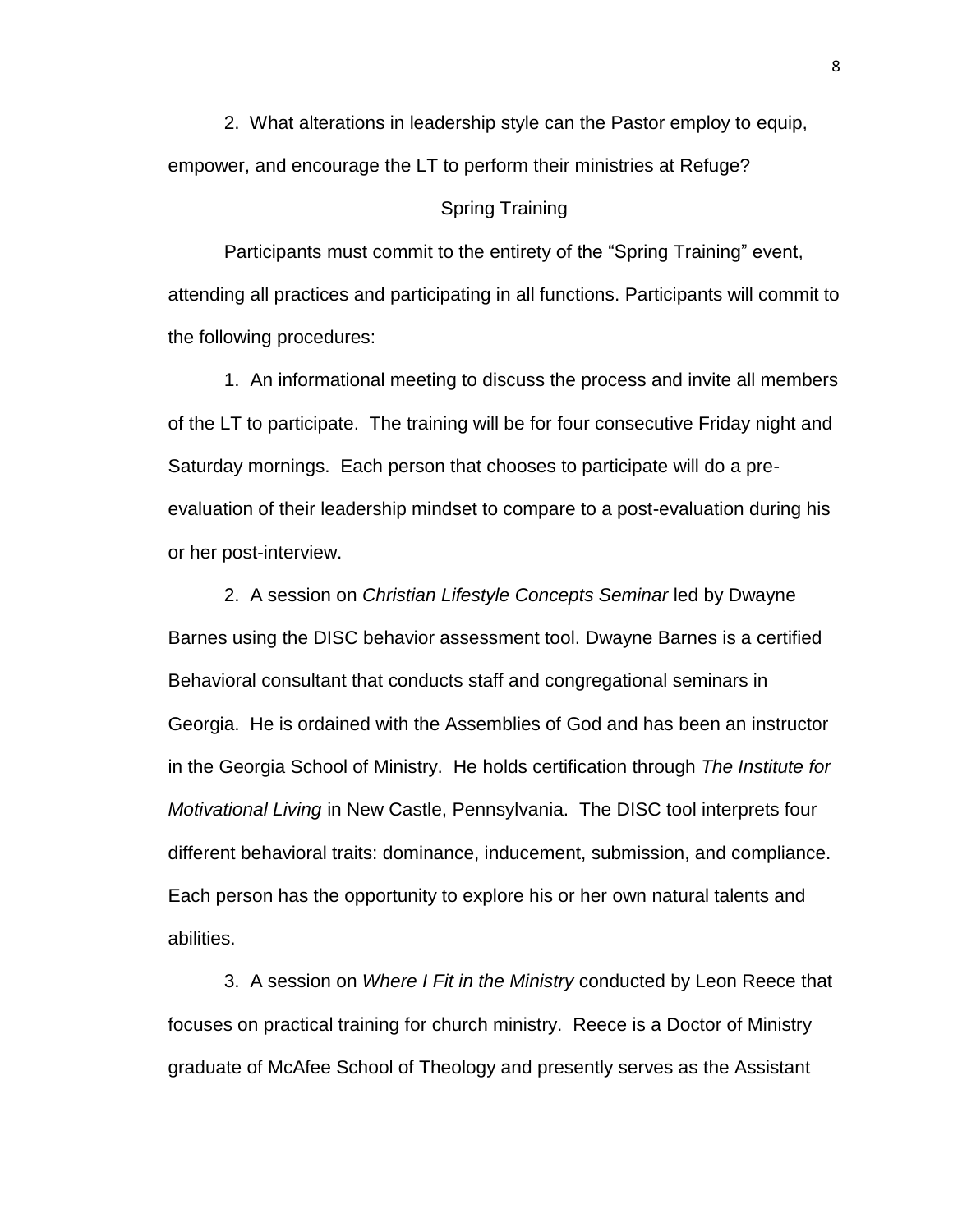2. What alterations in leadership style can the Pastor employ to equip, empower, and encourage the LT to perform their ministries at Refuge?

#### <span id="page-19-0"></span>Spring Training

Participants must commit to the entirety of the "Spring Training" event, attending all practices and participating in all functions. Participants will commit to the following procedures:

1. An informational meeting to discuss the process and invite all members of the LT to participate. The training will be for four consecutive Friday night and Saturday mornings. Each person that chooses to participate will do a preevaluation of their leadership mindset to compare to a post-evaluation during his or her post-interview.

2. A session on *Christian Lifestyle Concepts Seminar* led by Dwayne Barnes using the DISC behavior assessment tool. Dwayne Barnes is a certified Behavioral consultant that conducts staff and congregational seminars in Georgia. He is ordained with the Assemblies of God and has been an instructor in the Georgia School of Ministry. He holds certification through *The Institute for Motivational Living* in New Castle, Pennsylvania. The DISC tool interprets four different behavioral traits: dominance, inducement, submission, and compliance. Each person has the opportunity to explore his or her own natural talents and abilities.

3. A session on *Where I Fit in the Ministry* conducted by Leon Reece that focuses on practical training for church ministry. Reece is a Doctor of Ministry graduate of McAfee School of Theology and presently serves as the Assistant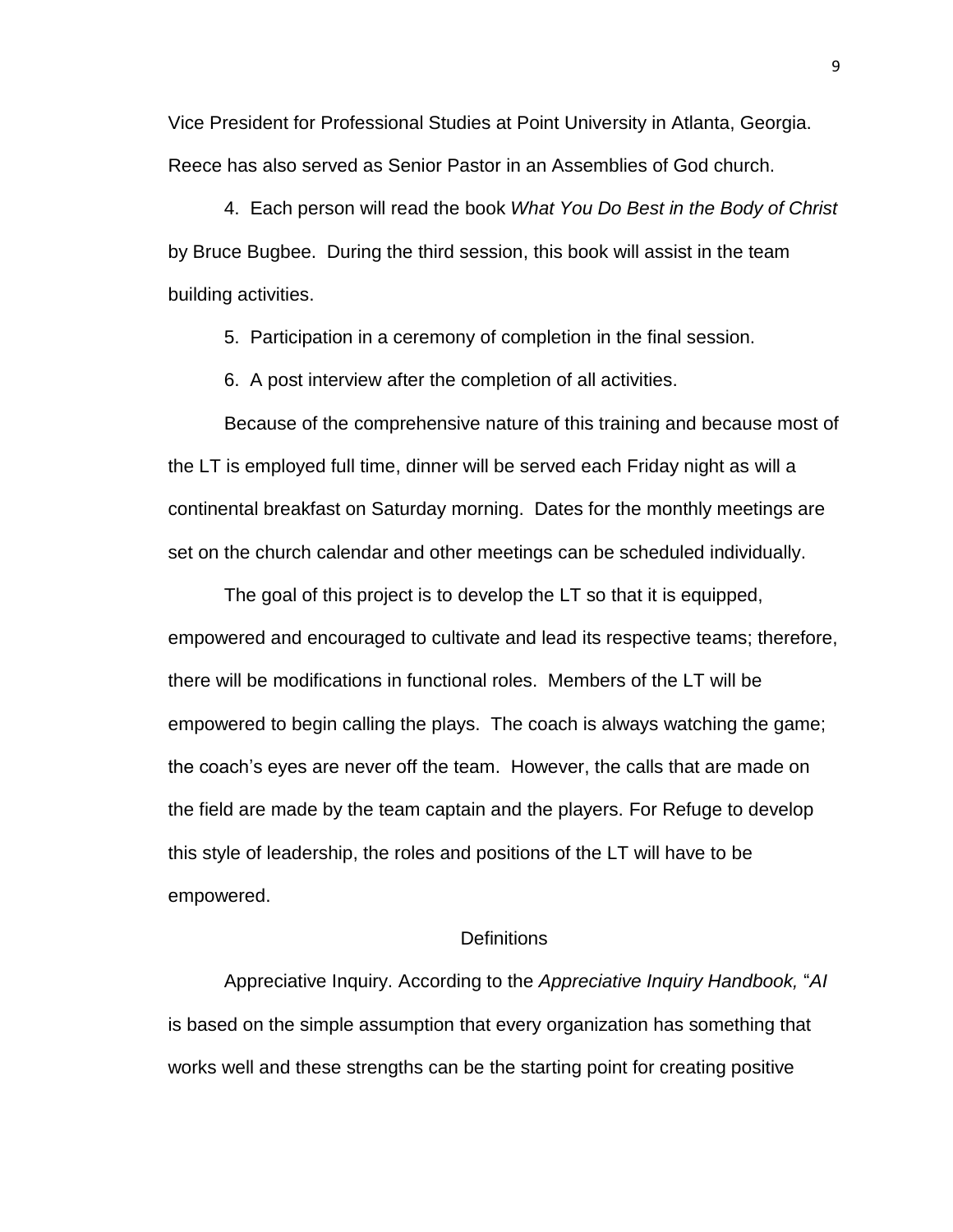Vice President for Professional Studies at Point University in Atlanta, Georgia. Reece has also served as Senior Pastor in an Assemblies of God church.

4. Each person will read the book *What You Do Best in the Body of Christ* by Bruce Bugbee. During the third session, this book will assist in the team building activities.

5. Participation in a ceremony of completion in the final session.

6. A post interview after the completion of all activities.

Because of the comprehensive nature of this training and because most of the LT is employed full time, dinner will be served each Friday night as will a continental breakfast on Saturday morning. Dates for the monthly meetings are set on the church calendar and other meetings can be scheduled individually.

The goal of this project is to develop the LT so that it is equipped, empowered and encouraged to cultivate and lead its respective teams; therefore, there will be modifications in functional roles. Members of the LT will be empowered to begin calling the plays. The coach is always watching the game; the coach's eyes are never off the team. However, the calls that are made on the field are made by the team captain and the players. For Refuge to develop this style of leadership, the roles and positions of the LT will have to be empowered.

#### **Definitions**

<span id="page-20-0"></span>Appreciative Inquiry. According to the *Appreciative Inquiry Handbook,* "*AI* is based on the simple assumption that every organization has something that works well and these strengths can be the starting point for creating positive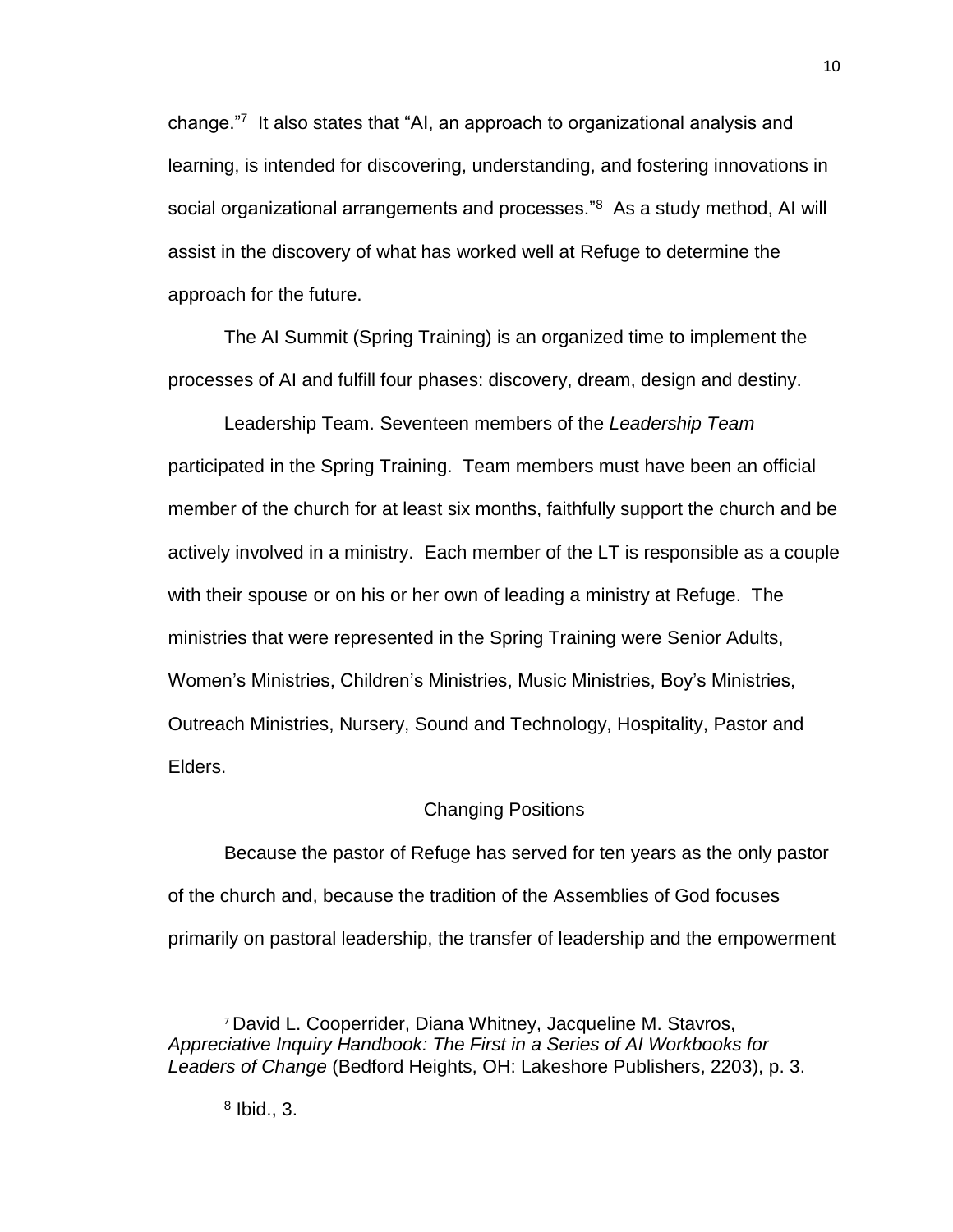change."<sup>7</sup> It also states that "AI, an approach to organizational analysis and learning, is intended for discovering, understanding, and fostering innovations in social organizational arrangements and processes."<sup>8</sup> As a study method, AI will assist in the discovery of what has worked well at Refuge to determine the approach for the future.

The AI Summit (Spring Training) is an organized time to implement the processes of AI and fulfill four phases: discovery, dream, design and destiny.

Leadership Team. Seventeen members of the *Leadership Team* participated in the Spring Training.Team members must have been an official member of the church for at least six months, faithfully support the church and be actively involved in a ministry. Each member of the LT is responsible as a couple with their spouse or on his or her own of leading a ministry at Refuge. The ministries that were represented in the Spring Training were Senior Adults, Women's Ministries, Children's Ministries, Music Ministries, Boy's Ministries, Outreach Ministries, Nursery, Sound and Technology, Hospitality, Pastor and Elders.

### Changing Positions

<span id="page-21-0"></span>Because the pastor of Refuge has served for ten years as the only pastor of the church and, because the tradition of the Assemblies of God focuses primarily on pastoral leadership, the transfer of leadership and the empowerment

<sup>7</sup> David L. Cooperrider, Diana Whitney, Jacqueline M. Stavros, *Appreciative Inquiry Handbook: The First in a Series of AI Workbooks for Leaders of Change* (Bedford Heights, OH: Lakeshore Publishers, 2203), p. 3.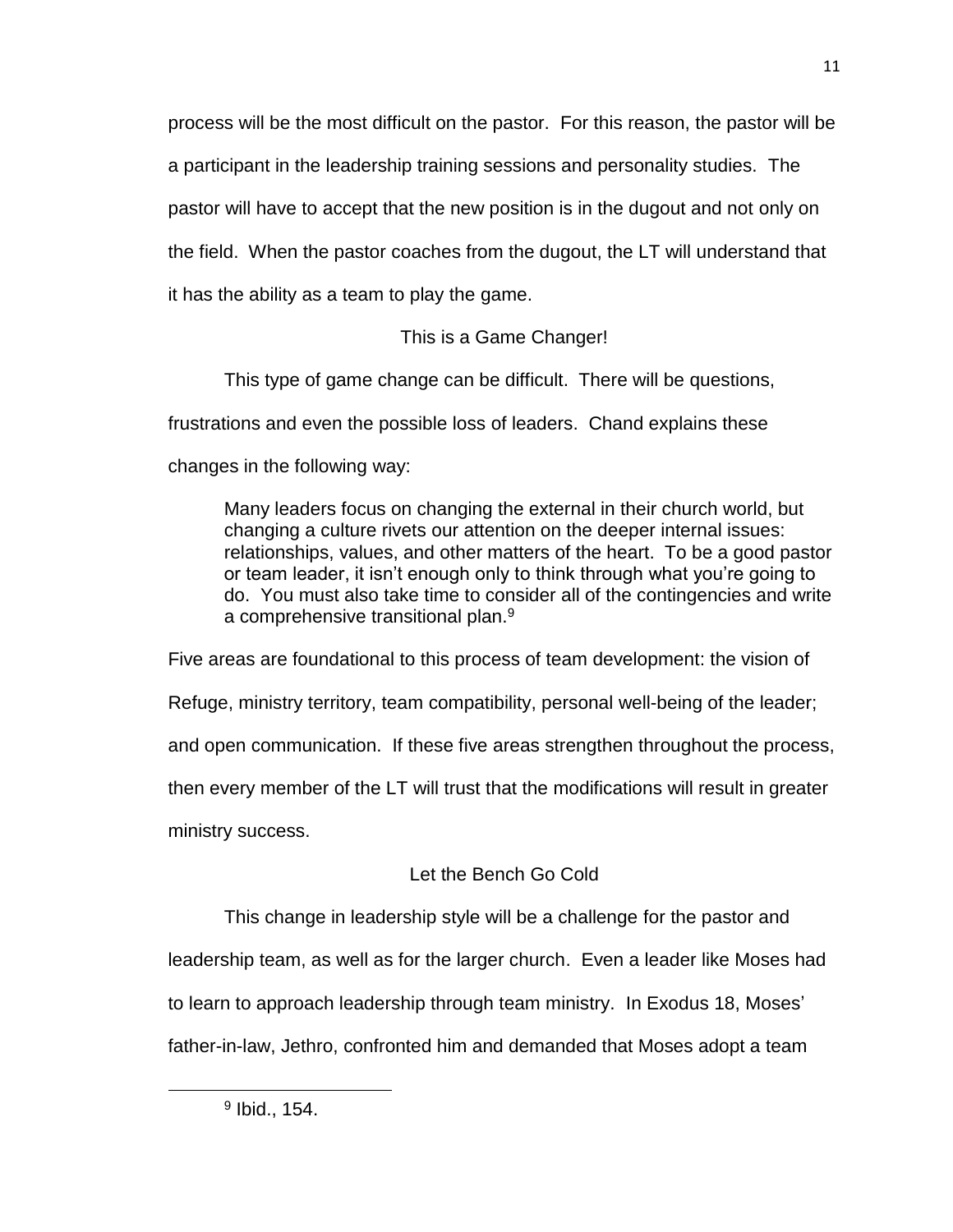process will be the most difficult on the pastor. For this reason, the pastor will be a participant in the leadership training sessions and personality studies. The pastor will have to accept that the new position is in the dugout and not only on the field. When the pastor coaches from the dugout, the LT will understand that it has the ability as a team to play the game.

## This is a Game Changer!

<span id="page-22-0"></span>This type of game change can be difficult. There will be questions, frustrations and even the possible loss of leaders. Chand explains these changes in the following way:

Many leaders focus on changing the external in their church world, but changing a culture rivets our attention on the deeper internal issues: relationships, values, and other matters of the heart. To be a good pastor or team leader, it isn't enough only to think through what you're going to do. You must also take time to consider all of the contingencies and write a comprehensive transitional plan.<sup>9</sup>

Five areas are foundational to this process of team development: the vision of Refuge, ministry territory, team compatibility, personal well-being of the leader; and open communication. If these five areas strengthen throughout the process, then every member of the LT will trust that the modifications will result in greater ministry success.

# Let the Bench Go Cold

<span id="page-22-1"></span>This change in leadership style will be a challenge for the pastor and leadership team, as well as for the larger church. Even a leader like Moses had to learn to approach leadership through team ministry. In Exodus 18, Moses' father-in-law, Jethro, confronted him and demanded that Moses adopt a team

<sup>&</sup>lt;sup>9</sup> Ibid., 154.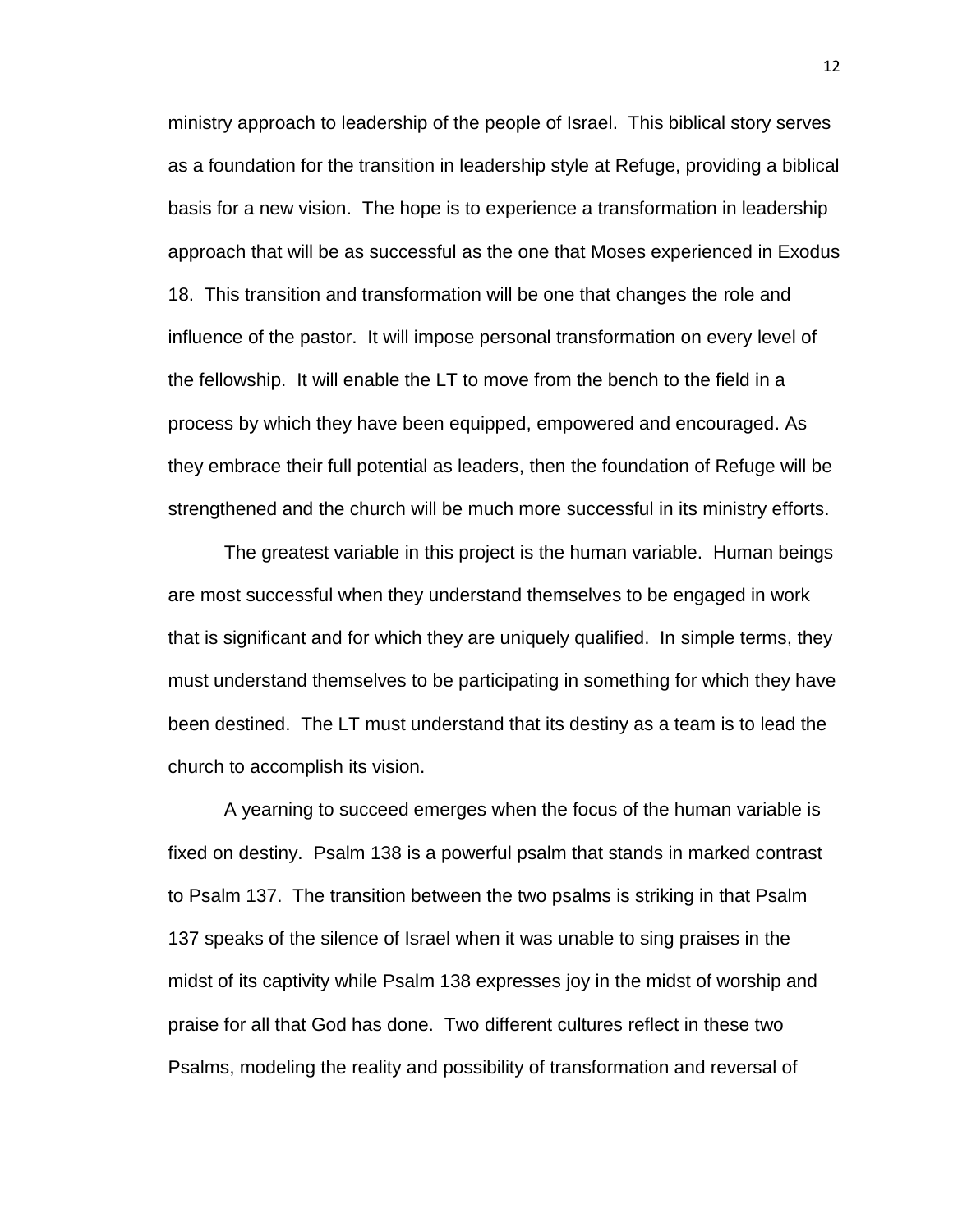ministry approach to leadership of the people of Israel. This biblical story serves as a foundation for the transition in leadership style at Refuge, providing a biblical basis for a new vision. The hope is to experience a transformation in leadership approach that will be as successful as the one that Moses experienced in Exodus 18. This transition and transformation will be one that changes the role and influence of the pastor. It will impose personal transformation on every level of the fellowship. It will enable the LT to move from the bench to the field in a process by which they have been equipped, empowered and encouraged. As they embrace their full potential as leaders, then the foundation of Refuge will be strengthened and the church will be much more successful in its ministry efforts.

The greatest variable in this project is the human variable. Human beings are most successful when they understand themselves to be engaged in work that is significant and for which they are uniquely qualified. In simple terms, they must understand themselves to be participating in something for which they have been destined. The LT must understand that its destiny as a team is to lead the church to accomplish its vision.

A yearning to succeed emerges when the focus of the human variable is fixed on destiny. Psalm 138 is a powerful psalm that stands in marked contrast to Psalm 137. The transition between the two psalms is striking in that Psalm 137 speaks of the silence of Israel when it was unable to sing praises in the midst of its captivity while Psalm 138 expresses joy in the midst of worship and praise for all that God has done. Two different cultures reflect in these two Psalms, modeling the reality and possibility of transformation and reversal of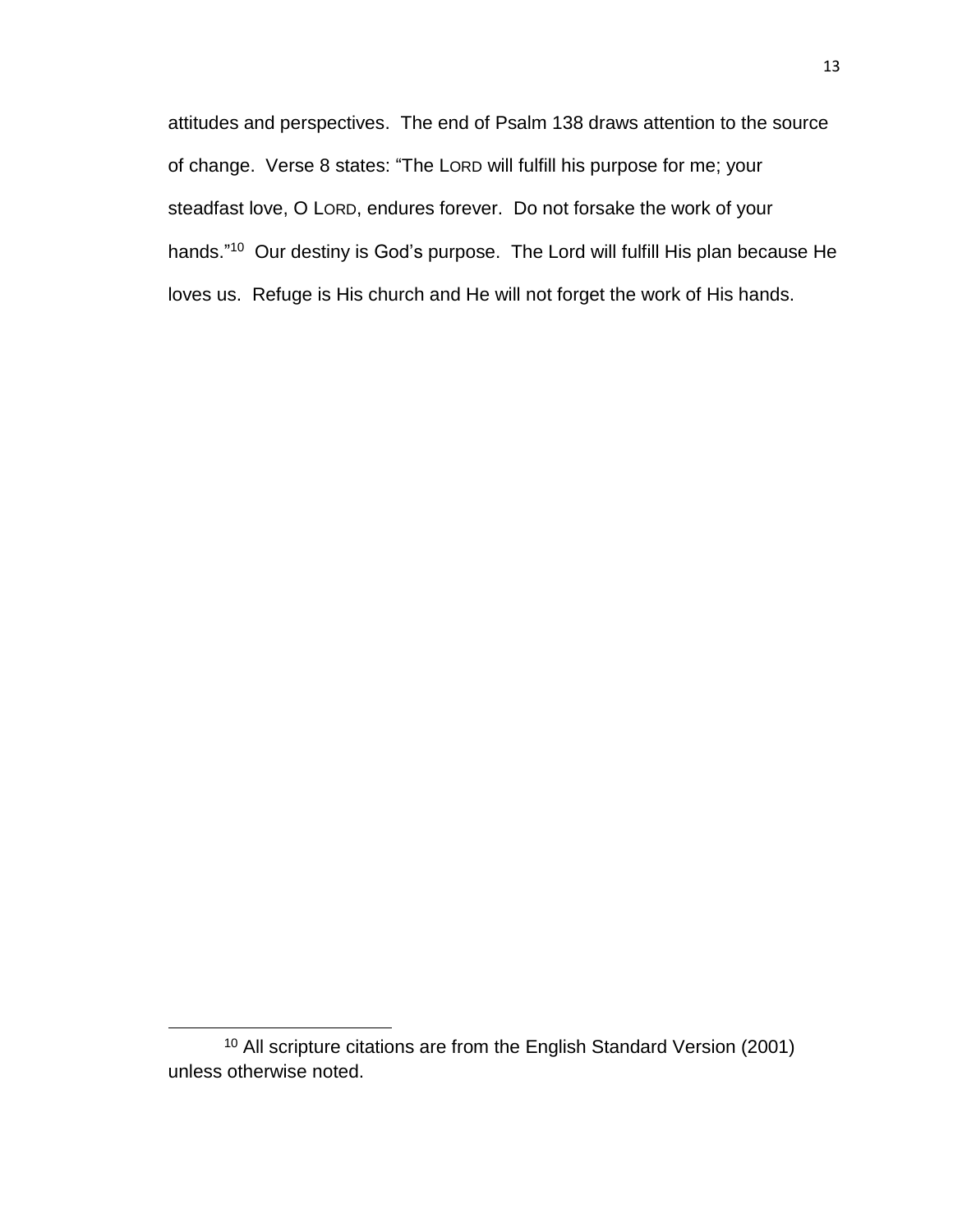attitudes and perspectives. The end of Psalm 138 draws attention to the source of change. Verse 8 states: "The LORD will fulfill his purpose for me; your steadfast love, O LORD, endures forever. Do not forsake the work of your hands."<sup>10</sup> Our destiny is God's purpose. The Lord will fulfill His plan because He loves us. Refuge is His church and He will not forget the work of His hands.

<sup>&</sup>lt;sup>10</sup> All scripture citations are from the English Standard Version (2001) unless otherwise noted.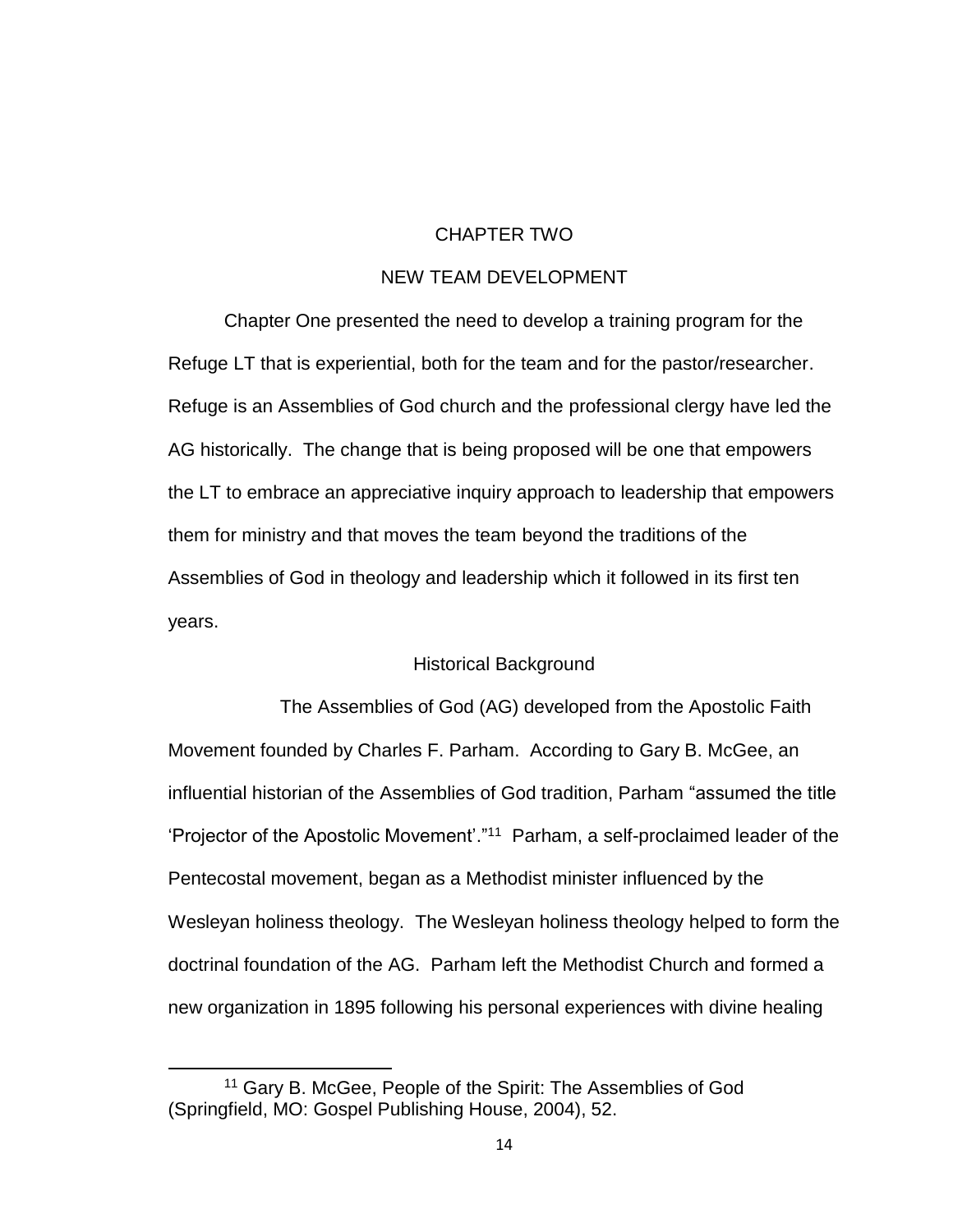#### CHAPTER TWO

## NEW TEAM DEVELOPMENT

<span id="page-25-0"></span>Chapter One presented the need to develop a training program for the Refuge LT that is experiential, both for the team and for the pastor/researcher. Refuge is an Assemblies of God church and the professional clergy have led the AG historically. The change that is being proposed will be one that empowers the LT to embrace an appreciative inquiry approach to leadership that empowers them for ministry and that moves the team beyond the traditions of the Assemblies of God in theology and leadership which it followed in its first ten years.

#### Historical Background

<span id="page-25-1"></span>The Assemblies of God (AG) developed from the Apostolic Faith Movement founded by Charles F. Parham. According to Gary B. McGee, an influential historian of the Assemblies of God tradition, Parham "assumed the title 'Projector of the Apostolic Movement'."<sup>11</sup> Parham, a self-proclaimed leader of the Pentecostal movement, began as a Methodist minister influenced by the Wesleyan holiness theology. The Wesleyan holiness theology helped to form the doctrinal foundation of the AG. Parham left the Methodist Church and formed a new organization in 1895 following his personal experiences with divine healing

<sup>11</sup> Gary B. McGee, People of the Spirit: The Assemblies of God (Springfield, MO: Gospel Publishing House, 2004), 52.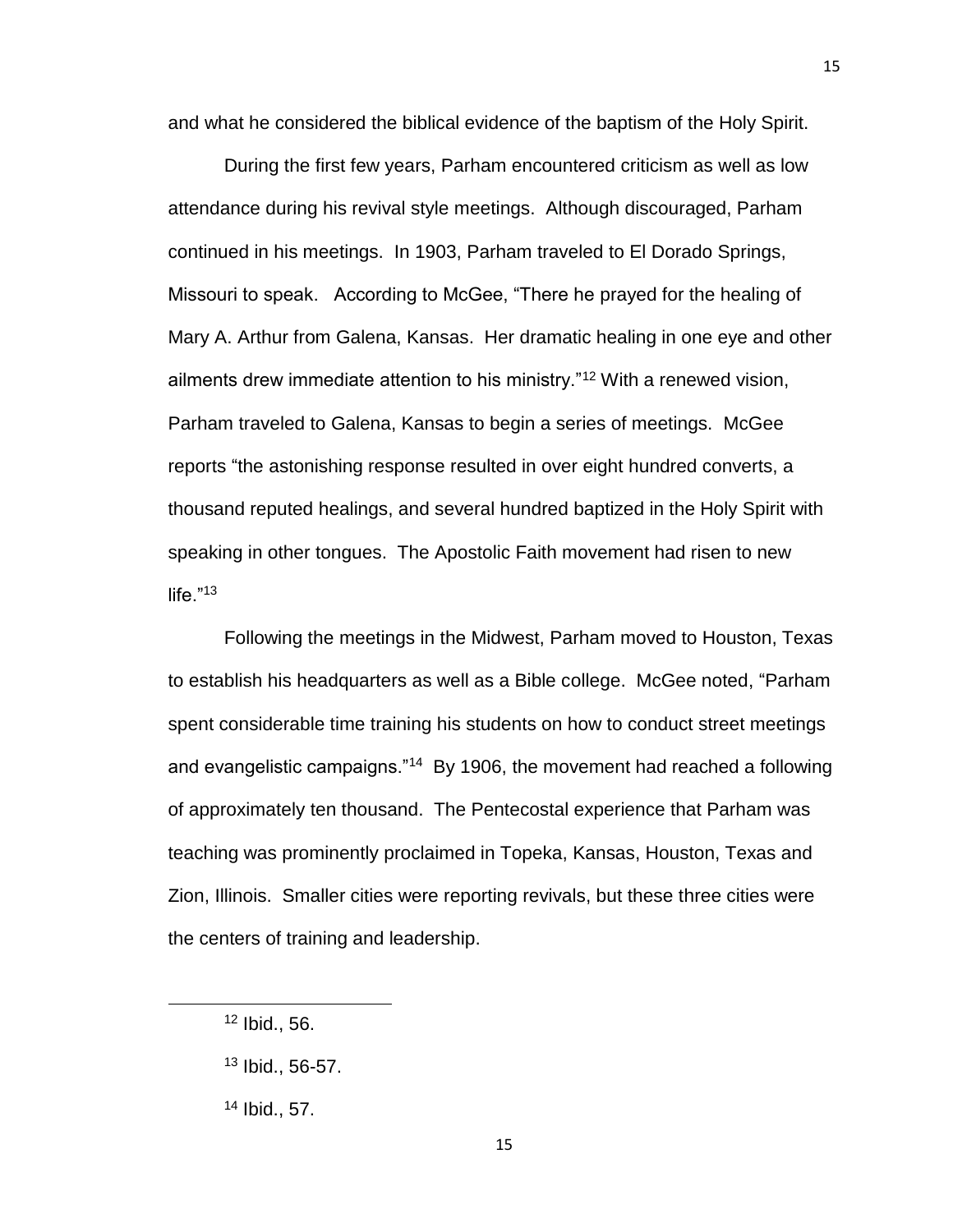and what he considered the biblical evidence of the baptism of the Holy Spirit.

During the first few years, Parham encountered criticism as well as low attendance during his revival style meetings. Although discouraged, Parham continued in his meetings. In 1903, Parham traveled to El Dorado Springs, Missouri to speak. According to McGee, "There he prayed for the healing of Mary A. Arthur from Galena, Kansas. Her dramatic healing in one eye and other ailments drew immediate attention to his ministry."<sup>12</sup> With a renewed vision, Parham traveled to Galena, Kansas to begin a series of meetings. McGee reports "the astonishing response resulted in over eight hundred converts, a thousand reputed healings, and several hundred baptized in the Holy Spirit with speaking in other tongues. The Apostolic Faith movement had risen to new life. $"^{13}$ 

Following the meetings in the Midwest, Parham moved to Houston, Texas to establish his headquarters as well as a Bible college. McGee noted, "Parham spent considerable time training his students on how to conduct street meetings and evangelistic campaigns."<sup>14</sup> By 1906, the movement had reached a following of approximately ten thousand. The Pentecostal experience that Parham was teaching was prominently proclaimed in Topeka, Kansas, Houston, Texas and Zion, Illinois. Smaller cities were reporting revivals, but these three cities were the centers of training and leadership.

l

 $12$  Ibid., 56.

<sup>13</sup> Ibid., 56-57.

<sup>14</sup> Ibid., 57.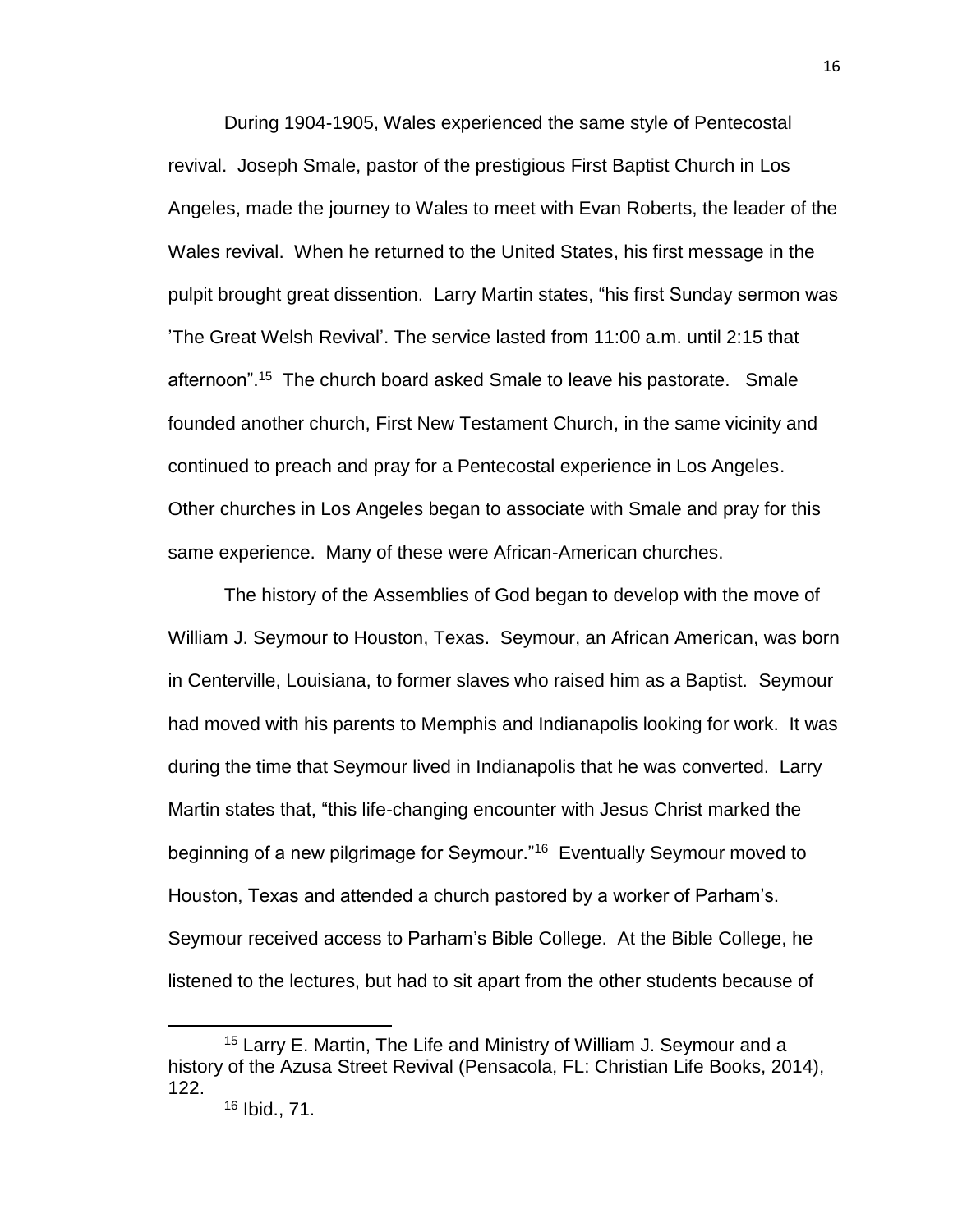During 1904-1905, Wales experienced the same style of Pentecostal revival. Joseph Smale, pastor of the prestigious First Baptist Church in Los Angeles, made the journey to Wales to meet with Evan Roberts, the leader of the Wales revival. When he returned to the United States, his first message in the pulpit brought great dissention. Larry Martin states, "his first Sunday sermon was 'The Great Welsh Revival'. The service lasted from 11:00 a.m. until 2:15 that afternoon".<sup>15</sup> The church board asked Smale to leave his pastorate. Smale founded another church, First New Testament Church, in the same vicinity and continued to preach and pray for a Pentecostal experience in Los Angeles. Other churches in Los Angeles began to associate with Smale and pray for this same experience. Many of these were African-American churches.

The history of the Assemblies of God began to develop with the move of William J. Seymour to Houston, Texas. Seymour, an African American, was born in Centerville, Louisiana, to former slaves who raised him as a Baptist. Seymour had moved with his parents to Memphis and Indianapolis looking for work. It was during the time that Seymour lived in Indianapolis that he was converted. Larry Martin states that, "this life-changing encounter with Jesus Christ marked the beginning of a new pilgrimage for Seymour."<sup>16</sup> Eventually Seymour moved to Houston, Texas and attended a church pastored by a worker of Parham's. Seymour received access to Parham's Bible College. At the Bible College, he listened to the lectures, but had to sit apart from the other students because of

 $\overline{a}$ 

<sup>15</sup> Larry E. Martin, The Life and Ministry of William J. Seymour and a history of the Azusa Street Revival (Pensacola, FL: Christian Life Books, 2014), 122.

<sup>16</sup> Ibid., 71.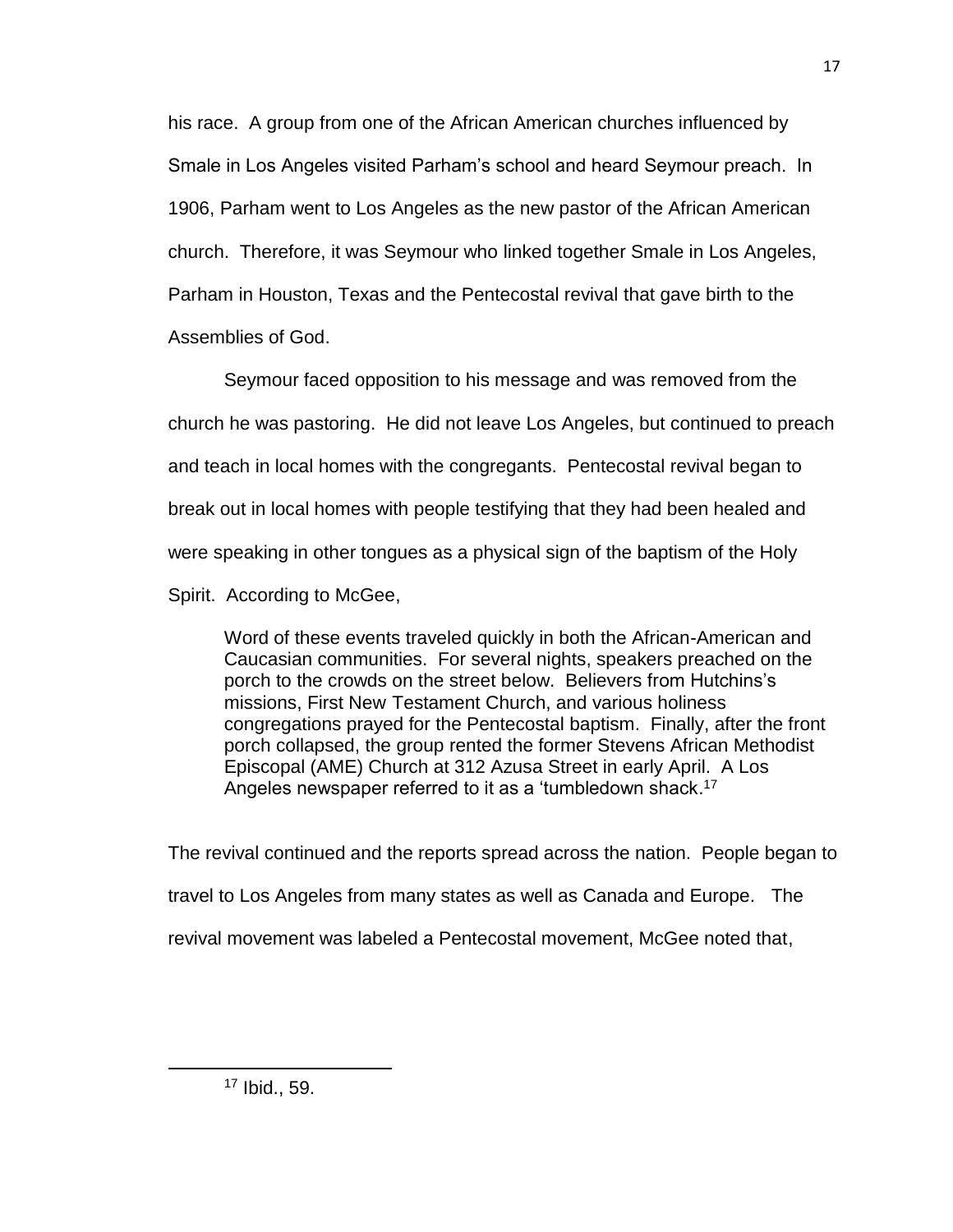his race. A group from one of the African American churches influenced by Smale in Los Angeles visited Parham's school and heard Seymour preach. In 1906, Parham went to Los Angeles as the new pastor of the African American church. Therefore, it was Seymour who linked together Smale in Los Angeles, Parham in Houston, Texas and the Pentecostal revival that gave birth to the Assemblies of God.

Seymour faced opposition to his message and was removed from the church he was pastoring. He did not leave Los Angeles, but continued to preach and teach in local homes with the congregants. Pentecostal revival began to break out in local homes with people testifying that they had been healed and were speaking in other tongues as a physical sign of the baptism of the Holy

Spirit. According to McGee,

Word of these events traveled quickly in both the African-American and Caucasian communities. For several nights, speakers preached on the porch to the crowds on the street below. Believers from Hutchins's missions, First New Testament Church, and various holiness congregations prayed for the Pentecostal baptism. Finally, after the front porch collapsed, the group rented the former Stevens African Methodist Episcopal (AME) Church at 312 Azusa Street in early April. A Los Angeles newspaper referred to it as a 'tumbledown shack.<sup>17</sup>

The revival continued and the reports spread across the nation. People began to travel to Los Angeles from many states as well as Canada and Europe. The revival movement was labeled a Pentecostal movement, McGee noted that,

<sup>17</sup> Ibid., 59.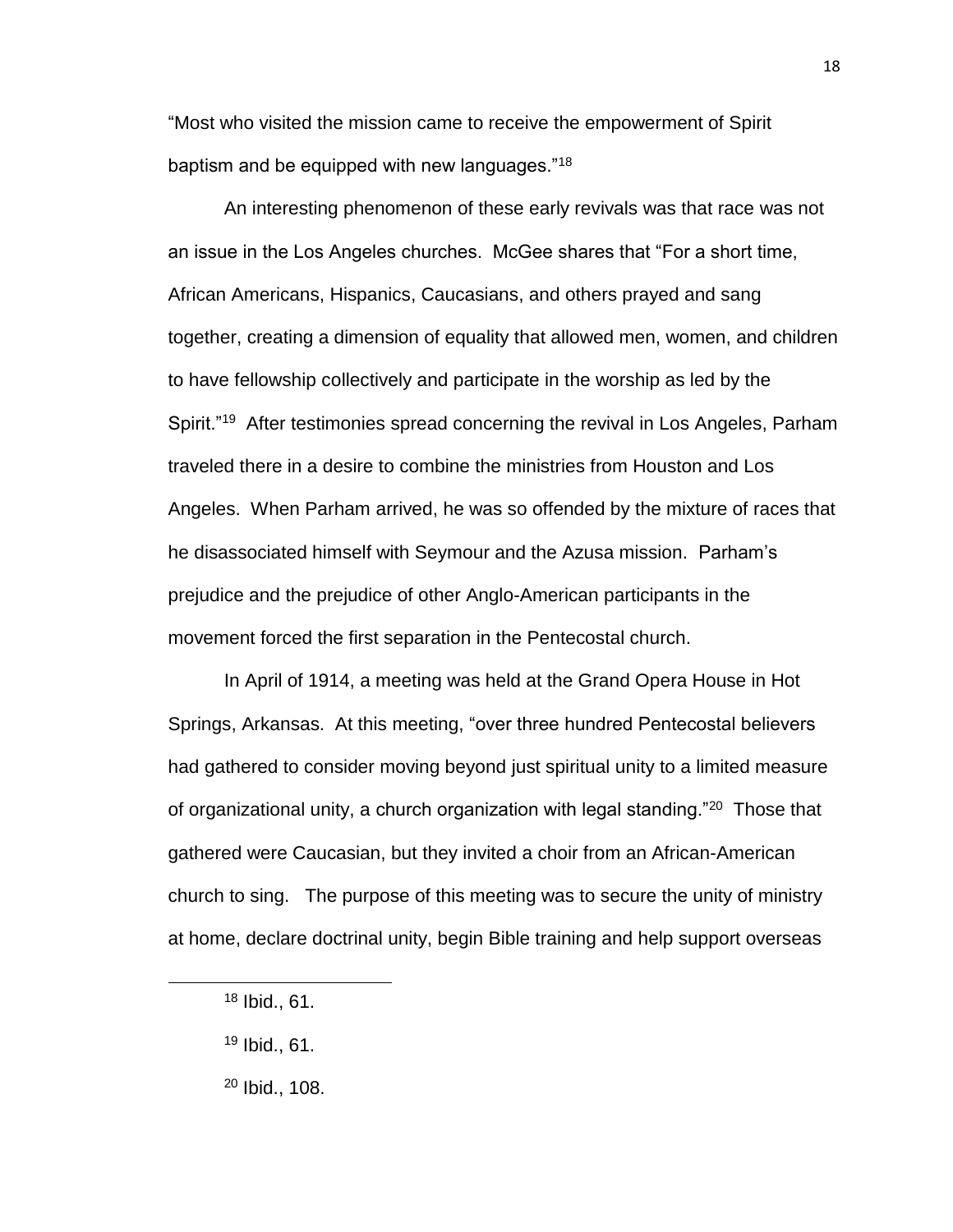"Most who visited the mission came to receive the empowerment of Spirit baptism and be equipped with new languages."<sup>18</sup>

An interesting phenomenon of these early revivals was that race was not an issue in the Los Angeles churches. McGee shares that "For a short time, African Americans, Hispanics, Caucasians, and others prayed and sang together, creating a dimension of equality that allowed men, women, and children to have fellowship collectively and participate in the worship as led by the Spirit."<sup>19</sup> After testimonies spread concerning the revival in Los Angeles, Parham traveled there in a desire to combine the ministries from Houston and Los Angeles. When Parham arrived, he was so offended by the mixture of races that he disassociated himself with Seymour and the Azusa mission. Parham's prejudice and the prejudice of other Anglo-American participants in the movement forced the first separation in the Pentecostal church.

In April of 1914, a meeting was held at the Grand Opera House in Hot Springs, Arkansas. At this meeting, "over three hundred Pentecostal believers had gathered to consider moving beyond just spiritual unity to a limited measure of organizational unity, a church organization with legal standing."<sup>20</sup> Those that gathered were Caucasian, but they invited a choir from an African-American church to sing. The purpose of this meeting was to secure the unity of ministry at home, declare doctrinal unity, begin Bible training and help support overseas

<sup>18</sup> Ibid., 61.

<sup>19</sup> Ibid., 61.

<sup>20</sup> Ibid., 108.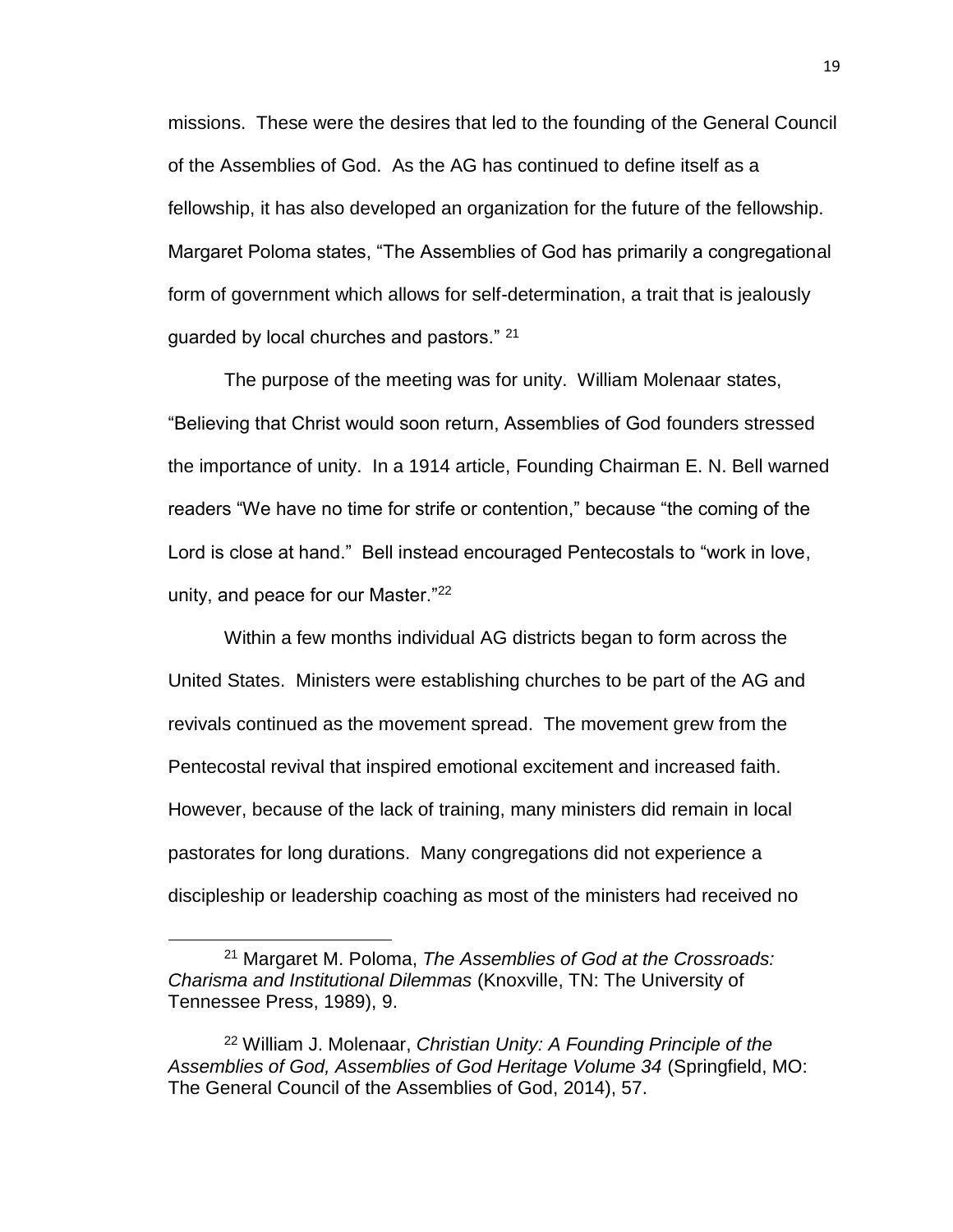missions. These were the desires that led to the founding of the General Council of the Assemblies of God. As the AG has continued to define itself as a fellowship, it has also developed an organization for the future of the fellowship. Margaret Poloma states, "The Assemblies of God has primarily a congregational form of government which allows for self-determination, a trait that is jealously guarded by local churches and pastors." 21

The purpose of the meeting was for unity. William Molenaar states, "Believing that Christ would soon return, Assemblies of God founders stressed the importance of unity. In a 1914 article, Founding Chairman E. N. Bell warned readers "We have no time for strife or contention," because "the coming of the Lord is close at hand." Bell instead encouraged Pentecostals to "work in love, unity, and peace for our Master."<sup>22</sup>

Within a few months individual AG districts began to form across the United States. Ministers were establishing churches to be part of the AG and revivals continued as the movement spread. The movement grew from the Pentecostal revival that inspired emotional excitement and increased faith. However, because of the lack of training, many ministers did remain in local pastorates for long durations. Many congregations did not experience a discipleship or leadership coaching as most of the ministers had received no

<sup>21</sup> Margaret M. Poloma, *The Assemblies of God at the Crossroads: Charisma and Institutional Dilemmas* (Knoxville, TN: The University of Tennessee Press, 1989), 9.

<sup>22</sup> William J. Molenaar, *Christian Unity: A Founding Principle of the Assemblies of God, Assemblies of God Heritage Volume 34* (Springfield, MO: The General Council of the Assemblies of God, 2014), 57.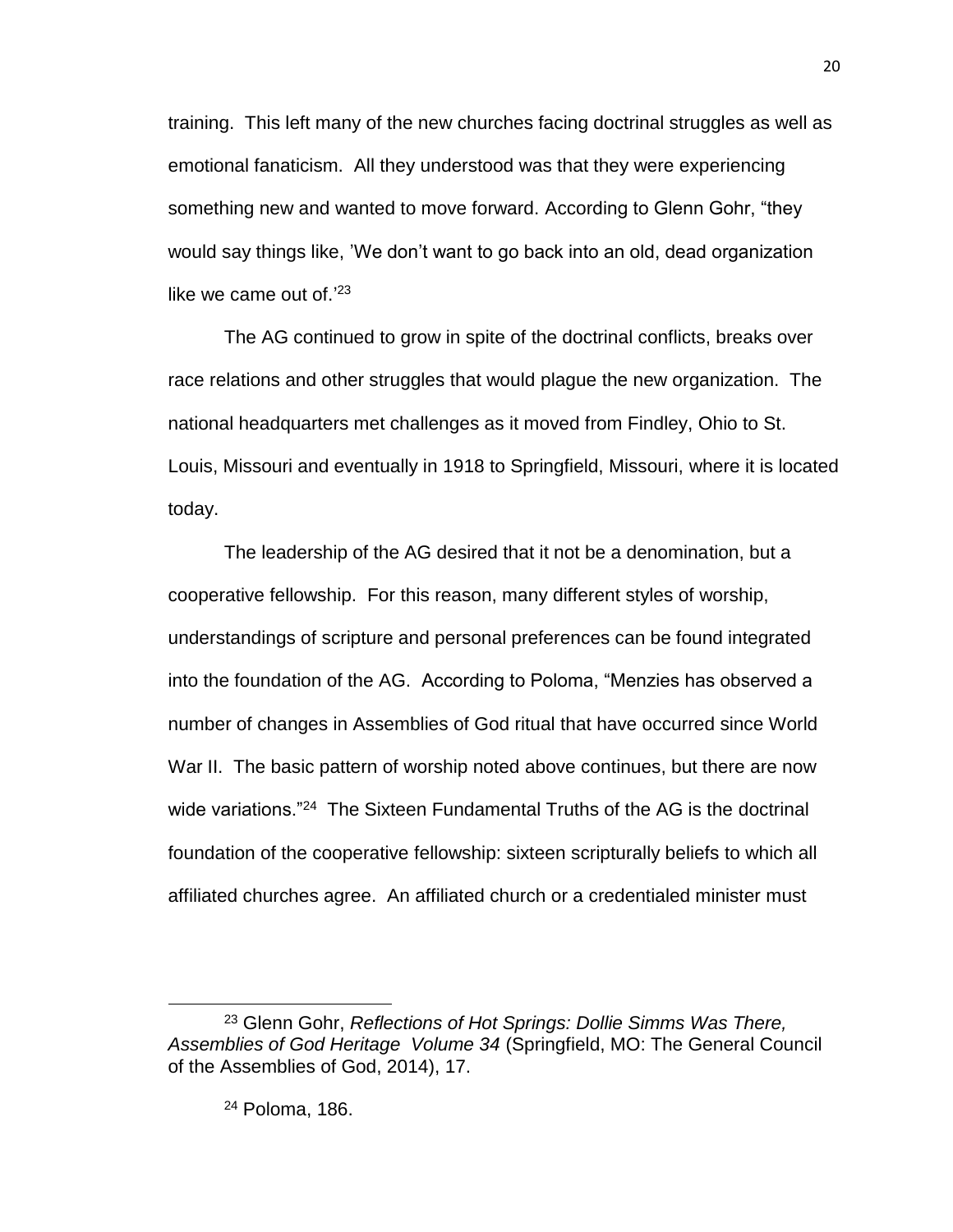training. This left many of the new churches facing doctrinal struggles as well as emotional fanaticism. All they understood was that they were experiencing something new and wanted to move forward. According to Glenn Gohr, "they would say things like, 'We don't want to go back into an old, dead organization like we came out of.'<sup>23</sup>

The AG continued to grow in spite of the doctrinal conflicts, breaks over race relations and other struggles that would plague the new organization. The national headquarters met challenges as it moved from Findley, Ohio to St. Louis, Missouri and eventually in 1918 to Springfield, Missouri, where it is located today.

The leadership of the AG desired that it not be a denomination, but a cooperative fellowship. For this reason, many different styles of worship, understandings of scripture and personal preferences can be found integrated into the foundation of the AG. According to Poloma, "Menzies has observed a number of changes in Assemblies of God ritual that have occurred since World War II. The basic pattern of worship noted above continues, but there are now wide variations."<sup>24</sup> The Sixteen Fundamental Truths of the AG is the doctrinal foundation of the cooperative fellowship: sixteen scripturally beliefs to which all affiliated churches agree. An affiliated church or a credentialed minister must

l

<sup>23</sup> Glenn Gohr, *Reflections of Hot Springs: Dollie Simms Was There, Assemblies of God Heritage Volume 34* (Springfield, MO: The General Council of the Assemblies of God, 2014), 17.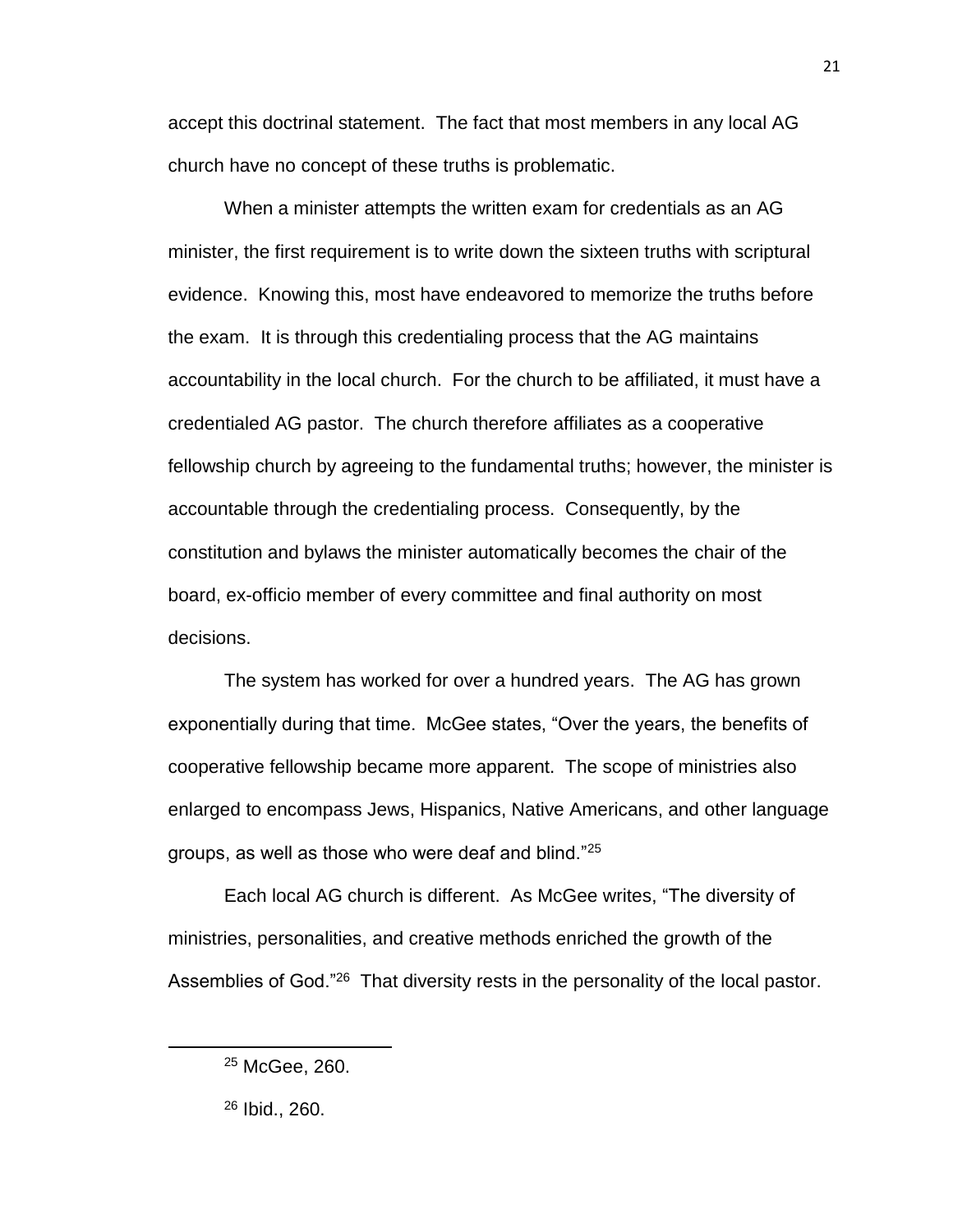accept this doctrinal statement. The fact that most members in any local AG church have no concept of these truths is problematic.

When a minister attempts the written exam for credentials as an AG minister, the first requirement is to write down the sixteen truths with scriptural evidence. Knowing this, most have endeavored to memorize the truths before the exam. It is through this credentialing process that the AG maintains accountability in the local church. For the church to be affiliated, it must have a credentialed AG pastor. The church therefore affiliates as a cooperative fellowship church by agreeing to the fundamental truths; however, the minister is accountable through the credentialing process. Consequently, by the constitution and bylaws the minister automatically becomes the chair of the board, ex-officio member of every committee and final authority on most decisions.

The system has worked for over a hundred years. The AG has grown exponentially during that time. McGee states, "Over the years, the benefits of cooperative fellowship became more apparent. The scope of ministries also enlarged to encompass Jews, Hispanics, Native Americans, and other language groups, as well as those who were deaf and blind."<sup>25</sup>

Each local AG church is different. As McGee writes, "The diversity of ministries, personalities, and creative methods enriched the growth of the Assemblies of God."<sup>26</sup> That diversity rests in the personality of the local pastor.

21

<sup>25</sup> McGee, 260.

<sup>26</sup> Ibid., 260.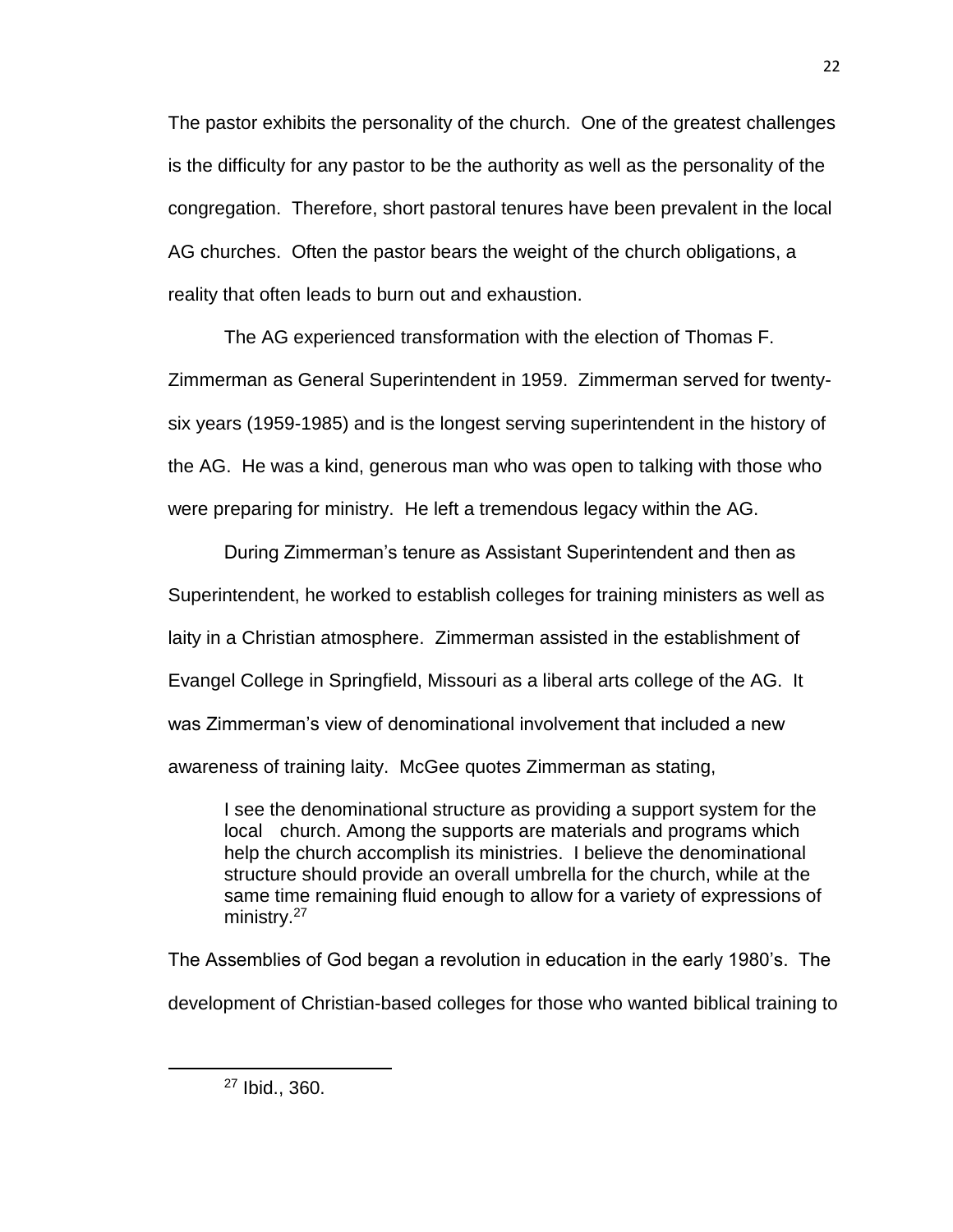The pastor exhibits the personality of the church. One of the greatest challenges is the difficulty for any pastor to be the authority as well as the personality of the congregation. Therefore, short pastoral tenures have been prevalent in the local AG churches. Often the pastor bears the weight of the church obligations, a reality that often leads to burn out and exhaustion.

The AG experienced transformation with the election of Thomas F. Zimmerman as General Superintendent in 1959. Zimmerman served for twentysix years (1959-1985) and is the longest serving superintendent in the history of the AG. He was a kind, generous man who was open to talking with those who were preparing for ministry. He left a tremendous legacy within the AG.

During Zimmerman's tenure as Assistant Superintendent and then as Superintendent, he worked to establish colleges for training ministers as well as laity in a Christian atmosphere. Zimmerman assisted in the establishment of Evangel College in Springfield, Missouri as a liberal arts college of the AG. It was Zimmerman's view of denominational involvement that included a new awareness of training laity. McGee quotes Zimmerman as stating,

I see the denominational structure as providing a support system for the local church. Among the supports are materials and programs which help the church accomplish its ministries. I believe the denominational structure should provide an overall umbrella for the church, while at the same time remaining fluid enough to allow for a variety of expressions of ministry.<sup>27</sup>

The Assemblies of God began a revolution in education in the early 1980's. The development of Christian-based colleges for those who wanted biblical training to

<sup>27</sup> Ibid., 360.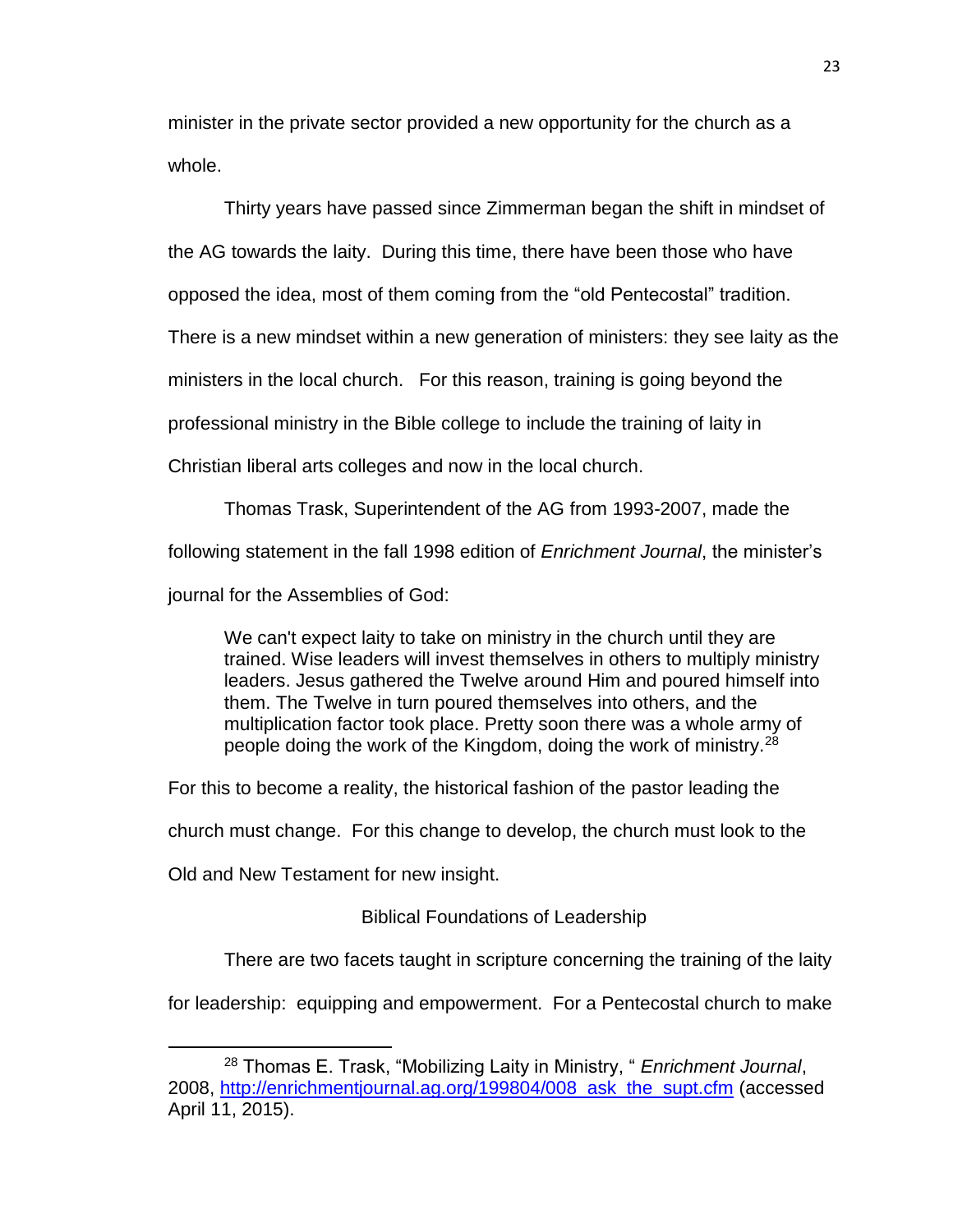minister in the private sector provided a new opportunity for the church as a whole.

Thirty years have passed since Zimmerman began the shift in mindset of

the AG towards the laity. During this time, there have been those who have

opposed the idea, most of them coming from the "old Pentecostal" tradition.

There is a new mindset within a new generation of ministers: they see laity as the

ministers in the local church. For this reason, training is going beyond the

professional ministry in the Bible college to include the training of laity in

Christian liberal arts colleges and now in the local church.

Thomas Trask, Superintendent of the AG from 1993-2007, made the

following statement in the fall 1998 edition of *Enrichment Journal*, the minister's

journal for the Assemblies of God:

We can't expect laity to take on ministry in the church until they are trained. Wise leaders will invest themselves in others to multiply ministry leaders. Jesus gathered the Twelve around Him and poured himself into them. The Twelve in turn poured themselves into others, and the multiplication factor took place. Pretty soon there was a whole army of people doing the work of the Kingdom, doing the work of ministry.<sup>28</sup>

For this to become a reality, the historical fashion of the pastor leading the

church must change. For this change to develop, the church must look to the

<span id="page-34-0"></span>Old and New Testament for new insight.

Biblical Foundations of Leadership

There are two facets taught in scripture concerning the training of the laity

for leadership: equipping and empowerment. For a Pentecostal church to make

 $\overline{\phantom{a}}$ <sup>28</sup> Thomas E. Trask, "Mobilizing Laity in Ministry, " *Enrichment Journal*, 2008, [http://enrichmentjournal.ag.org/199804/008\\_ask\\_the\\_supt.cfm](http://enrichmentjournal.ag.org/199804/008_ask_the_supt.cfm) (accessed April 11, 2015).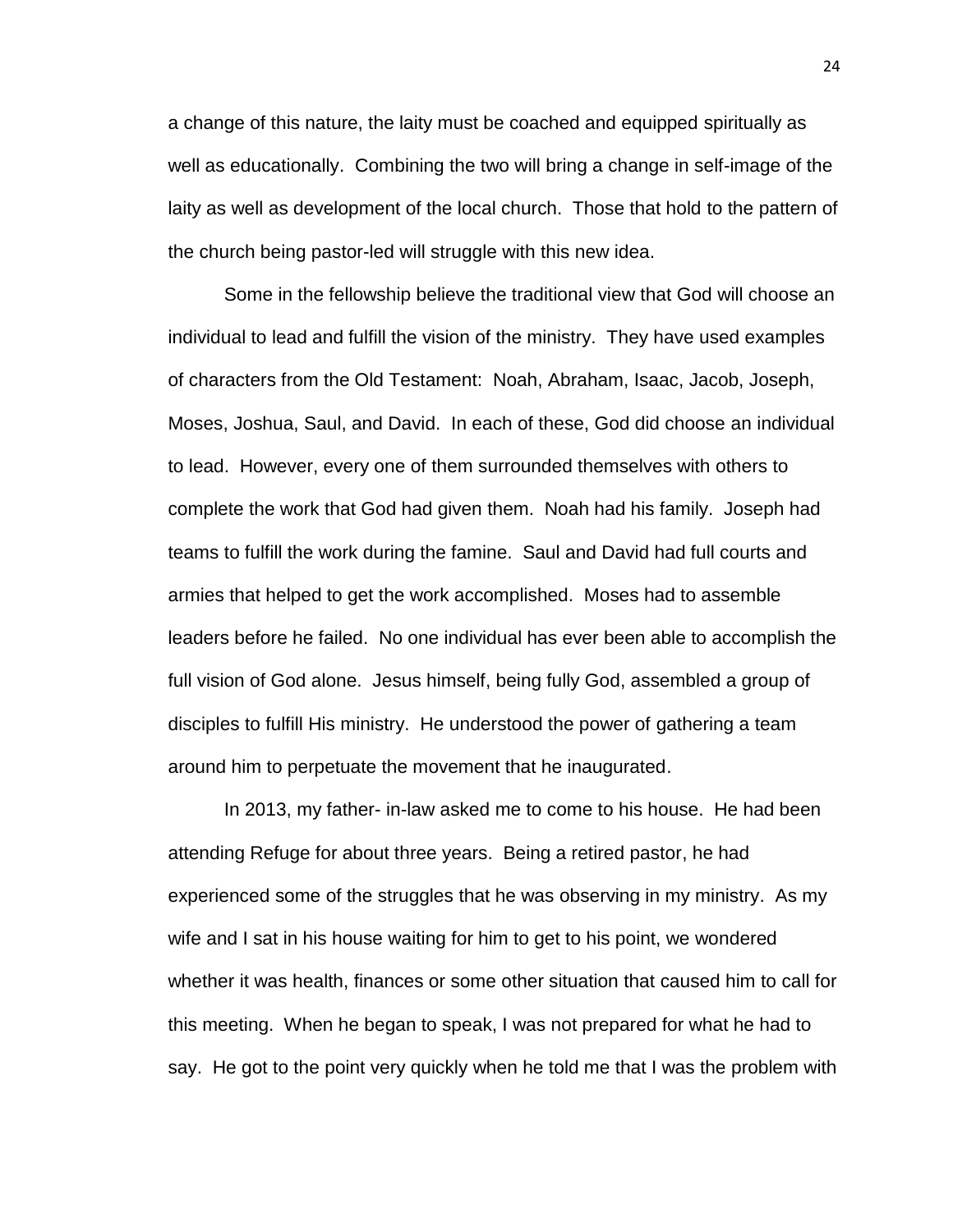a change of this nature, the laity must be coached and equipped spiritually as well as educationally. Combining the two will bring a change in self-image of the laity as well as development of the local church. Those that hold to the pattern of the church being pastor-led will struggle with this new idea.

Some in the fellowship believe the traditional view that God will choose an individual to lead and fulfill the vision of the ministry. They have used examples of characters from the Old Testament: Noah, Abraham, Isaac, Jacob, Joseph, Moses, Joshua, Saul, and David. In each of these, God did choose an individual to lead. However, every one of them surrounded themselves with others to complete the work that God had given them. Noah had his family. Joseph had teams to fulfill the work during the famine. Saul and David had full courts and armies that helped to get the work accomplished. Moses had to assemble leaders before he failed. No one individual has ever been able to accomplish the full vision of God alone. Jesus himself, being fully God, assembled a group of disciples to fulfill His ministry. He understood the power of gathering a team around him to perpetuate the movement that he inaugurated.

In 2013, my father- in-law asked me to come to his house. He had been attending Refuge for about three years. Being a retired pastor, he had experienced some of the struggles that he was observing in my ministry. As my wife and I sat in his house waiting for him to get to his point, we wondered whether it was health, finances or some other situation that caused him to call for this meeting. When he began to speak, I was not prepared for what he had to say. He got to the point very quickly when he told me that I was the problem with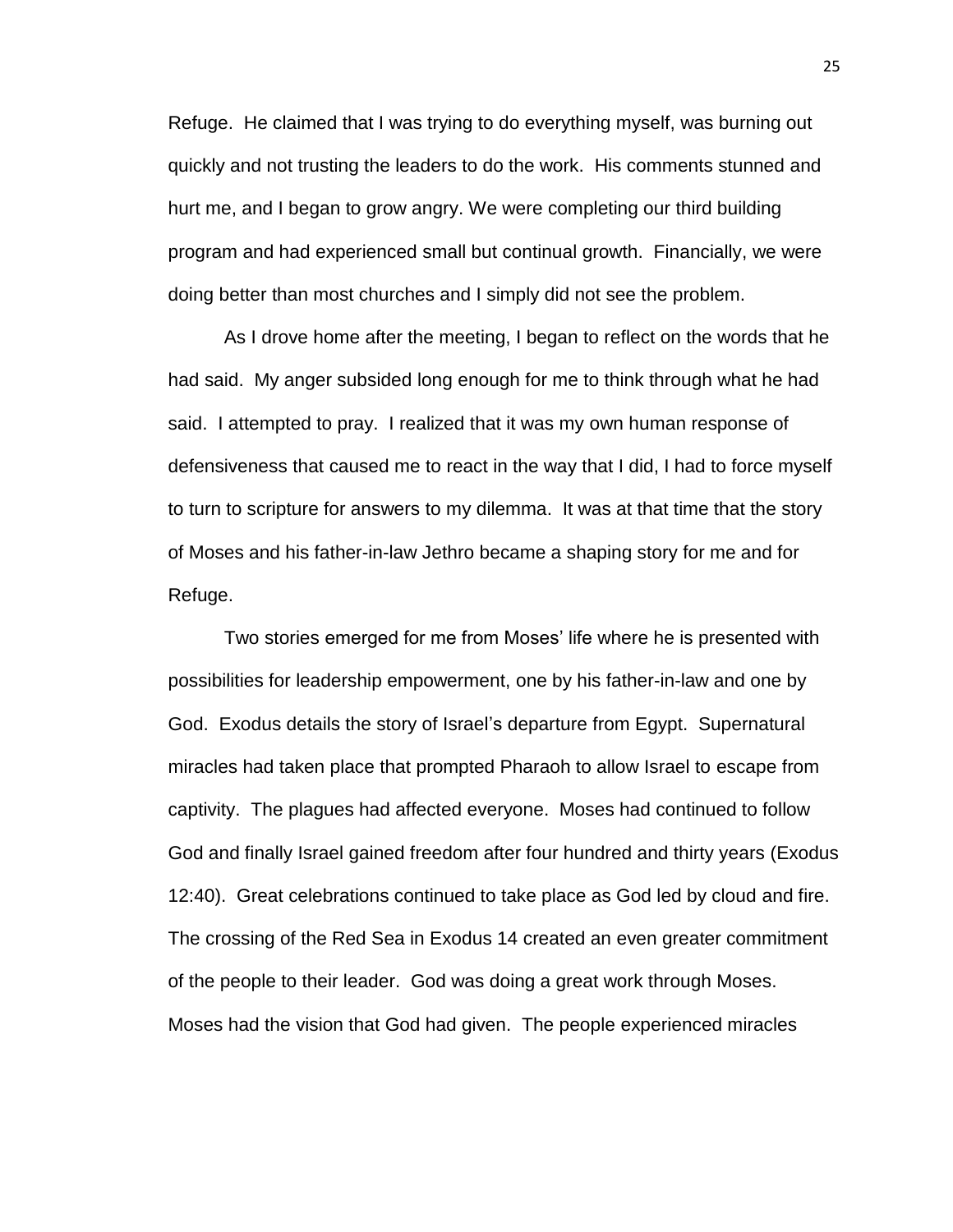Refuge. He claimed that I was trying to do everything myself, was burning out quickly and not trusting the leaders to do the work. His comments stunned and hurt me, and I began to grow angry. We were completing our third building program and had experienced small but continual growth. Financially, we were doing better than most churches and I simply did not see the problem.

As I drove home after the meeting, I began to reflect on the words that he had said. My anger subsided long enough for me to think through what he had said. I attempted to pray. I realized that it was my own human response of defensiveness that caused me to react in the way that I did, I had to force myself to turn to scripture for answers to my dilemma. It was at that time that the story of Moses and his father-in-law Jethro became a shaping story for me and for Refuge.

Two stories emerged for me from Moses' life where he is presented with possibilities for leadership empowerment, one by his father-in-law and one by God. Exodus details the story of Israel's departure from Egypt. Supernatural miracles had taken place that prompted Pharaoh to allow Israel to escape from captivity. The plagues had affected everyone. Moses had continued to follow God and finally Israel gained freedom after four hundred and thirty years (Exodus 12:40). Great celebrations continued to take place as God led by cloud and fire. The crossing of the Red Sea in Exodus 14 created an even greater commitment of the people to their leader. God was doing a great work through Moses. Moses had the vision that God had given. The people experienced miracles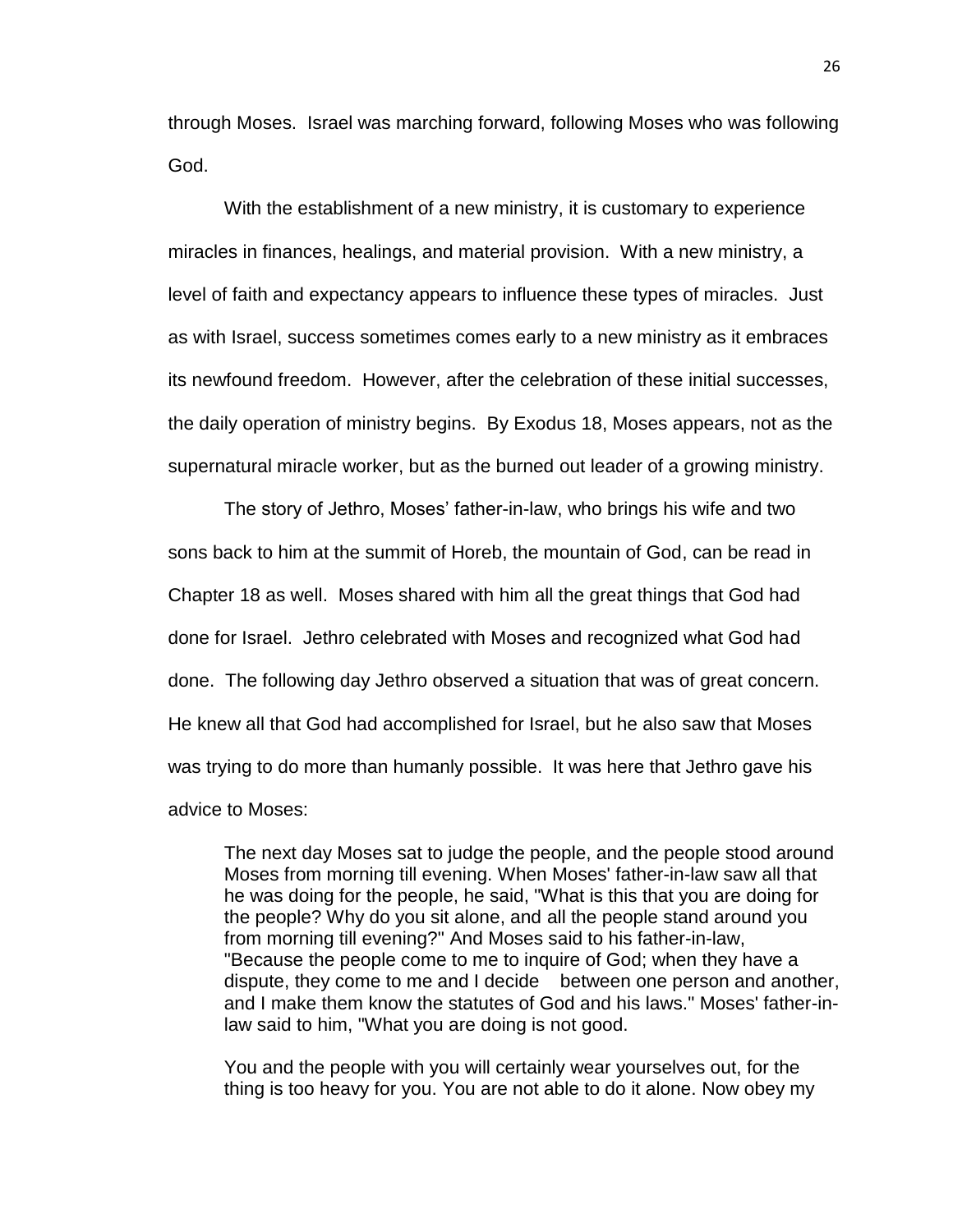through Moses. Israel was marching forward, following Moses who was following God.

With the establishment of a new ministry, it is customary to experience miracles in finances, healings, and material provision. With a new ministry, a level of faith and expectancy appears to influence these types of miracles. Just as with Israel, success sometimes comes early to a new ministry as it embraces its newfound freedom. However, after the celebration of these initial successes, the daily operation of ministry begins. By Exodus 18, Moses appears, not as the supernatural miracle worker, but as the burned out leader of a growing ministry.

The story of Jethro, Moses' father-in-law, who brings his wife and two sons back to him at the summit of Horeb, the mountain of God, can be read in Chapter 18 as well. Moses shared with him all the great things that God had done for Israel. Jethro celebrated with Moses and recognized what God had done. The following day Jethro observed a situation that was of great concern. He knew all that God had accomplished for Israel, but he also saw that Moses was trying to do more than humanly possible. It was here that Jethro gave his advice to Moses:

The next day Moses sat to judge the people, and the people stood around Moses from morning till evening. When Moses' father-in-law saw all that he was doing for the people, he said, "What is this that you are doing for the people? Why do you sit alone, and all the people stand around you from morning till evening?" And Moses said to his father-in-law, "Because the people come to me to inquire of God; when they have a dispute, they come to me and I decide between one person and another, and I make them know the statutes of God and his laws." Moses' father-inlaw said to him, "What you are doing is not good.

You and the people with you will certainly wear yourselves out, for the thing is too heavy for you. You are not able to do it alone. Now obey my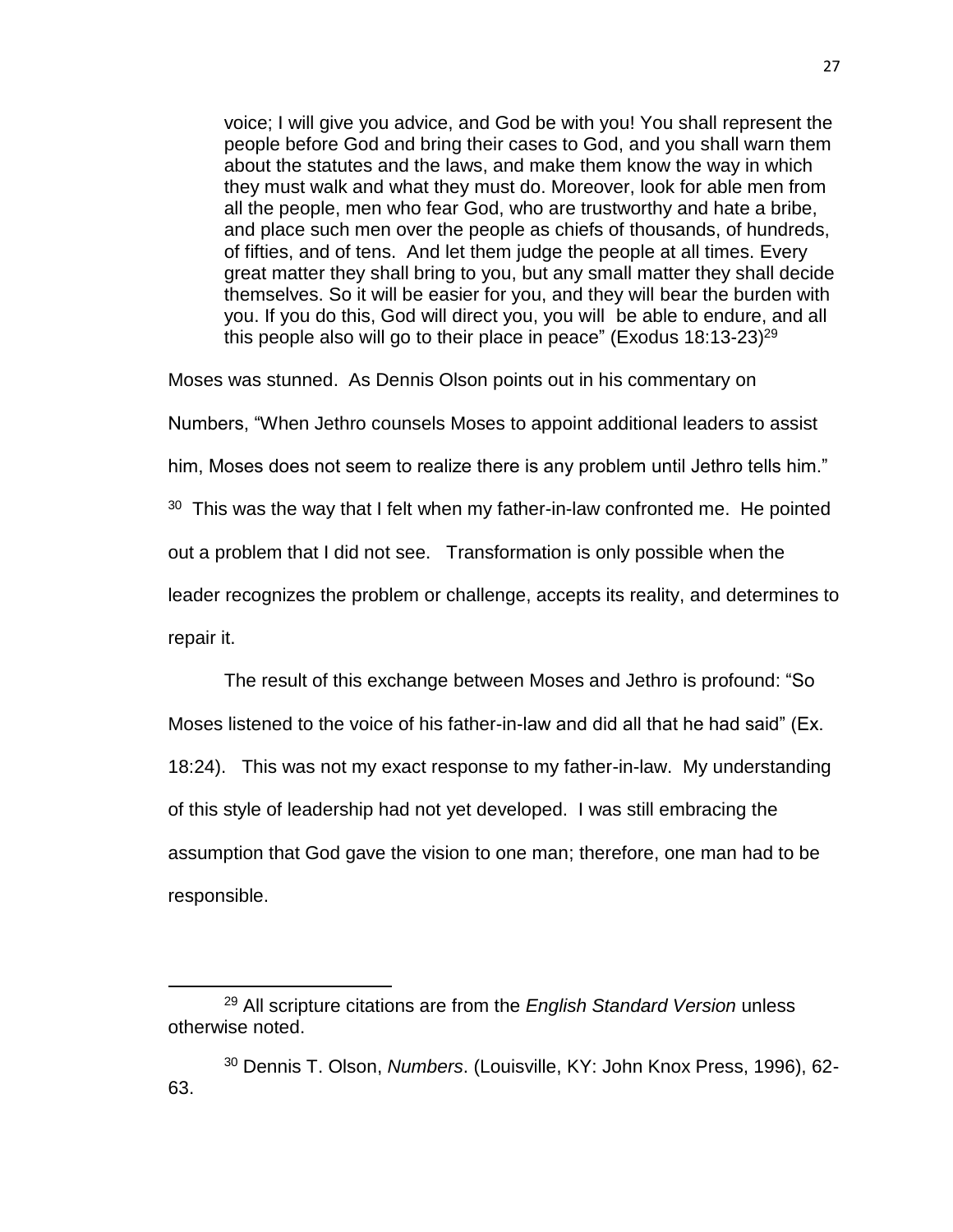voice; I will give you advice, and God be with you! You shall represent the people before God and bring their cases to God, and you shall warn them about the statutes and the laws, and make them know the way in which they must walk and what they must do. Moreover, look for able men from all the people, men who fear God, who are trustworthy and hate a bribe, and place such men over the people as chiefs of thousands, of hundreds, of fifties, and of tens. And let them judge the people at all times. Every great matter they shall bring to you, but any small matter they shall decide themselves. So it will be easier for you, and they will bear the burden with you. If you do this, God will direct you, you will be able to endure, and all this people also will go to their place in peace" (Exodus  $18:13-23$ )<sup>29</sup>

Moses was stunned. As Dennis Olson points out in his commentary on Numbers, "When Jethro counsels Moses to appoint additional leaders to assist him, Moses does not seem to realize there is any problem until Jethro tells him."  $30$  This was the way that I felt when my father-in-law confronted me. He pointed out a problem that I did not see. Transformation is only possible when the leader recognizes the problem or challenge, accepts its reality, and determines to repair it.

The result of this exchange between Moses and Jethro is profound: "So Moses listened to the voice of his father-in-law and did all that he had said" (Ex. 18:24). This was not my exact response to my father-in-law. My understanding of this style of leadership had not yet developed. I was still embracing the assumption that God gave the vision to one man; therefore, one man had to be responsible.

<sup>29</sup> All scripture citations are from the *English Standard Version* unless otherwise noted.

<sup>30</sup> Dennis T. Olson, *Numbers*. (Louisville, KY: John Knox Press, 1996), 62- 63.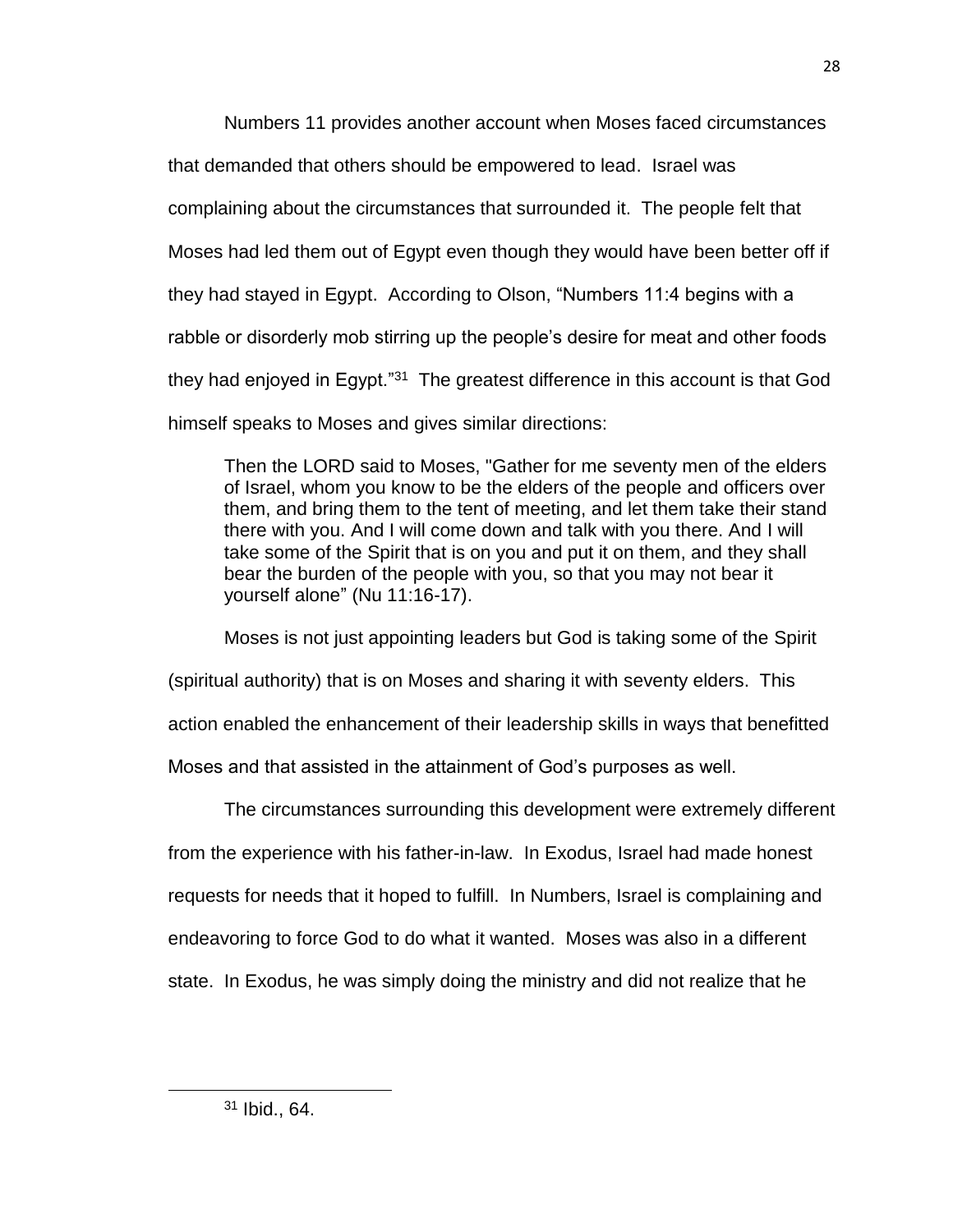Numbers 11 provides another account when Moses faced circumstances

that demanded that others should be empowered to lead. Israel was

complaining about the circumstances that surrounded it. The people felt that

Moses had led them out of Egypt even though they would have been better off if

they had stayed in Egypt. According to Olson, "Numbers 11:4 begins with a

rabble or disorderly mob stirring up the people's desire for meat and other foods

they had enjoyed in Egypt."<sup>31</sup> The greatest difference in this account is that God

himself speaks to Moses and gives similar directions:

Then the LORD said to Moses, "Gather for me seventy men of the elders of Israel, whom you know to be the elders of the people and officers over them, and bring them to the tent of meeting, and let them take their stand there with you. And I will come down and talk with you there. And I will take some of the Spirit that is on you and put it on them, and they shall bear the burden of the people with you, so that you may not bear it yourself alone" (Nu 11:16-17).

Moses is not just appointing leaders but God is taking some of the Spirit

(spiritual authority) that is on Moses and sharing it with seventy elders. This

action enabled the enhancement of their leadership skills in ways that benefitted

Moses and that assisted in the attainment of God's purposes as well.

The circumstances surrounding this development were extremely different from the experience with his father-in-law. In Exodus, Israel had made honest requests for needs that it hoped to fulfill. In Numbers, Israel is complaining and endeavoring to force God to do what it wanted. Moses was also in a different state. In Exodus, he was simply doing the ministry and did not realize that he

<sup>31</sup> Ibid., 64.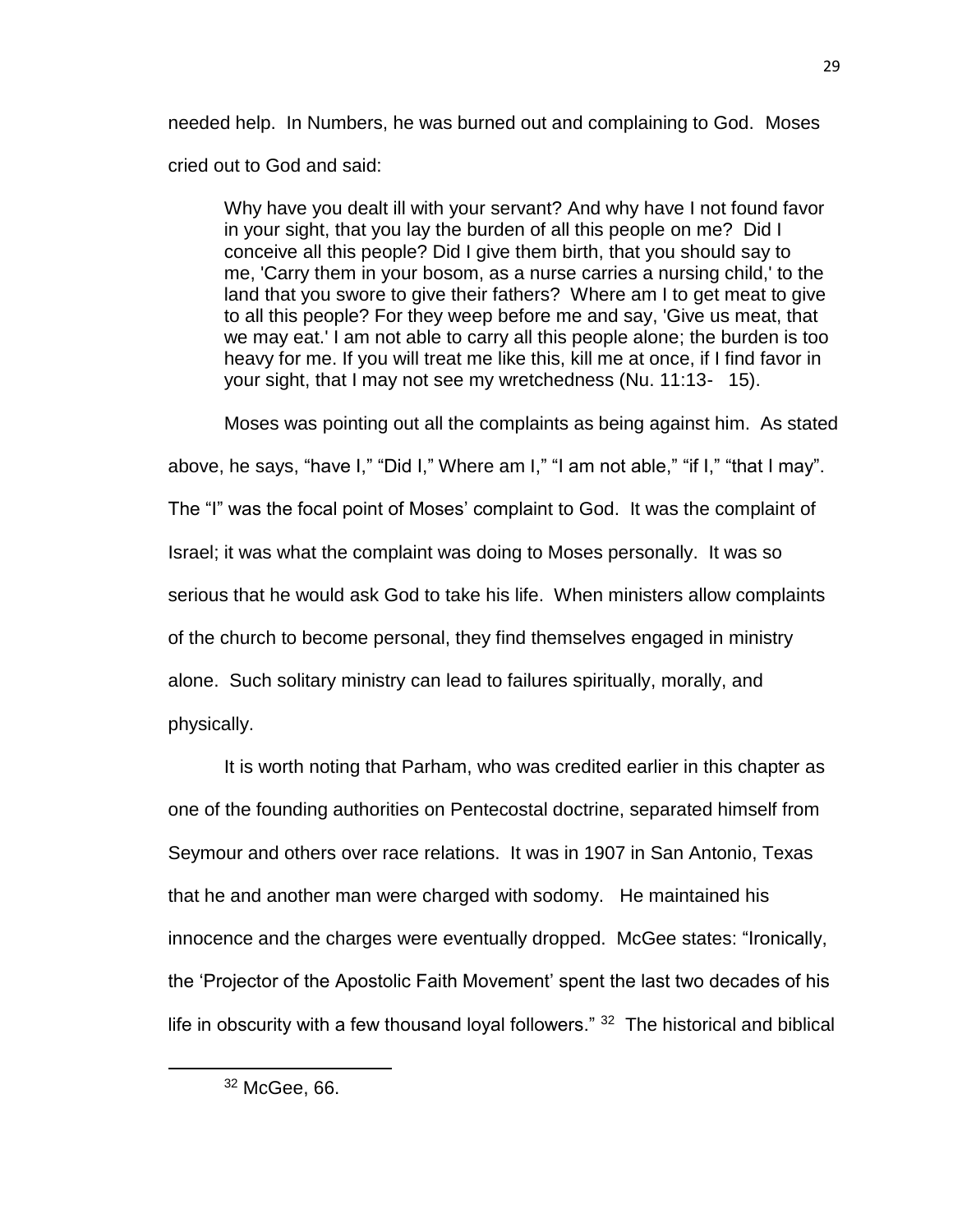needed help. In Numbers, he was burned out and complaining to God. Moses cried out to God and said:

Why have you dealt ill with your servant? And why have I not found favor in your sight, that you lay the burden of all this people on me? Did I conceive all this people? Did I give them birth, that you should say to me, 'Carry them in your bosom, as a nurse carries a nursing child,' to the land that you swore to give their fathers? Where am I to get meat to give to all this people? For they weep before me and say, 'Give us meat, that we may eat.' I am not able to carry all this people alone; the burden is too heavy for me. If you will treat me like this, kill me at once, if I find favor in your sight, that I may not see my wretchedness (Nu. 11:13- 15).

Moses was pointing out all the complaints as being against him. As stated

above, he says, "have I," "Did I," Where am I," "I am not able," "if I," "that I may".

The "I" was the focal point of Moses' complaint to God. It was the complaint of

Israel; it was what the complaint was doing to Moses personally. It was so

serious that he would ask God to take his life. When ministers allow complaints

of the church to become personal, they find themselves engaged in ministry

alone. Such solitary ministry can lead to failures spiritually, morally, and

physically.

 $\overline{\phantom{a}}$ 

It is worth noting that Parham, who was credited earlier in this chapter as one of the founding authorities on Pentecostal doctrine, separated himself from Seymour and others over race relations. It was in 1907 in San Antonio, Texas that he and another man were charged with sodomy. He maintained his innocence and the charges were eventually dropped. McGee states: "Ironically, the 'Projector of the Apostolic Faith Movement' spent the last two decades of his life in obscurity with a few thousand loyal followers." <sup>32</sup> The historical and biblical

<sup>32</sup> McGee, 66.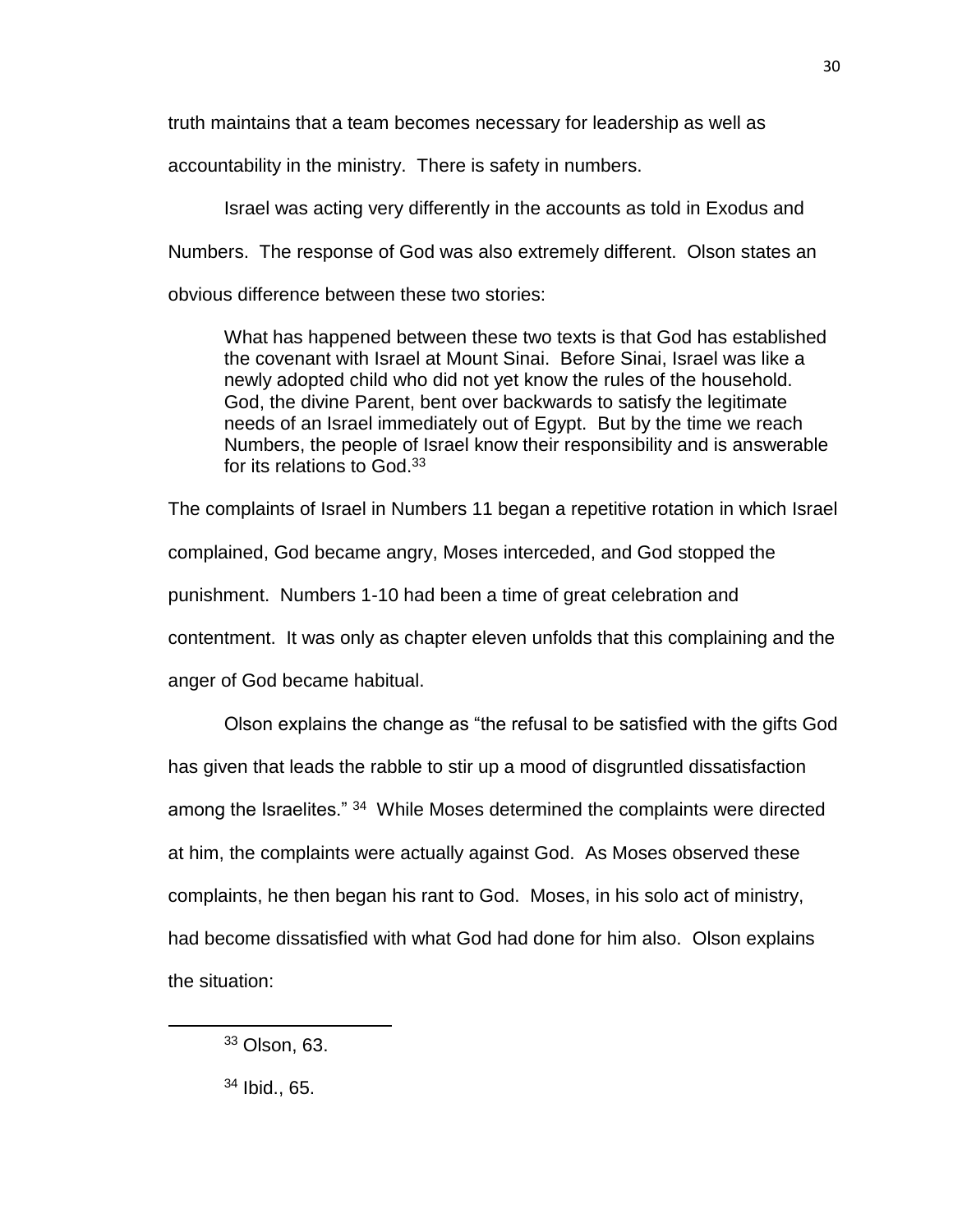truth maintains that a team becomes necessary for leadership as well as

accountability in the ministry. There is safety in numbers.

Israel was acting very differently in the accounts as told in Exodus and Numbers. The response of God was also extremely different. Olson states an obvious difference between these two stories:

What has happened between these two texts is that God has established the covenant with Israel at Mount Sinai. Before Sinai, Israel was like a newly adopted child who did not yet know the rules of the household. God, the divine Parent, bent over backwards to satisfy the legitimate needs of an Israel immediately out of Egypt. But by the time we reach Numbers, the people of Israel know their responsibility and is answerable for its relations to God.<sup>33</sup>

The complaints of Israel in Numbers 11 began a repetitive rotation in which Israel complained, God became angry, Moses interceded, and God stopped the punishment. Numbers 1-10 had been a time of great celebration and contentment. It was only as chapter eleven unfolds that this complaining and the anger of God became habitual.

Olson explains the change as "the refusal to be satisfied with the gifts God has given that leads the rabble to stir up a mood of disgruntled dissatisfaction among the Israelites." <sup>34</sup> While Moses determined the complaints were directed at him, the complaints were actually against God. As Moses observed these complaints, he then began his rant to God. Moses, in his solo act of ministry, had become dissatisfied with what God had done for him also. Olson explains the situation:

 $\overline{a}$ 

<sup>33</sup> Olson, 63.

<sup>34</sup> Ibid., 65.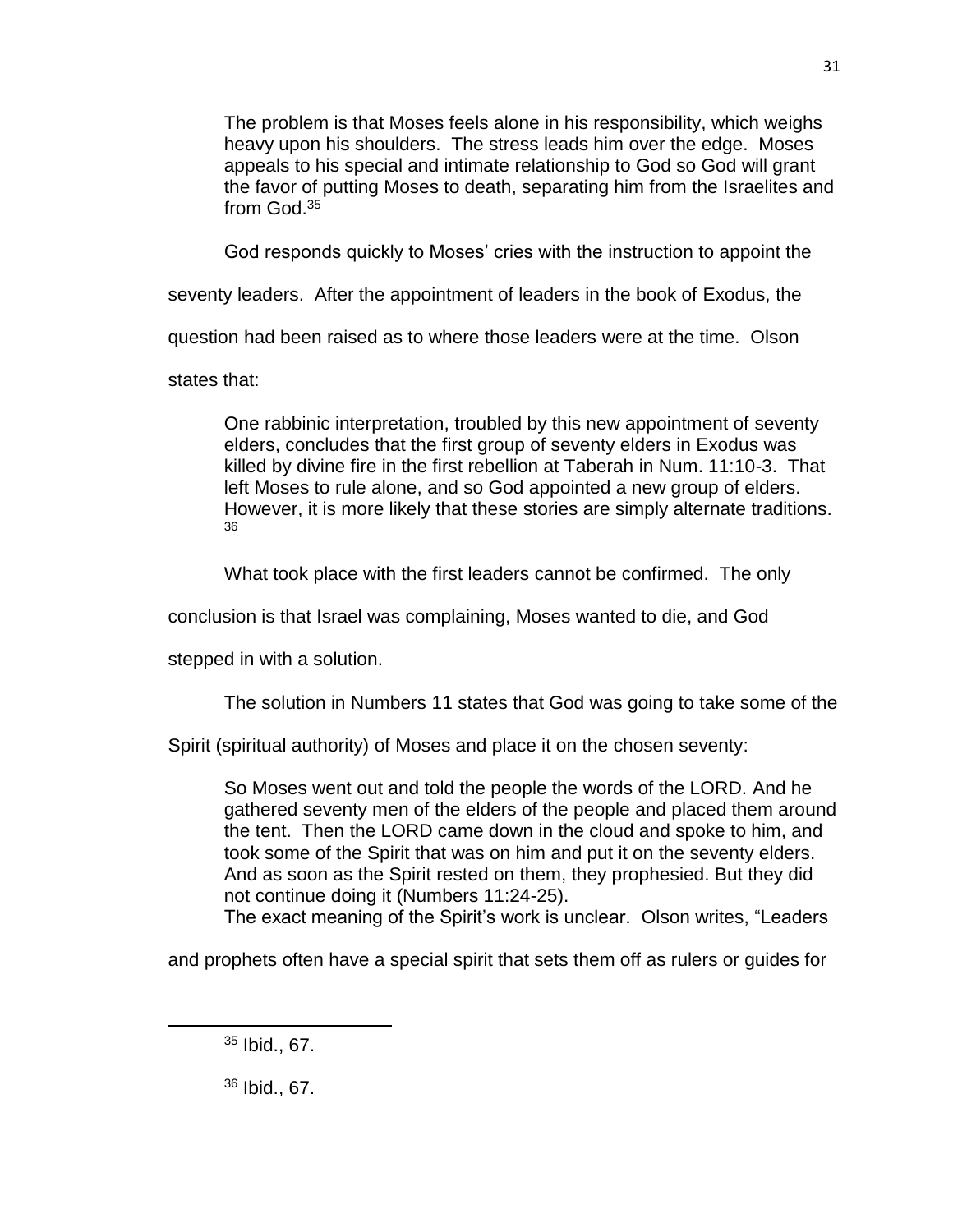The problem is that Moses feels alone in his responsibility, which weighs heavy upon his shoulders. The stress leads him over the edge. Moses appeals to his special and intimate relationship to God so God will grant the favor of putting Moses to death, separating him from the Israelites and from God.<sup>35</sup>

God responds quickly to Moses' cries with the instruction to appoint the

seventy leaders. After the appointment of leaders in the book of Exodus, the

question had been raised as to where those leaders were at the time. Olson

states that:

One rabbinic interpretation, troubled by this new appointment of seventy elders, concludes that the first group of seventy elders in Exodus was killed by divine fire in the first rebellion at Taberah in Num. 11:10-3. That left Moses to rule alone, and so God appointed a new group of elders. However, it is more likely that these stories are simply alternate traditions. 36

What took place with the first leaders cannot be confirmed. The only

conclusion is that Israel was complaining, Moses wanted to die, and God

stepped in with a solution.

The solution in Numbers 11 states that God was going to take some of the

Spirit (spiritual authority) of Moses and place it on the chosen seventy:

So Moses went out and told the people the words of the LORD. And he gathered seventy men of the elders of the people and placed them around the tent. Then the LORD came down in the cloud and spoke to him, and took some of the Spirit that was on him and put it on the seventy elders. And as soon as the Spirit rested on them, they prophesied. But they did not continue doing it (Numbers 11:24-25).

The exact meaning of the Spirit's work is unclear. Olson writes, "Leaders

and prophets often have a special spirit that sets them off as rulers or guides for

31

<sup>35</sup> Ibid., 67.

 $\overline{a}$ 

<sup>36</sup> Ibid., 67.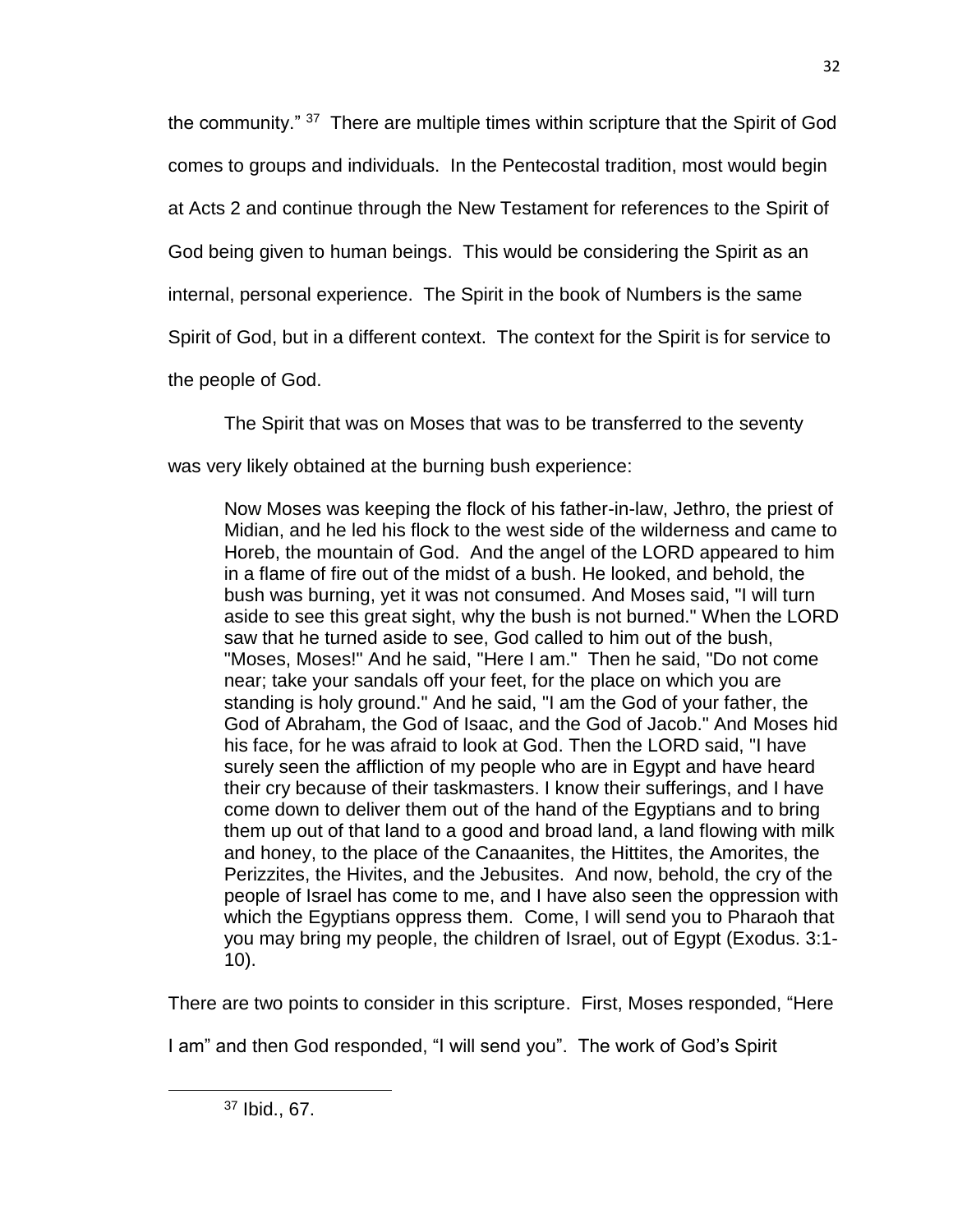the community." <sup>37</sup> There are multiple times within scripture that the Spirit of God comes to groups and individuals. In the Pentecostal tradition, most would begin at Acts 2 and continue through the New Testament for references to the Spirit of God being given to human beings. This would be considering the Spirit as an internal, personal experience. The Spirit in the book of Numbers is the same Spirit of God, but in a different context. The context for the Spirit is for service to the people of God.

The Spirit that was on Moses that was to be transferred to the seventy

was very likely obtained at the burning bush experience:

Now Moses was keeping the flock of his father-in-law, Jethro, the priest of Midian, and he led his flock to the west side of the wilderness and came to Horeb, the mountain of God. And the angel of the LORD appeared to him in a flame of fire out of the midst of a bush. He looked, and behold, the bush was burning, yet it was not consumed. And Moses said, "I will turn aside to see this great sight, why the bush is not burned." When the LORD saw that he turned aside to see, God called to him out of the bush, "Moses, Moses!" And he said, "Here I am." Then he said, "Do not come near; take your sandals off your feet, for the place on which you are standing is holy ground." And he said, "I am the God of your father, the God of Abraham, the God of Isaac, and the God of Jacob." And Moses hid his face, for he was afraid to look at God. Then the LORD said, "I have surely seen the affliction of my people who are in Egypt and have heard their cry because of their taskmasters. I know their sufferings, and I have come down to deliver them out of the hand of the Egyptians and to bring them up out of that land to a good and broad land, a land flowing with milk and honey, to the place of the Canaanites, the Hittites, the Amorites, the Perizzites, the Hivites, and the Jebusites. And now, behold, the cry of the people of Israel has come to me, and I have also seen the oppression with which the Egyptians oppress them. Come, I will send you to Pharaoh that you may bring my people, the children of Israel, out of Egypt (Exodus. 3:1- 10).

There are two points to consider in this scripture. First, Moses responded, "Here

I am" and then God responded, "I will send you". The work of God's Spirit

<sup>37</sup> Ibid., 67.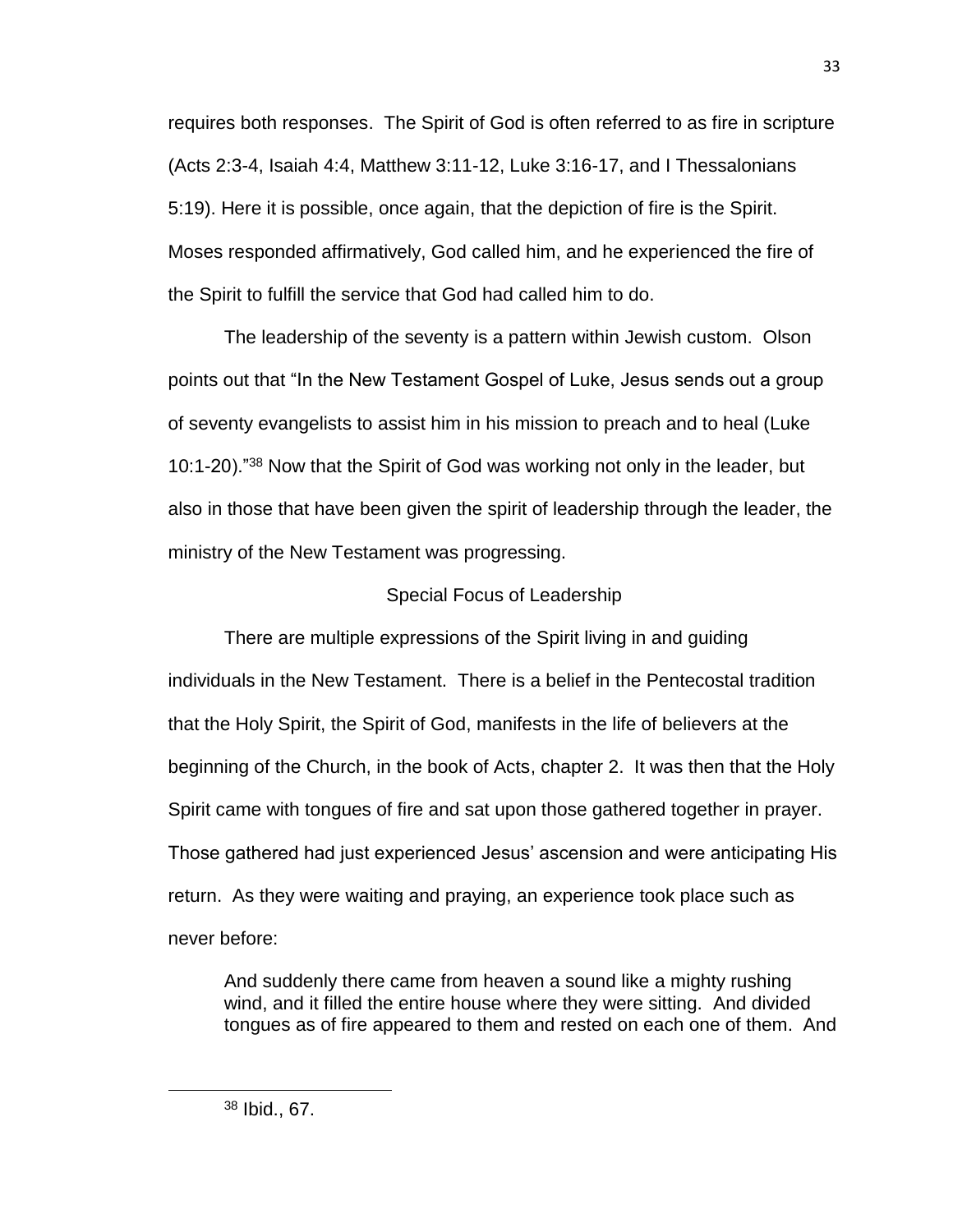requires both responses. The Spirit of God is often referred to as fire in scripture (Acts 2:3-4, Isaiah 4:4, Matthew 3:11-12, Luke 3:16-17, and I Thessalonians 5:19). Here it is possible, once again, that the depiction of fire is the Spirit. Moses responded affirmatively, God called him, and he experienced the fire of the Spirit to fulfill the service that God had called him to do.

The leadership of the seventy is a pattern within Jewish custom. Olson points out that "In the New Testament Gospel of Luke, Jesus sends out a group of seventy evangelists to assist him in his mission to preach and to heal (Luke 10:1-20)."<sup>38</sup> Now that the Spirit of God was working not only in the leader, but also in those that have been given the spirit of leadership through the leader, the ministry of the New Testament was progressing.

# Special Focus of Leadership

There are multiple expressions of the Spirit living in and guiding individuals in the New Testament. There is a belief in the Pentecostal tradition that the Holy Spirit, the Spirit of God, manifests in the life of believers at the beginning of the Church, in the book of Acts, chapter 2. It was then that the Holy Spirit came with tongues of fire and sat upon those gathered together in prayer. Those gathered had just experienced Jesus' ascension and were anticipating His return. As they were waiting and praying, an experience took place such as never before:

And suddenly there came from heaven a sound like a mighty rushing wind, and it filled the entire house where they were sitting. And divided tongues as of fire appeared to them and rested on each one of them. And

<sup>38</sup> Ibid., 67.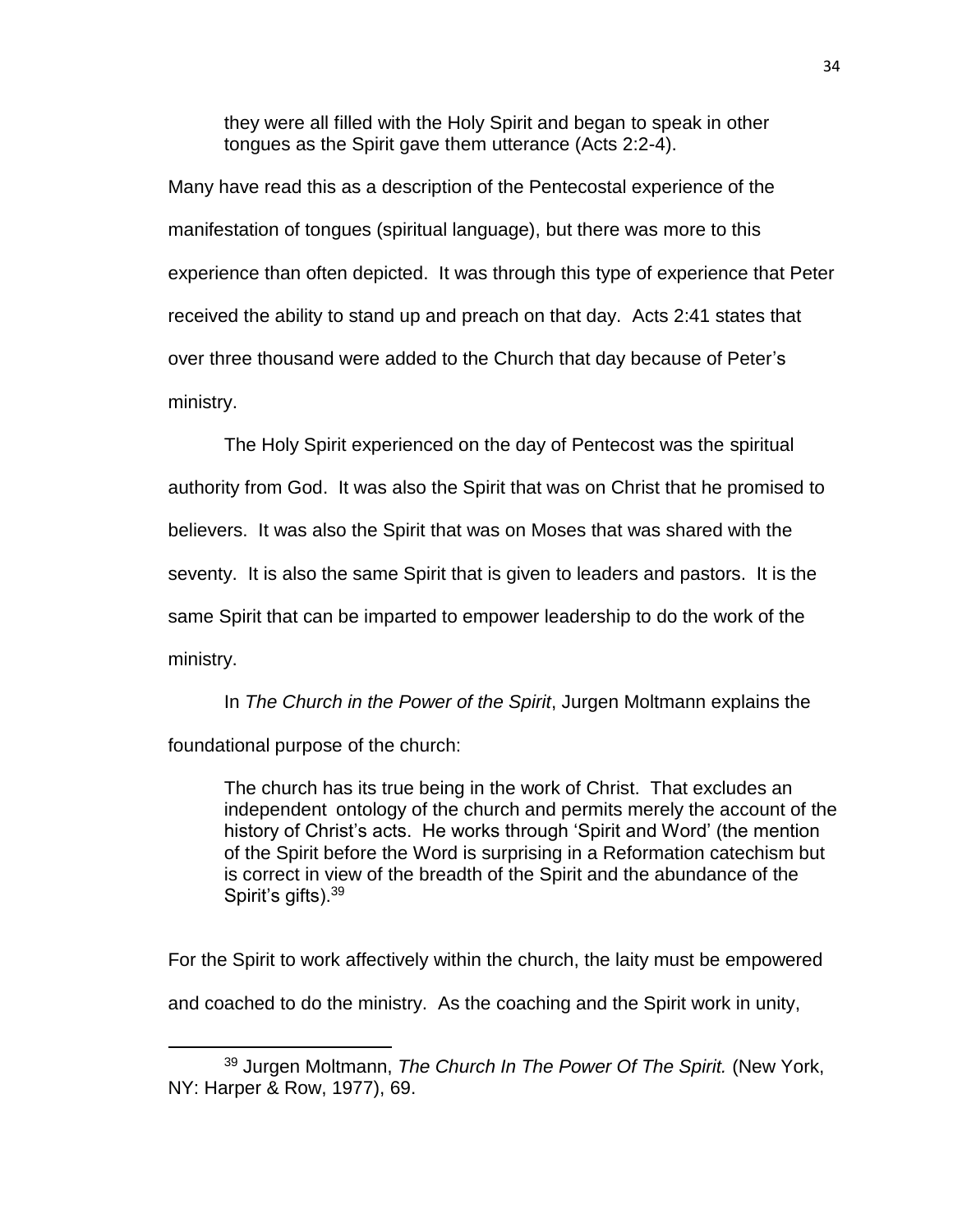they were all filled with the Holy Spirit and began to speak in other tongues as the Spirit gave them utterance (Acts 2:2-4).

Many have read this as a description of the Pentecostal experience of the manifestation of tongues (spiritual language), but there was more to this experience than often depicted. It was through this type of experience that Peter received the ability to stand up and preach on that day. Acts 2:41 states that over three thousand were added to the Church that day because of Peter's ministry.

The Holy Spirit experienced on the day of Pentecost was the spiritual authority from God. It was also the Spirit that was on Christ that he promised to believers. It was also the Spirit that was on Moses that was shared with the seventy. It is also the same Spirit that is given to leaders and pastors. It is the same Spirit that can be imparted to empower leadership to do the work of the ministry.

In *The Church in the Power of the Spirit*, Jurgen Moltmann explains the foundational purpose of the church:

The church has its true being in the work of Christ. That excludes an independent ontology of the church and permits merely the account of the history of Christ's acts. He works through 'Spirit and Word' (the mention of the Spirit before the Word is surprising in a Reformation catechism but is correct in view of the breadth of the Spirit and the abundance of the Spirit's gifts).<sup>39</sup>

For the Spirit to work affectively within the church, the laity must be empowered and coached to do the ministry. As the coaching and the Spirit work in unity,

<sup>39</sup> Jurgen Moltmann, *The Church In The Power Of The Spirit.* (New York, NY: Harper & Row, 1977), 69.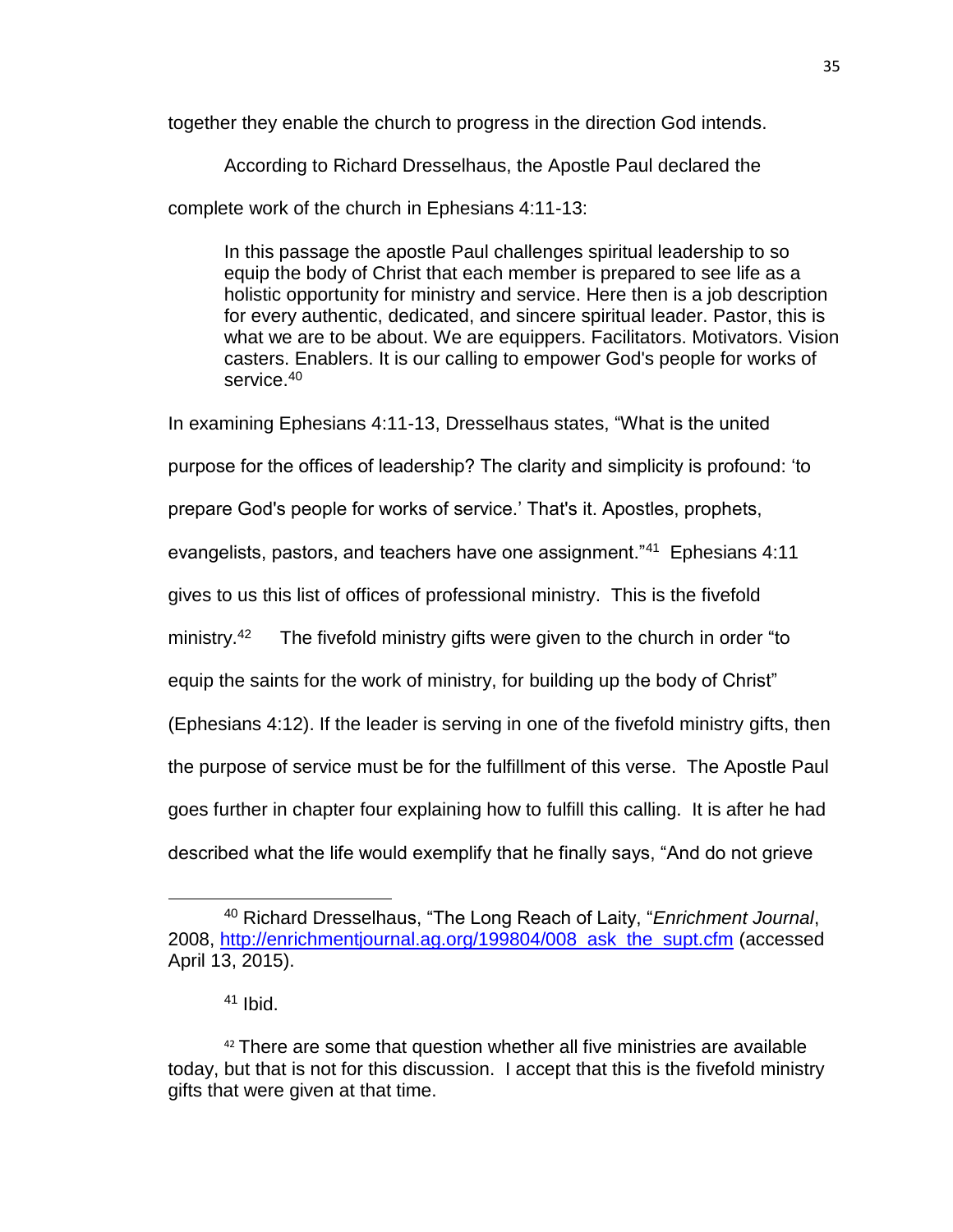together they enable the church to progress in the direction God intends.

According to Richard Dresselhaus, the Apostle Paul declared the

complete work of the church in Ephesians 4:11-13:

In this passage the apostle Paul challenges spiritual leadership to so equip the body of Christ that each member is prepared to see life as a holistic opportunity for ministry and service. Here then is a job description for every authentic, dedicated, and sincere spiritual leader. Pastor, this is what we are to be about. We are equippers. Facilitators. Motivators. Vision casters. Enablers. It is our calling to empower God's people for works of service.<sup>40</sup>

In examining Ephesians 4:11-13, Dresselhaus states, "What is the united

purpose for the offices of leadership? The clarity and simplicity is profound: 'to

prepare God's people for works of service.' That's it. Apostles, prophets,

evangelists, pastors, and teachers have one assignment."<sup>41</sup> Ephesians 4:11

gives to us this list of offices of professional ministry. This is the fivefold

ministry.<sup>42</sup> The fivefold ministry gifts were given to the church in order "to

equip the saints for the work of ministry, for building up the body of Christ"

(Ephesians 4:12). If the leader is serving in one of the fivefold ministry gifts, then

the purpose of service must be for the fulfillment of this verse. The Apostle Paul

goes further in chapter four explaining how to fulfill this calling. It is after he had

described what the life would exemplify that he finally says, "And do not grieve

l

<sup>40</sup> Richard Dresselhaus, "The Long Reach of Laity, "*Enrichment Journal*, 2008, [http://enrichmentjournal.ag.org/199804/008\\_ask\\_the\\_supt.cfm](http://enrichmentjournal.ag.org/199804/008_ask_the_supt.cfm) (accessed April 13, 2015).

 $41$  Ibid.

 $42$  There are some that question whether all five ministries are available today, but that is not for this discussion. I accept that this is the fivefold ministry gifts that were given at that time.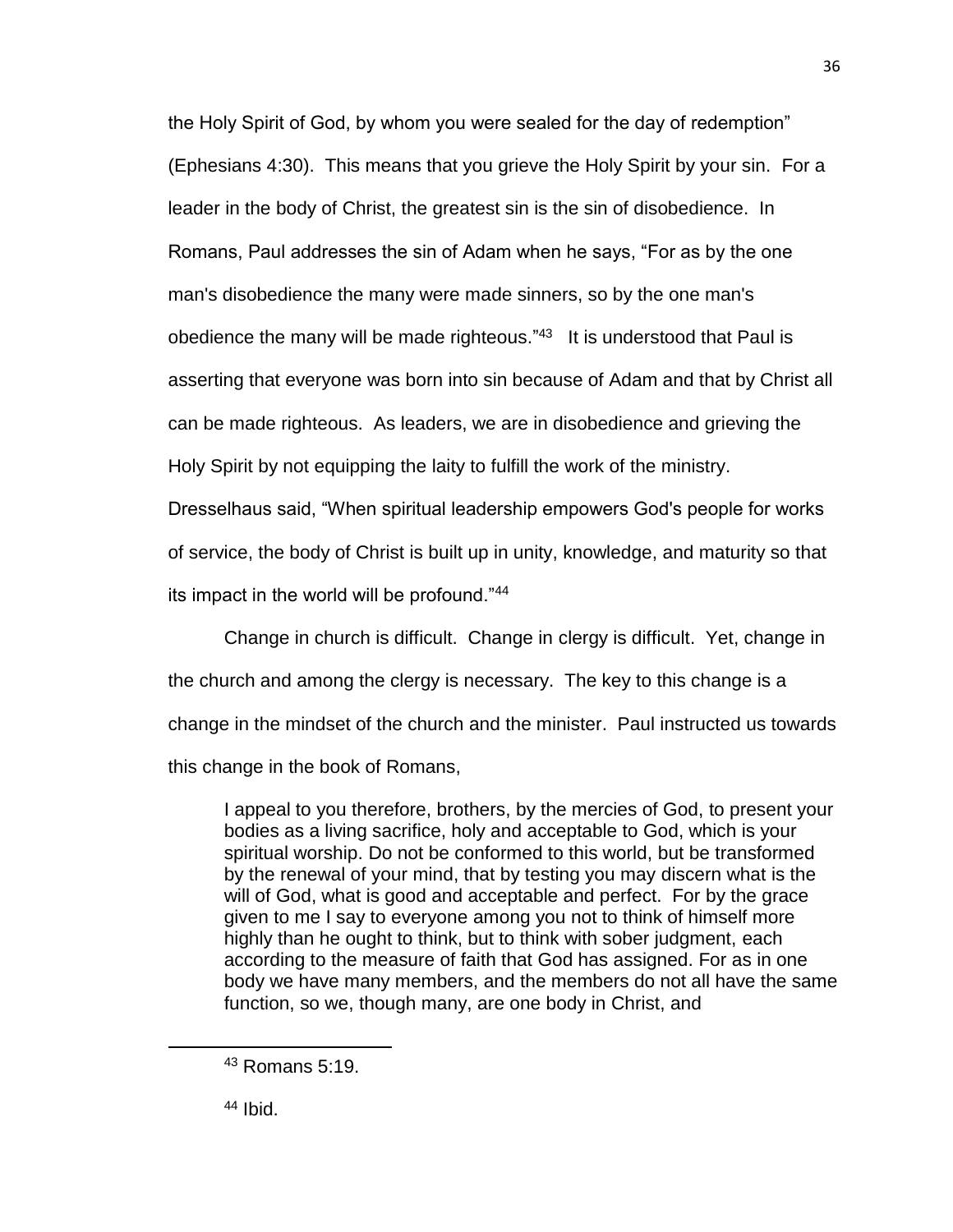the Holy Spirit of God, by whom you were sealed for the day of redemption" (Ephesians 4:30). This means that you grieve the Holy Spirit by your sin. For a leader in the body of Christ, the greatest sin is the sin of disobedience. In Romans, Paul addresses the sin of Adam when he says, "For as by the one man's disobedience the many were made sinners, so by the one man's obedience the many will be made righteous."<sup>43</sup> It is understood that Paul is asserting that everyone was born into sin because of Adam and that by Christ all can be made righteous. As leaders, we are in disobedience and grieving the Holy Spirit by not equipping the laity to fulfill the work of the ministry. Dresselhaus said, "When spiritual leadership empowers God's people for works

of service, the body of Christ is built up in unity, knowledge, and maturity so that

its impact in the world will be profound."<sup>44</sup>

Change in church is difficult. Change in clergy is difficult. Yet, change in the church and among the clergy is necessary. The key to this change is a change in the mindset of the church and the minister. Paul instructed us towards this change in the book of Romans,

I appeal to you therefore, brothers, by the mercies of God, to present your bodies as a living sacrifice, holy and acceptable to God, which is your spiritual worship. Do not be conformed to this world, but be transformed by the renewal of your mind, that by testing you may discern what is the will of God, what is good and acceptable and perfect. For by the grace given to me I say to everyone among you not to think of himself more highly than he ought to think, but to think with sober judgment, each according to the measure of faith that God has assigned. For as in one body we have many members, and the members do not all have the same function, so we, though many, are one body in Christ, and

<sup>44</sup> Ibid.

<sup>43</sup> Romans 5:19.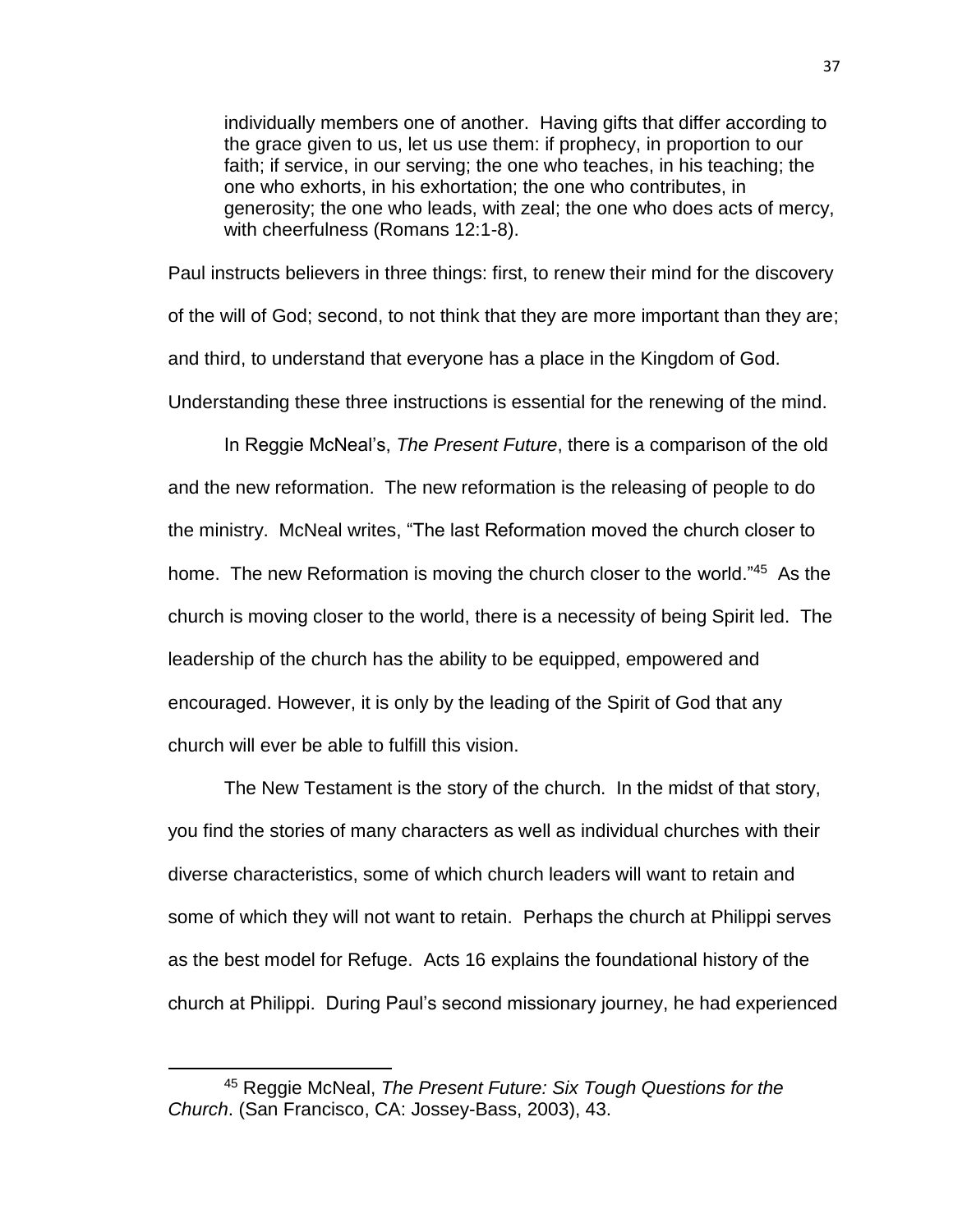individually members one of another. Having gifts that differ according to the grace given to us, let us use them: if prophecy, in proportion to our faith; if service, in our serving; the one who teaches, in his teaching; the one who exhorts, in his exhortation; the one who contributes, in generosity; the one who leads, with zeal; the one who does acts of mercy, with cheerfulness (Romans 12:1-8).

Paul instructs believers in three things: first, to renew their mind for the discovery of the will of God; second, to not think that they are more important than they are; and third, to understand that everyone has a place in the Kingdom of God. Understanding these three instructions is essential for the renewing of the mind.

In Reggie McNeal's, *The Present Future*, there is a comparison of the old and the new reformation. The new reformation is the releasing of people to do the ministry. McNeal writes, "The last Reformation moved the church closer to home. The new Reformation is moving the church closer to the world."<sup>45</sup> As the church is moving closer to the world, there is a necessity of being Spirit led. The leadership of the church has the ability to be equipped, empowered and encouraged. However, it is only by the leading of the Spirit of God that any church will ever be able to fulfill this vision.

The New Testament is the story of the church. In the midst of that story, you find the stories of many characters as well as individual churches with their diverse characteristics, some of which church leaders will want to retain and some of which they will not want to retain. Perhaps the church at Philippi serves as the best model for Refuge. Acts 16 explains the foundational history of the church at Philippi. During Paul's second missionary journey, he had experienced

<sup>45</sup> Reggie McNeal, *The Present Future: Six Tough Questions for the Church*. (San Francisco, CA: Jossey-Bass, 2003), 43.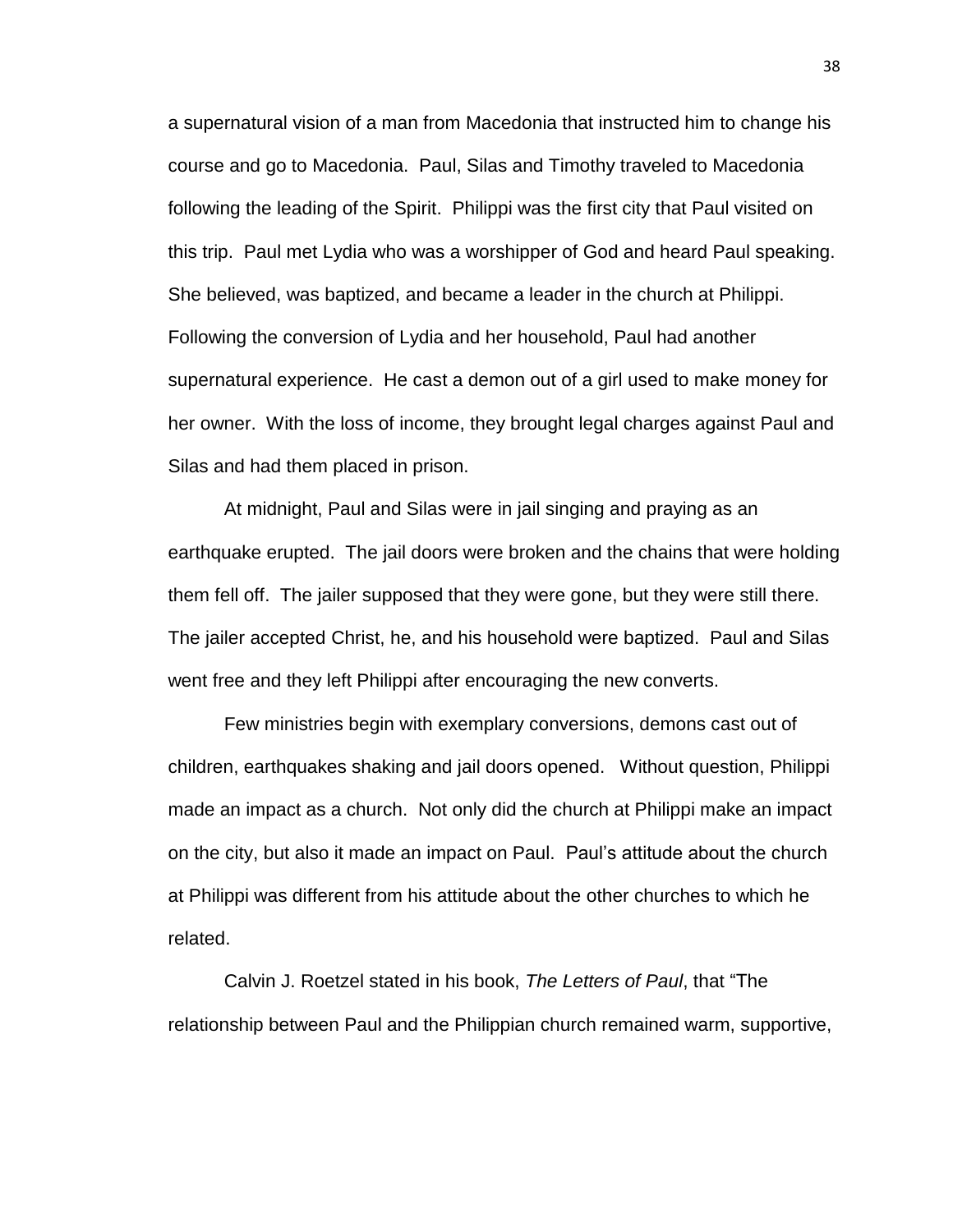a supernatural vision of a man from Macedonia that instructed him to change his course and go to Macedonia. Paul, Silas and Timothy traveled to Macedonia following the leading of the Spirit. Philippi was the first city that Paul visited on this trip. Paul met Lydia who was a worshipper of God and heard Paul speaking. She believed, was baptized, and became a leader in the church at Philippi. Following the conversion of Lydia and her household, Paul had another supernatural experience. He cast a demon out of a girl used to make money for her owner. With the loss of income, they brought legal charges against Paul and Silas and had them placed in prison.

At midnight, Paul and Silas were in jail singing and praying as an earthquake erupted. The jail doors were broken and the chains that were holding them fell off. The jailer supposed that they were gone, but they were still there. The jailer accepted Christ, he, and his household were baptized. Paul and Silas went free and they left Philippi after encouraging the new converts.

Few ministries begin with exemplary conversions, demons cast out of children, earthquakes shaking and jail doors opened. Without question, Philippi made an impact as a church. Not only did the church at Philippi make an impact on the city, but also it made an impact on Paul. Paul's attitude about the church at Philippi was different from his attitude about the other churches to which he related.

Calvin J. Roetzel stated in his book, *The Letters of Paul*, that "The relationship between Paul and the Philippian church remained warm, supportive,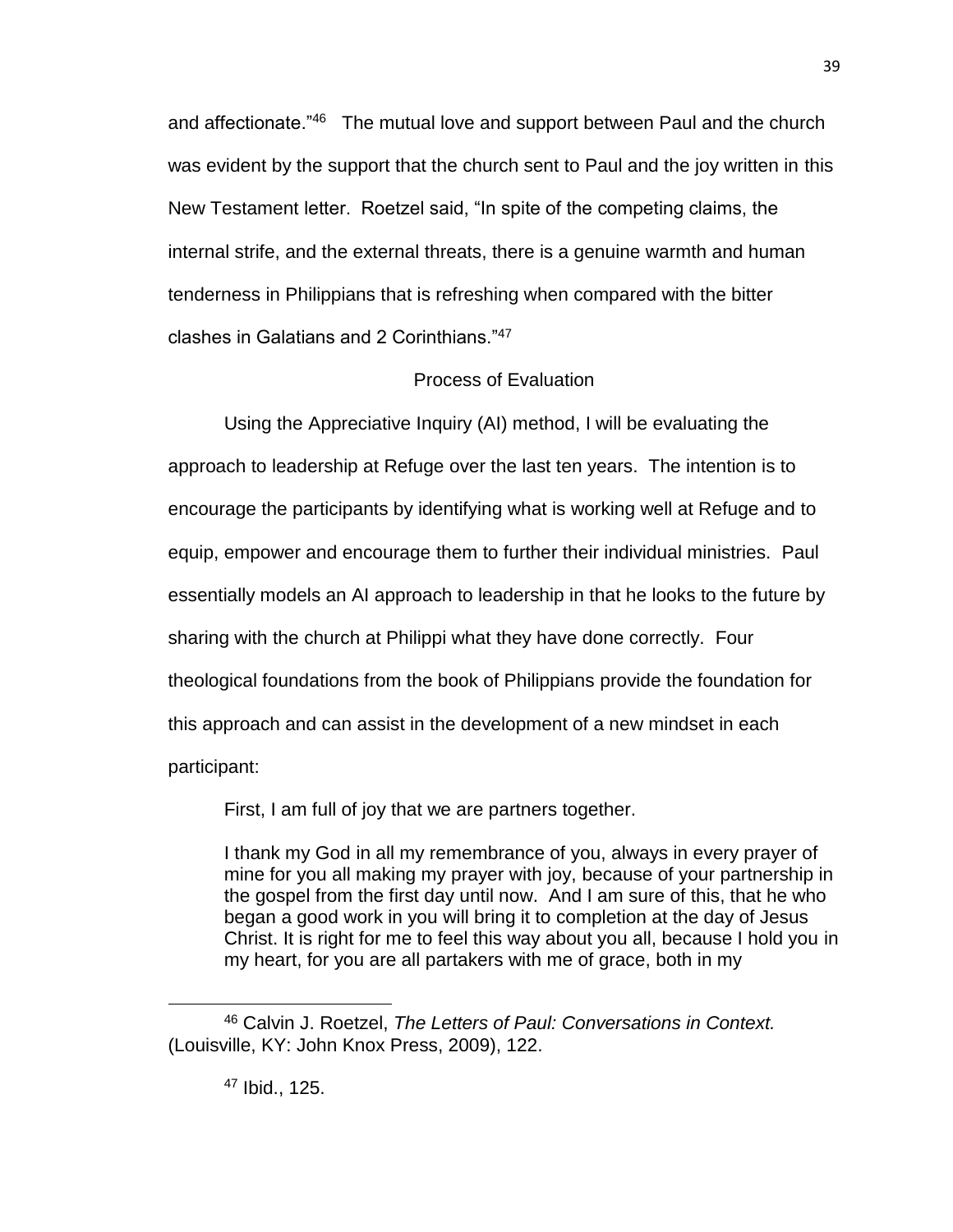and affectionate.<sup>"46</sup> The mutual love and support between Paul and the church was evident by the support that the church sent to Paul and the joy written in this New Testament letter. Roetzel said, "In spite of the competing claims, the internal strife, and the external threats, there is a genuine warmth and human tenderness in Philippians that is refreshing when compared with the bitter clashes in Galatians and 2 Corinthians."<sup>47</sup>

# Process of Evaluation

Using the Appreciative Inquiry (AI) method, I will be evaluating the approach to leadership at Refuge over the last ten years. The intention is to encourage the participants by identifying what is working well at Refuge and to equip, empower and encourage them to further their individual ministries. Paul essentially models an AI approach to leadership in that he looks to the future by sharing with the church at Philippi what they have done correctly. Four theological foundations from the book of Philippians provide the foundation for this approach and can assist in the development of a new mindset in each participant:

First, I am full of joy that we are partners together.

I thank my God in all my remembrance of you, always in every prayer of mine for you all making my prayer with joy, because of your partnership in the gospel from the first day until now. And I am sure of this, that he who began a good work in you will bring it to completion at the day of Jesus Christ. It is right for me to feel this way about you all, because I hold you in my heart, for you are all partakers with me of grace, both in my

<sup>47</sup> Ibid., 125.

l

<sup>46</sup> Calvin J. Roetzel, *The Letters of Paul: Conversations in Context.*  (Louisville, KY: John Knox Press, 2009), 122.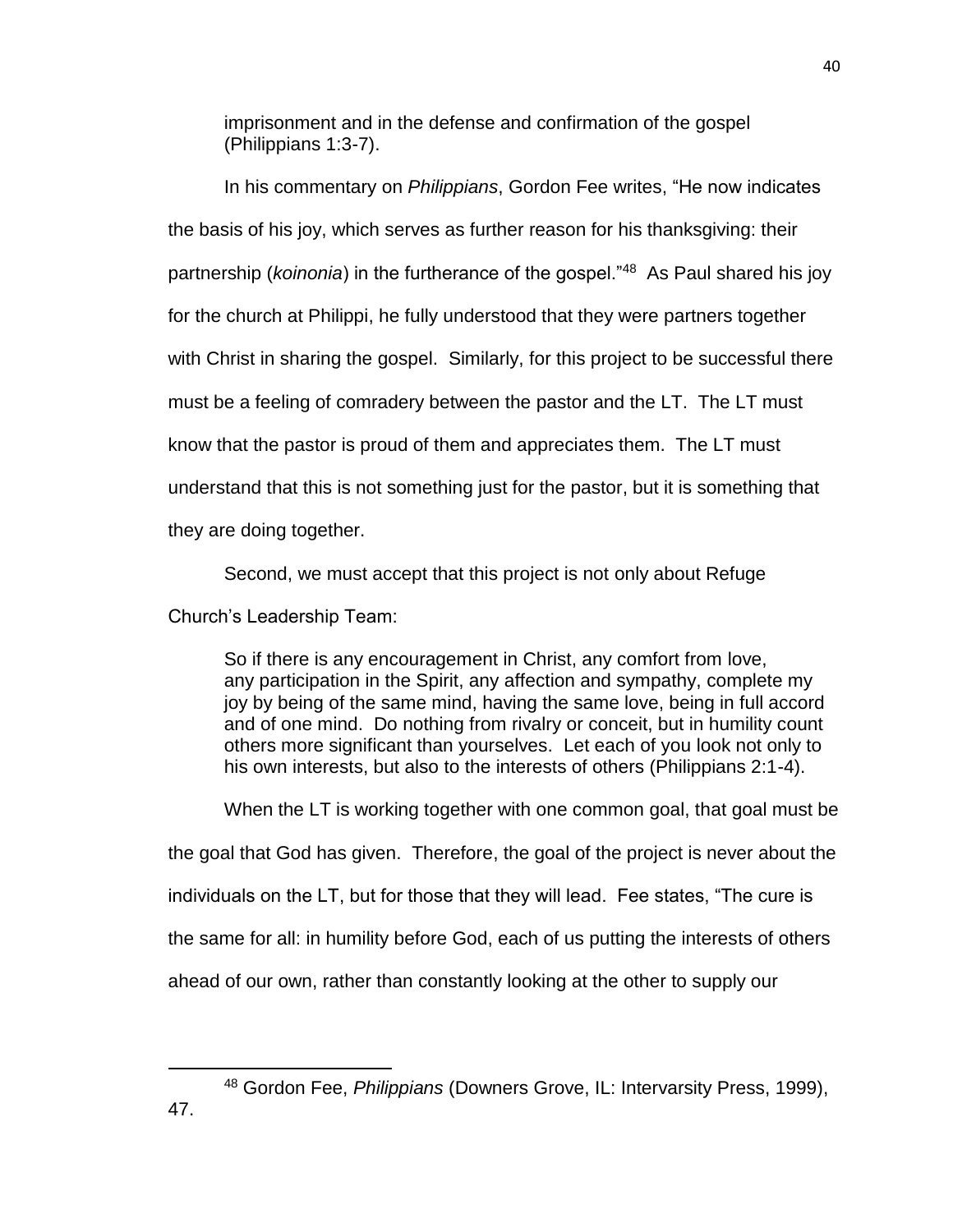imprisonment and in the defense and confirmation of the gospel (Philippians 1:3-7).

In his commentary on *Philippians*, Gordon Fee writes, "He now indicates the basis of his joy, which serves as further reason for his thanksgiving: their partnership (*koinonia*) in the furtherance of the gospel."<sup>48</sup> As Paul shared his joy for the church at Philippi, he fully understood that they were partners together with Christ in sharing the gospel. Similarly, for this project to be successful there must be a feeling of comradery between the pastor and the LT. The LT must know that the pastor is proud of them and appreciates them. The LT must understand that this is not something just for the pastor, but it is something that they are doing together.

Second, we must accept that this project is not only about Refuge

Church's Leadership Team:

So if there is any encouragement in Christ, any comfort from love, any participation in the Spirit, any affection and sympathy, complete my joy by being of the same mind, having the same love, being in full accord and of one mind. Do nothing from rivalry or conceit, but in humility count others more significant than yourselves. Let each of you look not only to his own interests, but also to the interests of others (Philippians 2:1-4).

When the LT is working together with one common goal, that goal must be the goal that God has given. Therefore, the goal of the project is never about the individuals on the LT, but for those that they will lead. Fee states, "The cure is the same for all: in humility before God, each of us putting the interests of others ahead of our own, rather than constantly looking at the other to supply our

<sup>48</sup> Gordon Fee, *Philippians* (Downers Grove, IL: Intervarsity Press, 1999),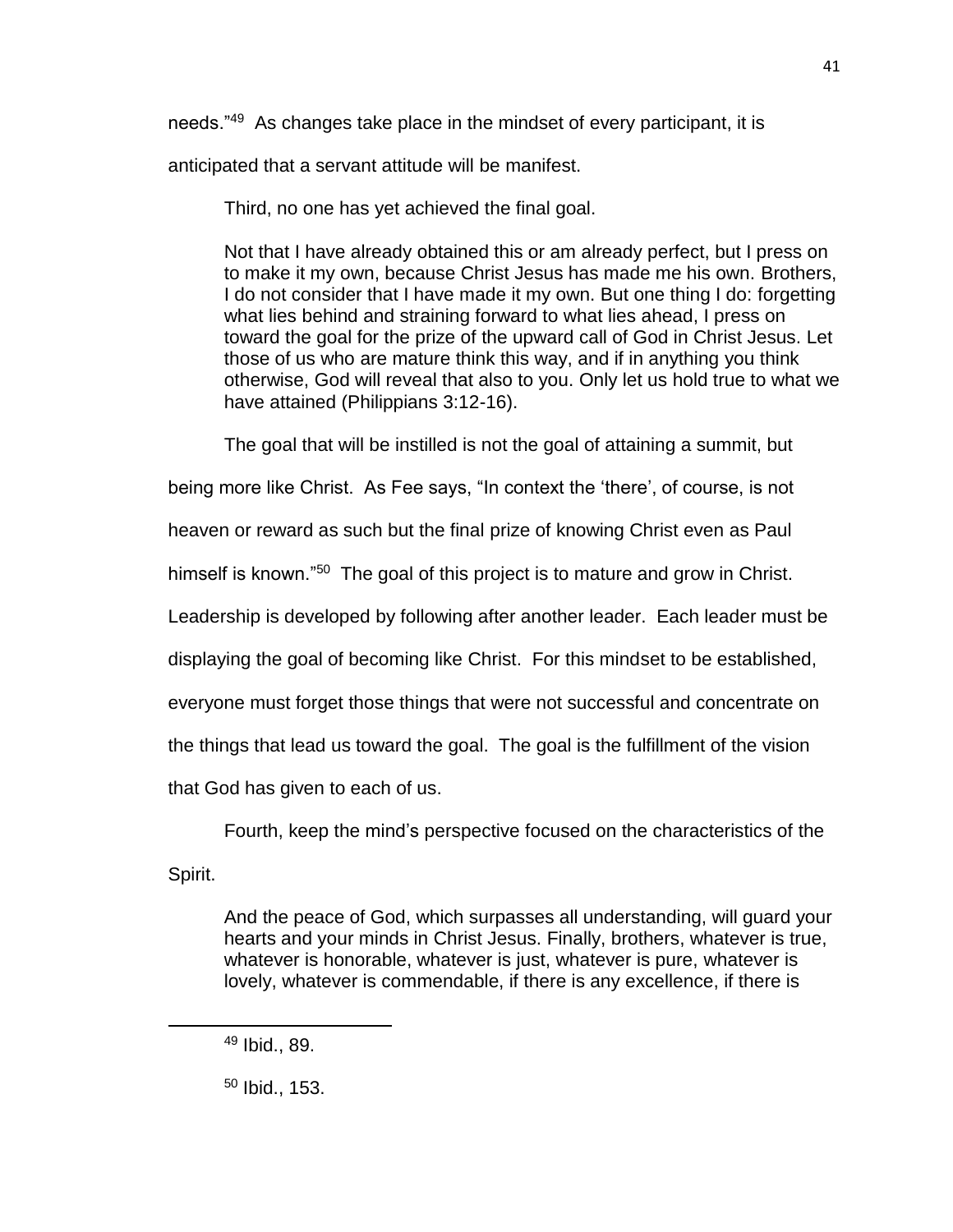needs."<sup>49</sup> As changes take place in the mindset of every participant, it is

anticipated that a servant attitude will be manifest.

Third, no one has yet achieved the final goal.

Not that I have already obtained this or am already perfect, but I press on to make it my own, because Christ Jesus has made me his own. Brothers, I do not consider that I have made it my own. But one thing I do: forgetting what lies behind and straining forward to what lies ahead, I press on toward the goal for the prize of the upward call of God in Christ Jesus. Let those of us who are mature think this way, and if in anything you think otherwise, God will reveal that also to you. Only let us hold true to what we have attained (Philippians 3:12-16).

The goal that will be instilled is not the goal of attaining a summit, but

being more like Christ. As Fee says, "In context the 'there', of course, is not

heaven or reward as such but the final prize of knowing Christ even as Paul

himself is known."<sup>50</sup> The goal of this project is to mature and grow in Christ.

Leadership is developed by following after another leader. Each leader must be

displaying the goal of becoming like Christ. For this mindset to be established,

everyone must forget those things that were not successful and concentrate on

the things that lead us toward the goal. The goal is the fulfillment of the vision

that God has given to each of us.

Fourth, keep the mind's perspective focused on the characteristics of the

Spirit.

 $\overline{a}$ 

And the peace of God, which surpasses all understanding, will guard your hearts and your minds in Christ Jesus. Finally, brothers, whatever is true, whatever is honorable, whatever is just, whatever is pure, whatever is lovely, whatever is commendable, if there is any excellence, if there is

<sup>49</sup> Ibid., 89.

<sup>50</sup> Ibid., 153.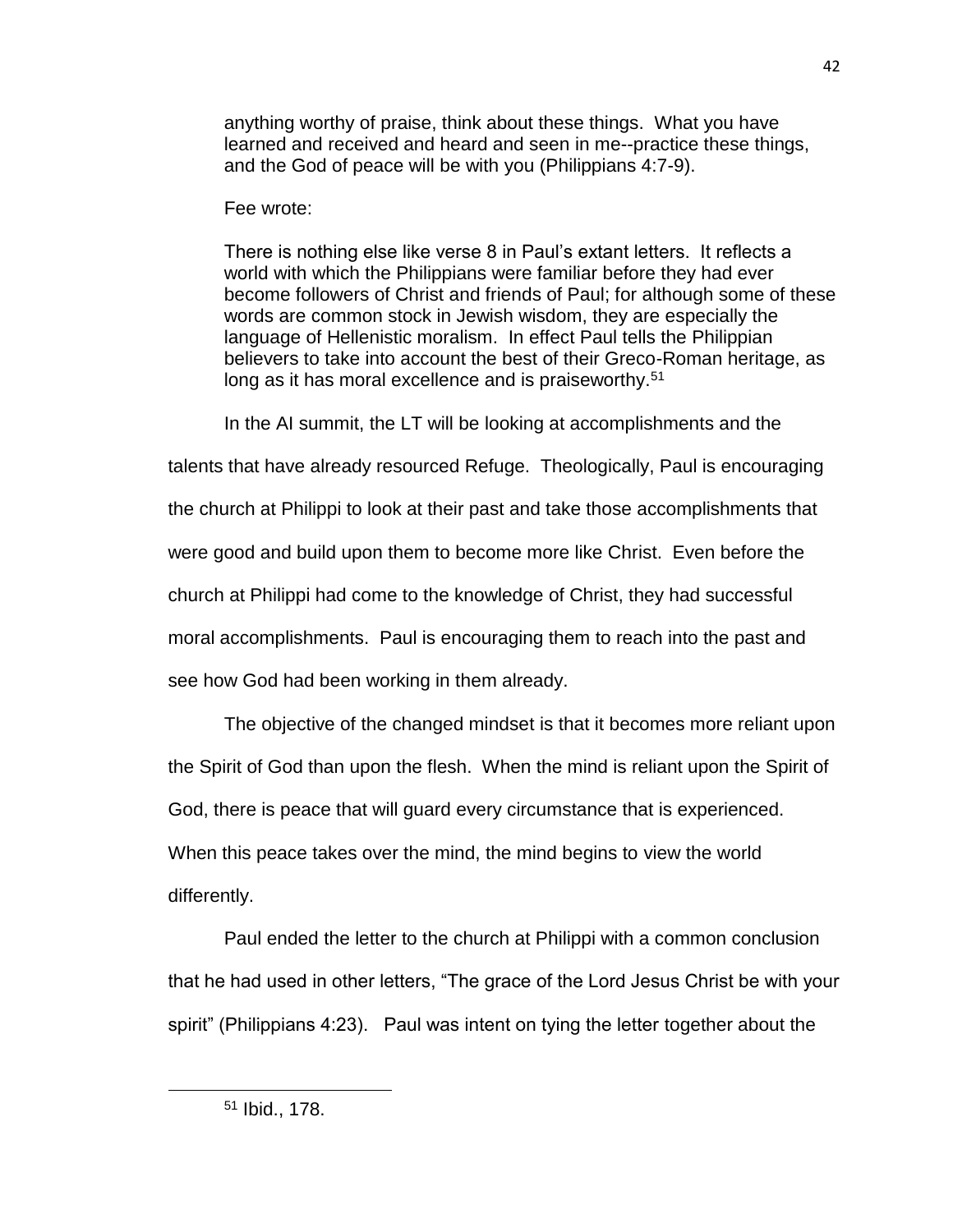anything worthy of praise, think about these things. What you have learned and received and heard and seen in me--practice these things, and the God of peace will be with you (Philippians 4:7-9).

# Fee wrote:

There is nothing else like verse 8 in Paul's extant letters. It reflects a world with which the Philippians were familiar before they had ever become followers of Christ and friends of Paul; for although some of these words are common stock in Jewish wisdom, they are especially the language of Hellenistic moralism. In effect Paul tells the Philippian believers to take into account the best of their Greco-Roman heritage, as long as it has moral excellence and is praiseworthy.<sup>51</sup>

In the AI summit, the LT will be looking at accomplishments and the

talents that have already resourced Refuge. Theologically, Paul is encouraging the church at Philippi to look at their past and take those accomplishments that were good and build upon them to become more like Christ. Even before the church at Philippi had come to the knowledge of Christ, they had successful moral accomplishments. Paul is encouraging them to reach into the past and see how God had been working in them already.

The objective of the changed mindset is that it becomes more reliant upon the Spirit of God than upon the flesh. When the mind is reliant upon the Spirit of God, there is peace that will guard every circumstance that is experienced. When this peace takes over the mind, the mind begins to view the world differently.

Paul ended the letter to the church at Philippi with a common conclusion that he had used in other letters, "The grace of the Lord Jesus Christ be with your spirit" (Philippians 4:23). Paul was intent on tying the letter together about the

<sup>51</sup> Ibid., 178.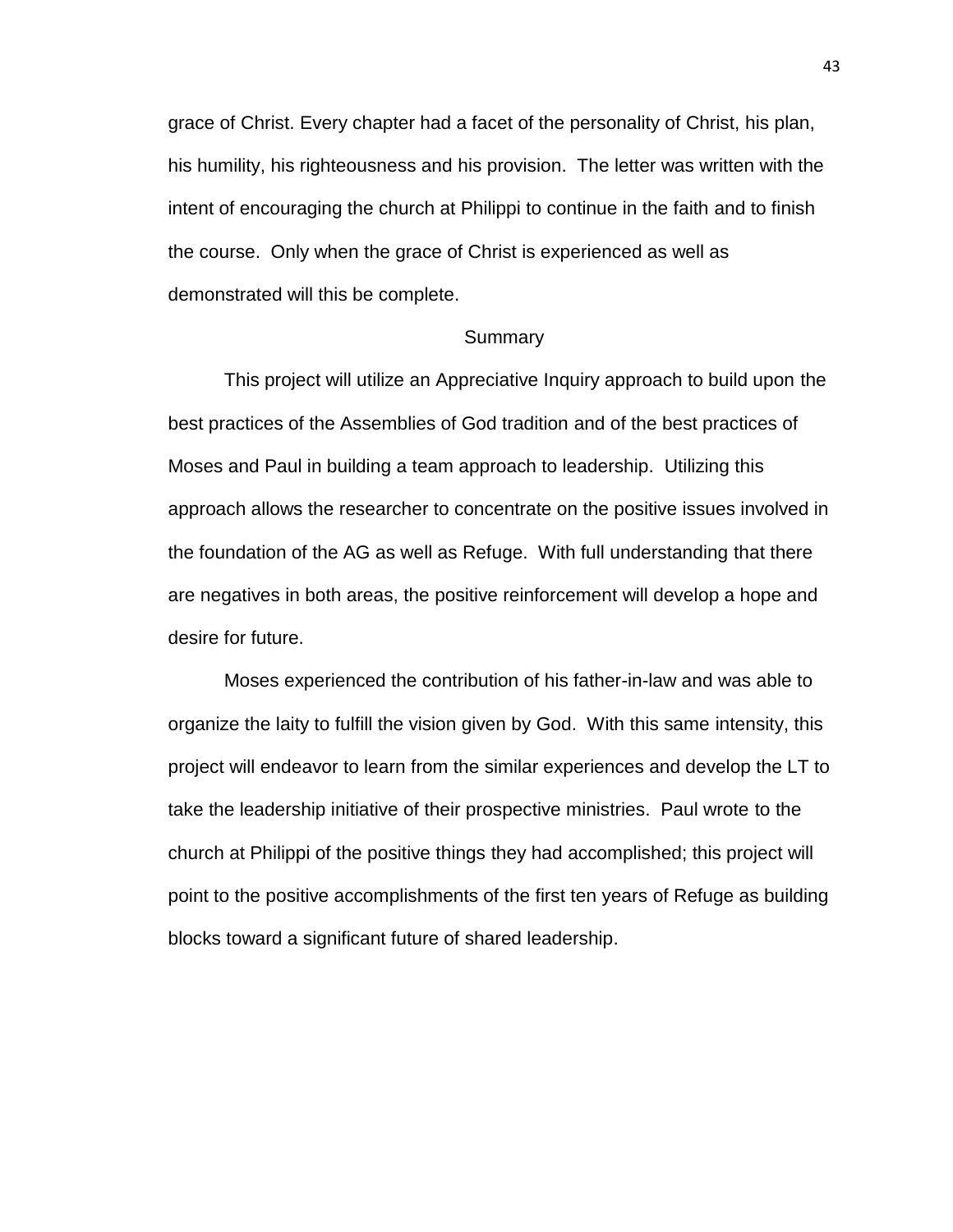grace of Christ. Every chapter had a facet of the personality of Christ, his plan, his humility, his righteousness and his provision. The letter was written with the intent of encouraging the church at Philippi to continue in the faith and to finish the course. Only when the grace of Christ is experienced as well as demonstrated will this be complete.

# **Summary**

This project will utilize an Appreciative Inquiry approach to build upon the best practices of the Assemblies of God tradition and of the best practices of Moses and Paul in building a team approach to leadership. Utilizing this approach allows the researcher to concentrate on the positive issues involved in the foundation of the AG as well as Refuge. With full understanding that there are negatives in both areas, the positive reinforcement will develop a hope and desire for future.

Moses experienced the contribution of his father-in-law and was able to organize the laity to fulfill the vision given by God. With this same intensity, this project will endeavor to learn from the similar experiences and develop the LT to take the leadership initiative of their prospective ministries. Paul wrote to the church at Philippi of the positive things they had accomplished; this project will point to the positive accomplishments of the first ten years of Refuge as building blocks toward a significant future of shared leadership.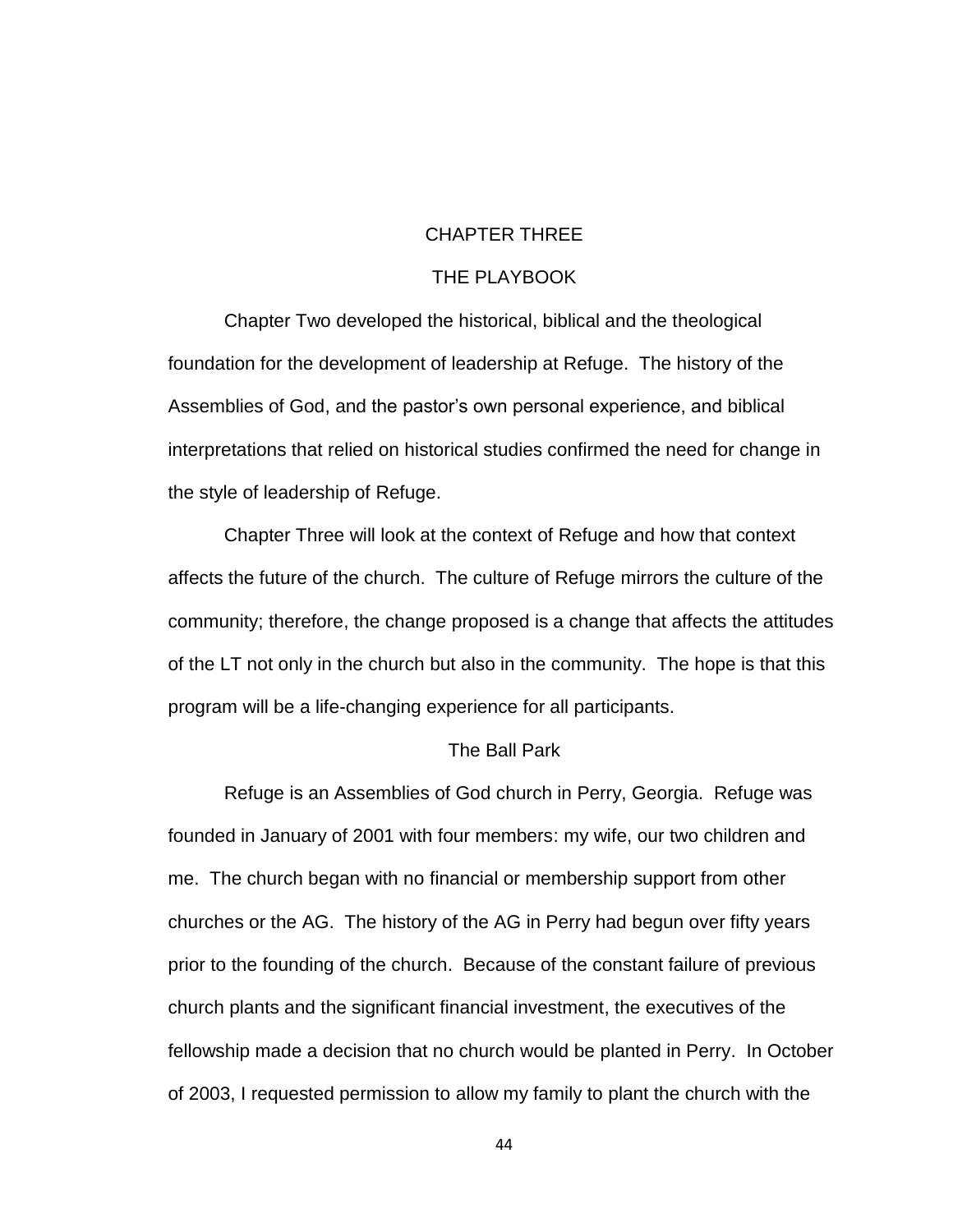# CHAPTER THREE

# THE PLAYBOOK

Chapter Two developed the historical, biblical and the theological foundation for the development of leadership at Refuge. The history of the Assemblies of God, and the pastor's own personal experience, and biblical interpretations that relied on historical studies confirmed the need for change in the style of leadership of Refuge.

Chapter Three will look at the context of Refuge and how that context affects the future of the church. The culture of Refuge mirrors the culture of the community; therefore, the change proposed is a change that affects the attitudes of the LT not only in the church but also in the community. The hope is that this program will be a life-changing experience for all participants.

## The Ball Park

Refuge is an Assemblies of God church in Perry, Georgia. Refuge was founded in January of 2001 with four members: my wife, our two children and me. The church began with no financial or membership support from other churches or the AG. The history of the AG in Perry had begun over fifty years prior to the founding of the church. Because of the constant failure of previous church plants and the significant financial investment, the executives of the fellowship made a decision that no church would be planted in Perry. In October of 2003, I requested permission to allow my family to plant the church with the

44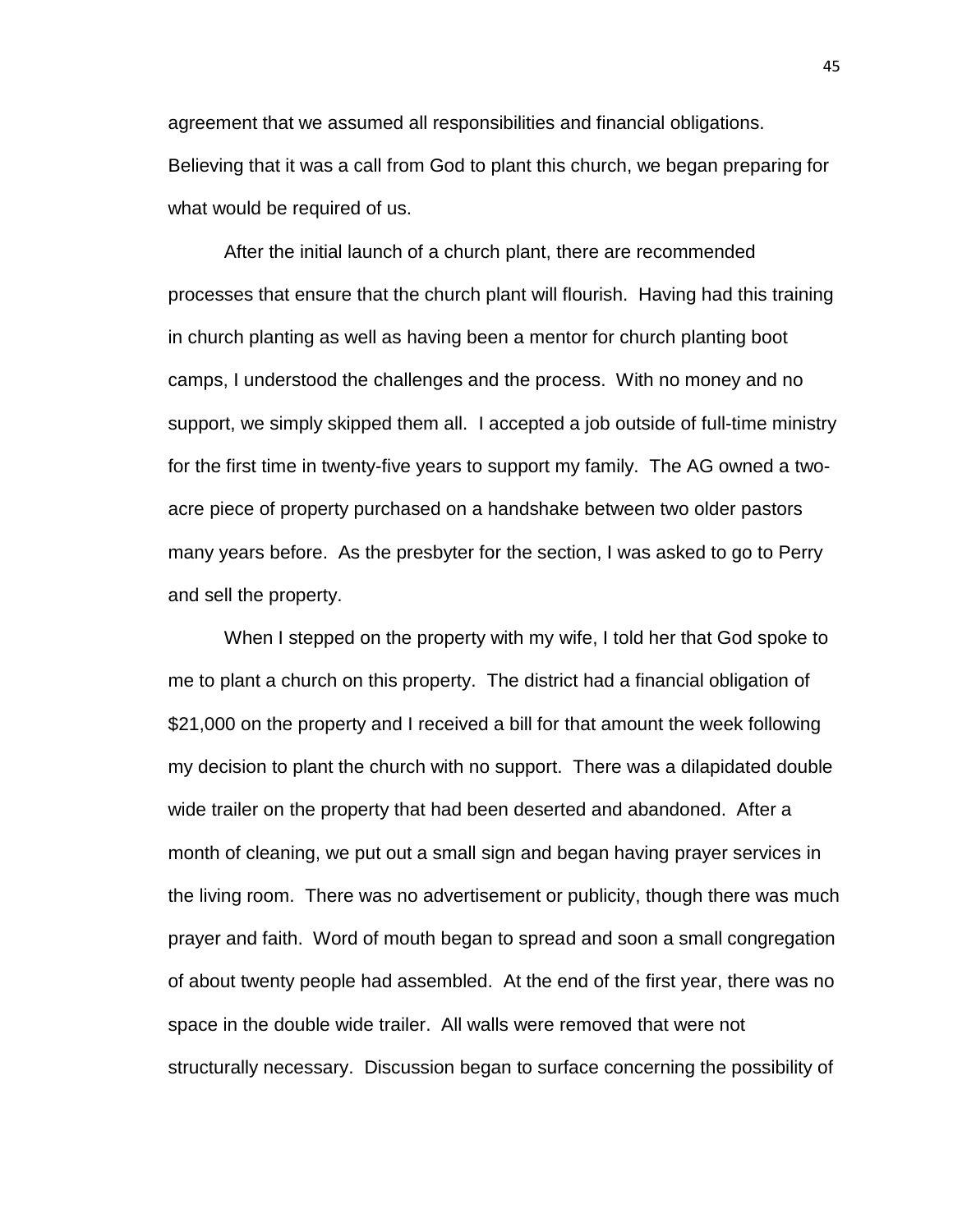agreement that we assumed all responsibilities and financial obligations. Believing that it was a call from God to plant this church, we began preparing for what would be required of us.

After the initial launch of a church plant, there are recommended processes that ensure that the church plant will flourish. Having had this training in church planting as well as having been a mentor for church planting boot camps, I understood the challenges and the process. With no money and no support, we simply skipped them all. I accepted a job outside of full-time ministry for the first time in twenty-five years to support my family. The AG owned a twoacre piece of property purchased on a handshake between two older pastors many years before. As the presbyter for the section, I was asked to go to Perry and sell the property.

When I stepped on the property with my wife, I told her that God spoke to me to plant a church on this property. The district had a financial obligation of \$21,000 on the property and I received a bill for that amount the week following my decision to plant the church with no support. There was a dilapidated double wide trailer on the property that had been deserted and abandoned. After a month of cleaning, we put out a small sign and began having prayer services in the living room. There was no advertisement or publicity, though there was much prayer and faith. Word of mouth began to spread and soon a small congregation of about twenty people had assembled. At the end of the first year, there was no space in the double wide trailer. All walls were removed that were not structurally necessary. Discussion began to surface concerning the possibility of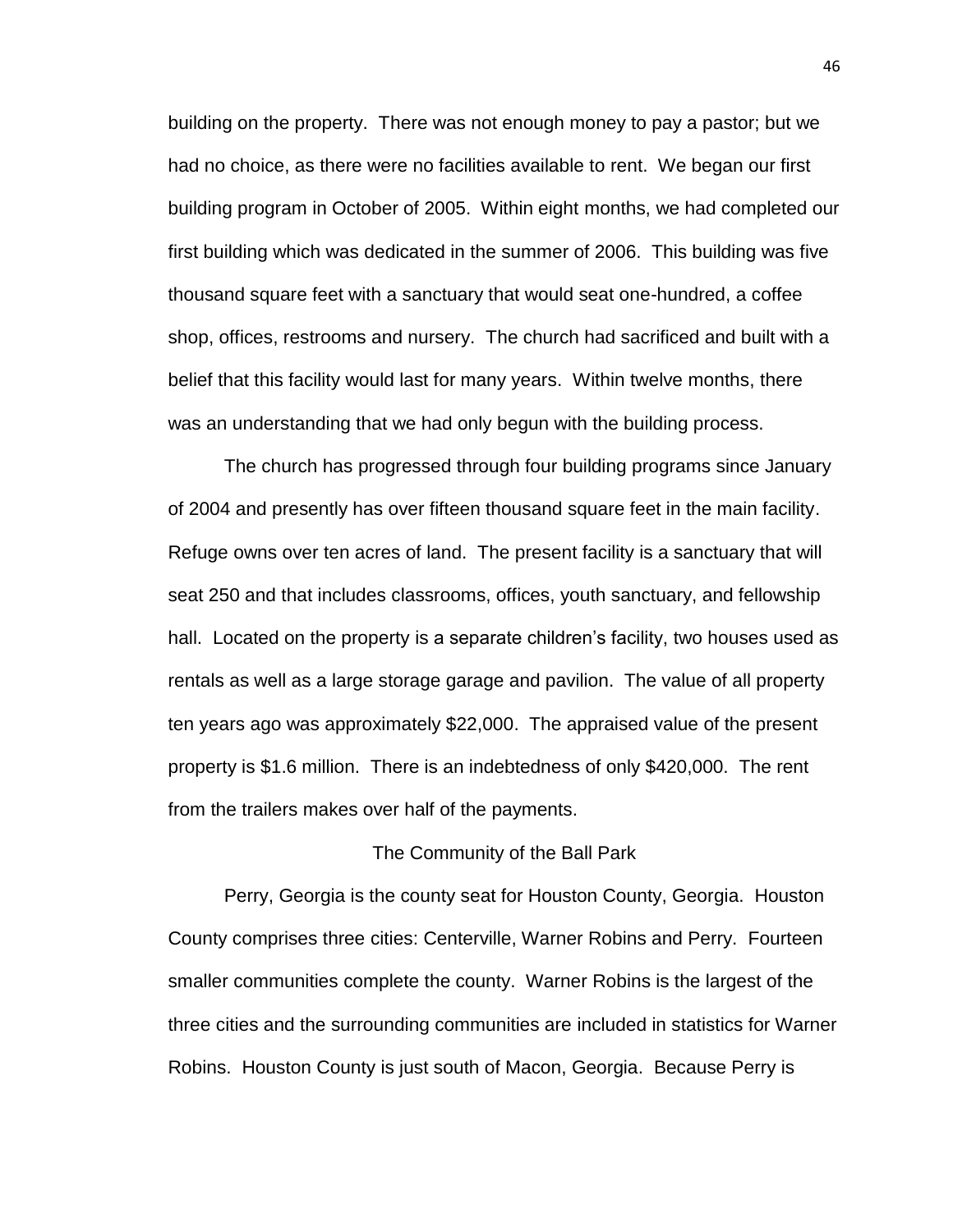building on the property. There was not enough money to pay a pastor; but we had no choice, as there were no facilities available to rent. We began our first building program in October of 2005. Within eight months, we had completed our first building which was dedicated in the summer of 2006. This building was five thousand square feet with a sanctuary that would seat one-hundred, a coffee shop, offices, restrooms and nursery. The church had sacrificed and built with a belief that this facility would last for many years. Within twelve months, there was an understanding that we had only begun with the building process.

The church has progressed through four building programs since January of 2004 and presently has over fifteen thousand square feet in the main facility. Refuge owns over ten acres of land. The present facility is a sanctuary that will seat 250 and that includes classrooms, offices, youth sanctuary, and fellowship hall. Located on the property is a separate children's facility, two houses used as rentals as well as a large storage garage and pavilion. The value of all property ten years ago was approximately \$22,000. The appraised value of the present property is \$1.6 million. There is an indebtedness of only \$420,000. The rent from the trailers makes over half of the payments.

## The Community of the Ball Park

Perry, Georgia is the county seat for Houston County, Georgia. Houston County comprises three cities: Centerville, Warner Robins and Perry. Fourteen smaller communities complete the county. Warner Robins is the largest of the three cities and the surrounding communities are included in statistics for Warner Robins. Houston County is just south of Macon, Georgia. Because Perry is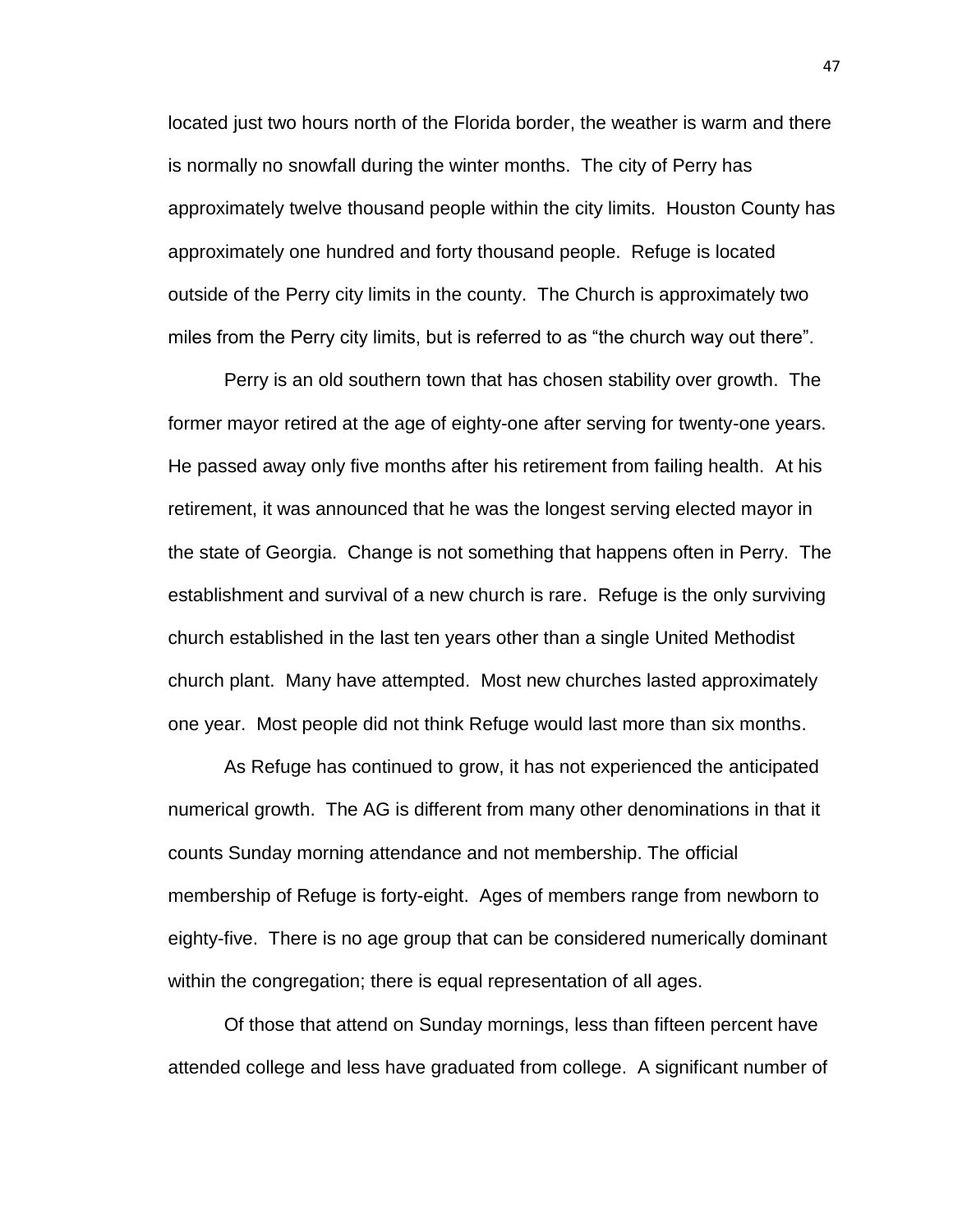located just two hours north of the Florida border, the weather is warm and there is normally no snowfall during the winter months. The city of Perry has approximately twelve thousand people within the city limits. Houston County has approximately one hundred and forty thousand people. Refuge is located outside of the Perry city limits in the county. The Church is approximately two miles from the Perry city limits, but is referred to as "the church way out there".

Perry is an old southern town that has chosen stability over growth. The former mayor retired at the age of eighty-one after serving for twenty-one years. He passed away only five months after his retirement from failing health. At his retirement, it was announced that he was the longest serving elected mayor in the state of Georgia. Change is not something that happens often in Perry. The establishment and survival of a new church is rare. Refuge is the only surviving church established in the last ten years other than a single United Methodist church plant. Many have attempted. Most new churches lasted approximately one year. Most people did not think Refuge would last more than six months.

As Refuge has continued to grow, it has not experienced the anticipated numerical growth. The AG is different from many other denominations in that it counts Sunday morning attendance and not membership. The official membership of Refuge is forty-eight. Ages of members range from newborn to eighty-five. There is no age group that can be considered numerically dominant within the congregation; there is equal representation of all ages.

Of those that attend on Sunday mornings, less than fifteen percent have attended college and less have graduated from college. A significant number of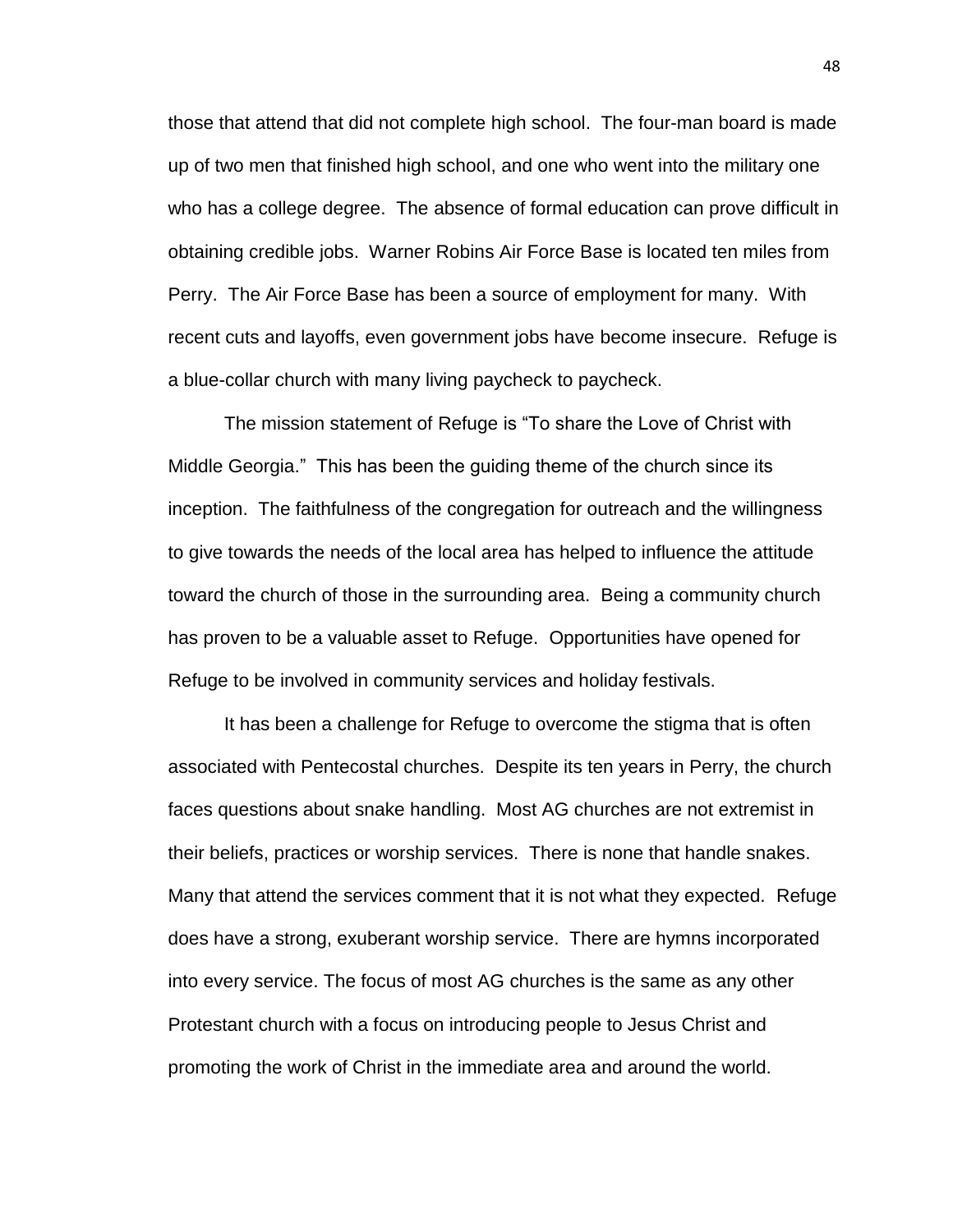those that attend that did not complete high school. The four-man board is made up of two men that finished high school, and one who went into the military one who has a college degree. The absence of formal education can prove difficult in obtaining credible jobs. Warner Robins Air Force Base is located ten miles from Perry. The Air Force Base has been a source of employment for many. With recent cuts and layoffs, even government jobs have become insecure. Refuge is a blue-collar church with many living paycheck to paycheck.

The mission statement of Refuge is "To share the Love of Christ with Middle Georgia." This has been the guiding theme of the church since its inception. The faithfulness of the congregation for outreach and the willingness to give towards the needs of the local area has helped to influence the attitude toward the church of those in the surrounding area. Being a community church has proven to be a valuable asset to Refuge. Opportunities have opened for Refuge to be involved in community services and holiday festivals.

It has been a challenge for Refuge to overcome the stigma that is often associated with Pentecostal churches. Despite its ten years in Perry, the church faces questions about snake handling. Most AG churches are not extremist in their beliefs, practices or worship services. There is none that handle snakes. Many that attend the services comment that it is not what they expected. Refuge does have a strong, exuberant worship service. There are hymns incorporated into every service. The focus of most AG churches is the same as any other Protestant church with a focus on introducing people to Jesus Christ and promoting the work of Christ in the immediate area and around the world.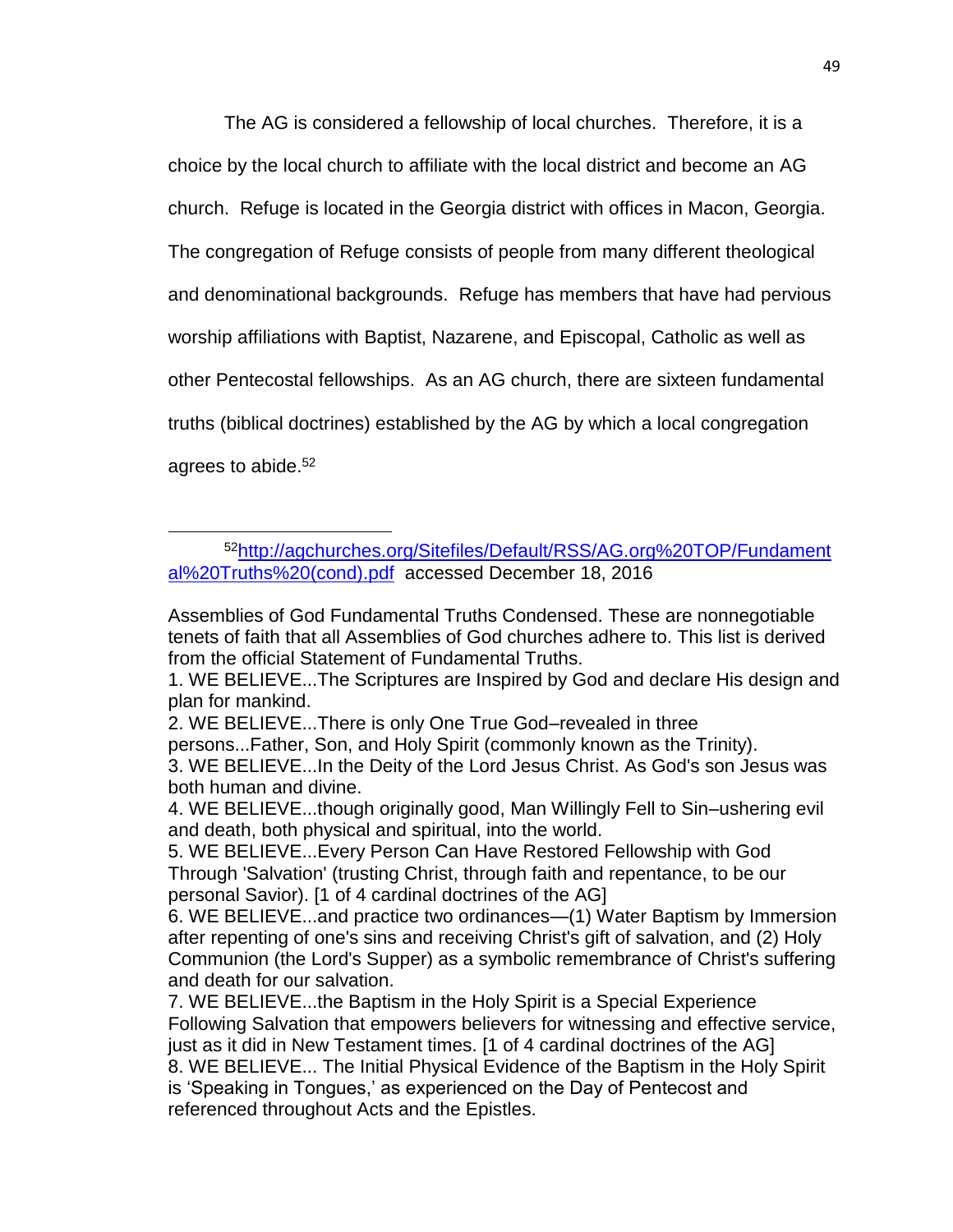The AG is considered a fellowship of local churches. Therefore, it is a choice by the local church to affiliate with the local district and become an AG church. Refuge is located in the Georgia district with offices in Macon, Georgia. The congregation of Refuge consists of people from many different theological and denominational backgrounds. Refuge has members that have had pervious worship affiliations with Baptist, Nazarene, and Episcopal, Catholic as well as other Pentecostal fellowships. As an AG church, there are sixteen fundamental truths (biblical doctrines) established by the AG by which a local congregation agrees to abide. 52

<sup>52</sup>[http://agchurches.org/Sitefiles/Default/RSS/AG.org%20TOP/Fundament](http://agchurches.org/Sitefiles/Default/RSS/AG.org%20TOP/Fundamental%20Truths%20(cond).pdf) [al%20Truths%20\(cond\).pdf](http://agchurches.org/Sitefiles/Default/RSS/AG.org%20TOP/Fundamental%20Truths%20(cond).pdf) accessed December 18, 2016

Assemblies of God Fundamental Truths Condensed. These are nonnegotiable tenets of faith that all Assemblies of God churches adhere to. This list is derived from the official Statement of Fundamental Truths.

<sup>1.</sup> WE BELIEVE...The Scriptures are Inspired by God and declare His design and plan for mankind.

<sup>2.</sup> WE BELIEVE...There is only One True God–revealed in three

persons...Father, Son, and Holy Spirit (commonly known as the Trinity).

<sup>3.</sup> WE BELIEVE...In the Deity of the Lord Jesus Christ. As God's son Jesus was both human and divine.

<sup>4.</sup> WE BELIEVE...though originally good, Man Willingly Fell to Sin–ushering evil and death, both physical and spiritual, into the world.

<sup>5.</sup> WE BELIEVE...Every Person Can Have Restored Fellowship with God Through 'Salvation' (trusting Christ, through faith and repentance, to be our personal Savior). [1 of 4 cardinal doctrines of the AG]

<sup>6.</sup> WE BELIEVE...and practice two ordinances—(1) Water Baptism by Immersion after repenting of one's sins and receiving Christ's gift of salvation, and (2) Holy Communion (the Lord's Supper) as a symbolic remembrance of Christ's suffering and death for our salvation.

<sup>7.</sup> WE BELIEVE...the Baptism in the Holy Spirit is a Special Experience Following Salvation that empowers believers for witnessing and effective service, just as it did in New Testament times. [1 of 4 cardinal doctrines of the AG] 8. WE BELIEVE... The Initial Physical Evidence of the Baptism in the Holy Spirit is 'Speaking in Tongues,' as experienced on the Day of Pentecost and referenced throughout Acts and the Epistles.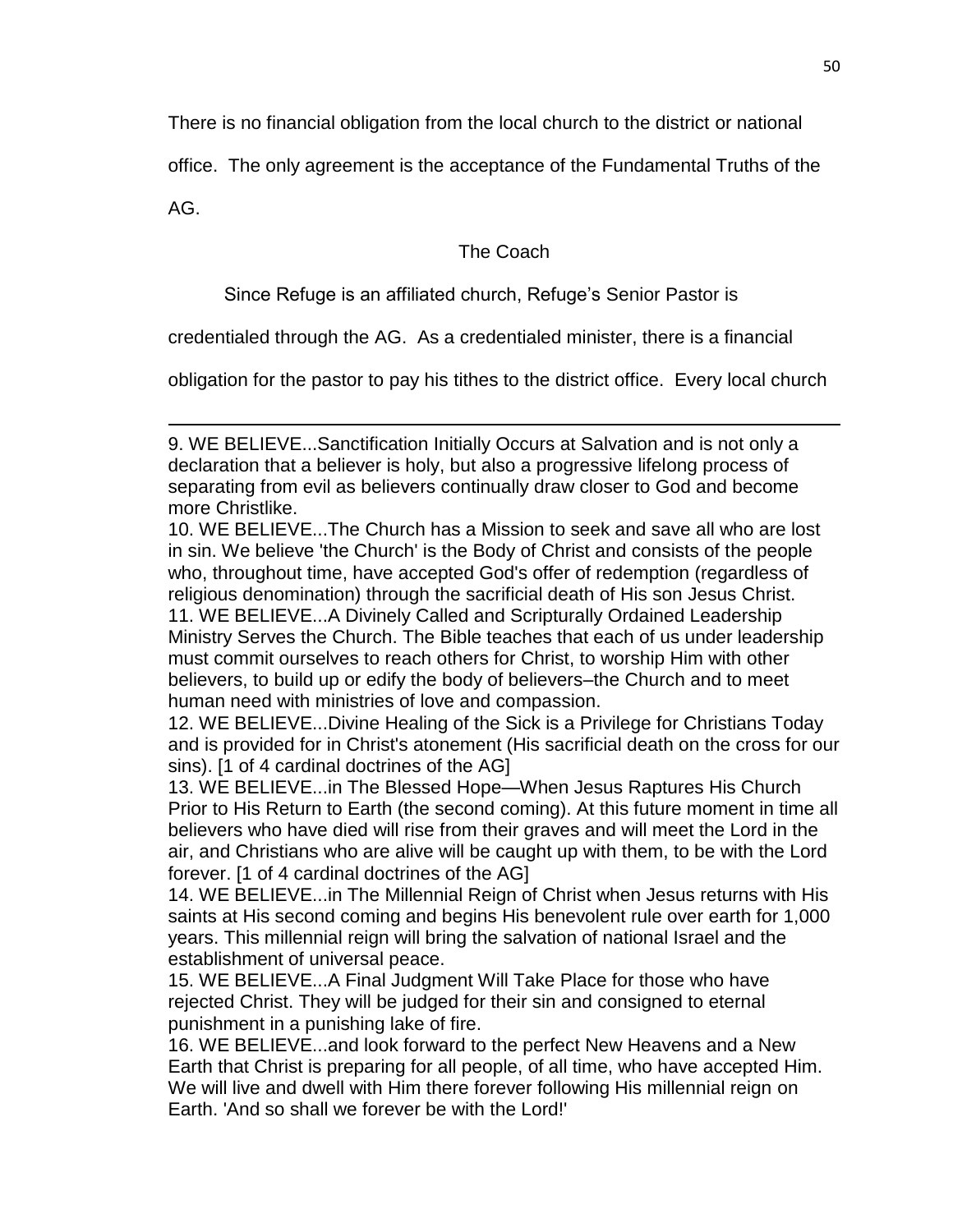There is no financial obligation from the local church to the district or national

office. The only agreement is the acceptance of the Fundamental Truths of the

AG.

 $\overline{\phantom{a}}$ 

The Coach

Since Refuge is an affiliated church, Refuge's Senior Pastor is

credentialed through the AG. As a credentialed minister, there is a financial

obligation for the pastor to pay his tithes to the district office. Every local church

12. WE BELIEVE...Divine Healing of the Sick is a Privilege for Christians Today and is provided for in Christ's atonement (His sacrificial death on the cross for our sins). [1 of 4 cardinal doctrines of the AG]

13. WE BELIEVE...in The Blessed Hope—When Jesus Raptures His Church Prior to His Return to Earth (the second coming). At this future moment in time all believers who have died will rise from their graves and will meet the Lord in the air, and Christians who are alive will be caught up with them, to be with the Lord forever. [1 of 4 cardinal doctrines of the AG]

14. WE BELIEVE...in The Millennial Reign of Christ when Jesus returns with His saints at His second coming and begins His benevolent rule over earth for 1,000 years. This millennial reign will bring the salvation of national Israel and the establishment of universal peace.

15. WE BELIEVE...A Final Judgment Will Take Place for those who have rejected Christ. They will be judged for their sin and consigned to eternal punishment in a punishing lake of fire.

16. WE BELIEVE...and look forward to the perfect New Heavens and a New Earth that Christ is preparing for all people, of all time, who have accepted Him. We will live and dwell with Him there forever following His millennial reign on Earth. 'And so shall we forever be with the Lord!'

<sup>9.</sup> WE BELIEVE...Sanctification Initially Occurs at Salvation and is not only a declaration that a believer is holy, but also a progressive lifelong process of separating from evil as believers continually draw closer to God and become more Christlike.

<sup>10.</sup> WE BELIEVE...The Church has a Mission to seek and save all who are lost in sin. We believe 'the Church' is the Body of Christ and consists of the people who, throughout time, have accepted God's offer of redemption (regardless of religious denomination) through the sacrificial death of His son Jesus Christ. 11. WE BELIEVE...A Divinely Called and Scripturally Ordained Leadership Ministry Serves the Church. The Bible teaches that each of us under leadership must commit ourselves to reach others for Christ, to worship Him with other believers, to build up or edify the body of believers–the Church and to meet human need with ministries of love and compassion.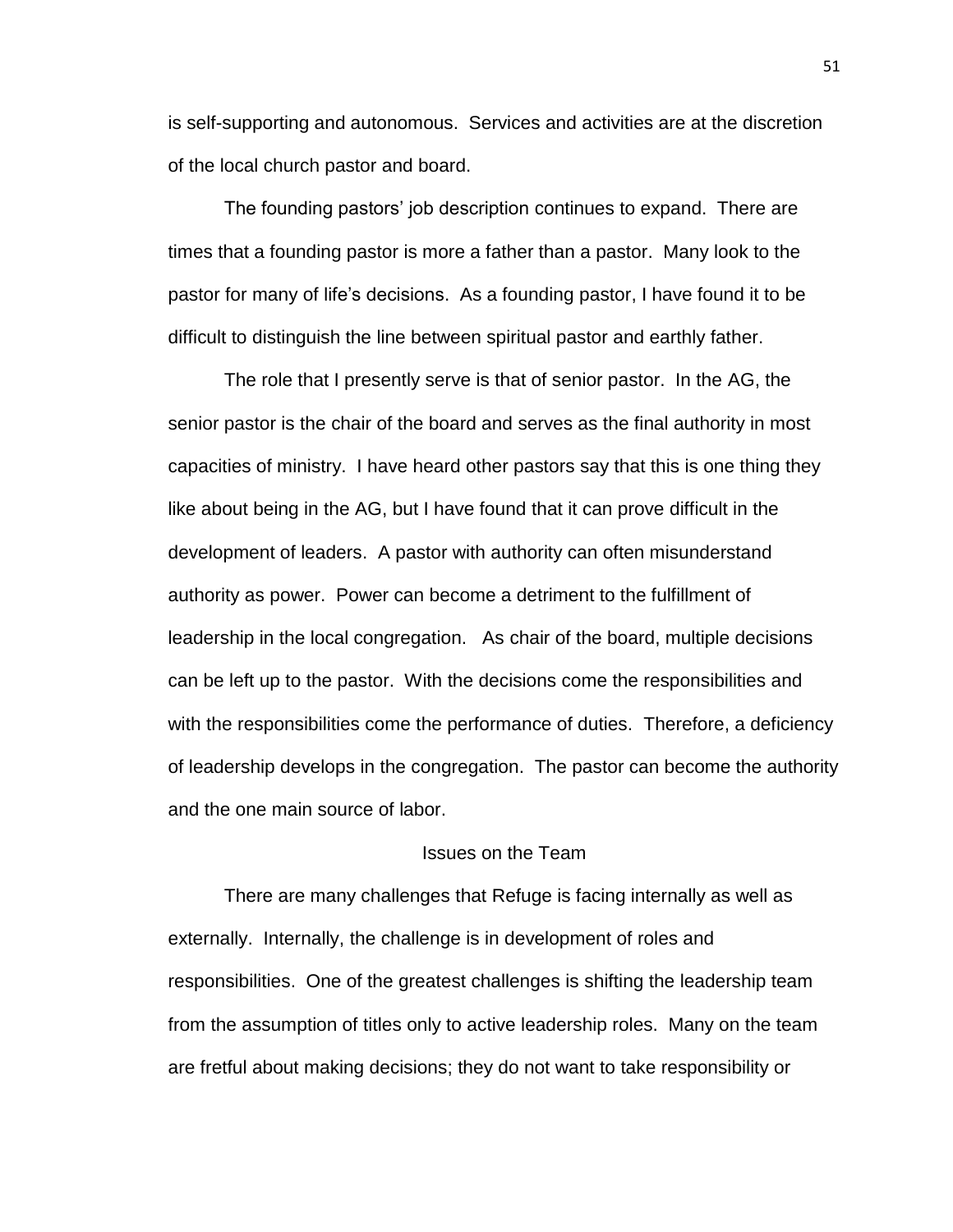is self-supporting and autonomous. Services and activities are at the discretion of the local church pastor and board.

The founding pastors' job description continues to expand. There are times that a founding pastor is more a father than a pastor. Many look to the pastor for many of life's decisions. As a founding pastor, I have found it to be difficult to distinguish the line between spiritual pastor and earthly father.

The role that I presently serve is that of senior pastor. In the AG, the senior pastor is the chair of the board and serves as the final authority in most capacities of ministry. I have heard other pastors say that this is one thing they like about being in the AG, but I have found that it can prove difficult in the development of leaders. A pastor with authority can often misunderstand authority as power. Power can become a detriment to the fulfillment of leadership in the local congregation. As chair of the board, multiple decisions can be left up to the pastor. With the decisions come the responsibilities and with the responsibilities come the performance of duties. Therefore, a deficiency of leadership develops in the congregation. The pastor can become the authority and the one main source of labor.

# Issues on the Team

There are many challenges that Refuge is facing internally as well as externally. Internally, the challenge is in development of roles and responsibilities. One of the greatest challenges is shifting the leadership team from the assumption of titles only to active leadership roles. Many on the team are fretful about making decisions; they do not want to take responsibility or

51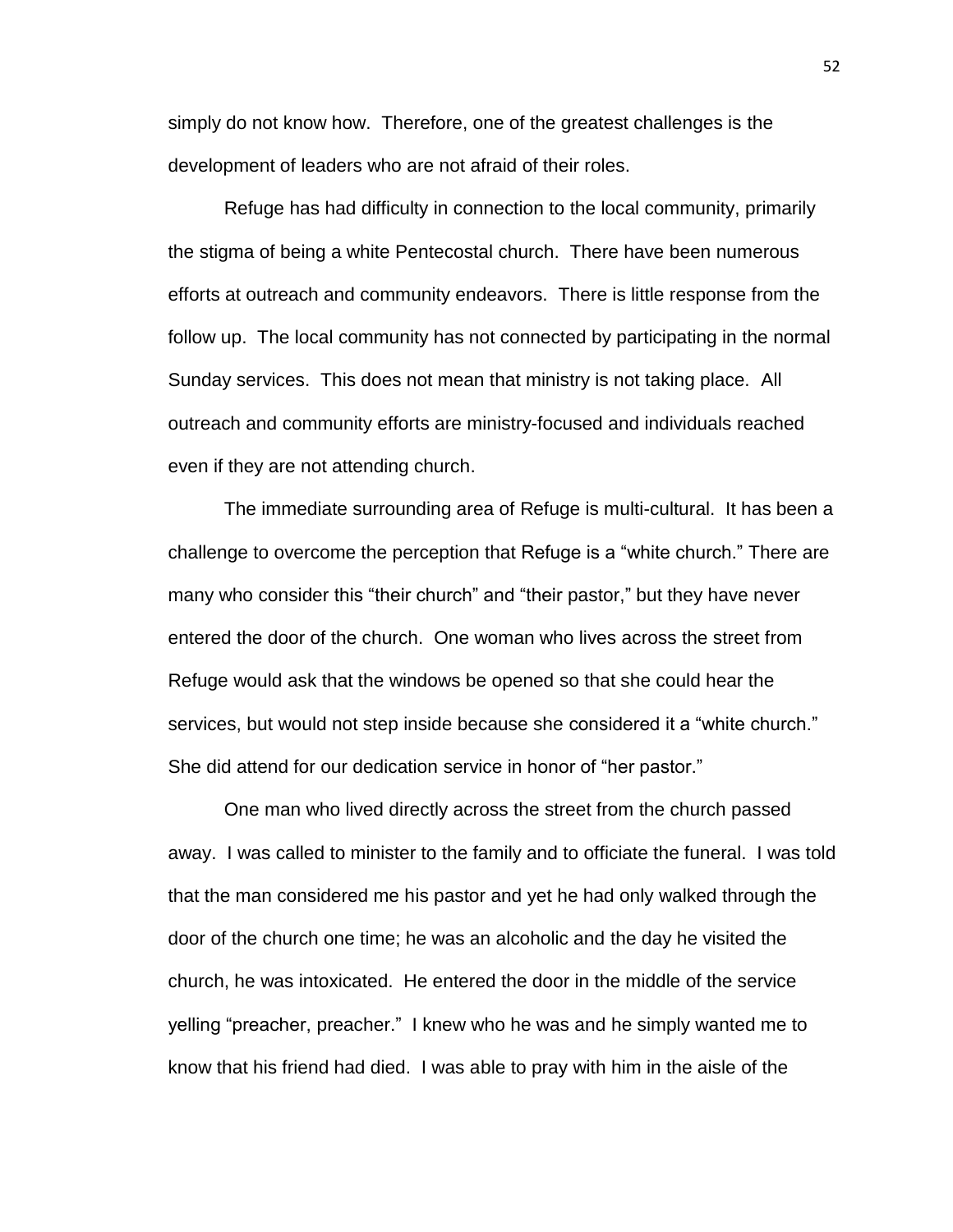simply do not know how. Therefore, one of the greatest challenges is the development of leaders who are not afraid of their roles.

Refuge has had difficulty in connection to the local community, primarily the stigma of being a white Pentecostal church. There have been numerous efforts at outreach and community endeavors. There is little response from the follow up. The local community has not connected by participating in the normal Sunday services. This does not mean that ministry is not taking place. All outreach and community efforts are ministry-focused and individuals reached even if they are not attending church.

The immediate surrounding area of Refuge is multi-cultural. It has been a challenge to overcome the perception that Refuge is a "white church." There are many who consider this "their church" and "their pastor," but they have never entered the door of the church. One woman who lives across the street from Refuge would ask that the windows be opened so that she could hear the services, but would not step inside because she considered it a "white church." She did attend for our dedication service in honor of "her pastor."

One man who lived directly across the street from the church passed away. I was called to minister to the family and to officiate the funeral. I was told that the man considered me his pastor and yet he had only walked through the door of the church one time; he was an alcoholic and the day he visited the church, he was intoxicated. He entered the door in the middle of the service yelling "preacher, preacher." I knew who he was and he simply wanted me to know that his friend had died. I was able to pray with him in the aisle of the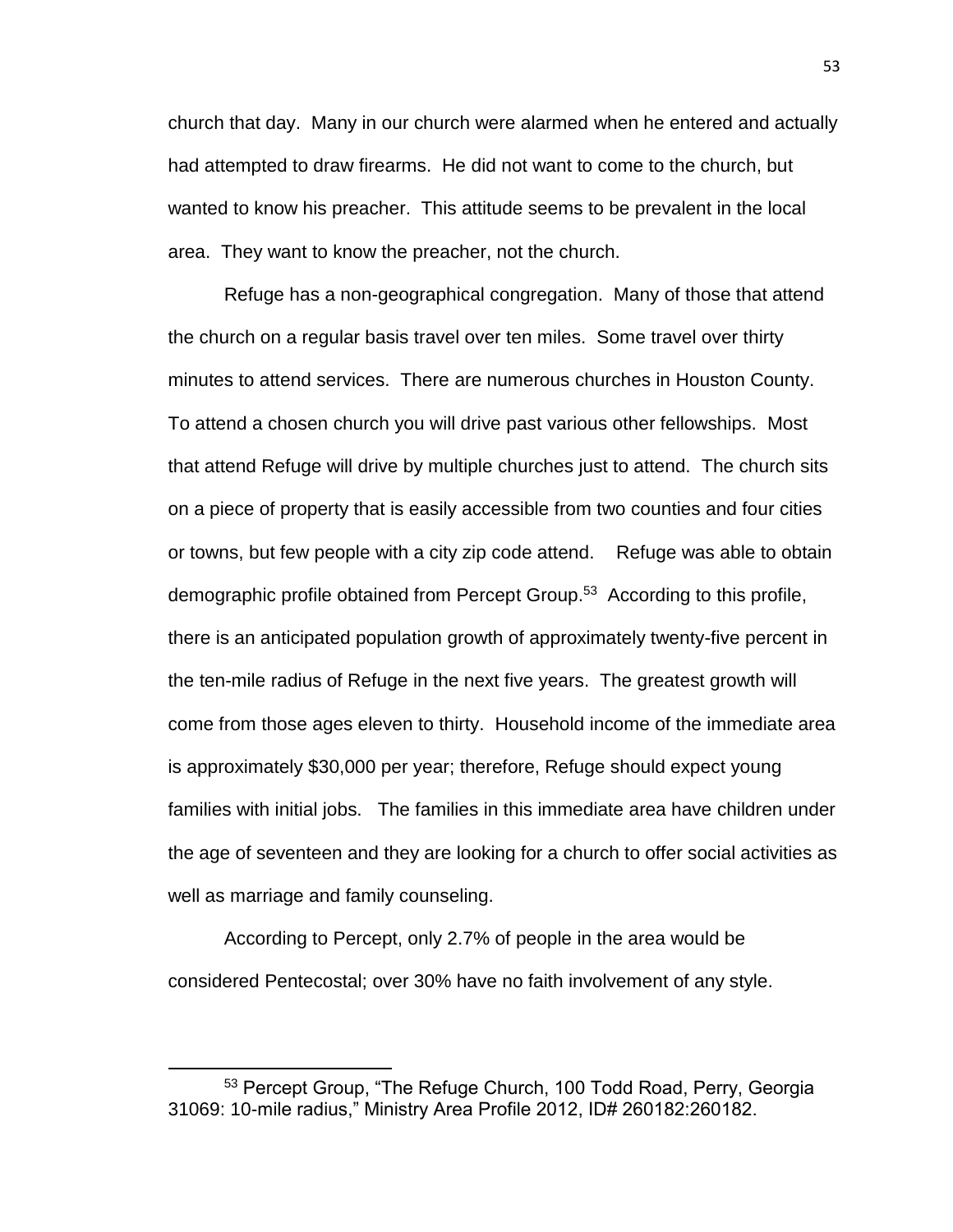church that day. Many in our church were alarmed when he entered and actually had attempted to draw firearms. He did not want to come to the church, but wanted to know his preacher. This attitude seems to be prevalent in the local area. They want to know the preacher, not the church.

Refuge has a non-geographical congregation. Many of those that attend the church on a regular basis travel over ten miles. Some travel over thirty minutes to attend services. There are numerous churches in Houston County. To attend a chosen church you will drive past various other fellowships. Most that attend Refuge will drive by multiple churches just to attend. The church sits on a piece of property that is easily accessible from two counties and four cities or towns, but few people with a city zip code attend. Refuge was able to obtain demographic profile obtained from Percept Group.<sup>53</sup> According to this profile, there is an anticipated population growth of approximately twenty-five percent in the ten-mile radius of Refuge in the next five years. The greatest growth will come from those ages eleven to thirty. Household income of the immediate area is approximately \$30,000 per year; therefore, Refuge should expect young families with initial jobs. The families in this immediate area have children under the age of seventeen and they are looking for a church to offer social activities as well as marriage and family counseling.

According to Percept, only 2.7% of people in the area would be considered Pentecostal; over 30% have no faith involvement of any style.

<sup>53</sup> Percept Group, "The Refuge Church, 100 Todd Road, Perry, Georgia 31069: 10-mile radius," Ministry Area Profile 2012, ID# 260182:260182.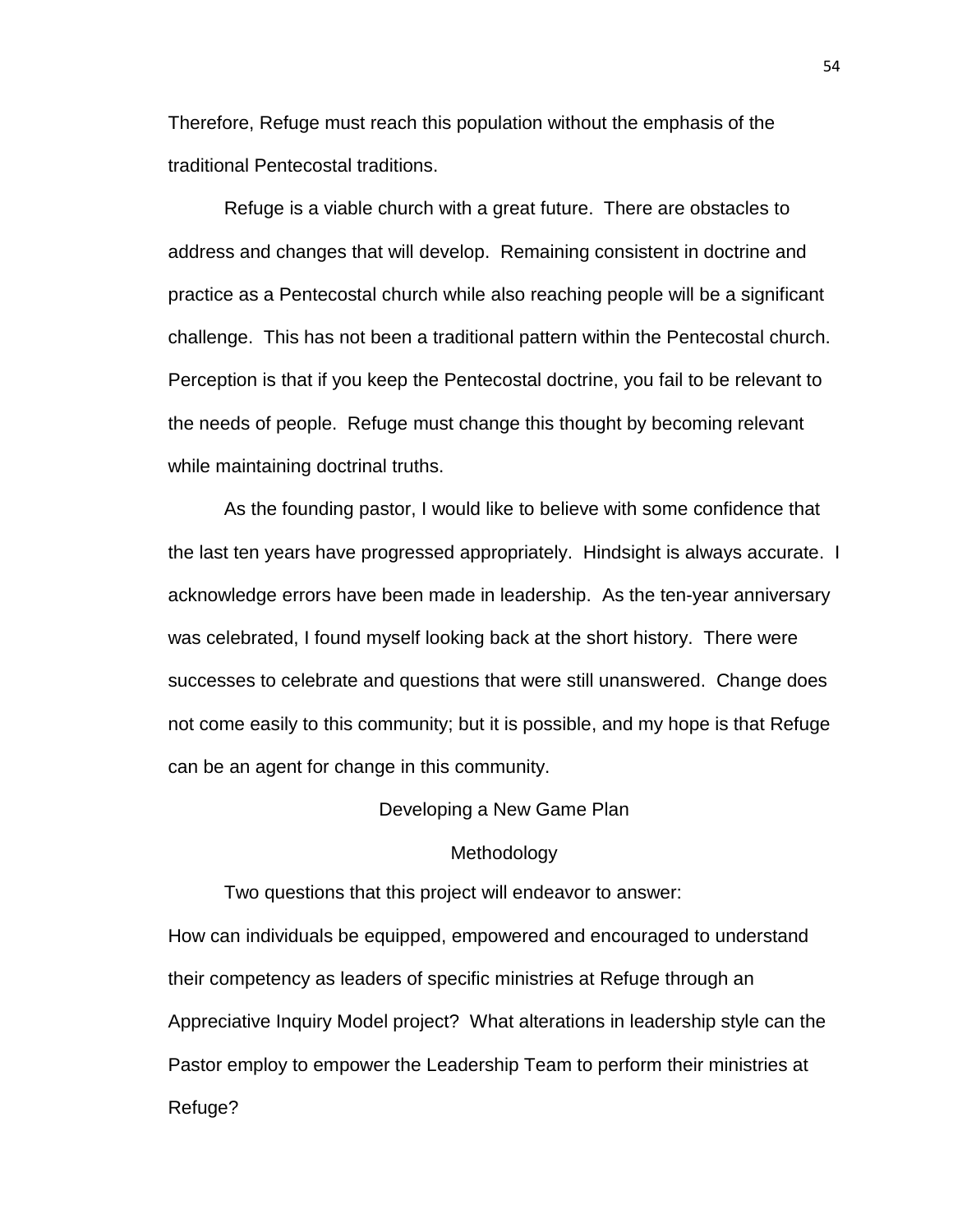Therefore, Refuge must reach this population without the emphasis of the traditional Pentecostal traditions.

Refuge is a viable church with a great future. There are obstacles to address and changes that will develop. Remaining consistent in doctrine and practice as a Pentecostal church while also reaching people will be a significant challenge. This has not been a traditional pattern within the Pentecostal church. Perception is that if you keep the Pentecostal doctrine, you fail to be relevant to the needs of people. Refuge must change this thought by becoming relevant while maintaining doctrinal truths.

As the founding pastor, I would like to believe with some confidence that the last ten years have progressed appropriately. Hindsight is always accurate. I acknowledge errors have been made in leadership. As the ten-year anniversary was celebrated, I found myself looking back at the short history. There were successes to celebrate and questions that were still unanswered. Change does not come easily to this community; but it is possible, and my hope is that Refuge can be an agent for change in this community.

#### Developing a New Game Plan

#### Methodology

Two questions that this project will endeavor to answer: How can individuals be equipped, empowered and encouraged to understand their competency as leaders of specific ministries at Refuge through an Appreciative Inquiry Model project? What alterations in leadership style can the Pastor employ to empower the Leadership Team to perform their ministries at Refuge?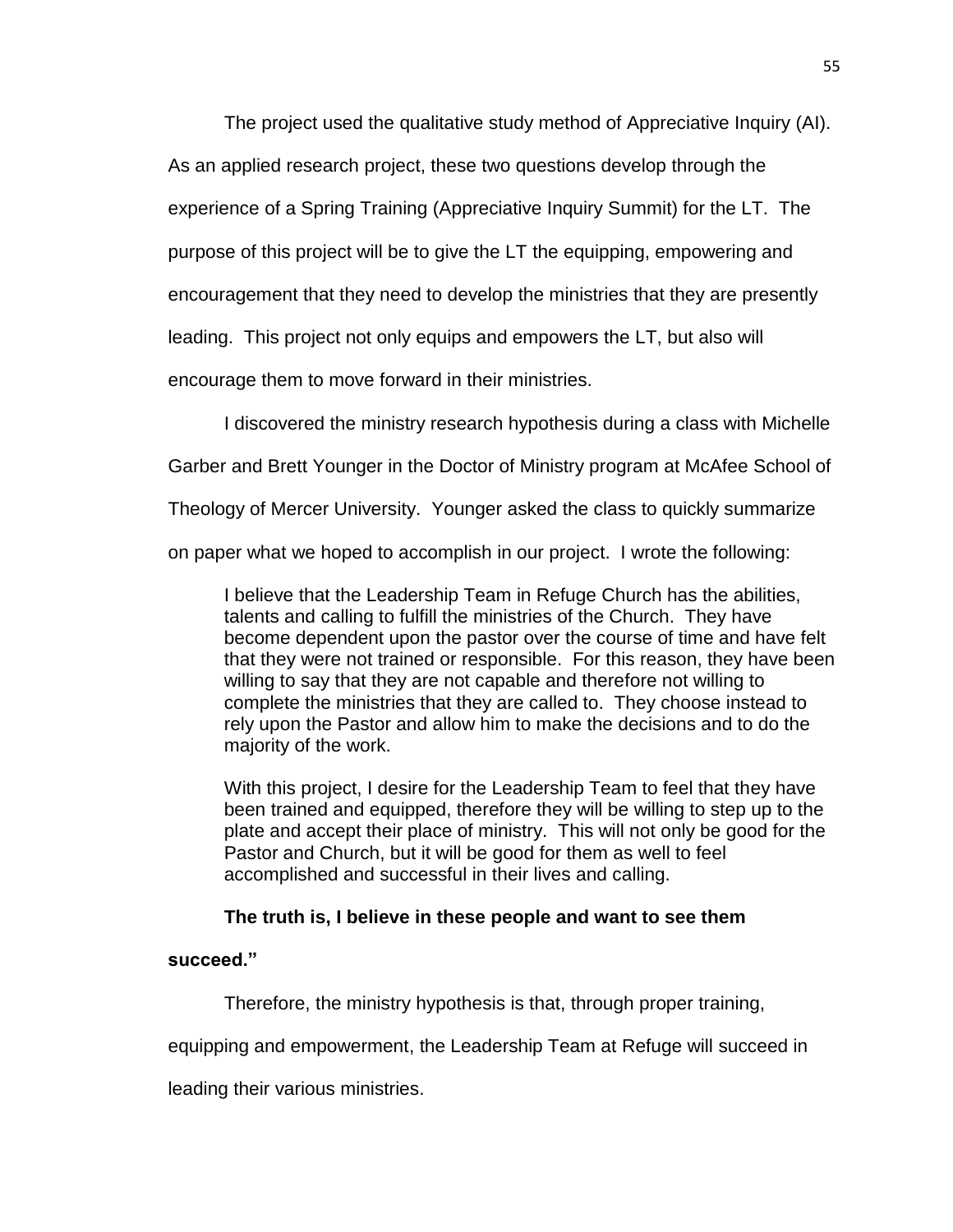The project used the qualitative study method of Appreciative Inquiry (AI).

As an applied research project, these two questions develop through the

experience of a Spring Training (Appreciative Inquiry Summit) for the LT. The

purpose of this project will be to give the LT the equipping, empowering and

encouragement that they need to develop the ministries that they are presently

leading. This project not only equips and empowers the LT, but also will

encourage them to move forward in their ministries.

I discovered the ministry research hypothesis during a class with Michelle

Garber and Brett Younger in the Doctor of Ministry program at McAfee School of

Theology of Mercer University. Younger asked the class to quickly summarize

on paper what we hoped to accomplish in our project. I wrote the following:

I believe that the Leadership Team in Refuge Church has the abilities, talents and calling to fulfill the ministries of the Church. They have become dependent upon the pastor over the course of time and have felt that they were not trained or responsible. For this reason, they have been willing to say that they are not capable and therefore not willing to complete the ministries that they are called to. They choose instead to rely upon the Pastor and allow him to make the decisions and to do the majority of the work.

With this project, I desire for the Leadership Team to feel that they have been trained and equipped, therefore they will be willing to step up to the plate and accept their place of ministry. This will not only be good for the Pastor and Church, but it will be good for them as well to feel accomplished and successful in their lives and calling.

# **The truth is, I believe in these people and want to see them**

**succeed."**

Therefore, the ministry hypothesis is that, through proper training,

equipping and empowerment, the Leadership Team at Refuge will succeed in

leading their various ministries.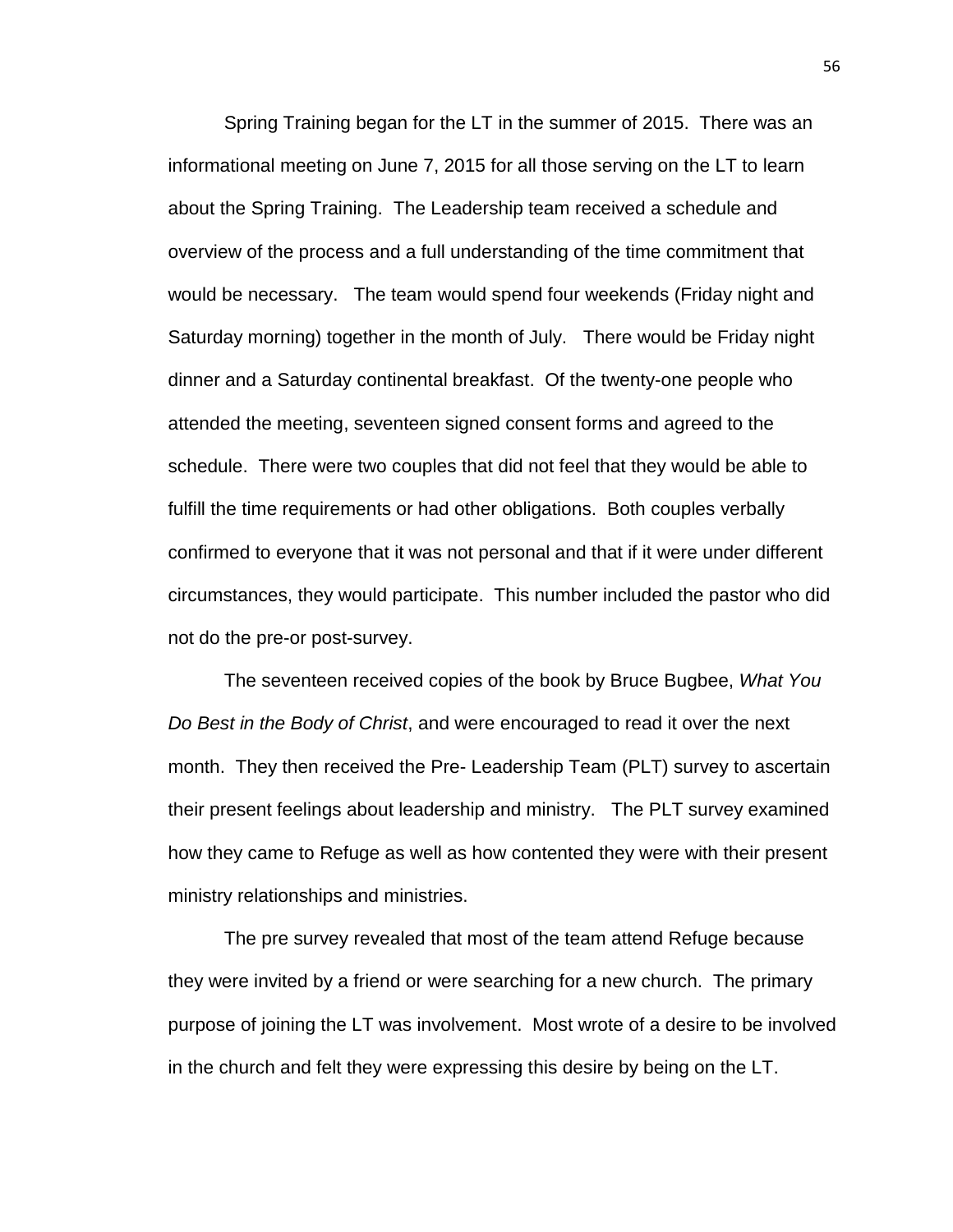Spring Training began for the LT in the summer of 2015. There was an informational meeting on June 7, 2015 for all those serving on the LT to learn about the Spring Training. The Leadership team received a schedule and overview of the process and a full understanding of the time commitment that would be necessary. The team would spend four weekends (Friday night and Saturday morning) together in the month of July. There would be Friday night dinner and a Saturday continental breakfast. Of the twenty-one people who attended the meeting, seventeen signed consent forms and agreed to the schedule. There were two couples that did not feel that they would be able to fulfill the time requirements or had other obligations. Both couples verbally confirmed to everyone that it was not personal and that if it were under different circumstances, they would participate. This number included the pastor who did not do the pre-or post-survey.

The seventeen received copies of the book by Bruce Bugbee, *What You Do Best in the Body of Christ*, and were encouraged to read it over the next month. They then received the Pre- Leadership Team (PLT) survey to ascertain their present feelings about leadership and ministry. The PLT survey examined how they came to Refuge as well as how contented they were with their present ministry relationships and ministries.

The pre survey revealed that most of the team attend Refuge because they were invited by a friend or were searching for a new church. The primary purpose of joining the LT was involvement. Most wrote of a desire to be involved in the church and felt they were expressing this desire by being on the LT.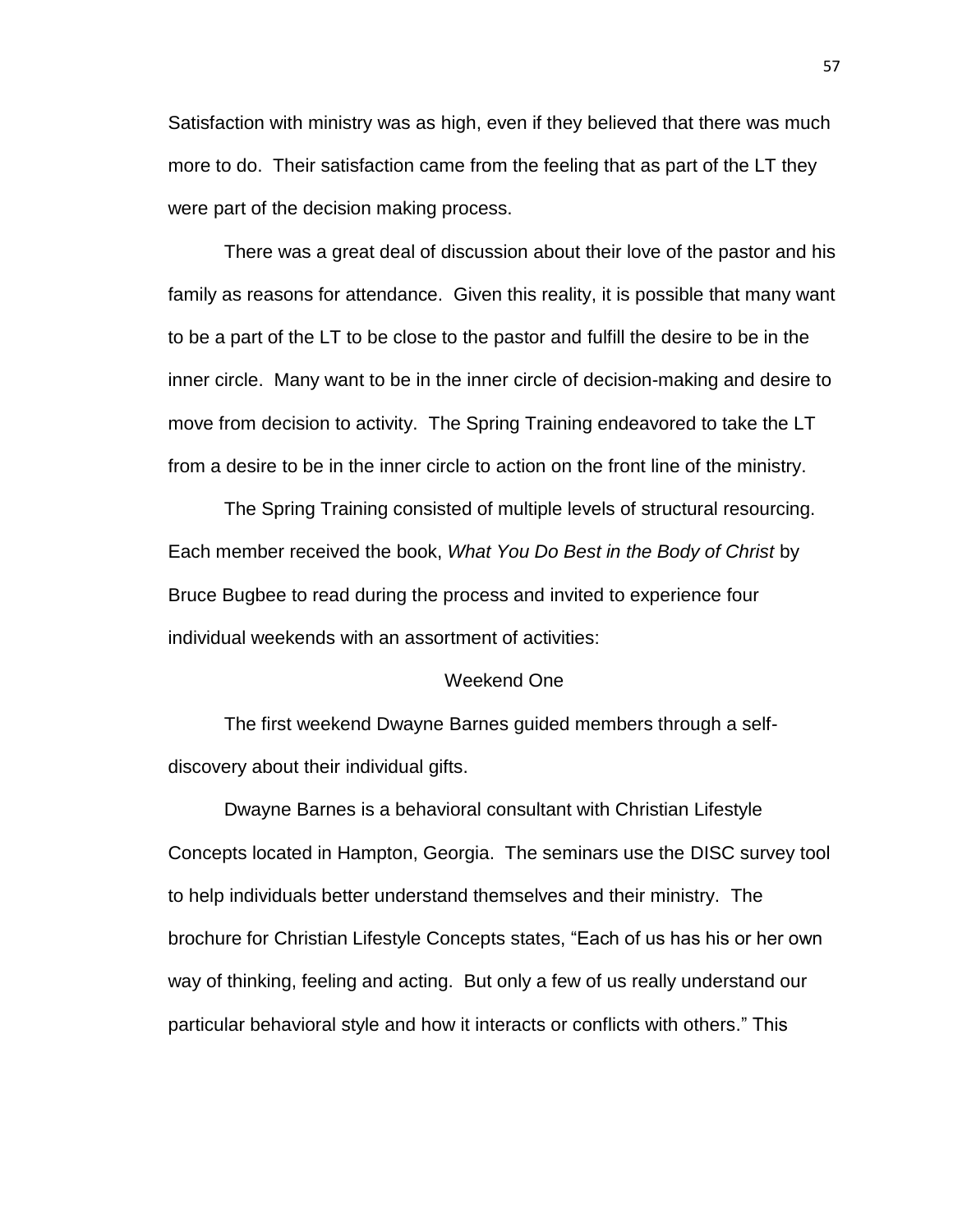Satisfaction with ministry was as high, even if they believed that there was much more to do. Their satisfaction came from the feeling that as part of the LT they were part of the decision making process.

There was a great deal of discussion about their love of the pastor and his family as reasons for attendance. Given this reality, it is possible that many want to be a part of the LT to be close to the pastor and fulfill the desire to be in the inner circle. Many want to be in the inner circle of decision-making and desire to move from decision to activity. The Spring Training endeavored to take the LT from a desire to be in the inner circle to action on the front line of the ministry.

The Spring Training consisted of multiple levels of structural resourcing. Each member received the book, *What You Do Best in the Body of Christ* by Bruce Bugbee to read during the process and invited to experience four individual weekends with an assortment of activities:

## Weekend One

The first weekend Dwayne Barnes guided members through a selfdiscovery about their individual gifts.

Dwayne Barnes is a behavioral consultant with Christian Lifestyle Concepts located in Hampton, Georgia. The seminars use the DISC survey tool to help individuals better understand themselves and their ministry. The brochure for Christian Lifestyle Concepts states, "Each of us has his or her own way of thinking, feeling and acting. But only a few of us really understand our particular behavioral style and how it interacts or conflicts with others." This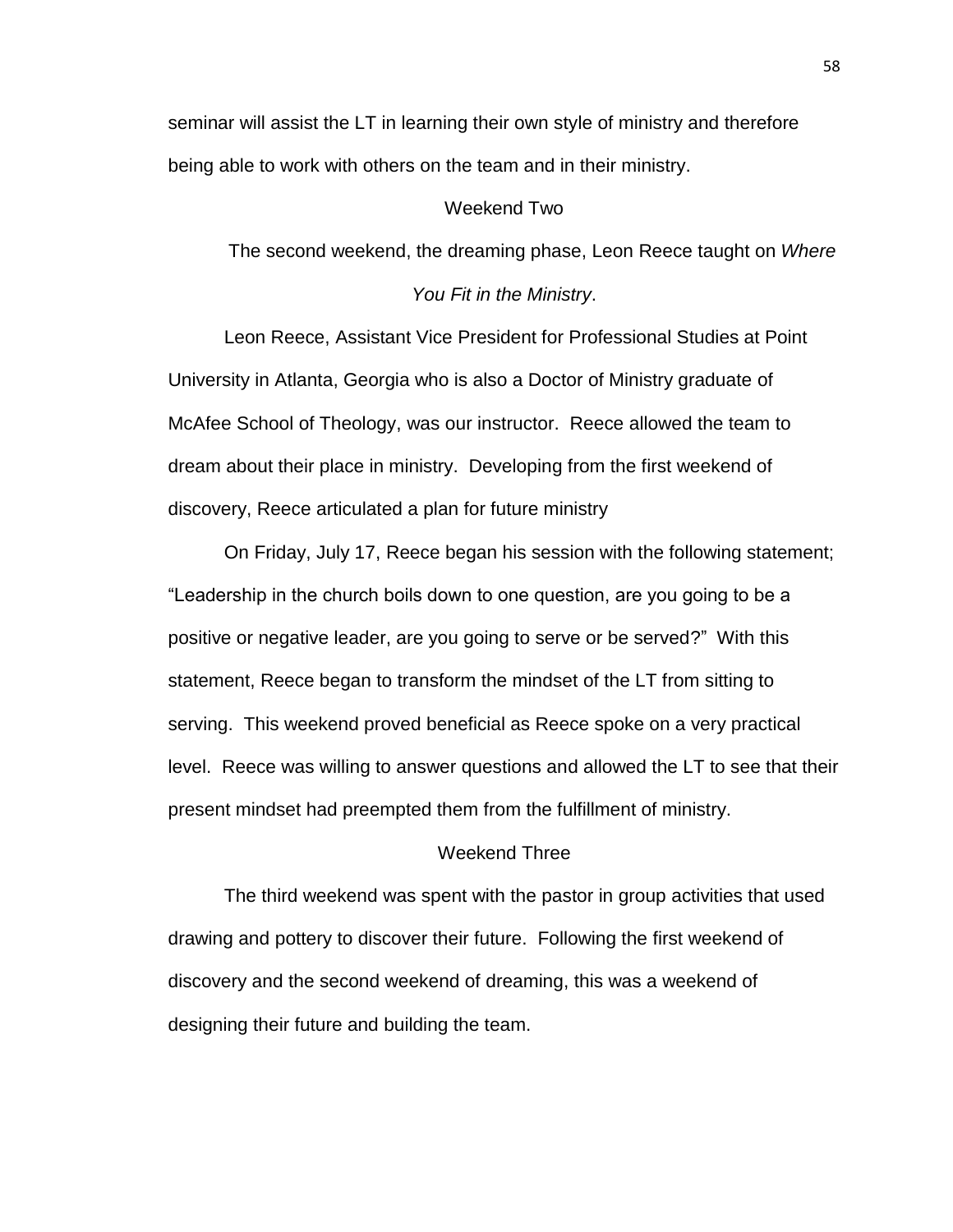seminar will assist the LT in learning their own style of ministry and therefore being able to work with others on the team and in their ministry.

# Weekend Two

The second weekend, the dreaming phase, Leon Reece taught on *Where* 

## *You Fit in the Ministry*.

Leon Reece, Assistant Vice President for Professional Studies at Point University in Atlanta, Georgia who is also a Doctor of Ministry graduate of McAfee School of Theology, was our instructor. Reece allowed the team to dream about their place in ministry. Developing from the first weekend of discovery, Reece articulated a plan for future ministry

On Friday, July 17, Reece began his session with the following statement; "Leadership in the church boils down to one question, are you going to be a positive or negative leader, are you going to serve or be served?" With this statement, Reece began to transform the mindset of the LT from sitting to serving. This weekend proved beneficial as Reece spoke on a very practical level. Reece was willing to answer questions and allowed the LT to see that their present mindset had preempted them from the fulfillment of ministry.

# Weekend Three

The third weekend was spent with the pastor in group activities that used drawing and pottery to discover their future. Following the first weekend of discovery and the second weekend of dreaming, this was a weekend of designing their future and building the team.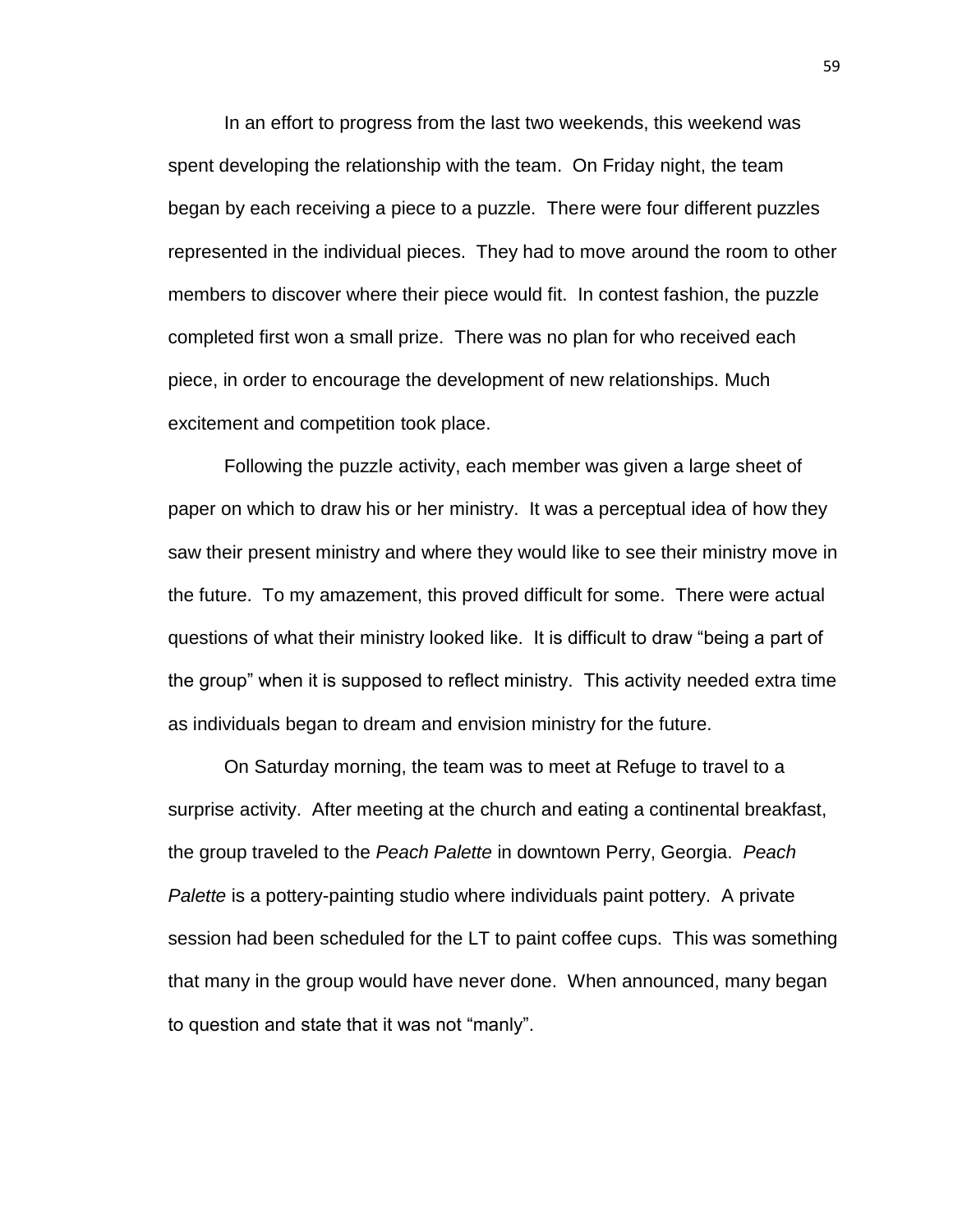In an effort to progress from the last two weekends, this weekend was spent developing the relationship with the team. On Friday night, the team began by each receiving a piece to a puzzle. There were four different puzzles represented in the individual pieces. They had to move around the room to other members to discover where their piece would fit. In contest fashion, the puzzle completed first won a small prize. There was no plan for who received each piece, in order to encourage the development of new relationships. Much excitement and competition took place.

Following the puzzle activity, each member was given a large sheet of paper on which to draw his or her ministry. It was a perceptual idea of how they saw their present ministry and where they would like to see their ministry move in the future. To my amazement, this proved difficult for some. There were actual questions of what their ministry looked like. It is difficult to draw "being a part of the group" when it is supposed to reflect ministry. This activity needed extra time as individuals began to dream and envision ministry for the future.

On Saturday morning, the team was to meet at Refuge to travel to a surprise activity. After meeting at the church and eating a continental breakfast, the group traveled to the *Peach Palette* in downtown Perry, Georgia. *Peach Palette* is a pottery-painting studio where individuals paint pottery. A private session had been scheduled for the LT to paint coffee cups. This was something that many in the group would have never done. When announced, many began to question and state that it was not "manly".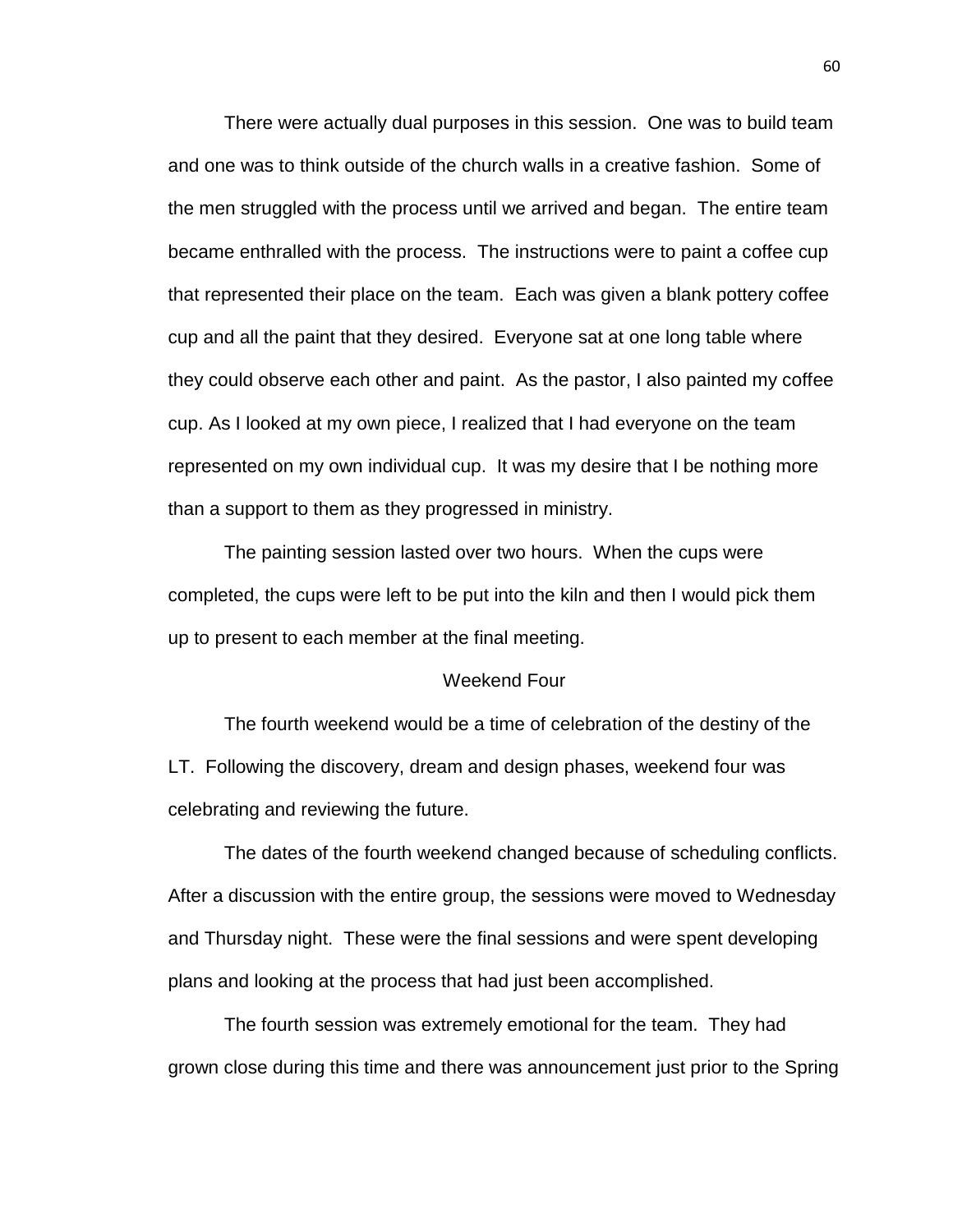There were actually dual purposes in this session. One was to build team and one was to think outside of the church walls in a creative fashion. Some of the men struggled with the process until we arrived and began. The entire team became enthralled with the process. The instructions were to paint a coffee cup that represented their place on the team. Each was given a blank pottery coffee cup and all the paint that they desired. Everyone sat at one long table where they could observe each other and paint. As the pastor, I also painted my coffee cup. As I looked at my own piece, I realized that I had everyone on the team represented on my own individual cup. It was my desire that I be nothing more than a support to them as they progressed in ministry.

The painting session lasted over two hours. When the cups were completed, the cups were left to be put into the kiln and then I would pick them up to present to each member at the final meeting.

#### Weekend Four

The fourth weekend would be a time of celebration of the destiny of the LT. Following the discovery, dream and design phases, weekend four was celebrating and reviewing the future.

The dates of the fourth weekend changed because of scheduling conflicts. After a discussion with the entire group, the sessions were moved to Wednesday and Thursday night. These were the final sessions and were spent developing plans and looking at the process that had just been accomplished.

The fourth session was extremely emotional for the team. They had grown close during this time and there was announcement just prior to the Spring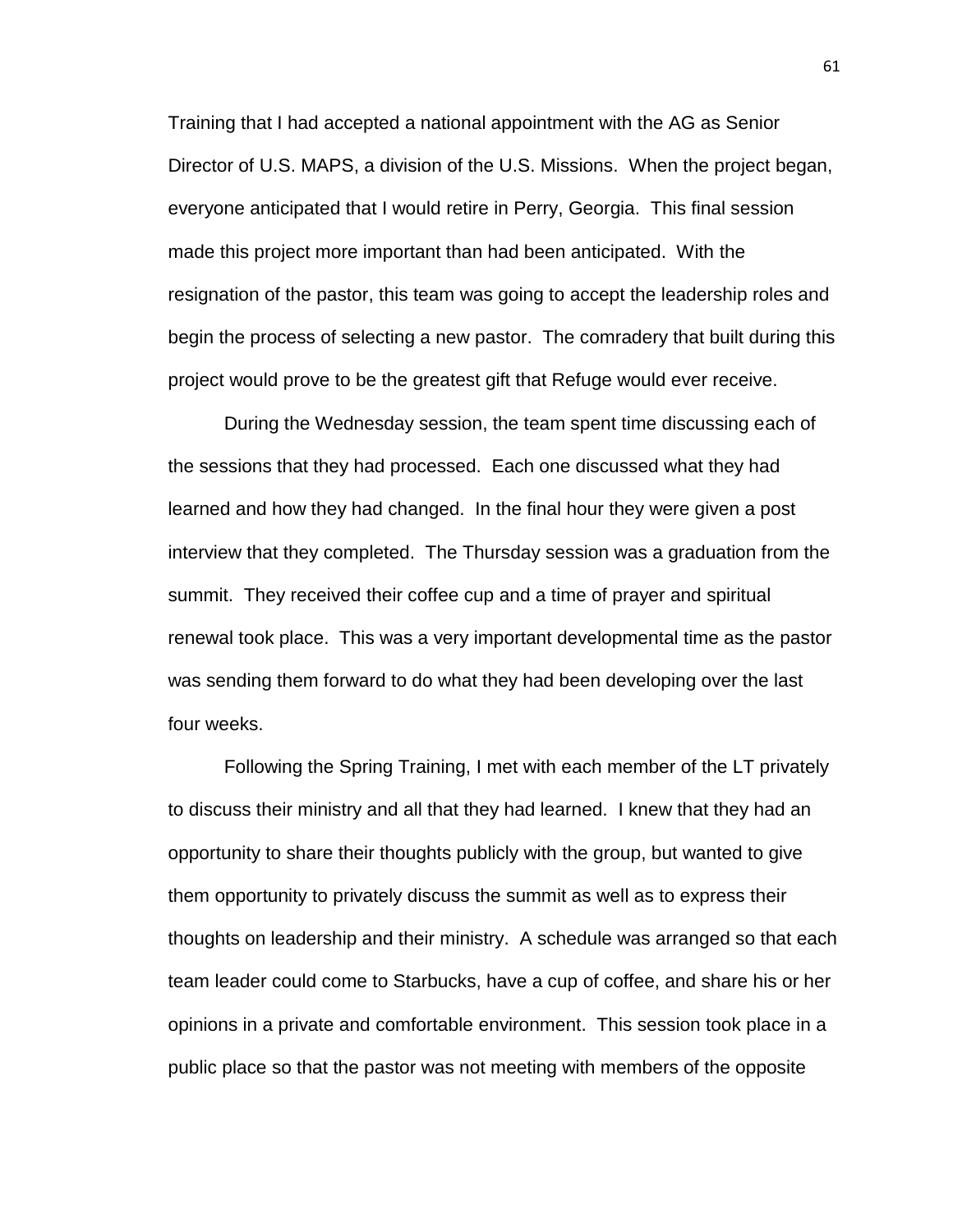Training that I had accepted a national appointment with the AG as Senior Director of U.S. MAPS, a division of the U.S. Missions. When the project began, everyone anticipated that I would retire in Perry, Georgia. This final session made this project more important than had been anticipated. With the resignation of the pastor, this team was going to accept the leadership roles and begin the process of selecting a new pastor. The comradery that built during this project would prove to be the greatest gift that Refuge would ever receive.

During the Wednesday session, the team spent time discussing each of the sessions that they had processed. Each one discussed what they had learned and how they had changed. In the final hour they were given a post interview that they completed. The Thursday session was a graduation from the summit. They received their coffee cup and a time of prayer and spiritual renewal took place. This was a very important developmental time as the pastor was sending them forward to do what they had been developing over the last four weeks.

Following the Spring Training, I met with each member of the LT privately to discuss their ministry and all that they had learned. I knew that they had an opportunity to share their thoughts publicly with the group, but wanted to give them opportunity to privately discuss the summit as well as to express their thoughts on leadership and their ministry. A schedule was arranged so that each team leader could come to Starbucks, have a cup of coffee, and share his or her opinions in a private and comfortable environment. This session took place in a public place so that the pastor was not meeting with members of the opposite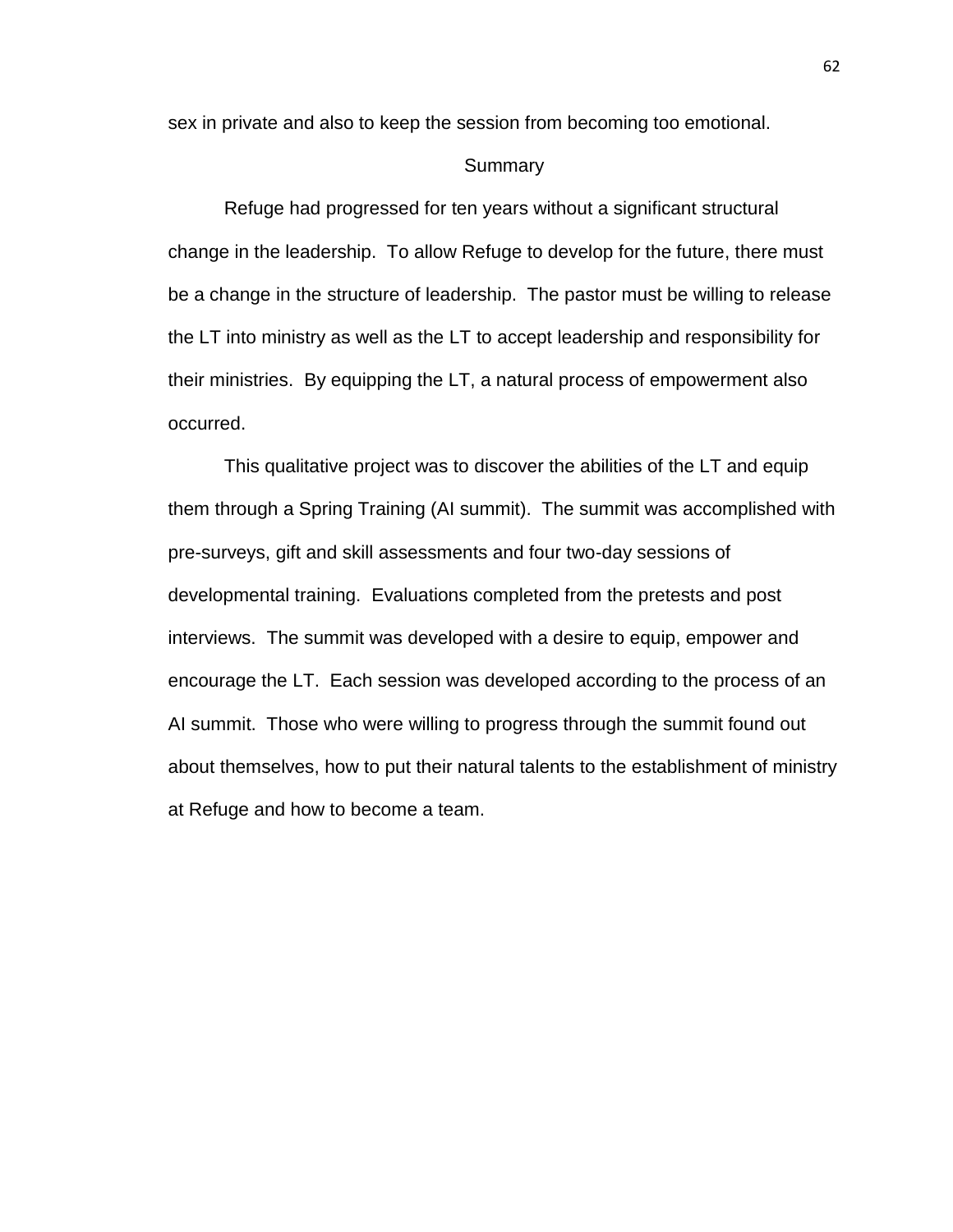sex in private and also to keep the session from becoming too emotional.

#### **Summary**

Refuge had progressed for ten years without a significant structural change in the leadership. To allow Refuge to develop for the future, there must be a change in the structure of leadership. The pastor must be willing to release the LT into ministry as well as the LT to accept leadership and responsibility for their ministries. By equipping the LT, a natural process of empowerment also occurred.

This qualitative project was to discover the abilities of the LT and equip them through a Spring Training (AI summit). The summit was accomplished with pre-surveys, gift and skill assessments and four two-day sessions of developmental training. Evaluations completed from the pretests and post interviews. The summit was developed with a desire to equip, empower and encourage the LT. Each session was developed according to the process of an AI summit. Those who were willing to progress through the summit found out about themselves, how to put their natural talents to the establishment of ministry at Refuge and how to become a team.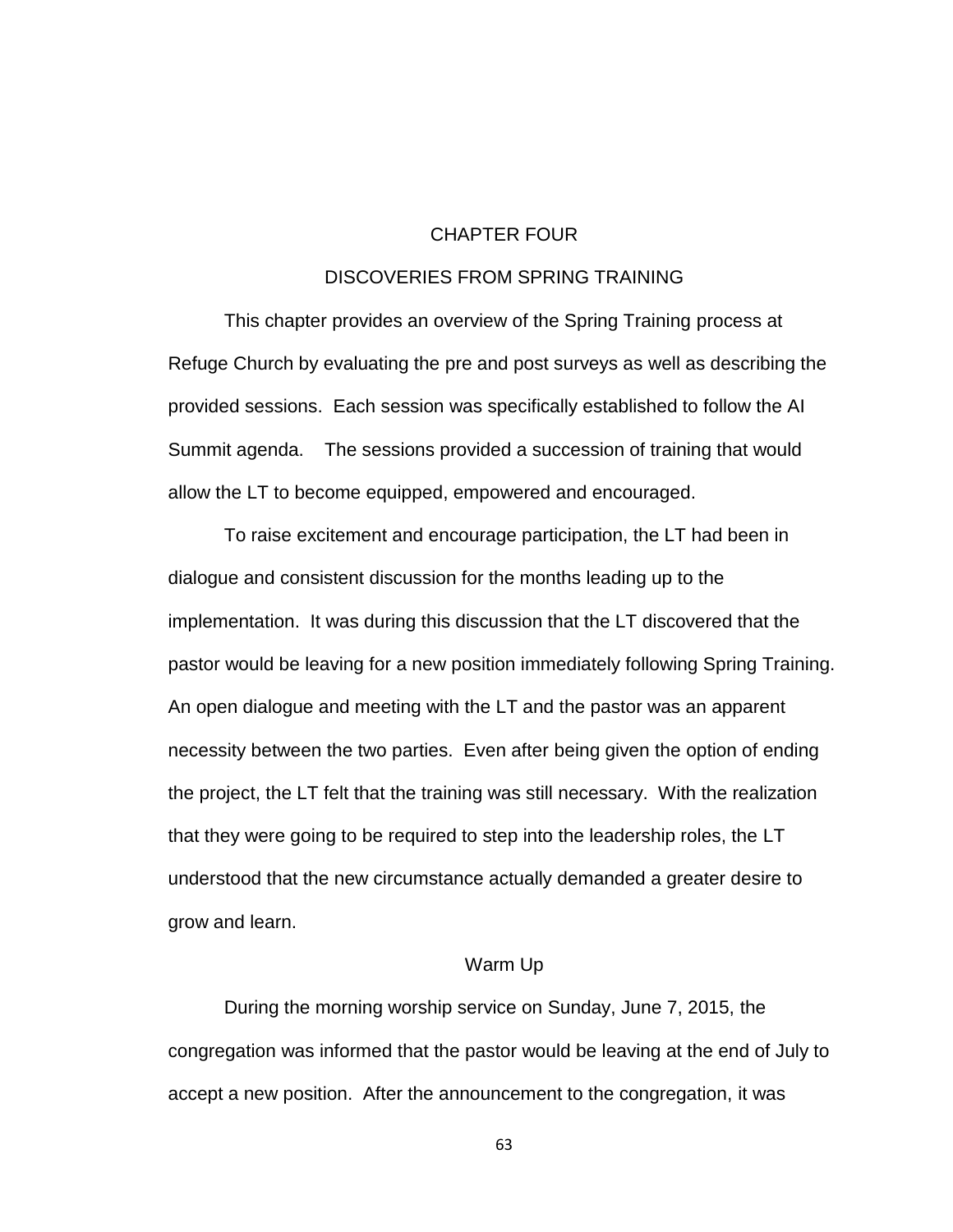### CHAPTER FOUR

### DISCOVERIES FROM SPRING TRAINING

This chapter provides an overview of the Spring Training process at Refuge Church by evaluating the pre and post surveys as well as describing the provided sessions. Each session was specifically established to follow the AI Summit agenda. The sessions provided a succession of training that would allow the LT to become equipped, empowered and encouraged.

To raise excitement and encourage participation, the LT had been in dialogue and consistent discussion for the months leading up to the implementation. It was during this discussion that the LT discovered that the pastor would be leaving for a new position immediately following Spring Training. An open dialogue and meeting with the LT and the pastor was an apparent necessity between the two parties. Even after being given the option of ending the project, the LT felt that the training was still necessary. With the realization that they were going to be required to step into the leadership roles, the LT understood that the new circumstance actually demanded a greater desire to grow and learn.

### Warm Up

During the morning worship service on Sunday, June 7, 2015, the congregation was informed that the pastor would be leaving at the end of July to accept a new position. After the announcement to the congregation, it was

63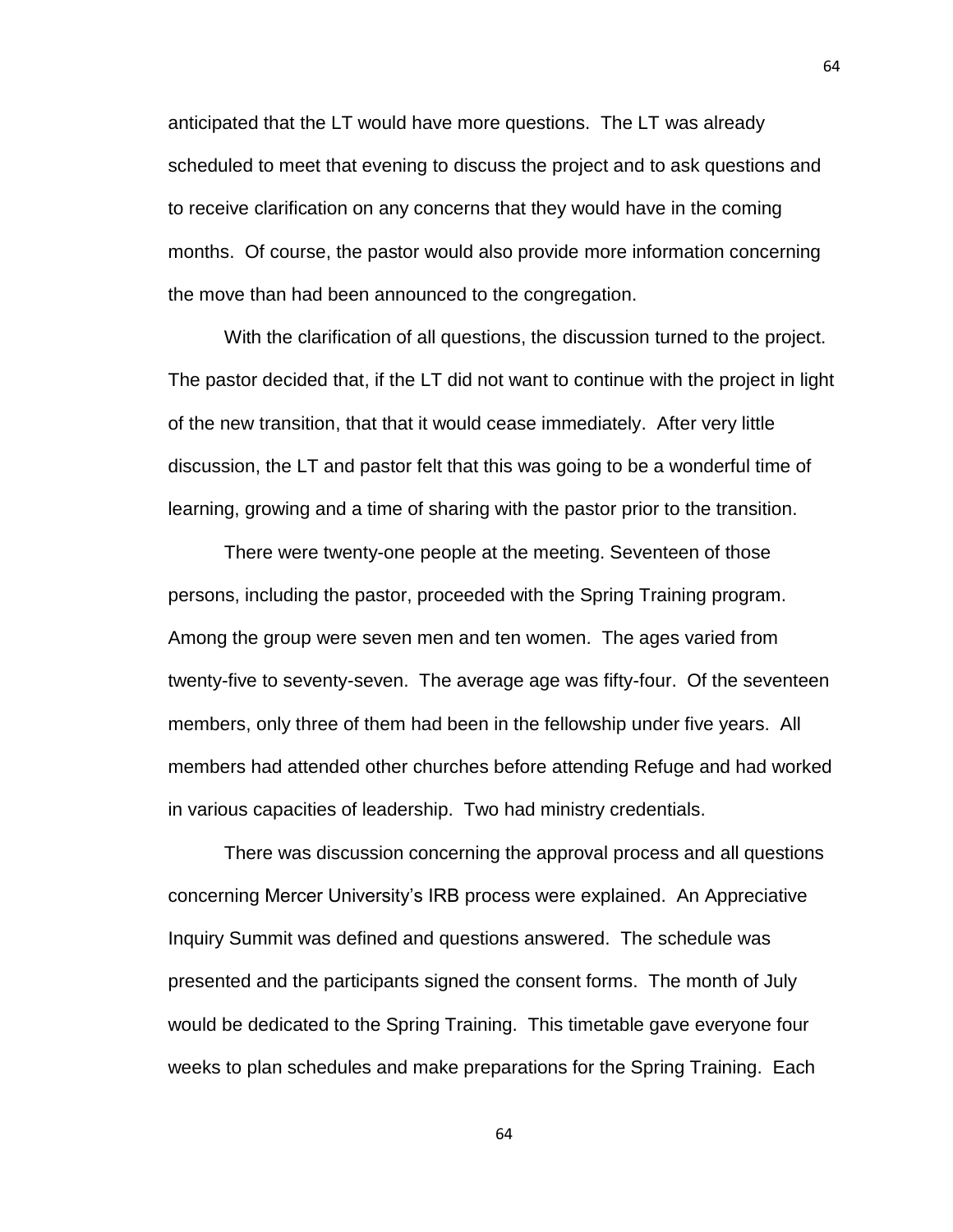anticipated that the LT would have more questions. The LT was already scheduled to meet that evening to discuss the project and to ask questions and to receive clarification on any concerns that they would have in the coming months. Of course, the pastor would also provide more information concerning the move than had been announced to the congregation.

With the clarification of all questions, the discussion turned to the project. The pastor decided that, if the LT did not want to continue with the project in light of the new transition, that that it would cease immediately. After very little discussion, the LT and pastor felt that this was going to be a wonderful time of learning, growing and a time of sharing with the pastor prior to the transition.

There were twenty-one people at the meeting. Seventeen of those persons, including the pastor, proceeded with the Spring Training program. Among the group were seven men and ten women. The ages varied from twenty-five to seventy-seven. The average age was fifty-four. Of the seventeen members, only three of them had been in the fellowship under five years. All members had attended other churches before attending Refuge and had worked in various capacities of leadership. Two had ministry credentials.

There was discussion concerning the approval process and all questions concerning Mercer University's IRB process were explained. An Appreciative Inquiry Summit was defined and questions answered. The schedule was presented and the participants signed the consent forms. The month of July would be dedicated to the Spring Training. This timetable gave everyone four weeks to plan schedules and make preparations for the Spring Training. Each

64

64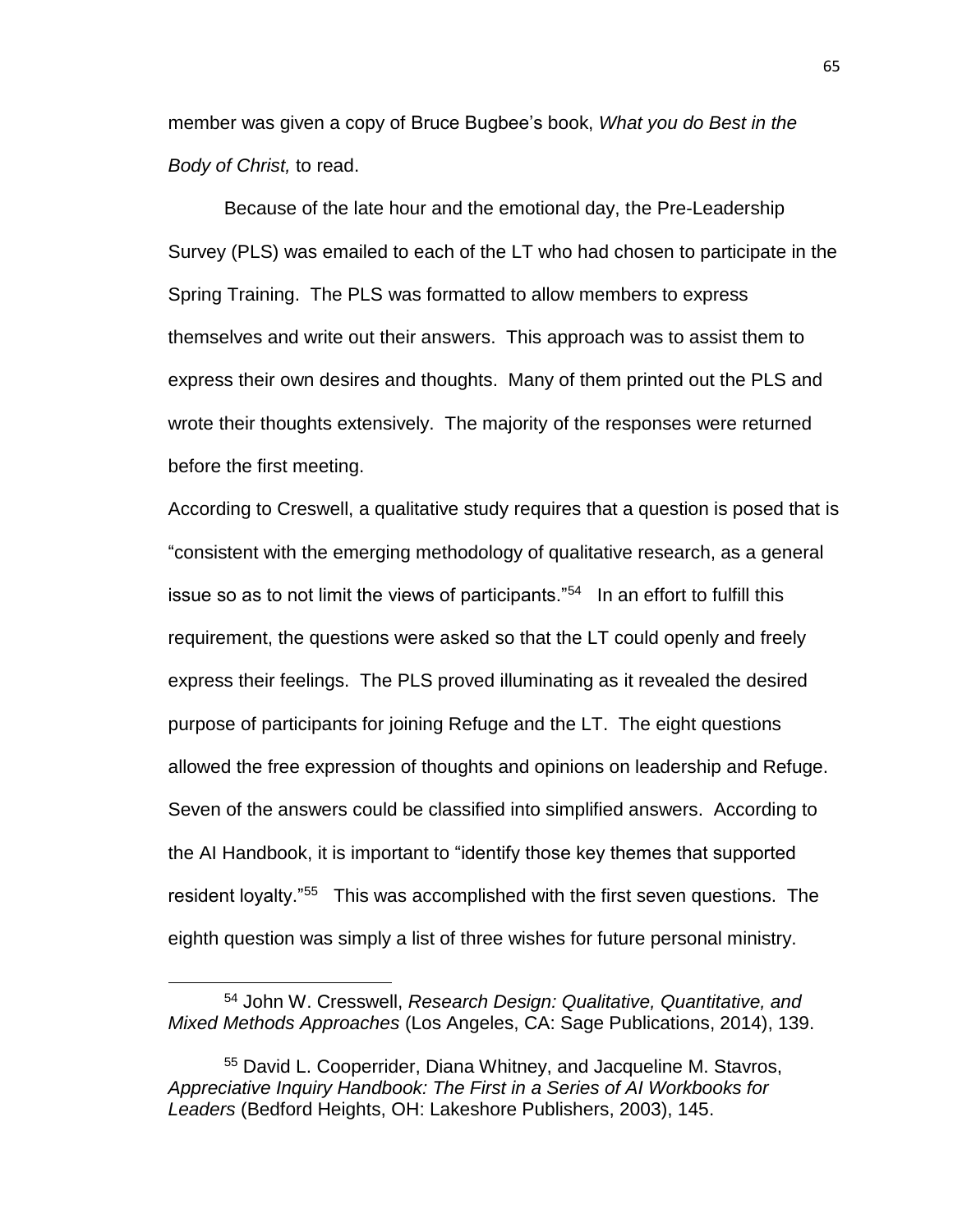member was given a copy of Bruce Bugbee's book, *What you do Best in the Body of Christ,* to read.

Because of the late hour and the emotional day, the Pre-Leadership Survey (PLS) was emailed to each of the LT who had chosen to participate in the Spring Training. The PLS was formatted to allow members to express themselves and write out their answers. This approach was to assist them to express their own desires and thoughts. Many of them printed out the PLS and wrote their thoughts extensively. The majority of the responses were returned before the first meeting.

According to Creswell, a qualitative study requires that a question is posed that is "consistent with the emerging methodology of qualitative research, as a general issue so as to not limit the views of participants."<sup>54</sup> In an effort to fulfill this requirement, the questions were asked so that the LT could openly and freely express their feelings. The PLS proved illuminating as it revealed the desired purpose of participants for joining Refuge and the LT. The eight questions allowed the free expression of thoughts and opinions on leadership and Refuge. Seven of the answers could be classified into simplified answers. According to the AI Handbook, it is important to "identify those key themes that supported resident loyalty."<sup>55</sup> This was accomplished with the first seven questions. The eighth question was simply a list of three wishes for future personal ministry.

<sup>54</sup> John W. Cresswell, *Research Design: Qualitative, Quantitative, and Mixed Methods Approaches* (Los Angeles, CA: Sage Publications, 2014), 139.

<sup>55</sup> David L. Cooperrider, Diana Whitney, and Jacqueline M. Stavros, *Appreciative Inquiry Handbook: The First in a Series of AI Workbooks for Leaders* (Bedford Heights, OH: Lakeshore Publishers, 2003), 145.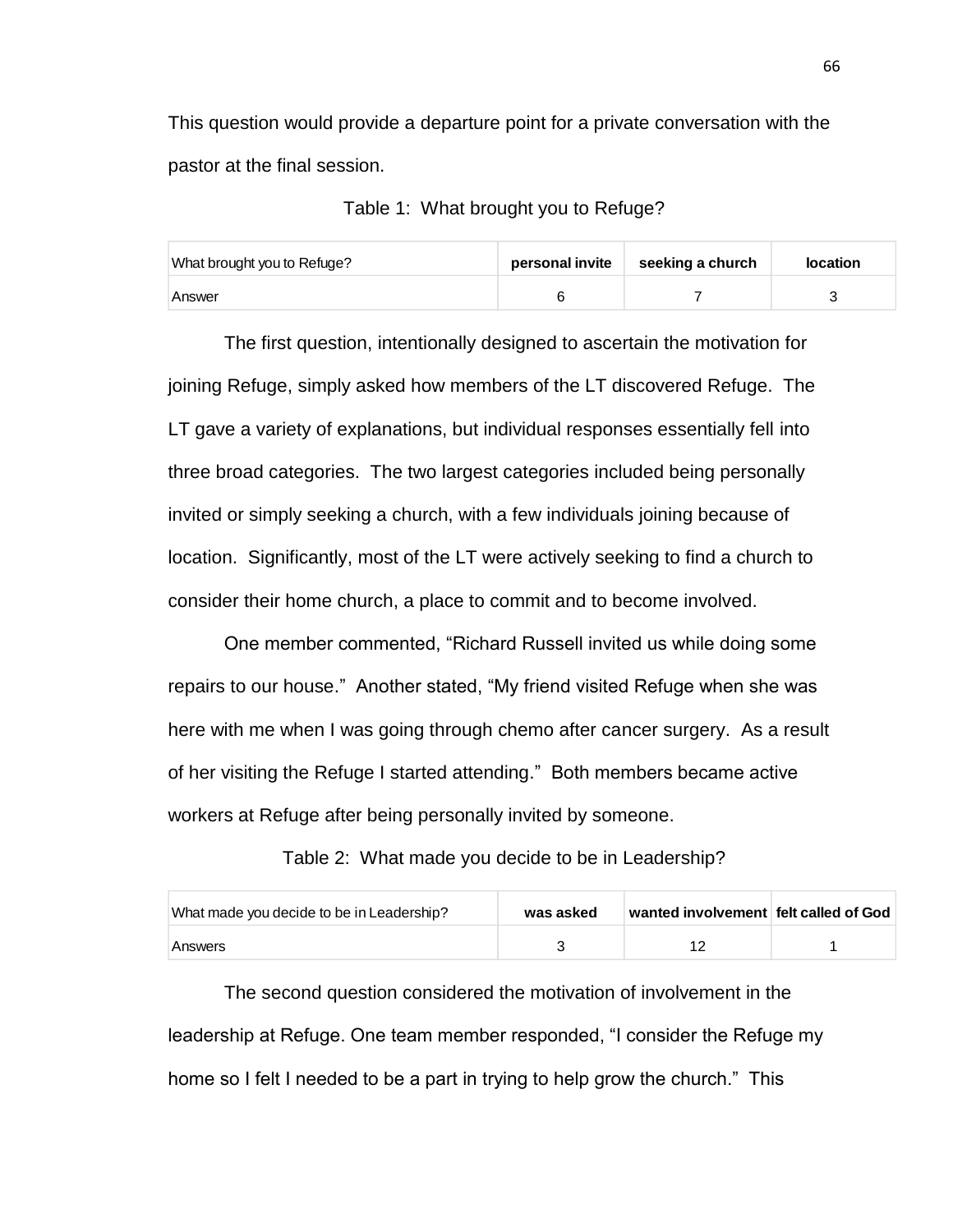This question would provide a departure point for a private conversation with the pastor at the final session.

| Table 1: What brought you to Refuge? |  |  |  |  |  |
|--------------------------------------|--|--|--|--|--|
|--------------------------------------|--|--|--|--|--|

| What brought you to Refuge? | personal invite | seeking a church | <b>location</b> |
|-----------------------------|-----------------|------------------|-----------------|
| Answer                      |                 |                  |                 |

The first question, intentionally designed to ascertain the motivation for joining Refuge, simply asked how members of the LT discovered Refuge. The LT gave a variety of explanations, but individual responses essentially fell into three broad categories. The two largest categories included being personally invited or simply seeking a church, with a few individuals joining because of location. Significantly, most of the LT were actively seeking to find a church to consider their home church, a place to commit and to become involved.

One member commented, "Richard Russell invited us while doing some repairs to our house." Another stated, "My friend visited Refuge when she was here with me when I was going through chemo after cancer surgery. As a result of her visiting the Refuge I started attending." Both members became active workers at Refuge after being personally invited by someone.

Table 2: What made you decide to be in Leadership?

| What made you decide to be in Leadership? | was asked | ∣ wanted involvement   felt called of God |  |
|-------------------------------------------|-----------|-------------------------------------------|--|
| Answers                                   |           |                                           |  |

The second question considered the motivation of involvement in the leadership at Refuge. One team member responded, "I consider the Refuge my home so I felt I needed to be a part in trying to help grow the church." This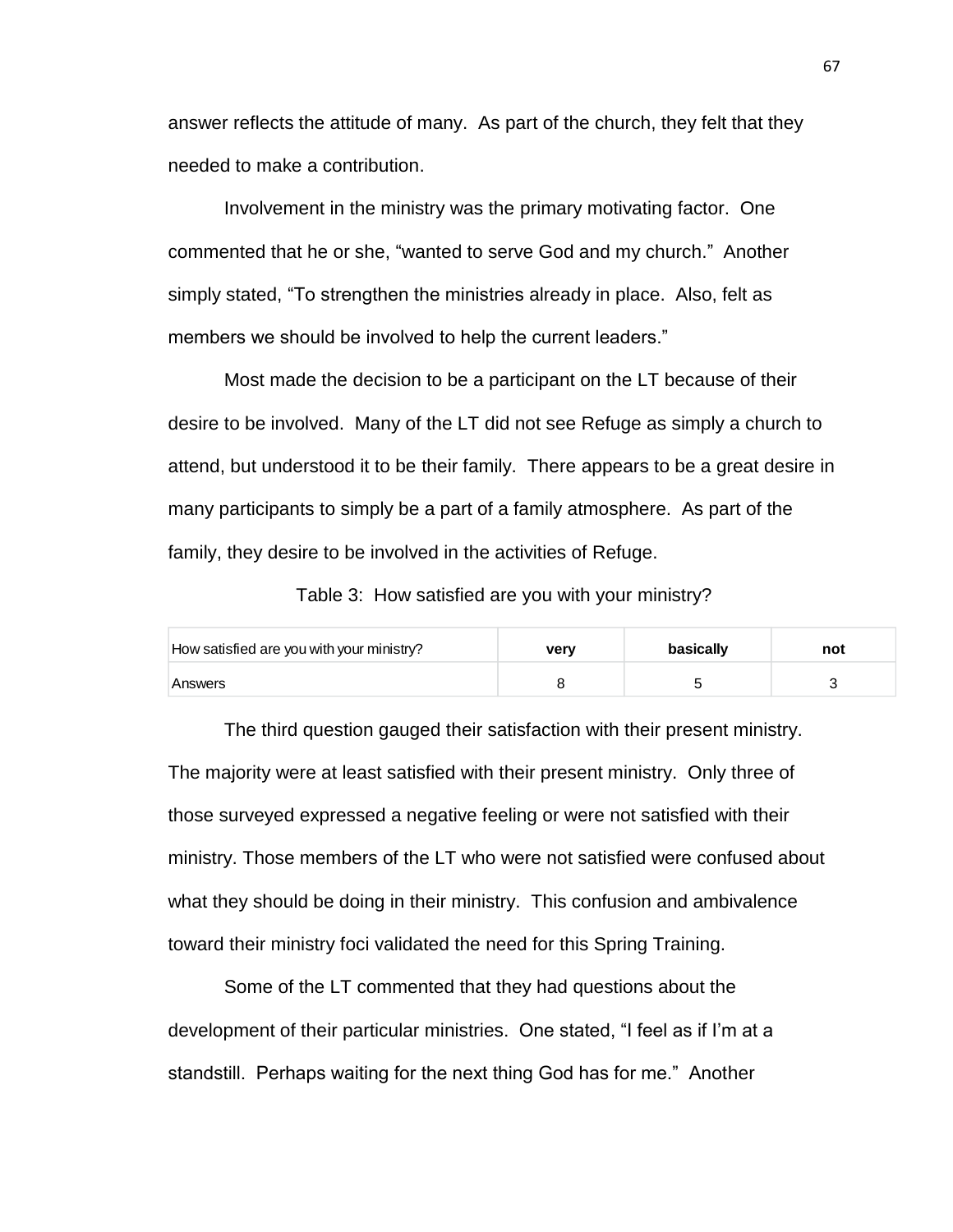answer reflects the attitude of many. As part of the church, they felt that they needed to make a contribution.

Involvement in the ministry was the primary motivating factor. One commented that he or she, "wanted to serve God and my church." Another simply stated, "To strengthen the ministries already in place. Also, felt as members we should be involved to help the current leaders."

Most made the decision to be a participant on the LT because of their desire to be involved. Many of the LT did not see Refuge as simply a church to attend, but understood it to be their family. There appears to be a great desire in many participants to simply be a part of a family atmosphere. As part of the family, they desire to be involved in the activities of Refuge.

Table 3: How satisfied are you with your ministry?

| How satisfied are you with your ministry? | verv | basically | not |
|-------------------------------------------|------|-----------|-----|
| Answers                                   |      |           |     |

The third question gauged their satisfaction with their present ministry. The majority were at least satisfied with their present ministry. Only three of those surveyed expressed a negative feeling or were not satisfied with their ministry. Those members of the LT who were not satisfied were confused about what they should be doing in their ministry. This confusion and ambivalence toward their ministry foci validated the need for this Spring Training.

Some of the LT commented that they had questions about the development of their particular ministries. One stated, "I feel as if I'm at a standstill. Perhaps waiting for the next thing God has for me." Another

67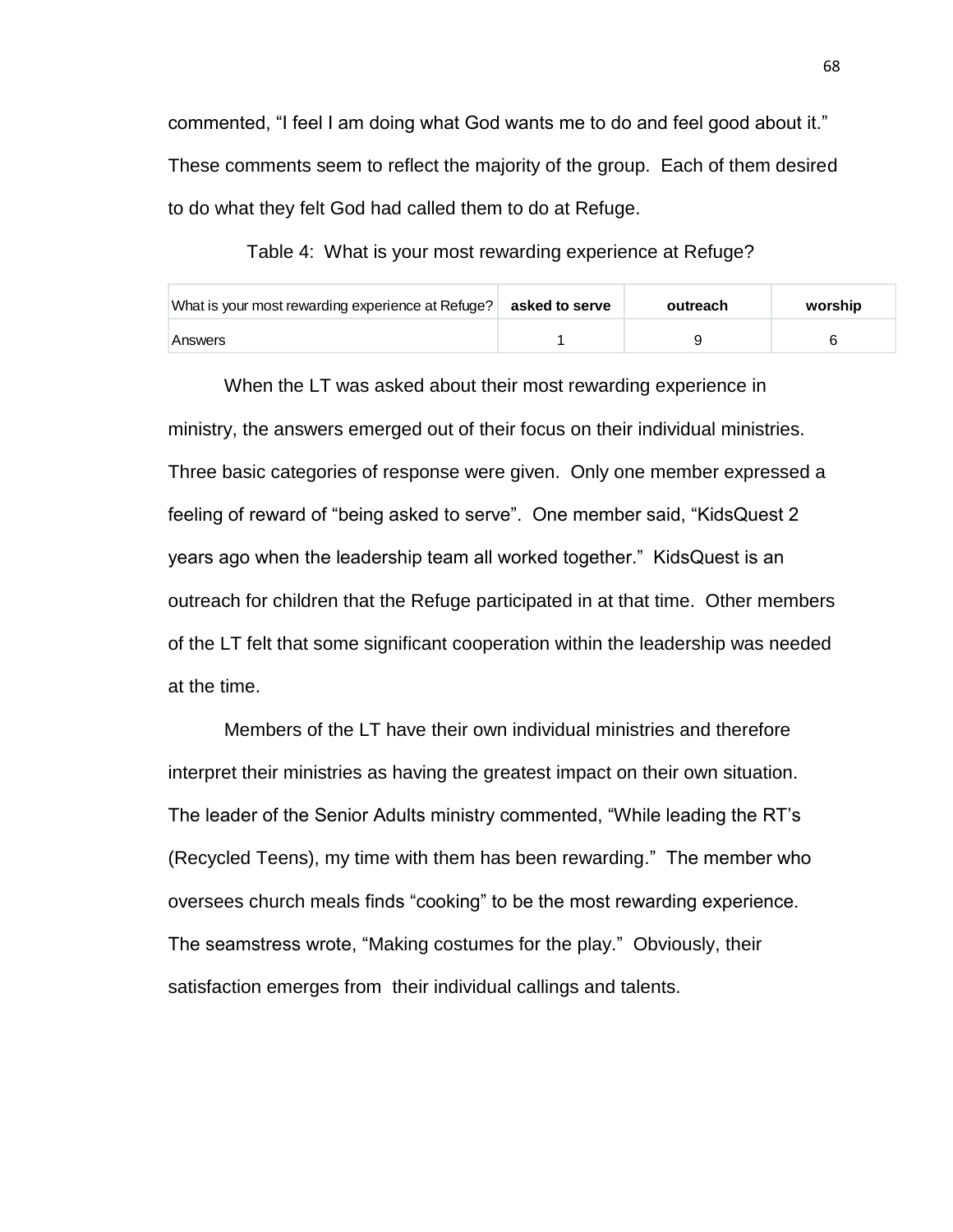commented, "I feel I am doing what God wants me to do and feel good about it." These comments seem to reflect the majority of the group. Each of them desired to do what they felt God had called them to do at Refuge.

Table 4: What is your most rewarding experience at Refuge?

| What is your most rewarding experience at Refuge? | asked to serve | outreach | worship |
|---------------------------------------------------|----------------|----------|---------|
| Answers                                           |                |          |         |

When the LT was asked about their most rewarding experience in ministry, the answers emerged out of their focus on their individual ministries. Three basic categories of response were given. Only one member expressed a feeling of reward of "being asked to serve". One member said, "KidsQuest 2 years ago when the leadership team all worked together." KidsQuest is an outreach for children that the Refuge participated in at that time. Other members of the LT felt that some significant cooperation within the leadership was needed at the time.

Members of the LT have their own individual ministries and therefore interpret their ministries as having the greatest impact on their own situation. The leader of the Senior Adults ministry commented, "While leading the RT's (Recycled Teens), my time with them has been rewarding." The member who oversees church meals finds "cooking" to be the most rewarding experience. The seamstress wrote, "Making costumes for the play." Obviously, their satisfaction emerges from their individual callings and talents.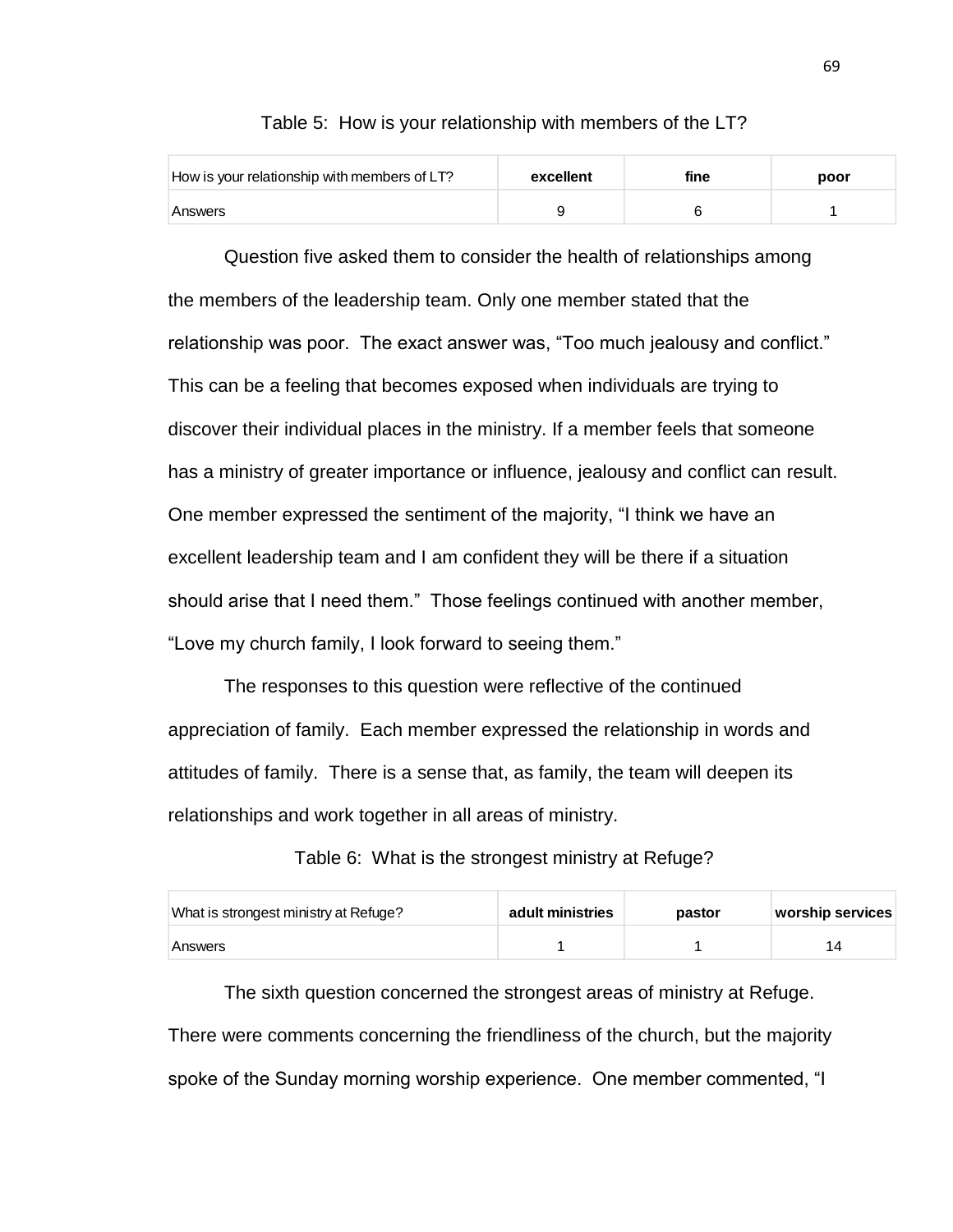| How is your relationship with members of LT? | excellent | fine | poor |
|----------------------------------------------|-----------|------|------|
| Answers                                      |           |      |      |

Table 5: How is your relationship with members of the LT?

Question five asked them to consider the health of relationships among the members of the leadership team. Only one member stated that the relationship was poor. The exact answer was, "Too much jealousy and conflict." This can be a feeling that becomes exposed when individuals are trying to discover their individual places in the ministry. If a member feels that someone has a ministry of greater importance or influence, jealousy and conflict can result. One member expressed the sentiment of the majority, "I think we have an excellent leadership team and I am confident they will be there if a situation should arise that I need them." Those feelings continued with another member, "Love my church family, I look forward to seeing them."

The responses to this question were reflective of the continued appreciation of family. Each member expressed the relationship in words and attitudes of family. There is a sense that, as family, the team will deepen its relationships and work together in all areas of ministry.

Table 6: What is the strongest ministry at Refuge?

| What is strongest ministry at Refuge? | adult ministries | pastor | worship services |
|---------------------------------------|------------------|--------|------------------|
| Answers                               |                  |        | 14               |

The sixth question concerned the strongest areas of ministry at Refuge. There were comments concerning the friendliness of the church, but the majority spoke of the Sunday morning worship experience. One member commented, "I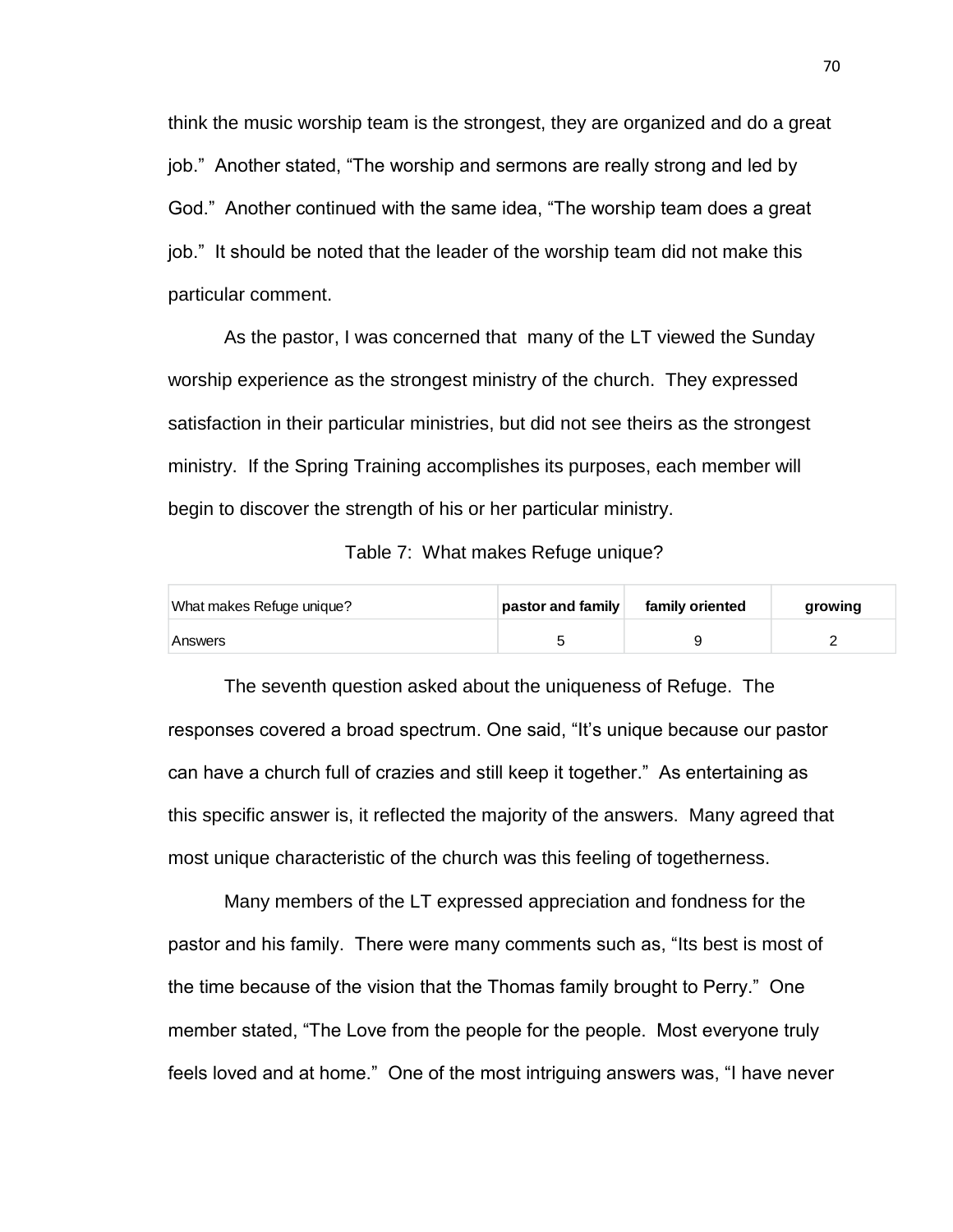think the music worship team is the strongest, they are organized and do a great job." Another stated, "The worship and sermons are really strong and led by God." Another continued with the same idea, "The worship team does a great job." It should be noted that the leader of the worship team did not make this particular comment.

As the pastor, I was concerned that many of the LT viewed the Sunday worship experience as the strongest ministry of the church. They expressed satisfaction in their particular ministries, but did not see theirs as the strongest ministry. If the Spring Training accomplishes its purposes, each member will begin to discover the strength of his or her particular ministry.

Table 7: What makes Refuge unique?

| What makes Refuge unique? | pastor and family | family oriented | growing |
|---------------------------|-------------------|-----------------|---------|
| Answers                   |                   |                 |         |

The seventh question asked about the uniqueness of Refuge. The responses covered a broad spectrum. One said, "It's unique because our pastor can have a church full of crazies and still keep it together." As entertaining as this specific answer is, it reflected the majority of the answers. Many agreed that most unique characteristic of the church was this feeling of togetherness.

Many members of the LT expressed appreciation and fondness for the pastor and his family. There were many comments such as, "Its best is most of the time because of the vision that the Thomas family brought to Perry." One member stated, "The Love from the people for the people. Most everyone truly feels loved and at home." One of the most intriguing answers was, "I have never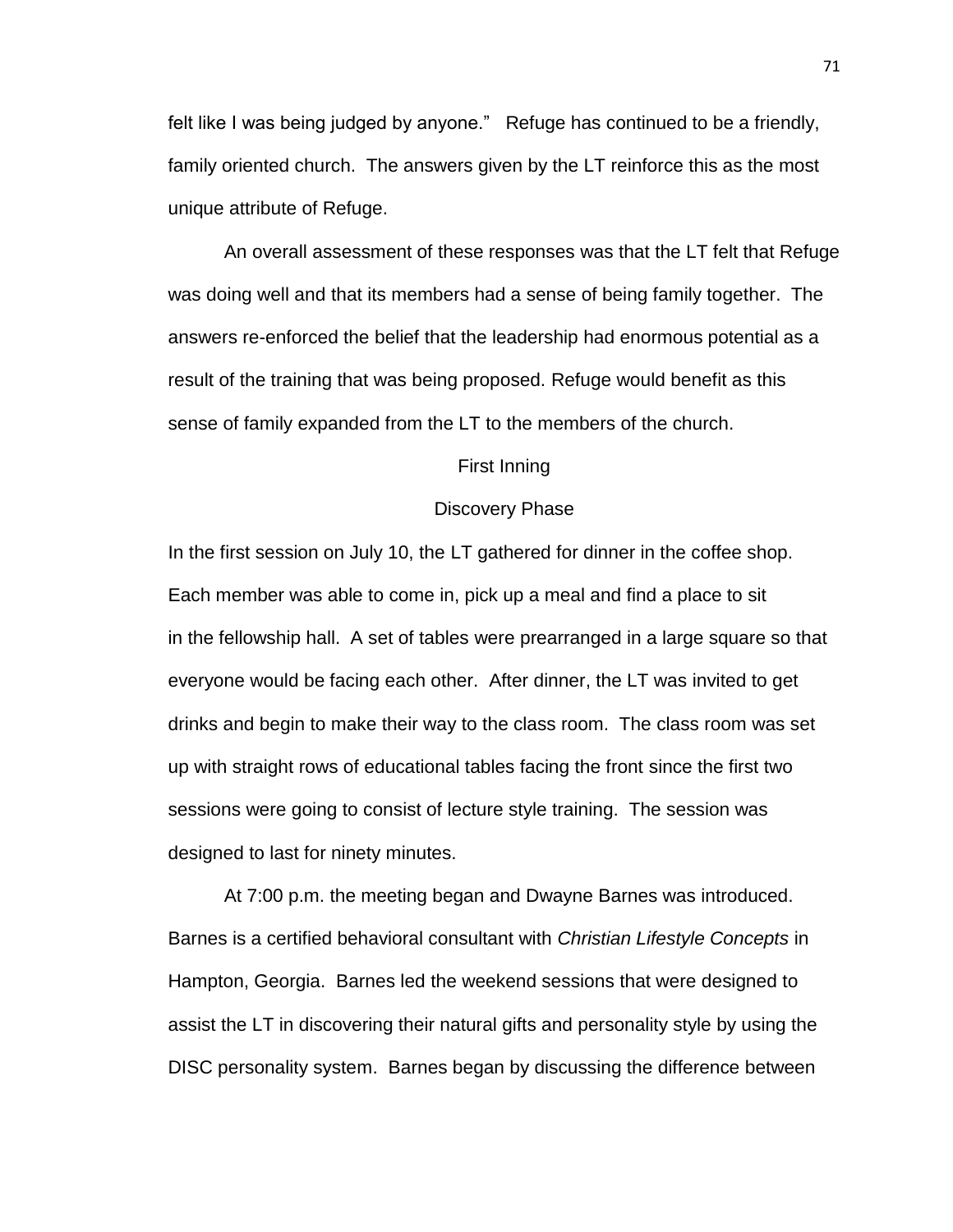felt like I was being judged by anyone." Refuge has continued to be a friendly, family oriented church. The answers given by the LT reinforce this as the most unique attribute of Refuge.

An overall assessment of these responses was that the LT felt that Refuge was doing well and that its members had a sense of being family together. The answers re-enforced the belief that the leadership had enormous potential as a result of the training that was being proposed. Refuge would benefit as this sense of family expanded from the LT to the members of the church.

#### First Inning

#### Discovery Phase

In the first session on July 10, the LT gathered for dinner in the coffee shop. Each member was able to come in, pick up a meal and find a place to sit in the fellowship hall. A set of tables were prearranged in a large square so that everyone would be facing each other. After dinner, the LT was invited to get drinks and begin to make their way to the class room. The class room was set up with straight rows of educational tables facing the front since the first two sessions were going to consist of lecture style training. The session was designed to last for ninety minutes.

At 7:00 p.m. the meeting began and Dwayne Barnes was introduced. Barnes is a certified behavioral consultant with *Christian Lifestyle Concepts* in Hampton, Georgia. Barnes led the weekend sessions that were designed to assist the LT in discovering their natural gifts and personality style by using the DISC personality system. Barnes began by discussing the difference between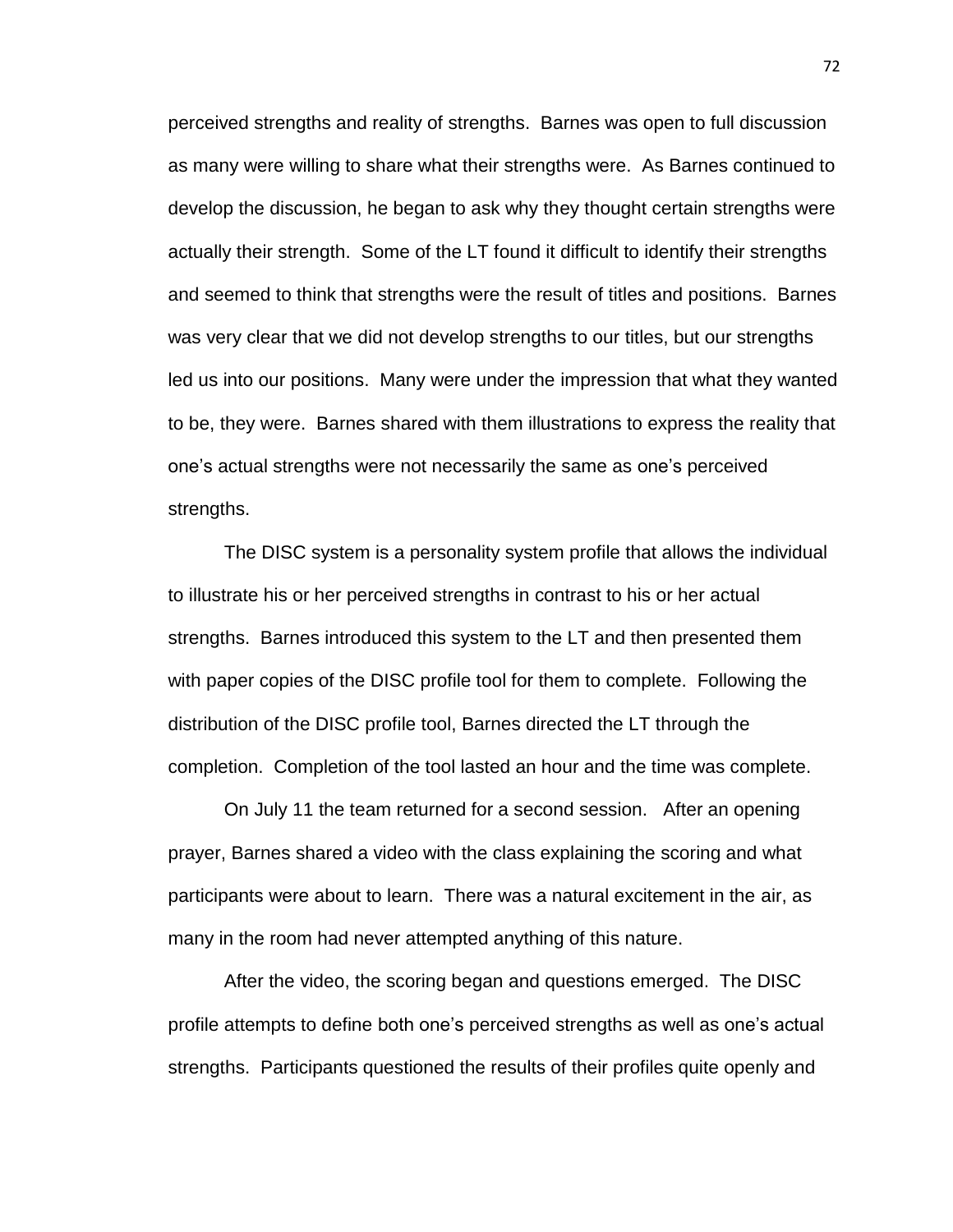perceived strengths and reality of strengths. Barnes was open to full discussion as many were willing to share what their strengths were. As Barnes continued to develop the discussion, he began to ask why they thought certain strengths were actually their strength. Some of the LT found it difficult to identify their strengths and seemed to think that strengths were the result of titles and positions. Barnes was very clear that we did not develop strengths to our titles, but our strengths led us into our positions. Many were under the impression that what they wanted to be, they were. Barnes shared with them illustrations to express the reality that one's actual strengths were not necessarily the same as one's perceived strengths.

The DISC system is a personality system profile that allows the individual to illustrate his or her perceived strengths in contrast to his or her actual strengths. Barnes introduced this system to the LT and then presented them with paper copies of the DISC profile tool for them to complete. Following the distribution of the DISC profile tool, Barnes directed the LT through the completion. Completion of the tool lasted an hour and the time was complete.

On July 11 the team returned for a second session. After an opening prayer, Barnes shared a video with the class explaining the scoring and what participants were about to learn. There was a natural excitement in the air, as many in the room had never attempted anything of this nature.

After the video, the scoring began and questions emerged. The DISC profile attempts to define both one's perceived strengths as well as one's actual strengths. Participants questioned the results of their profiles quite openly and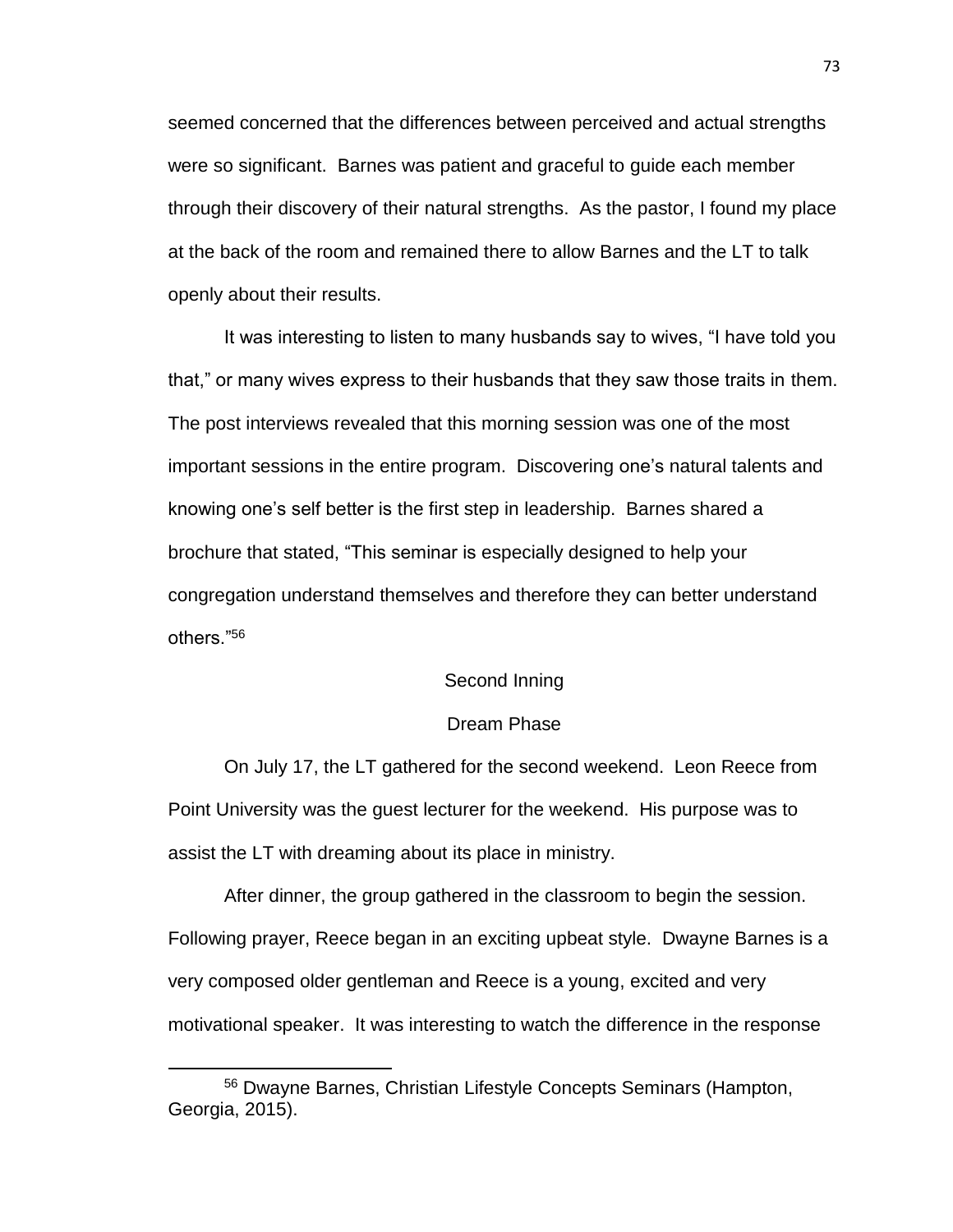seemed concerned that the differences between perceived and actual strengths were so significant. Barnes was patient and graceful to guide each member through their discovery of their natural strengths. As the pastor, I found my place at the back of the room and remained there to allow Barnes and the LT to talk openly about their results.

It was interesting to listen to many husbands say to wives, "I have told you that," or many wives express to their husbands that they saw those traits in them. The post interviews revealed that this morning session was one of the most important sessions in the entire program. Discovering one's natural talents and knowing one's self better is the first step in leadership. Barnes shared a brochure that stated, "This seminar is especially designed to help your congregation understand themselves and therefore they can better understand others."<sup>56</sup>

### Second Inning

#### Dream Phase

On July 17, the LT gathered for the second weekend. Leon Reece from Point University was the guest lecturer for the weekend. His purpose was to assist the LT with dreaming about its place in ministry.

After dinner, the group gathered in the classroom to begin the session. Following prayer, Reece began in an exciting upbeat style. Dwayne Barnes is a very composed older gentleman and Reece is a young, excited and very motivational speaker. It was interesting to watch the difference in the response

<sup>56</sup> Dwayne Barnes, Christian Lifestyle Concepts Seminars (Hampton, Georgia, 2015).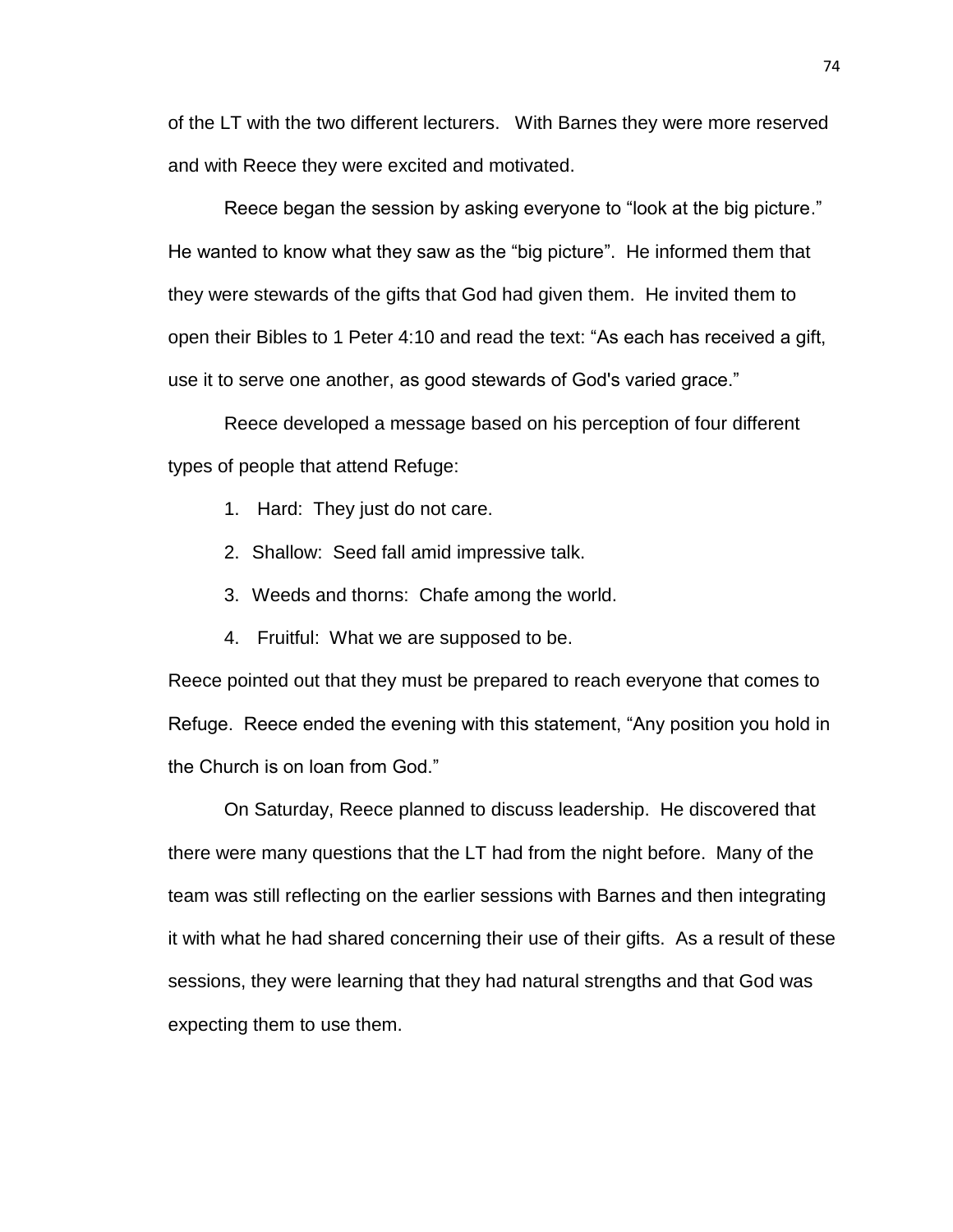of the LT with the two different lecturers. With Barnes they were more reserved and with Reece they were excited and motivated.

Reece began the session by asking everyone to "look at the big picture." He wanted to know what they saw as the "big picture". He informed them that they were stewards of the gifts that God had given them. He invited them to open their Bibles to 1 Peter 4:10 and read the text: "As each has received a gift, use it to serve one another, as good stewards of God's varied grace."

Reece developed a message based on his perception of four different types of people that attend Refuge:

- 1. Hard: They just do not care.
- 2. Shallow: Seed fall amid impressive talk.
- 3. Weeds and thorns: Chafe among the world.
- 4. Fruitful: What we are supposed to be.

Reece pointed out that they must be prepared to reach everyone that comes to Refuge. Reece ended the evening with this statement, "Any position you hold in the Church is on loan from God."

On Saturday, Reece planned to discuss leadership. He discovered that there were many questions that the LT had from the night before. Many of the team was still reflecting on the earlier sessions with Barnes and then integrating it with what he had shared concerning their use of their gifts. As a result of these sessions, they were learning that they had natural strengths and that God was expecting them to use them.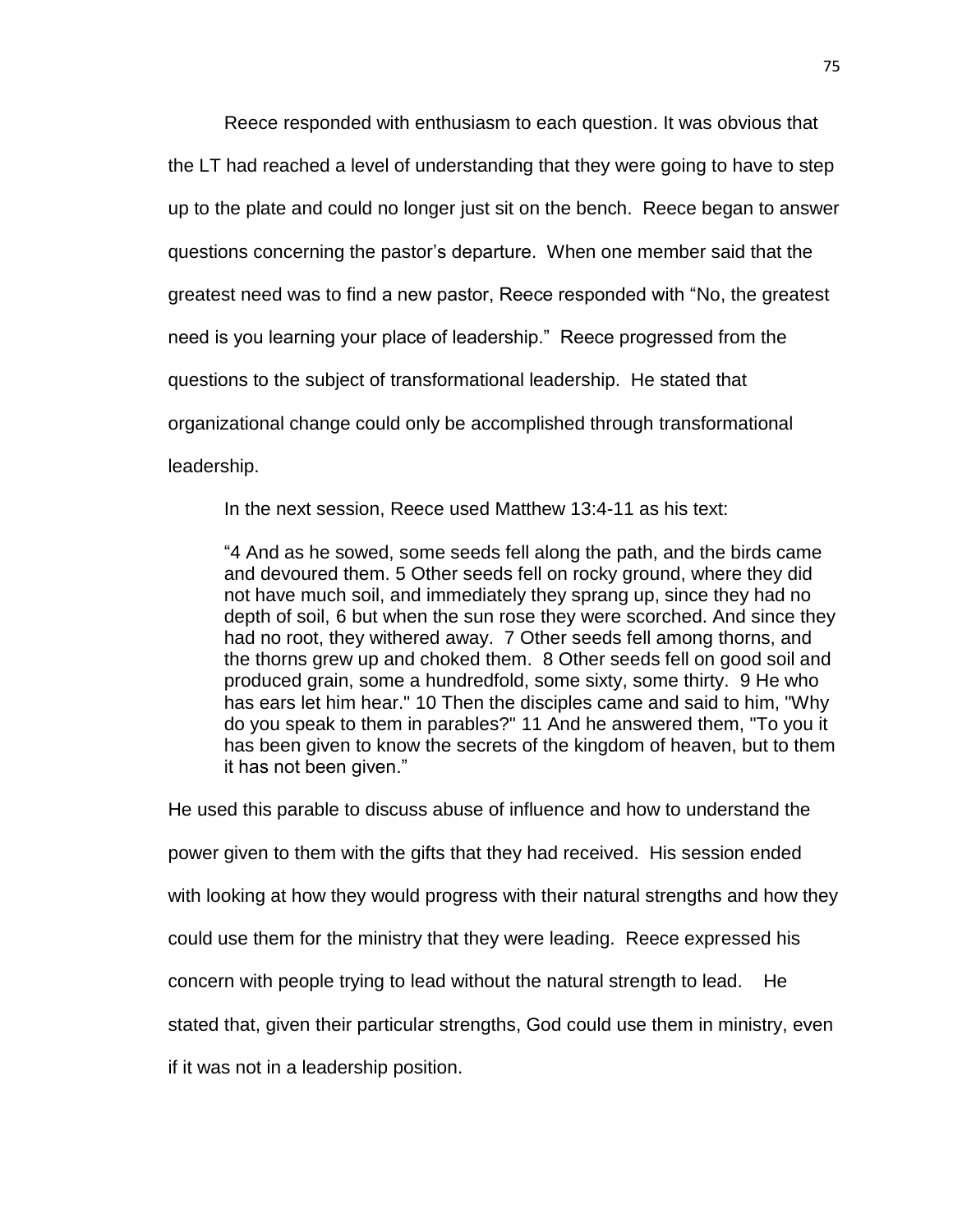Reece responded with enthusiasm to each question. It was obvious that the LT had reached a level of understanding that they were going to have to step up to the plate and could no longer just sit on the bench. Reece began to answer questions concerning the pastor's departure. When one member said that the greatest need was to find a new pastor, Reece responded with "No, the greatest need is you learning your place of leadership." Reece progressed from the questions to the subject of transformational leadership. He stated that organizational change could only be accomplished through transformational leadership.

In the next session, Reece used Matthew 13:4-11 as his text:

"4 And as he sowed, some seeds fell along the path, and the birds came and devoured them. 5 Other seeds fell on rocky ground, where they did not have much soil, and immediately they sprang up, since they had no depth of soil, 6 but when the sun rose they were scorched. And since they had no root, they withered away. 7 Other seeds fell among thorns, and the thorns grew up and choked them. 8 Other seeds fell on good soil and produced grain, some a hundredfold, some sixty, some thirty. 9 He who has ears let him hear." 10 Then the disciples came and said to him, "Why do you speak to them in parables?" 11 And he answered them, "To you it has been given to know the secrets of the kingdom of heaven, but to them it has not been given."

He used this parable to discuss abuse of influence and how to understand the power given to them with the gifts that they had received. His session ended with looking at how they would progress with their natural strengths and how they could use them for the ministry that they were leading. Reece expressed his concern with people trying to lead without the natural strength to lead. He stated that, given their particular strengths, God could use them in ministry, even if it was not in a leadership position.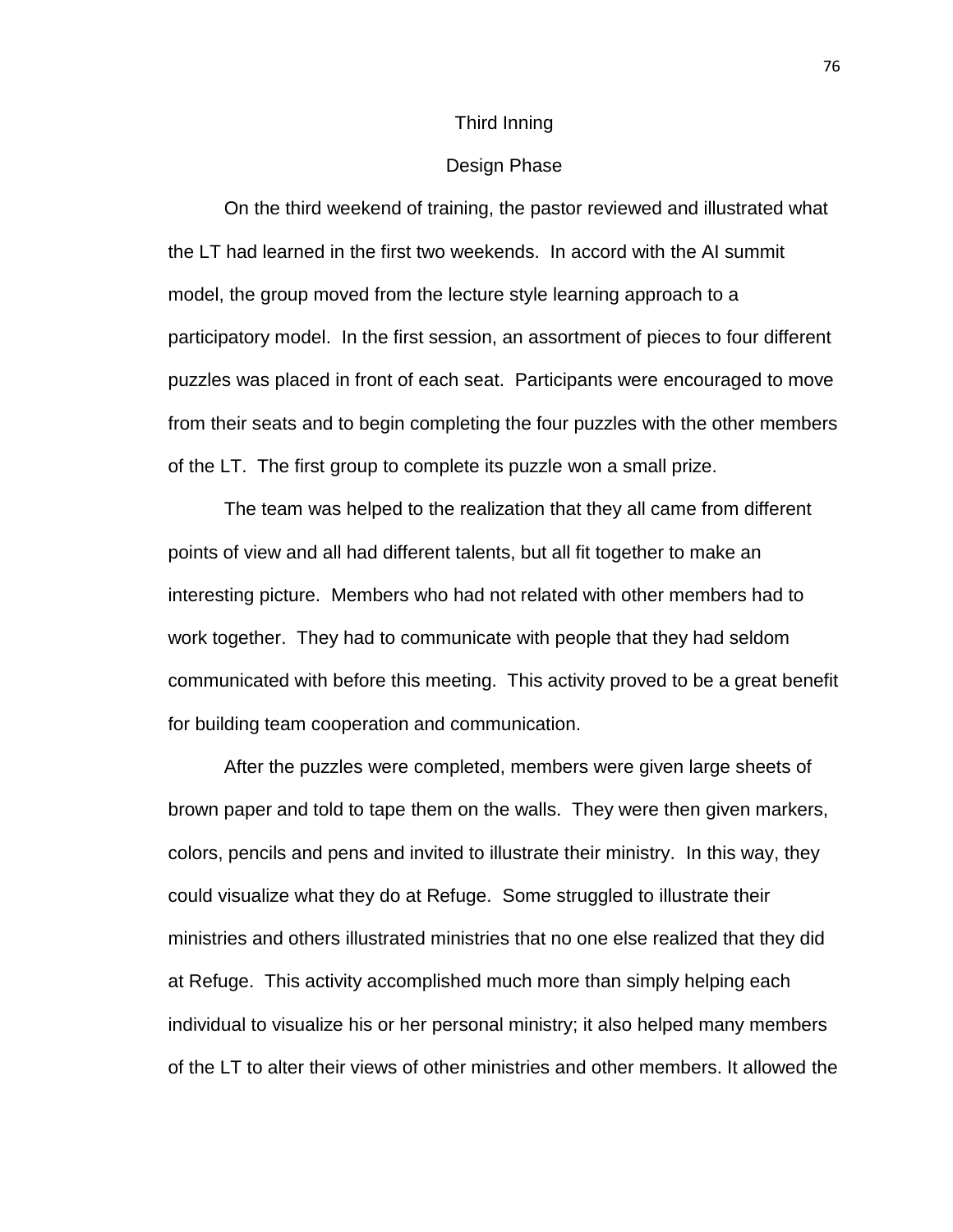#### Third Inning

#### Design Phase

On the third weekend of training, the pastor reviewed and illustrated what the LT had learned in the first two weekends. In accord with the AI summit model, the group moved from the lecture style learning approach to a participatory model. In the first session, an assortment of pieces to four different puzzles was placed in front of each seat. Participants were encouraged to move from their seats and to begin completing the four puzzles with the other members of the LT. The first group to complete its puzzle won a small prize.

The team was helped to the realization that they all came from different points of view and all had different talents, but all fit together to make an interesting picture. Members who had not related with other members had to work together. They had to communicate with people that they had seldom communicated with before this meeting. This activity proved to be a great benefit for building team cooperation and communication.

After the puzzles were completed, members were given large sheets of brown paper and told to tape them on the walls. They were then given markers, colors, pencils and pens and invited to illustrate their ministry. In this way, they could visualize what they do at Refuge. Some struggled to illustrate their ministries and others illustrated ministries that no one else realized that they did at Refuge. This activity accomplished much more than simply helping each individual to visualize his or her personal ministry; it also helped many members of the LT to alter their views of other ministries and other members. It allowed the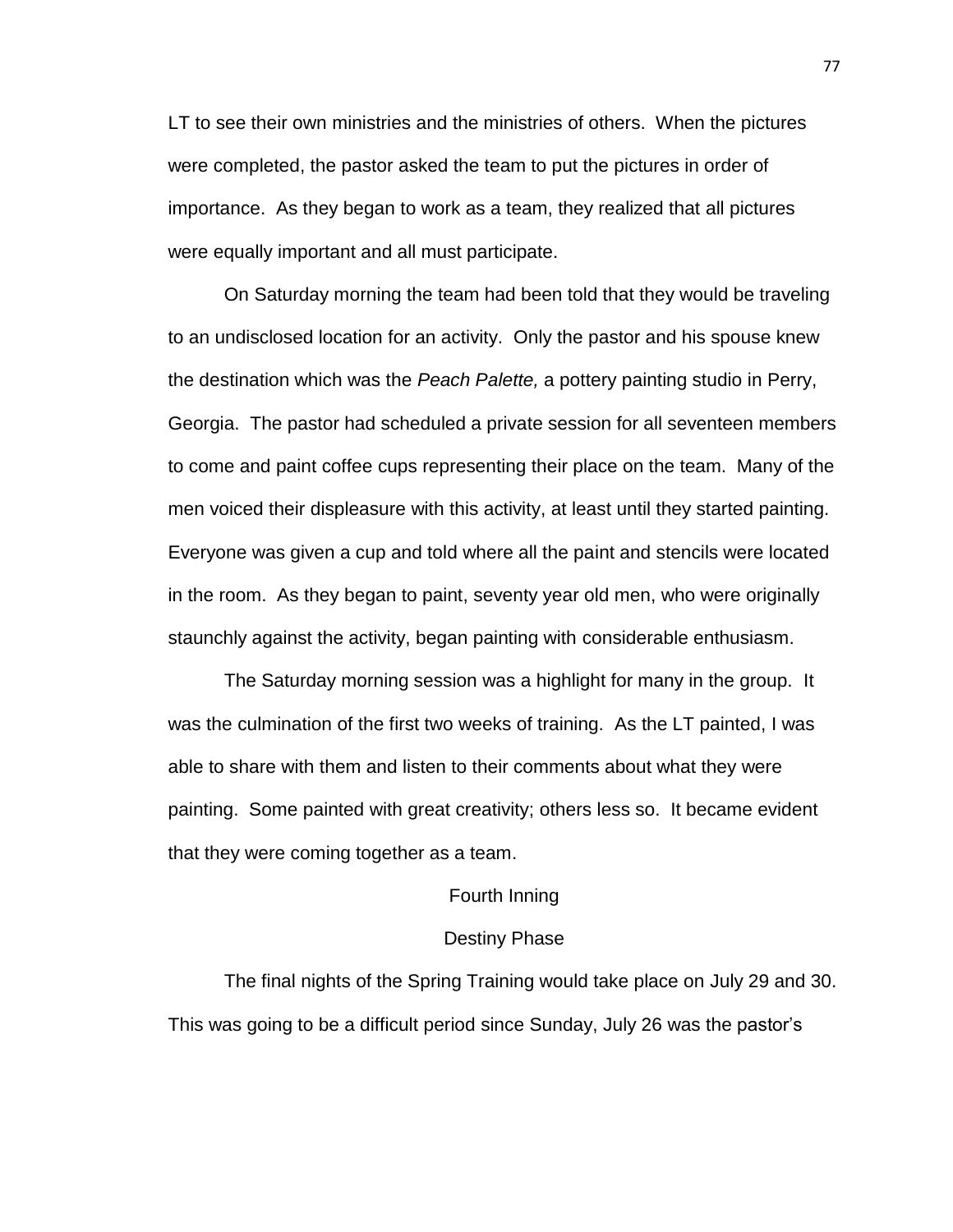LT to see their own ministries and the ministries of others. When the pictures were completed, the pastor asked the team to put the pictures in order of importance. As they began to work as a team, they realized that all pictures were equally important and all must participate.

On Saturday morning the team had been told that they would be traveling to an undisclosed location for an activity. Only the pastor and his spouse knew the destination which was the *Peach Palette,* a pottery painting studio in Perry, Georgia. The pastor had scheduled a private session for all seventeen members to come and paint coffee cups representing their place on the team. Many of the men voiced their displeasure with this activity, at least until they started painting. Everyone was given a cup and told where all the paint and stencils were located in the room. As they began to paint, seventy year old men, who were originally staunchly against the activity, began painting with considerable enthusiasm.

The Saturday morning session was a highlight for many in the group. It was the culmination of the first two weeks of training. As the LT painted, I was able to share with them and listen to their comments about what they were painting. Some painted with great creativity; others less so. It became evident that they were coming together as a team.

#### Fourth Inning

#### Destiny Phase

The final nights of the Spring Training would take place on July 29 and 30. This was going to be a difficult period since Sunday, July 26 was the pastor's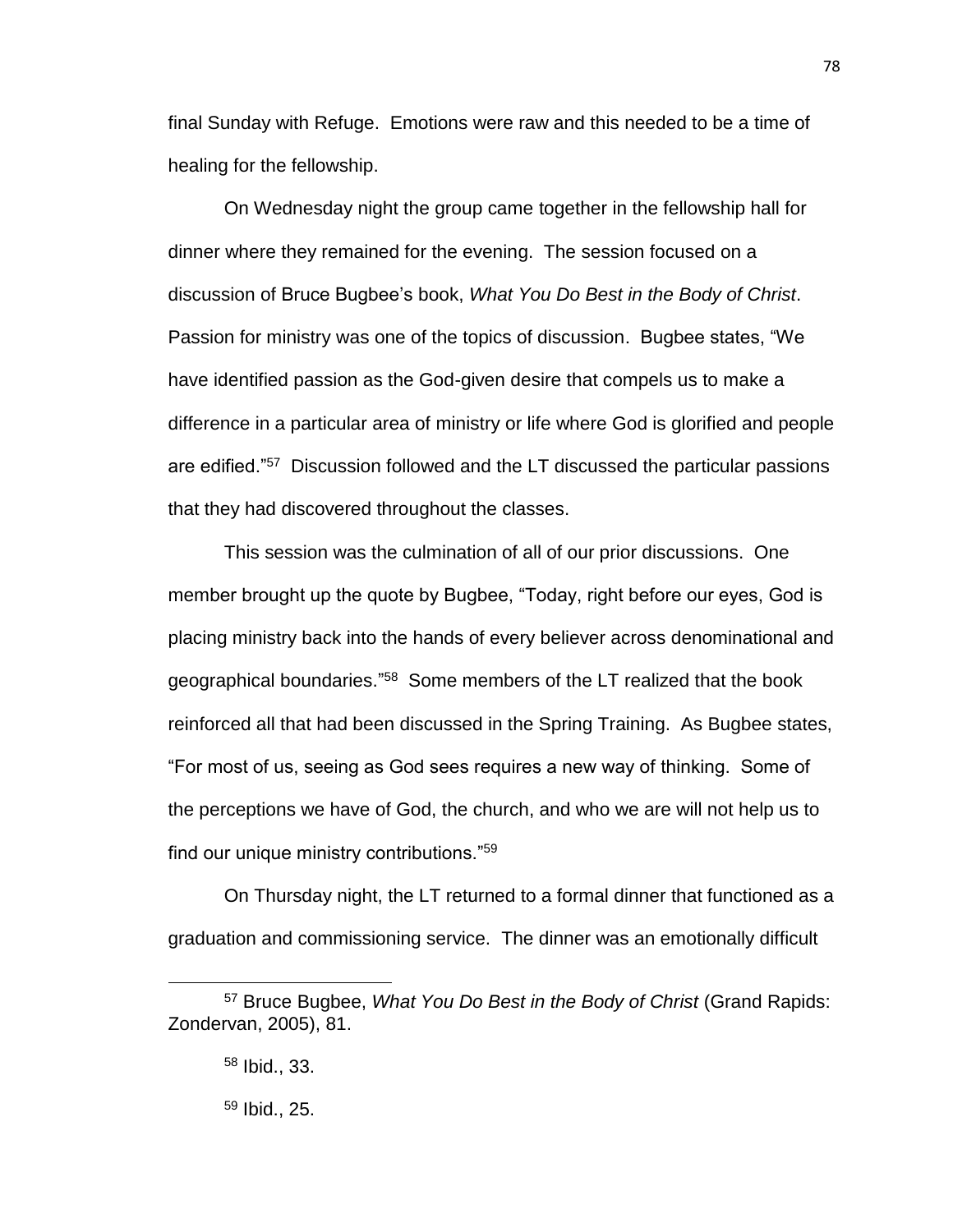final Sunday with Refuge. Emotions were raw and this needed to be a time of healing for the fellowship.

On Wednesday night the group came together in the fellowship hall for dinner where they remained for the evening. The session focused on a discussion of Bruce Bugbee's book, *What You Do Best in the Body of Christ*. Passion for ministry was one of the topics of discussion. Bugbee states, "We have identified passion as the God-given desire that compels us to make a difference in a particular area of ministry or life where God is glorified and people are edified."<sup>57</sup> Discussion followed and the LT discussed the particular passions that they had discovered throughout the classes.

This session was the culmination of all of our prior discussions. One member brought up the quote by Bugbee, "Today, right before our eyes, God is placing ministry back into the hands of every believer across denominational and geographical boundaries."<sup>58</sup> Some members of the LT realized that the book reinforced all that had been discussed in the Spring Training. As Bugbee states, "For most of us, seeing as God sees requires a new way of thinking. Some of the perceptions we have of God, the church, and who we are will not help us to find our unique ministry contributions."<sup>59</sup>

On Thursday night, the LT returned to a formal dinner that functioned as a graduation and commissioning service. The dinner was an emotionally difficult

<sup>57</sup> Bruce Bugbee, *What You Do Best in the Body of Christ* (Grand Rapids: Zondervan, 2005), 81.

<sup>58</sup> Ibid., 33.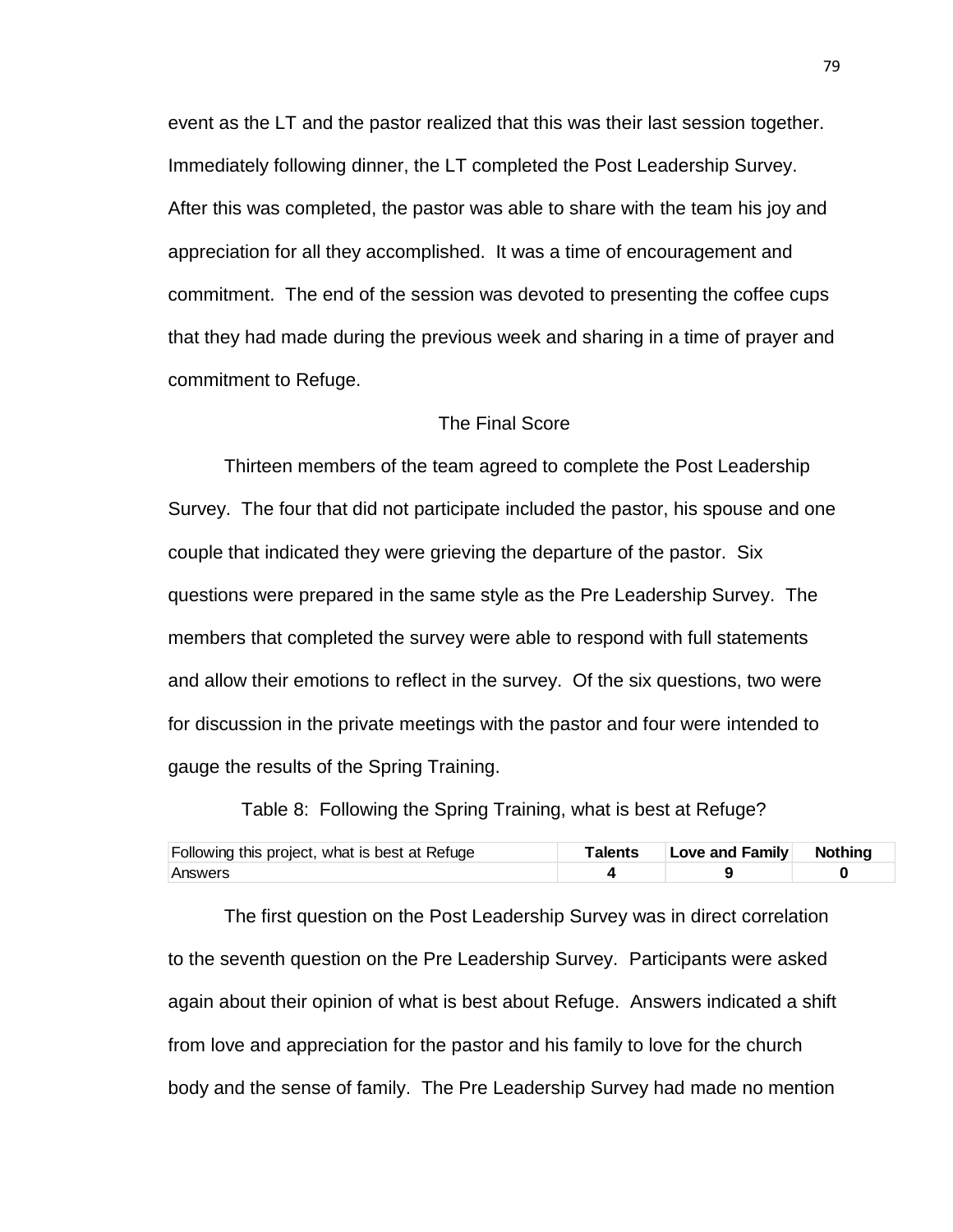event as the LT and the pastor realized that this was their last session together. Immediately following dinner, the LT completed the Post Leadership Survey. After this was completed, the pastor was able to share with the team his joy and appreciation for all they accomplished. It was a time of encouragement and commitment. The end of the session was devoted to presenting the coffee cups that they had made during the previous week and sharing in a time of prayer and commitment to Refuge.

#### The Final Score

Thirteen members of the team agreed to complete the Post Leadership Survey. The four that did not participate included the pastor, his spouse and one couple that indicated they were grieving the departure of the pastor. Six questions were prepared in the same style as the Pre Leadership Survey. The members that completed the survey were able to respond with full statements and allow their emotions to reflect in the survey. Of the six questions, two were for discussion in the private meetings with the pastor and four were intended to gauge the results of the Spring Training.

Table 8: Following the Spring Training, what is best at Refuge?

| Following this project, what is best at Refuge | Talents | Love and Family Nothing |  |
|------------------------------------------------|---------|-------------------------|--|
| Answers                                        |         |                         |  |

The first question on the Post Leadership Survey was in direct correlation to the seventh question on the Pre Leadership Survey. Participants were asked again about their opinion of what is best about Refuge. Answers indicated a shift from love and appreciation for the pastor and his family to love for the church body and the sense of family. The Pre Leadership Survey had made no mention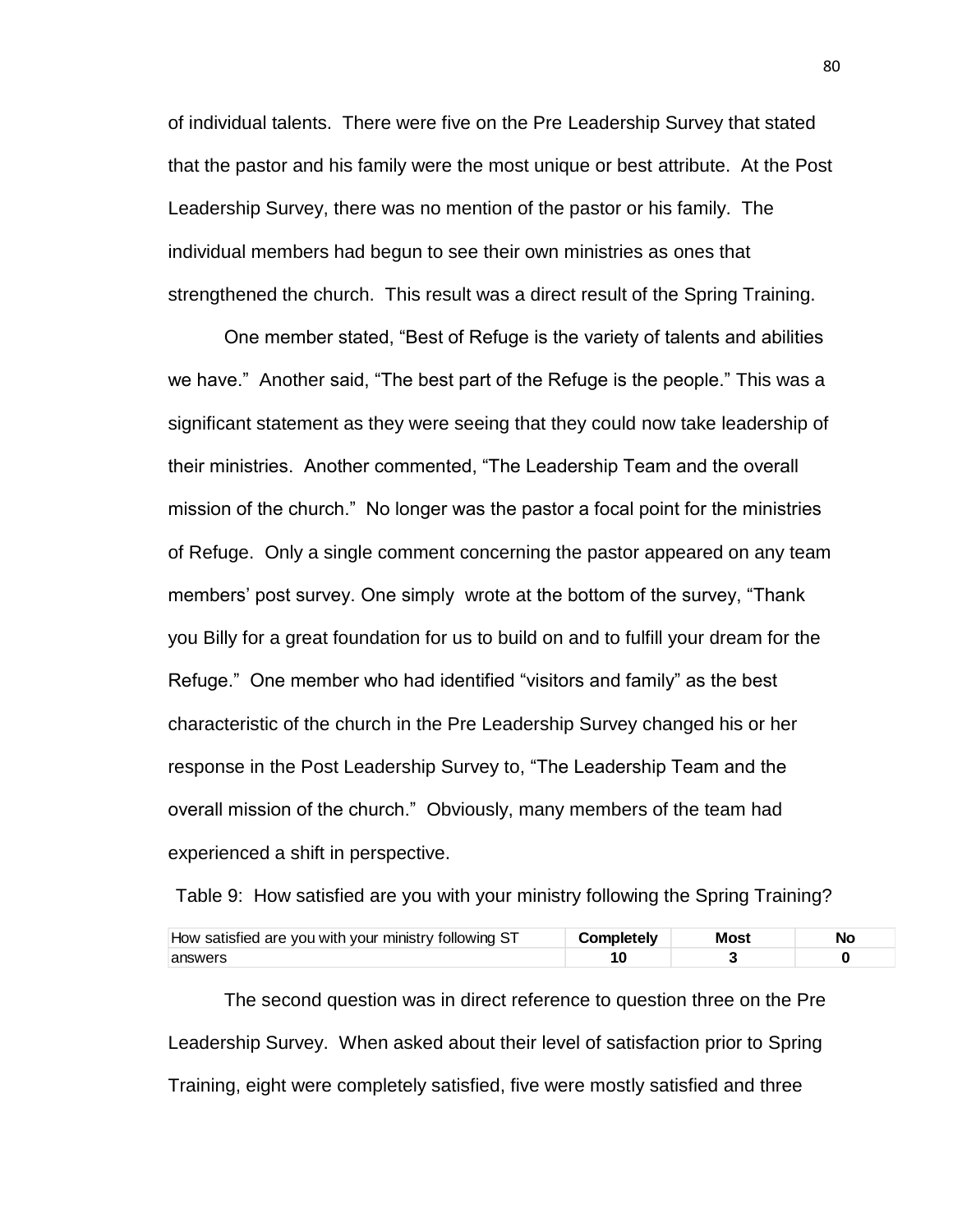of individual talents. There were five on the Pre Leadership Survey that stated that the pastor and his family were the most unique or best attribute. At the Post Leadership Survey, there was no mention of the pastor or his family. The individual members had begun to see their own ministries as ones that strengthened the church. This result was a direct result of the Spring Training.

One member stated, "Best of Refuge is the variety of talents and abilities we have." Another said, "The best part of the Refuge is the people." This was a significant statement as they were seeing that they could now take leadership of their ministries. Another commented, "The Leadership Team and the overall mission of the church." No longer was the pastor a focal point for the ministries of Refuge. Only a single comment concerning the pastor appeared on any team members' post survey. One simply wrote at the bottom of the survey, "Thank you Billy for a great foundation for us to build on and to fulfill your dream for the Refuge." One member who had identified "visitors and family" as the best characteristic of the church in the Pre Leadership Survey changed his or her response in the Post Leadership Survey to, "The Leadership Team and the overall mission of the church." Obviously, many members of the team had experienced a shift in perspective.

Table 9: How satisfied are you with your ministry following the Spring Training?

| How satisfied are you with your ministry following ST | Completely. | Most |  |
|-------------------------------------------------------|-------------|------|--|
| answers                                               |             |      |  |

The second question was in direct reference to question three on the Pre Leadership Survey. When asked about their level of satisfaction prior to Spring Training, eight were completely satisfied, five were mostly satisfied and three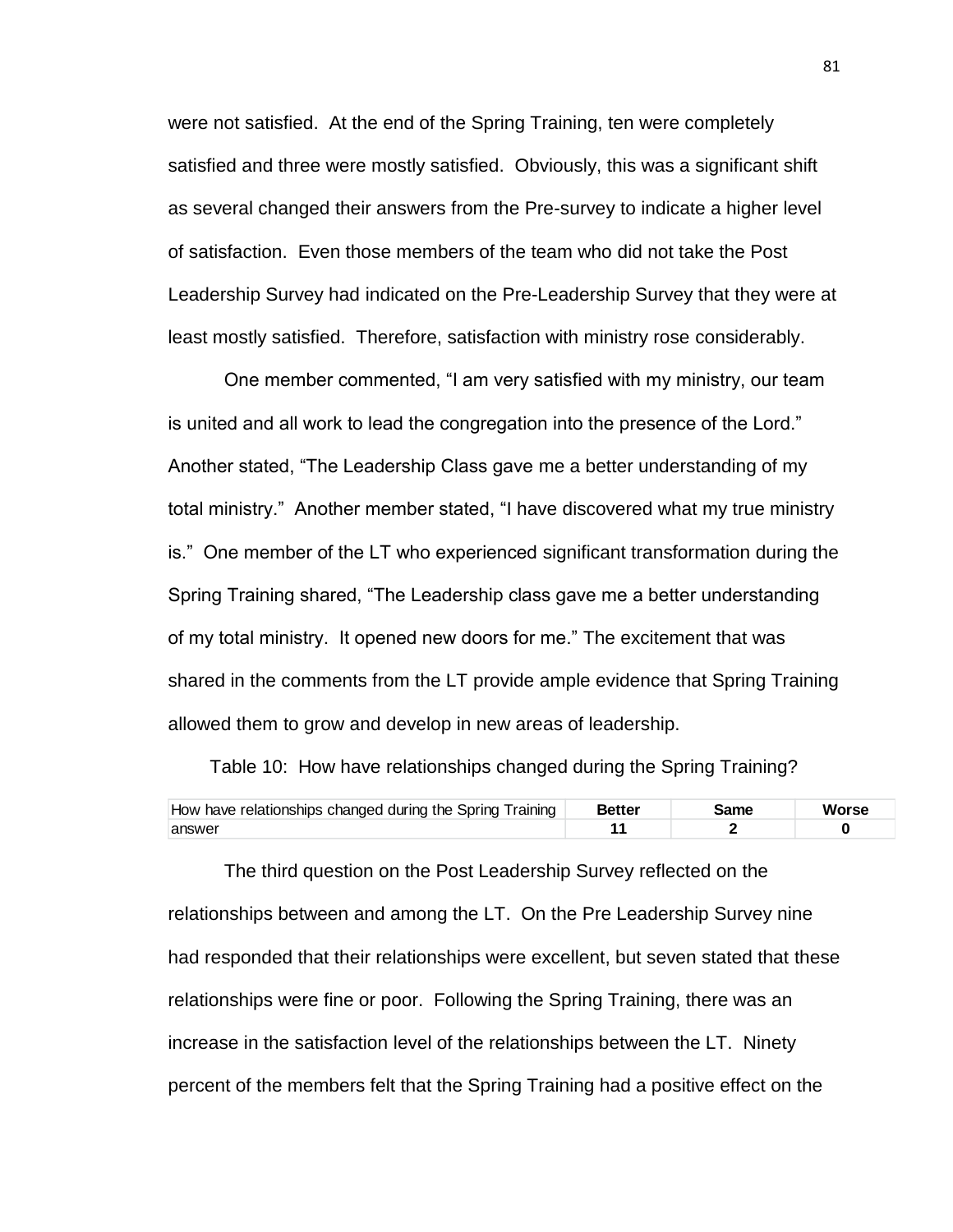were not satisfied. At the end of the Spring Training, ten were completely satisfied and three were mostly satisfied. Obviously, this was a significant shift as several changed their answers from the Pre-survey to indicate a higher level of satisfaction. Even those members of the team who did not take the Post Leadership Survey had indicated on the Pre-Leadership Survey that they were at least mostly satisfied. Therefore, satisfaction with ministry rose considerably.

One member commented, "I am very satisfied with my ministry, our team is united and all work to lead the congregation into the presence of the Lord." Another stated, "The Leadership Class gave me a better understanding of my total ministry." Another member stated, "I have discovered what my true ministry is." One member of the LT who experienced significant transformation during the Spring Training shared, "The Leadership class gave me a better understanding of my total ministry. It opened new doors for me." The excitement that was shared in the comments from the LT provide ample evidence that Spring Training allowed them to grow and develop in new areas of leadership.

Table 10: How have relationships changed during the Spring Training?

| How have relationships changed during the Spring Training | <b>Better</b> |  |
|-----------------------------------------------------------|---------------|--|
| answei                                                    |               |  |

The third question on the Post Leadership Survey reflected on the relationships between and among the LT. On the Pre Leadership Survey nine had responded that their relationships were excellent, but seven stated that these relationships were fine or poor. Following the Spring Training, there was an increase in the satisfaction level of the relationships between the LT. Ninety percent of the members felt that the Spring Training had a positive effect on the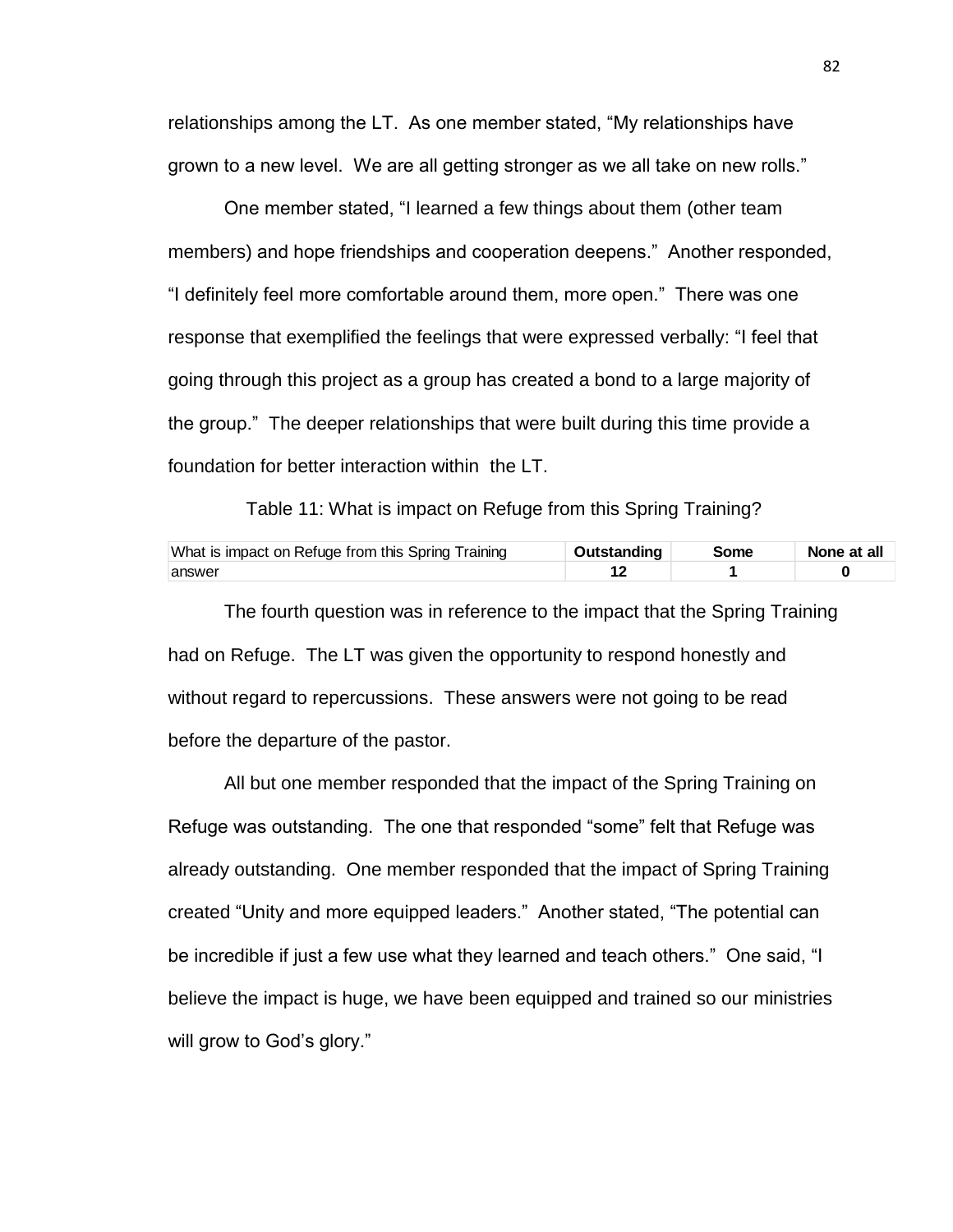relationships among the LT. As one member stated, "My relationships have grown to a new level. We are all getting stronger as we all take on new rolls."

One member stated, "I learned a few things about them (other team members) and hope friendships and cooperation deepens." Another responded, "I definitely feel more comfortable around them, more open." There was one response that exemplified the feelings that were expressed verbally: "I feel that going through this project as a group has created a bond to a large majority of the group." The deeper relationships that were built during this time provide a foundation for better interaction within the LT.

Table 11: What is impact on Refuge from this Spring Training?

| What is impact on Refuge from this Spring Training | <b>Outstanding</b> | Some | None at all |
|----------------------------------------------------|--------------------|------|-------------|
| answer                                             |                    |      |             |

The fourth question was in reference to the impact that the Spring Training had on Refuge. The LT was given the opportunity to respond honestly and without regard to repercussions. These answers were not going to be read before the departure of the pastor.

All but one member responded that the impact of the Spring Training on Refuge was outstanding. The one that responded "some" felt that Refuge was already outstanding. One member responded that the impact of Spring Training created "Unity and more equipped leaders." Another stated, "The potential can be incredible if just a few use what they learned and teach others." One said, "I believe the impact is huge, we have been equipped and trained so our ministries will grow to God's glory."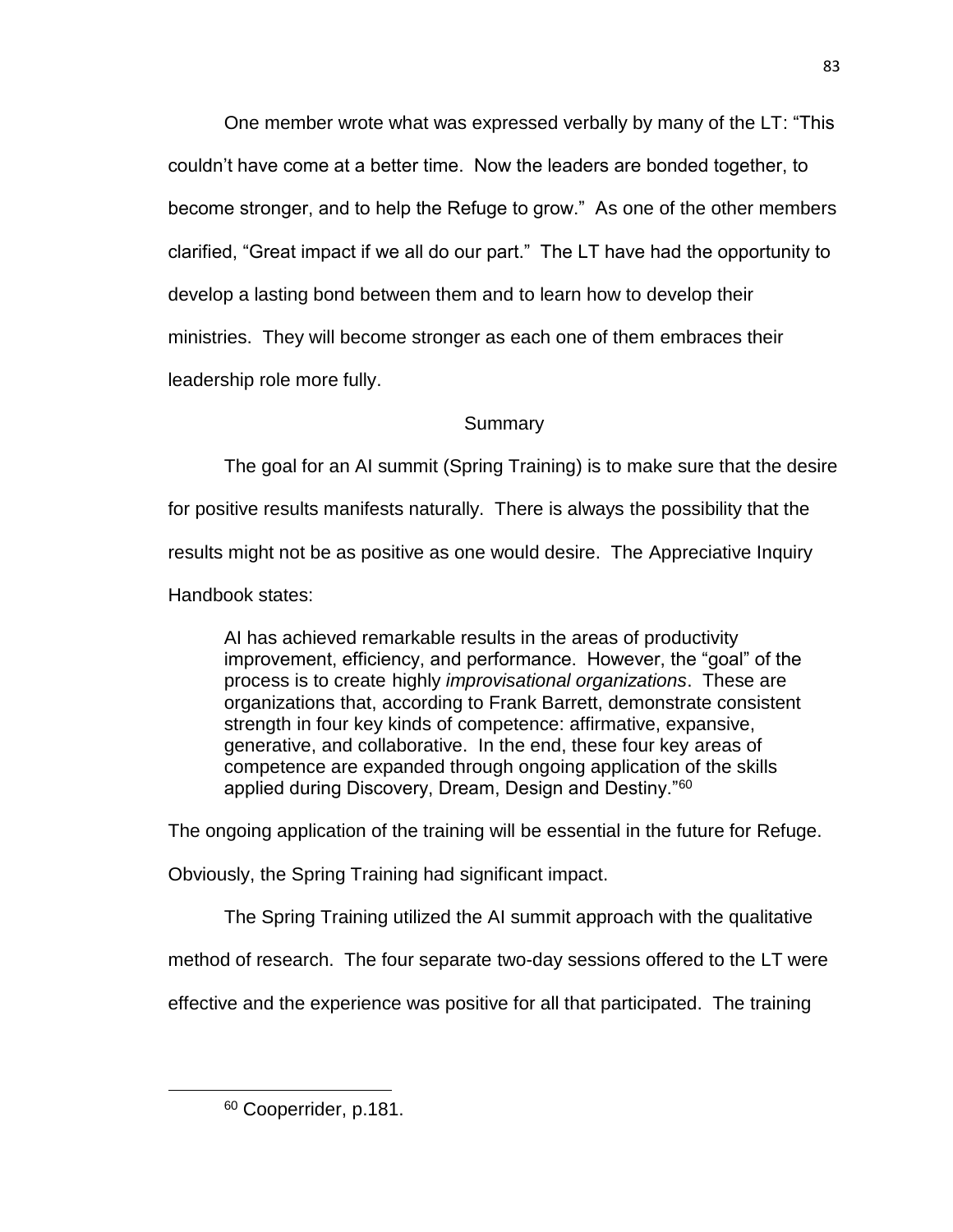One member wrote what was expressed verbally by many of the LT: "This couldn't have come at a better time. Now the leaders are bonded together, to become stronger, and to help the Refuge to grow." As one of the other members clarified, "Great impact if we all do our part." The LT have had the opportunity to develop a lasting bond between them and to learn how to develop their ministries. They will become stronger as each one of them embraces their leadership role more fully.

# Summary

The goal for an AI summit (Spring Training) is to make sure that the desire for positive results manifests naturally. There is always the possibility that the results might not be as positive as one would desire. The Appreciative Inquiry Handbook states:

AI has achieved remarkable results in the areas of productivity improvement, efficiency, and performance. However, the "goal" of the process is to create highly *improvisational organizations*. These are organizations that, according to Frank Barrett, demonstrate consistent strength in four key kinds of competence: affirmative, expansive, generative, and collaborative. In the end, these four key areas of competence are expanded through ongoing application of the skills applied during Discovery, Dream, Design and Destiny."<sup>60</sup>

The ongoing application of the training will be essential in the future for Refuge.

Obviously, the Spring Training had significant impact.

The Spring Training utilized the AI summit approach with the qualitative

method of research. The four separate two-day sessions offered to the LT were

effective and the experience was positive for all that participated. The training

<sup>83</sup>

<sup>60</sup> Cooperrider, p.181.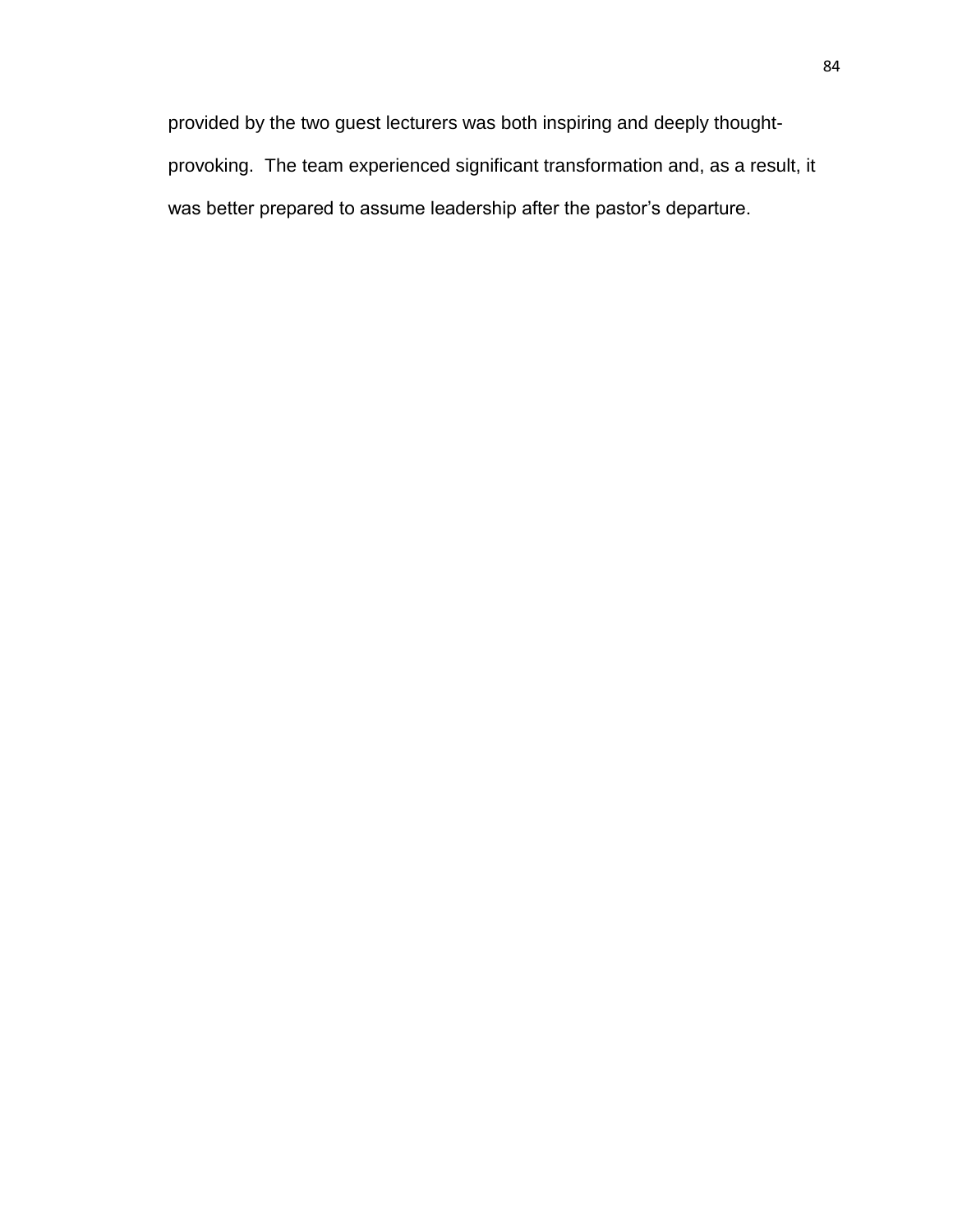provided by the two guest lecturers was both inspiring and deeply thoughtprovoking. The team experienced significant transformation and, as a result, it was better prepared to assume leadership after the pastor's departure.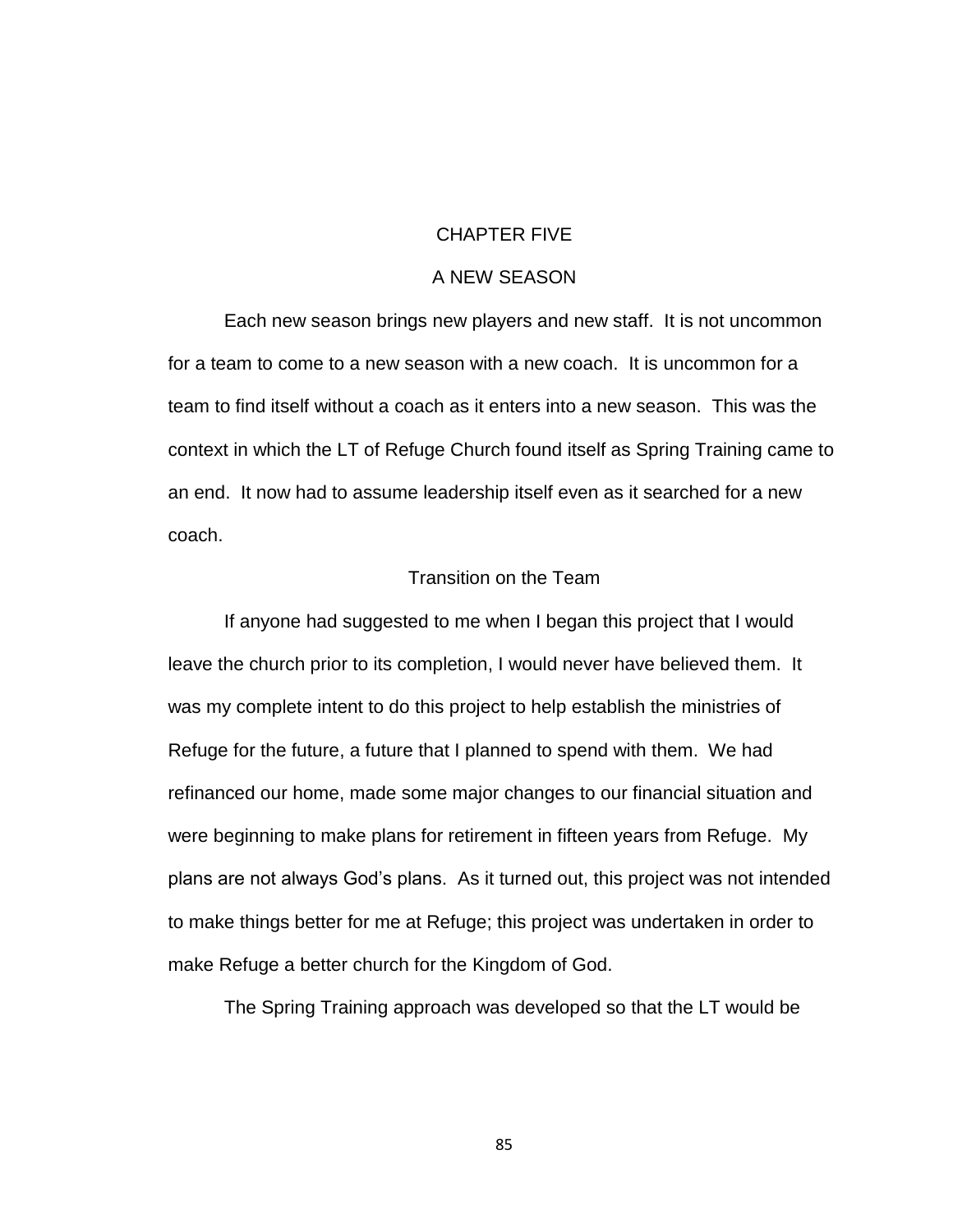### CHAPTER FIVE

### A NEW SEASON

Each new season brings new players and new staff. It is not uncommon for a team to come to a new season with a new coach. It is uncommon for a team to find itself without a coach as it enters into a new season. This was the context in which the LT of Refuge Church found itself as Spring Training came to an end. It now had to assume leadership itself even as it searched for a new coach.

### Transition on the Team

If anyone had suggested to me when I began this project that I would leave the church prior to its completion, I would never have believed them. It was my complete intent to do this project to help establish the ministries of Refuge for the future, a future that I planned to spend with them. We had refinanced our home, made some major changes to our financial situation and were beginning to make plans for retirement in fifteen years from Refuge. My plans are not always God's plans. As it turned out, this project was not intended to make things better for me at Refuge; this project was undertaken in order to make Refuge a better church for the Kingdom of God.

The Spring Training approach was developed so that the LT would be

85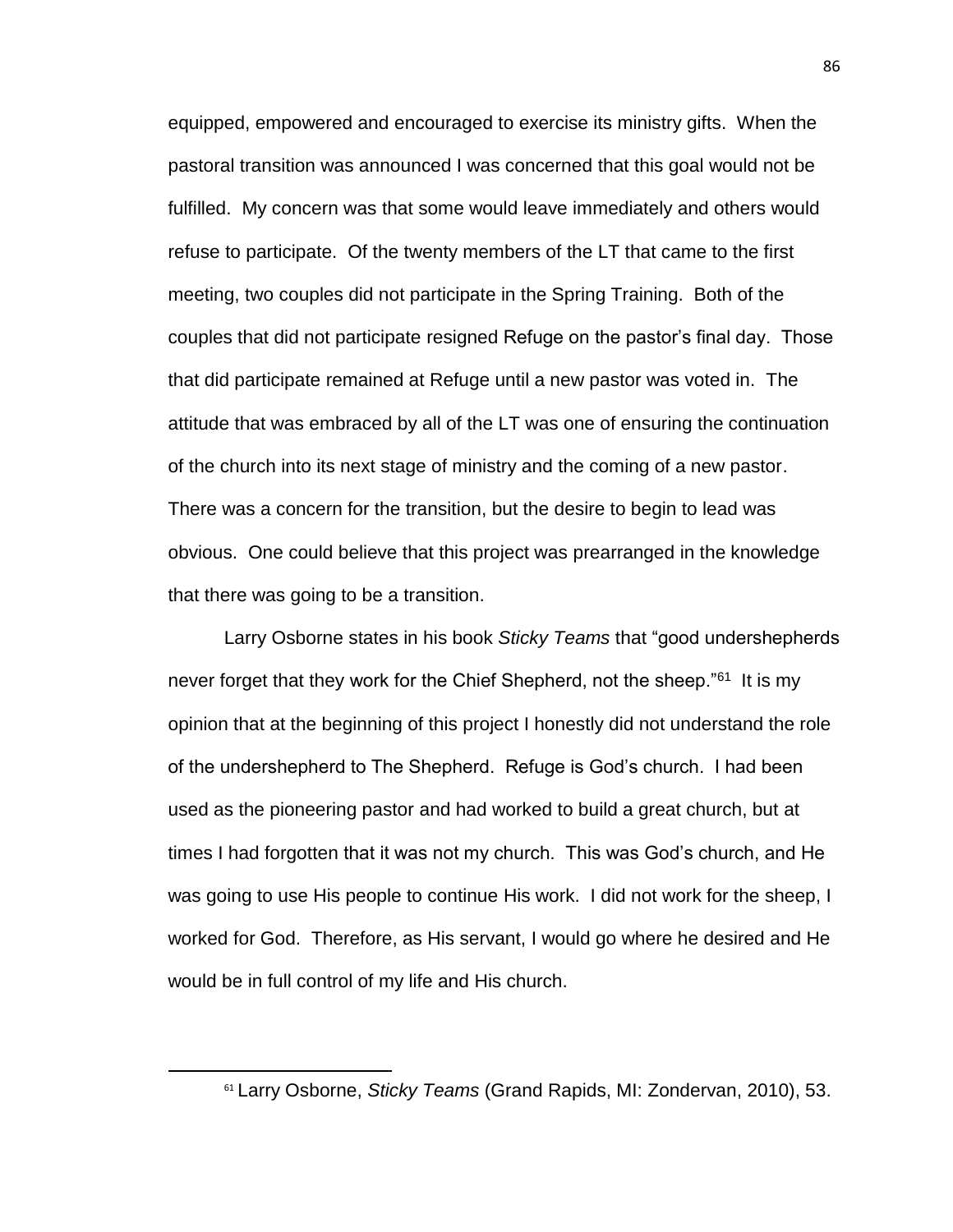equipped, empowered and encouraged to exercise its ministry gifts. When the pastoral transition was announced I was concerned that this goal would not be fulfilled. My concern was that some would leave immediately and others would refuse to participate. Of the twenty members of the LT that came to the first meeting, two couples did not participate in the Spring Training. Both of the couples that did not participate resigned Refuge on the pastor's final day. Those that did participate remained at Refuge until a new pastor was voted in. The attitude that was embraced by all of the LT was one of ensuring the continuation of the church into its next stage of ministry and the coming of a new pastor. There was a concern for the transition, but the desire to begin to lead was obvious. One could believe that this project was prearranged in the knowledge that there was going to be a transition.

Larry Osborne states in his book *Sticky Teams* that "good undershepherds never forget that they work for the Chief Shepherd, not the sheep."<sup>61</sup> It is my opinion that at the beginning of this project I honestly did not understand the role of the undershepherd to The Shepherd. Refuge is God's church. I had been used as the pioneering pastor and had worked to build a great church, but at times I had forgotten that it was not my church. This was God's church, and He was going to use His people to continue His work. I did not work for the sheep, I worked for God. Therefore, as His servant, I would go where he desired and He would be in full control of my life and His church.

<sup>61</sup> Larry Osborne, *Sticky Teams* (Grand Rapids, MI: Zondervan, 2010), 53.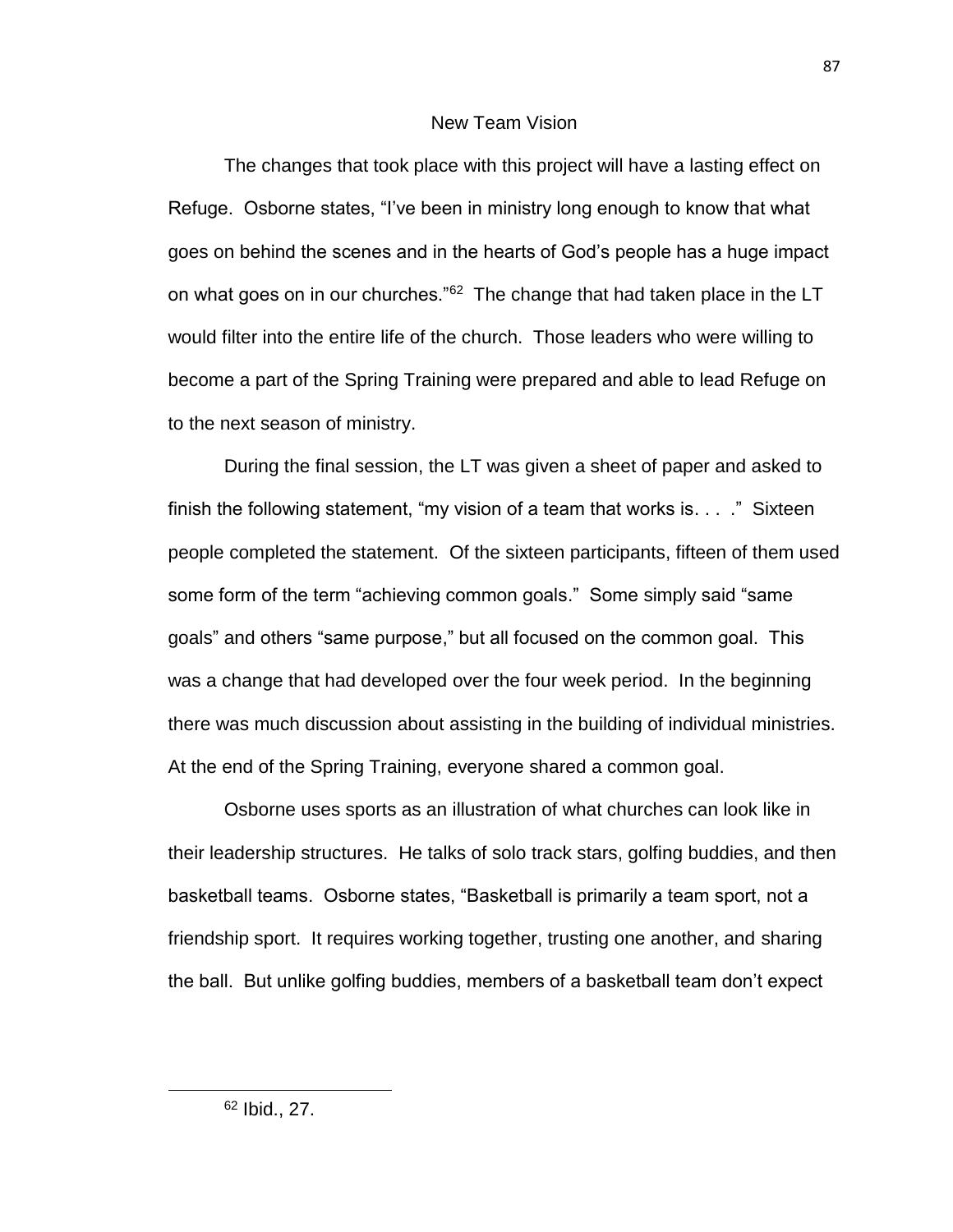### New Team Vision

The changes that took place with this project will have a lasting effect on Refuge. Osborne states, "I've been in ministry long enough to know that what goes on behind the scenes and in the hearts of God's people has a huge impact on what goes on in our churches." $62$  The change that had taken place in the LT would filter into the entire life of the church. Those leaders who were willing to become a part of the Spring Training were prepared and able to lead Refuge on to the next season of ministry.

During the final session, the LT was given a sheet of paper and asked to finish the following statement, "my vision of a team that works is. . . ." Sixteen people completed the statement. Of the sixteen participants, fifteen of them used some form of the term "achieving common goals." Some simply said "same goals" and others "same purpose," but all focused on the common goal. This was a change that had developed over the four week period. In the beginning there was much discussion about assisting in the building of individual ministries. At the end of the Spring Training, everyone shared a common goal.

Osborne uses sports as an illustration of what churches can look like in their leadership structures. He talks of solo track stars, golfing buddies, and then basketball teams. Osborne states, "Basketball is primarily a team sport, not a friendship sport. It requires working together, trusting one another, and sharing the ball. But unlike golfing buddies, members of a basketball team don't expect

<sup>62</sup> Ibid., 27.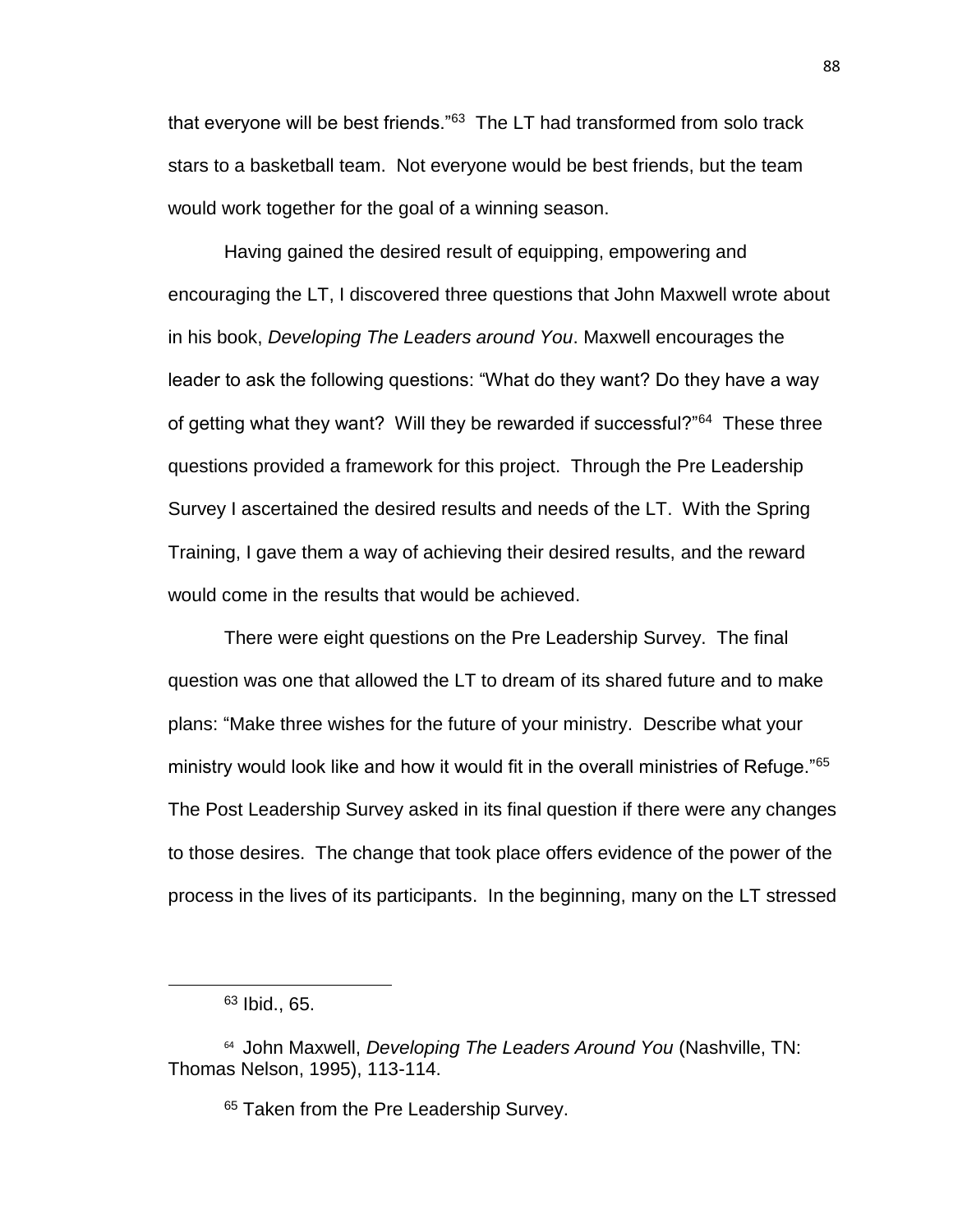that everyone will be best friends."<sup>63</sup> The LT had transformed from solo track stars to a basketball team. Not everyone would be best friends, but the team would work together for the goal of a winning season.

Having gained the desired result of equipping, empowering and encouraging the LT, I discovered three questions that John Maxwell wrote about in his book, *Developing The Leaders around You*. Maxwell encourages the leader to ask the following questions: "What do they want? Do they have a way of getting what they want? Will they be rewarded if successful?"<sup>64</sup> These three questions provided a framework for this project. Through the Pre Leadership Survey I ascertained the desired results and needs of the LT. With the Spring Training, I gave them a way of achieving their desired results, and the reward would come in the results that would be achieved.

There were eight questions on the Pre Leadership Survey. The final question was one that allowed the LT to dream of its shared future and to make plans: "Make three wishes for the future of your ministry. Describe what your ministry would look like and how it would fit in the overall ministries of Refuge."<sup>65</sup> The Post Leadership Survey asked in its final question if there were any changes to those desires. The change that took place offers evidence of the power of the process in the lives of its participants. In the beginning, many on the LT stressed

l

 $63$  Ibid., 65.

<sup>64</sup> John Maxwell, *Developing The Leaders Around You* (Nashville, TN: Thomas Nelson, 1995), 113-114.

<sup>&</sup>lt;sup>65</sup> Taken from the Pre Leadership Survey.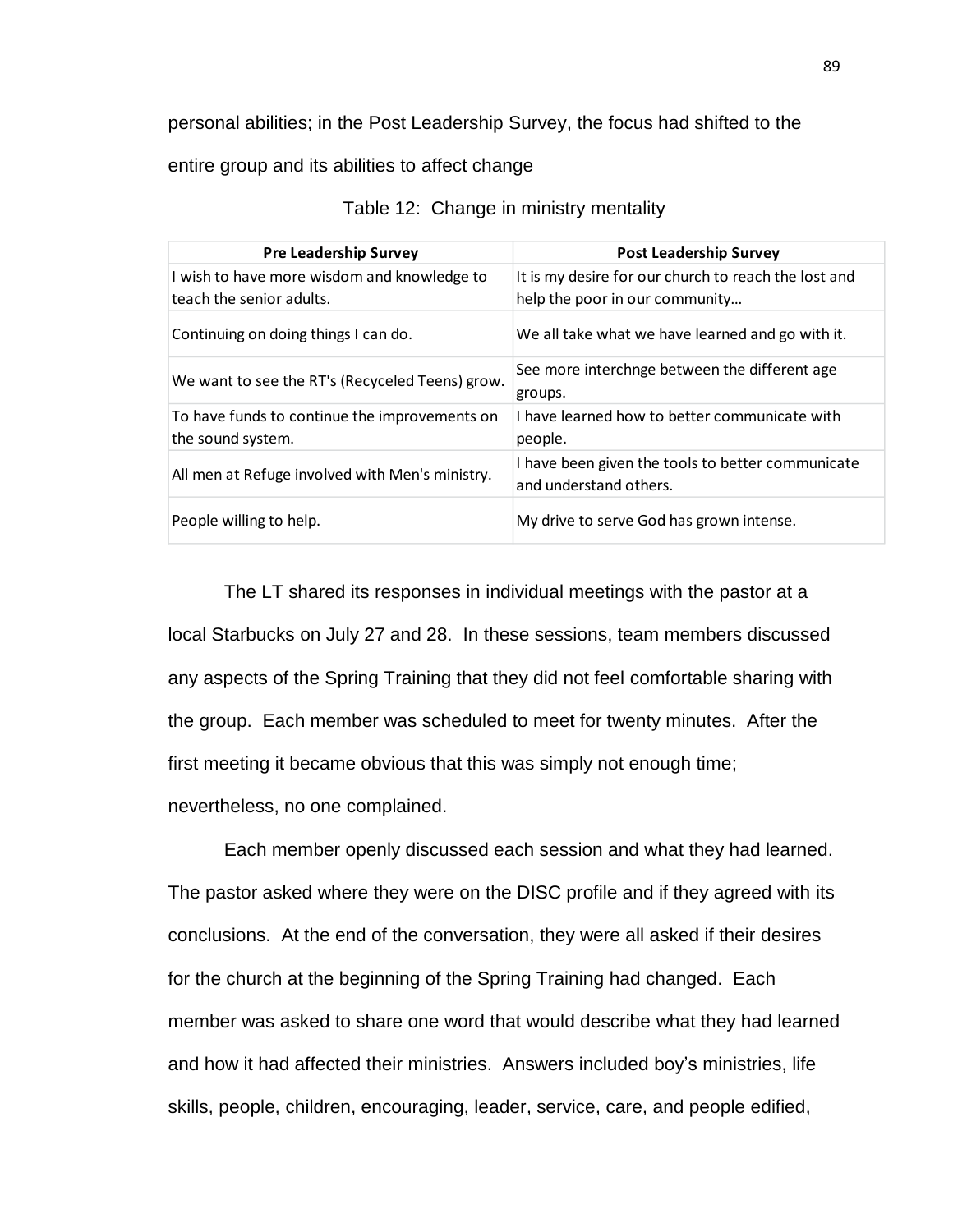personal abilities; in the Post Leadership Survey, the focus had shifted to the

entire group and its abilities to affect change

| <b>Pre Leadership Survey</b>                                            | <b>Post Leadership Survey</b>                                                          |  |
|-------------------------------------------------------------------------|----------------------------------------------------------------------------------------|--|
| I wish to have more wisdom and knowledge to<br>teach the senior adults. | It is my desire for our church to reach the lost and<br>help the poor in our community |  |
| Continuing on doing things I can do.                                    | We all take what we have learned and go with it.                                       |  |
| We want to see the RT's (Recyceled Teens) grow.                         | See more interchnge between the different age<br>groups.                               |  |
| To have funds to continue the improvements on<br>the sound system.      | I have learned how to better communicate with<br>people.                               |  |
| All men at Refuge involved with Men's ministry.                         | I have been given the tools to better communicate<br>and understand others.            |  |
| People willing to help.                                                 | My drive to serve God has grown intense.                                               |  |

|  |  | Table 12: Change in ministry mentality |  |
|--|--|----------------------------------------|--|
|--|--|----------------------------------------|--|

The LT shared its responses in individual meetings with the pastor at a local Starbucks on July 27 and 28. In these sessions, team members discussed any aspects of the Spring Training that they did not feel comfortable sharing with the group. Each member was scheduled to meet for twenty minutes. After the first meeting it became obvious that this was simply not enough time; nevertheless, no one complained.

Each member openly discussed each session and what they had learned. The pastor asked where they were on the DISC profile and if they agreed with its conclusions. At the end of the conversation, they were all asked if their desires for the church at the beginning of the Spring Training had changed. Each member was asked to share one word that would describe what they had learned and how it had affected their ministries. Answers included boy's ministries, life skills, people, children, encouraging, leader, service, care, and people edified,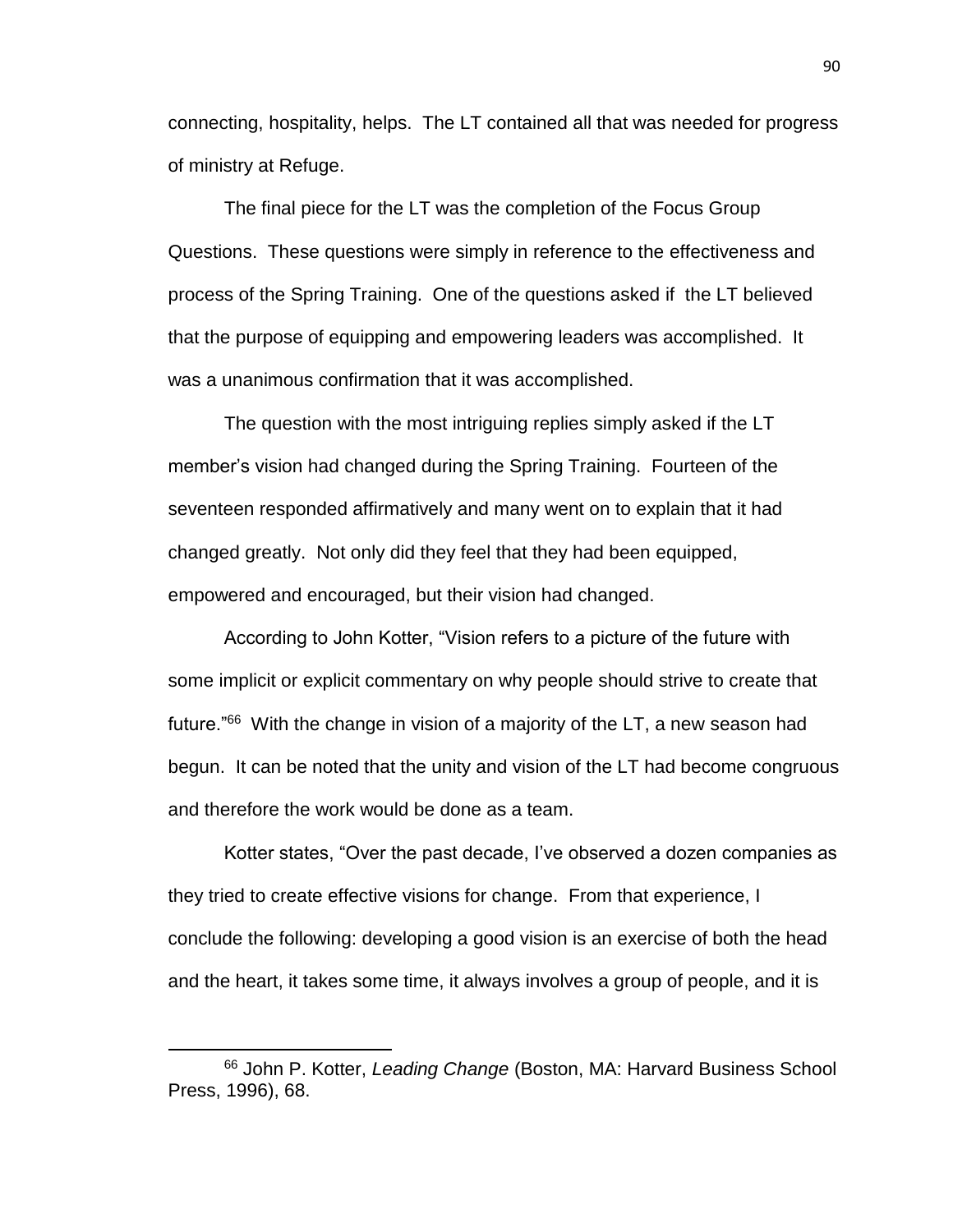connecting, hospitality, helps. The LT contained all that was needed for progress of ministry at Refuge.

The final piece for the LT was the completion of the Focus Group Questions. These questions were simply in reference to the effectiveness and process of the Spring Training. One of the questions asked if the LT believed that the purpose of equipping and empowering leaders was accomplished. It was a unanimous confirmation that it was accomplished.

The question with the most intriguing replies simply asked if the LT member's vision had changed during the Spring Training. Fourteen of the seventeen responded affirmatively and many went on to explain that it had changed greatly. Not only did they feel that they had been equipped, empowered and encouraged, but their vision had changed.

According to John Kotter, "Vision refers to a picture of the future with some implicit or explicit commentary on why people should strive to create that future."<sup>66</sup> With the change in vision of a majority of the LT, a new season had begun. It can be noted that the unity and vision of the LT had become congruous and therefore the work would be done as a team.

Kotter states, "Over the past decade, I've observed a dozen companies as they tried to create effective visions for change. From that experience, I conclude the following: developing a good vision is an exercise of both the head and the heart, it takes some time, it always involves a group of people, and it is

 $\overline{a}$ 

<sup>66</sup> John P. Kotter, *Leading Change* (Boston, MA: Harvard Business School Press, 1996), 68.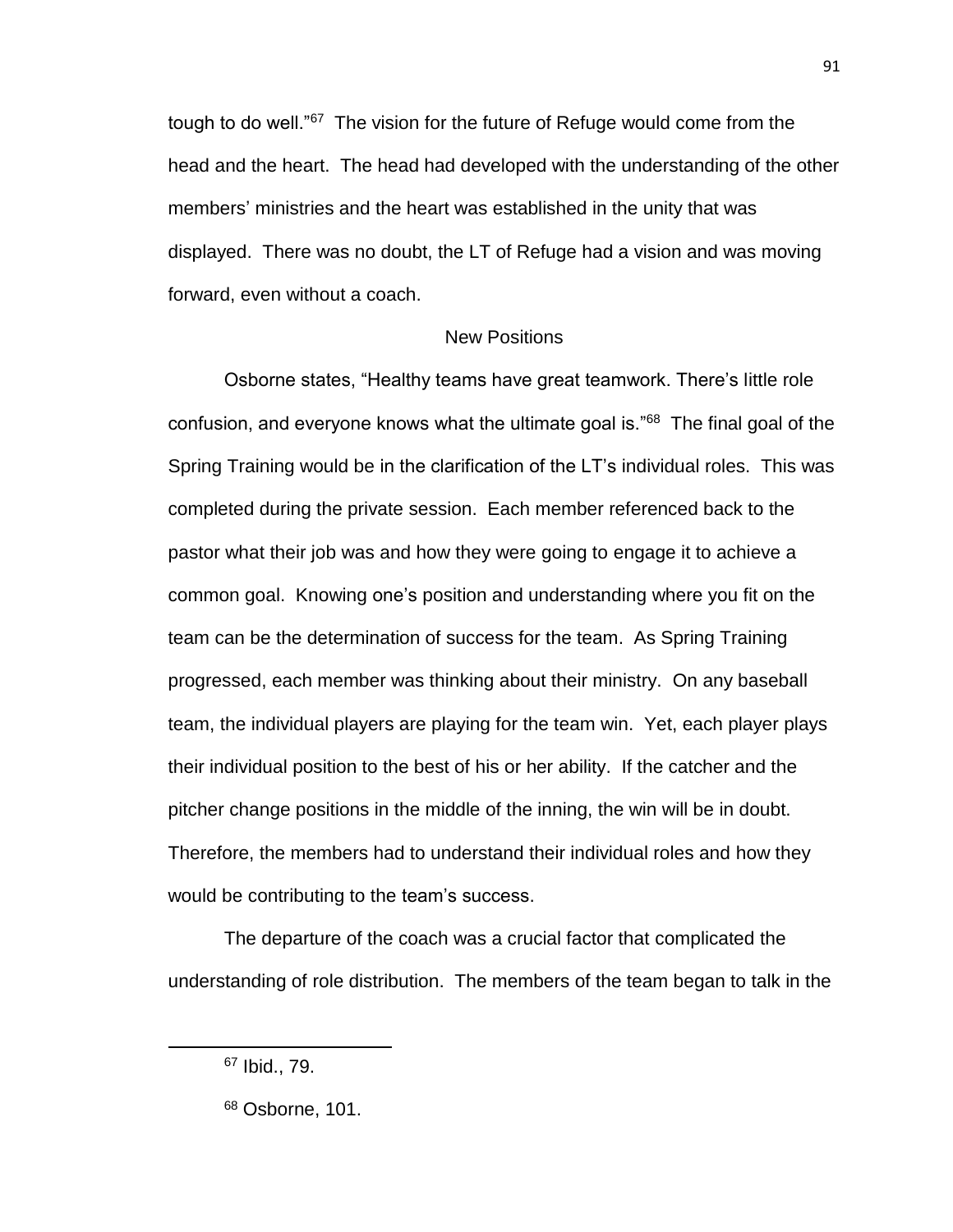tough to do well."<sup>67</sup> The vision for the future of Refuge would come from the head and the heart. The head had developed with the understanding of the other members' ministries and the heart was established in the unity that was displayed. There was no doubt, the LT of Refuge had a vision and was moving forward, even without a coach.

### New Positions

Osborne states, "Healthy teams have great teamwork. There's little role confusion, and everyone knows what the ultimate goal is."<sup>68</sup> The final goal of the Spring Training would be in the clarification of the LT's individual roles. This was completed during the private session. Each member referenced back to the pastor what their job was and how they were going to engage it to achieve a common goal. Knowing one's position and understanding where you fit on the team can be the determination of success for the team. As Spring Training progressed, each member was thinking about their ministry. On any baseball team, the individual players are playing for the team win. Yet, each player plays their individual position to the best of his or her ability. If the catcher and the pitcher change positions in the middle of the inning, the win will be in doubt. Therefore, the members had to understand their individual roles and how they would be contributing to the team's success.

The departure of the coach was a crucial factor that complicated the understanding of role distribution. The members of the team began to talk in the

 $\overline{\phantom{a}}$ 

91

<sup>67</sup> Ibid., 79.

<sup>68</sup> Osborne, 101.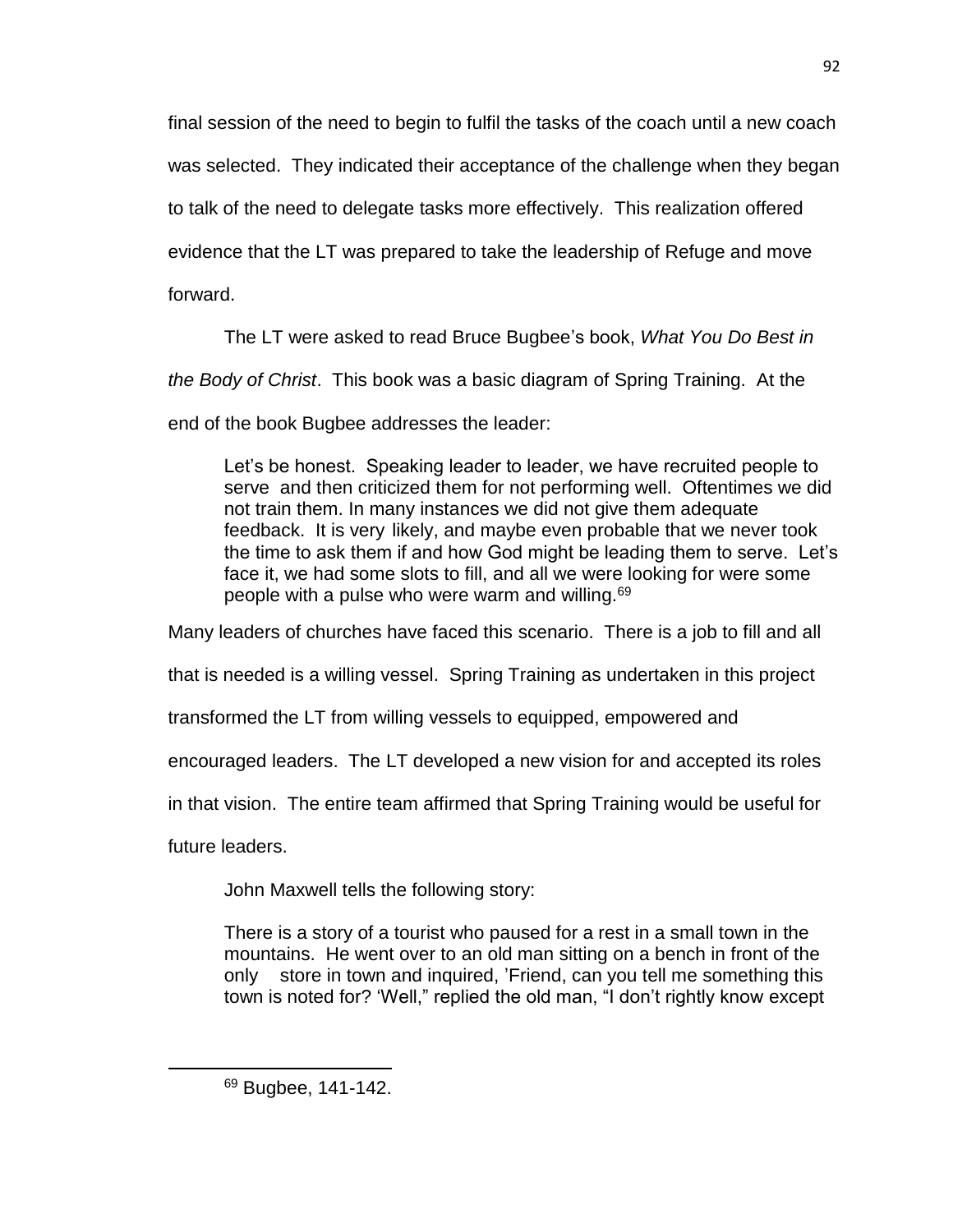final session of the need to begin to fulfil the tasks of the coach until a new coach was selected. They indicated their acceptance of the challenge when they began to talk of the need to delegate tasks more effectively. This realization offered evidence that the LT was prepared to take the leadership of Refuge and move forward.

The LT were asked to read Bruce Bugbee's book, *What You Do Best in* 

*the Body of Christ*. This book was a basic diagram of Spring Training. At the

end of the book Bugbee addresses the leader:

Let's be honest. Speaking leader to leader, we have recruited people to serve and then criticized them for not performing well. Oftentimes we did not train them. In many instances we did not give them adequate feedback. It is very likely, and maybe even probable that we never took the time to ask them if and how God might be leading them to serve. Let's face it, we had some slots to fill, and all we were looking for were some people with a pulse who were warm and willing.<sup>69</sup>

Many leaders of churches have faced this scenario. There is a job to fill and all

that is needed is a willing vessel. Spring Training as undertaken in this project

transformed the LT from willing vessels to equipped, empowered and

encouraged leaders. The LT developed a new vision for and accepted its roles

in that vision. The entire team affirmed that Spring Training would be useful for

future leaders.

 $\overline{\phantom{a}}$ 

John Maxwell tells the following story:

There is a story of a tourist who paused for a rest in a small town in the mountains. He went over to an old man sitting on a bench in front of the only store in town and inquired, 'Friend, can you tell me something this town is noted for? 'Well," replied the old man, "I don't rightly know except

<sup>69</sup> Bugbee, 141-142.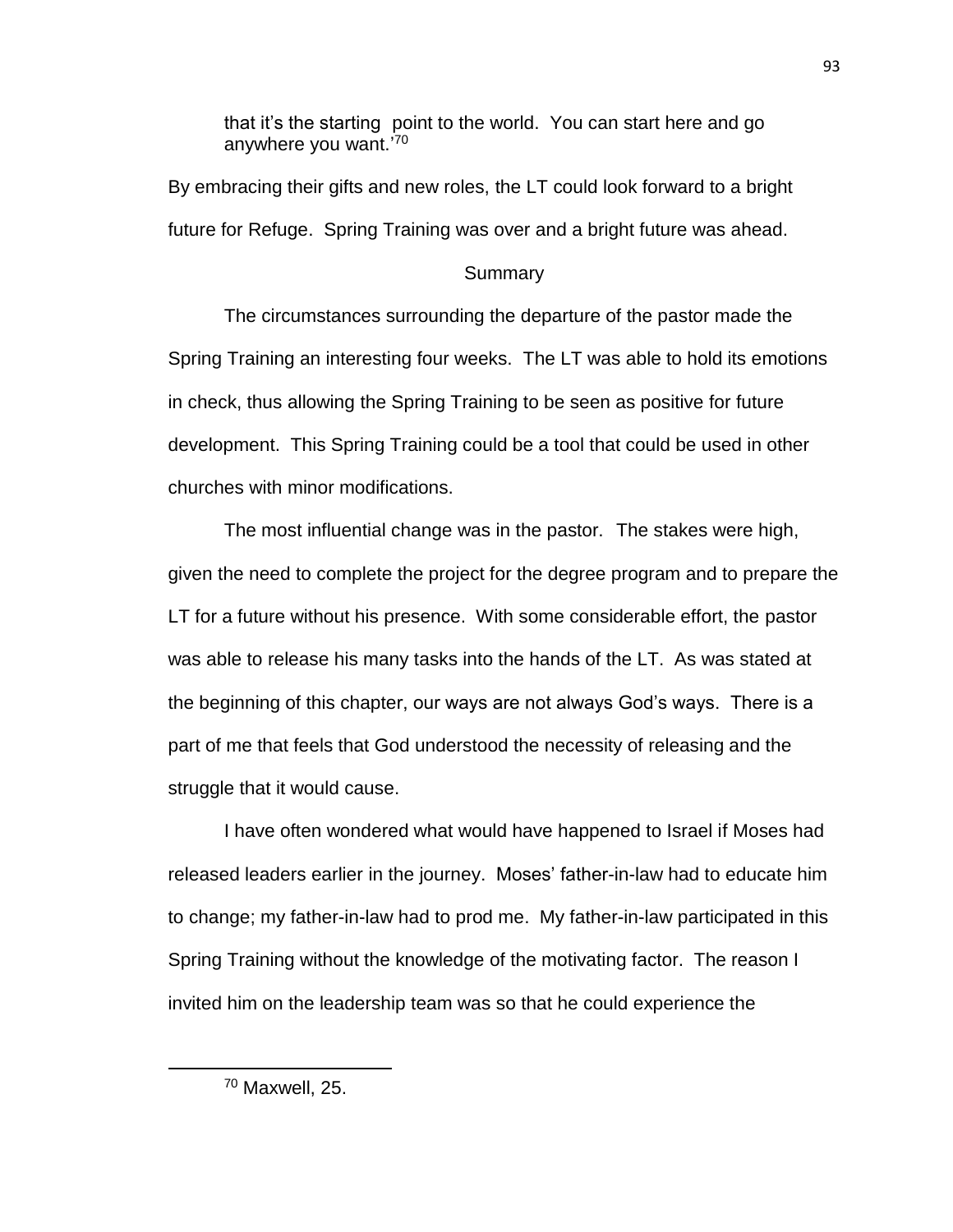that it's the starting point to the world. You can start here and go anywhere you want.' 70

By embracing their gifts and new roles, the LT could look forward to a bright future for Refuge. Spring Training was over and a bright future was ahead.

### **Summary**

The circumstances surrounding the departure of the pastor made the Spring Training an interesting four weeks. The LT was able to hold its emotions in check, thus allowing the Spring Training to be seen as positive for future development. This Spring Training could be a tool that could be used in other churches with minor modifications.

The most influential change was in the pastor. The stakes were high, given the need to complete the project for the degree program and to prepare the LT for a future without his presence. With some considerable effort, the pastor was able to release his many tasks into the hands of the LT. As was stated at the beginning of this chapter, our ways are not always God's ways. There is a part of me that feels that God understood the necessity of releasing and the struggle that it would cause.

I have often wondered what would have happened to Israel if Moses had released leaders earlier in the journey. Moses' father-in-law had to educate him to change; my father-in-law had to prod me. My father-in-law participated in this Spring Training without the knowledge of the motivating factor. The reason I invited him on the leadership team was so that he could experience the

<sup>70</sup> Maxwell, 25.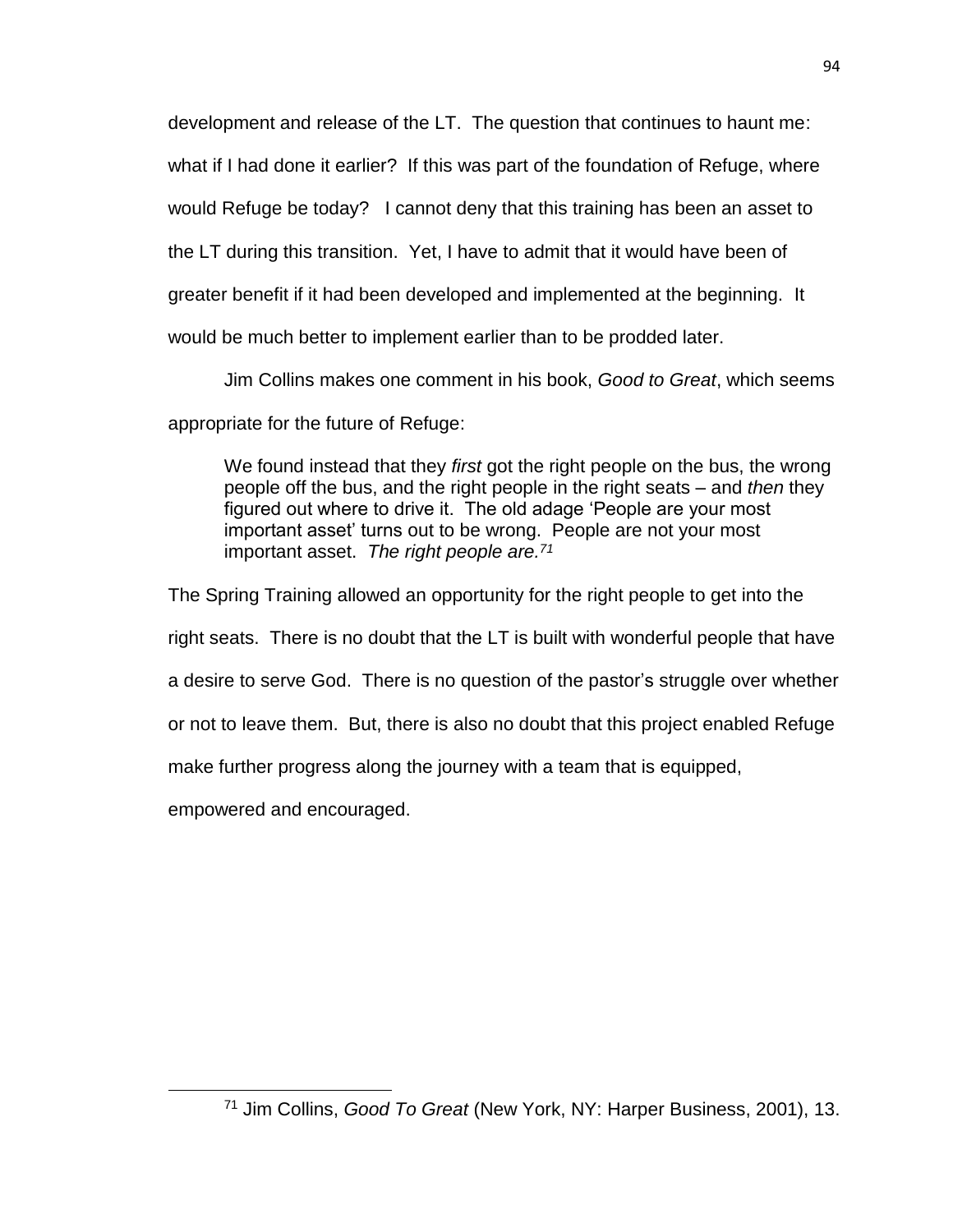development and release of the LT. The question that continues to haunt me:

what if I had done it earlier? If this was part of the foundation of Refuge, where

would Refuge be today? I cannot deny that this training has been an asset to

the LT during this transition. Yet, I have to admit that it would have been of

greater benefit if it had been developed and implemented at the beginning. It

would be much better to implement earlier than to be prodded later.

Jim Collins makes one comment in his book, *Good to Great*, which seems

appropriate for the future of Refuge:

We found instead that they *first* got the right people on the bus, the wrong people off the bus, and the right people in the right seats – and *then* they figured out where to drive it. The old adage 'People are your most important asset' turns out to be wrong. People are not your most important asset. *The right people are.<sup>71</sup>*

The Spring Training allowed an opportunity for the right people to get into the

right seats. There is no doubt that the LT is built with wonderful people that have

a desire to serve God. There is no question of the pastor's struggle over whether

or not to leave them. But, there is also no doubt that this project enabled Refuge

make further progress along the journey with a team that is equipped,

empowered and encouraged.

<sup>71</sup> Jim Collins, *Good To Great* (New York, NY: Harper Business, 2001), 13.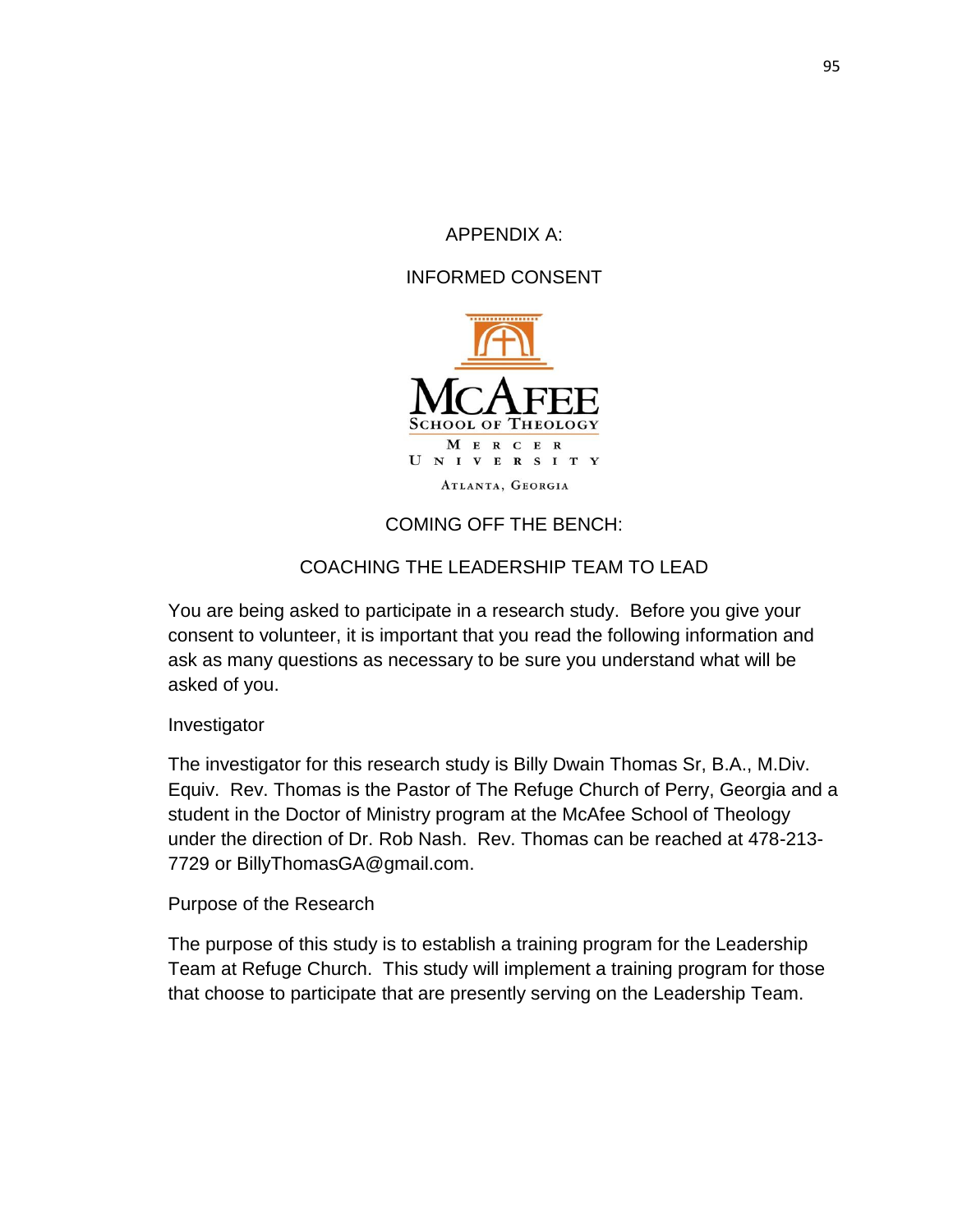APPENDIX A:

INFORMED CONSENT



# COMING OFF THE BENCH:

# COACHING THE LEADERSHIP TEAM TO LEAD

You are being asked to participate in a research study. Before you give your consent to volunteer, it is important that you read the following information and ask as many questions as necessary to be sure you understand what will be asked of you.

Investigator

The investigator for this research study is Billy Dwain Thomas Sr, B.A., M.Div. Equiv. Rev. Thomas is the Pastor of The Refuge Church of Perry, Georgia and a student in the Doctor of Ministry program at the McAfee School of Theology under the direction of Dr. Rob Nash. Rev. Thomas can be reached at 478-213- 7729 or [BillyThomasGA@gmail.com.](mailto:BillyThomasGA@gmail.com)

Purpose of the Research

The purpose of this study is to establish a training program for the Leadership Team at Refuge Church. This study will implement a training program for those that choose to participate that are presently serving on the Leadership Team.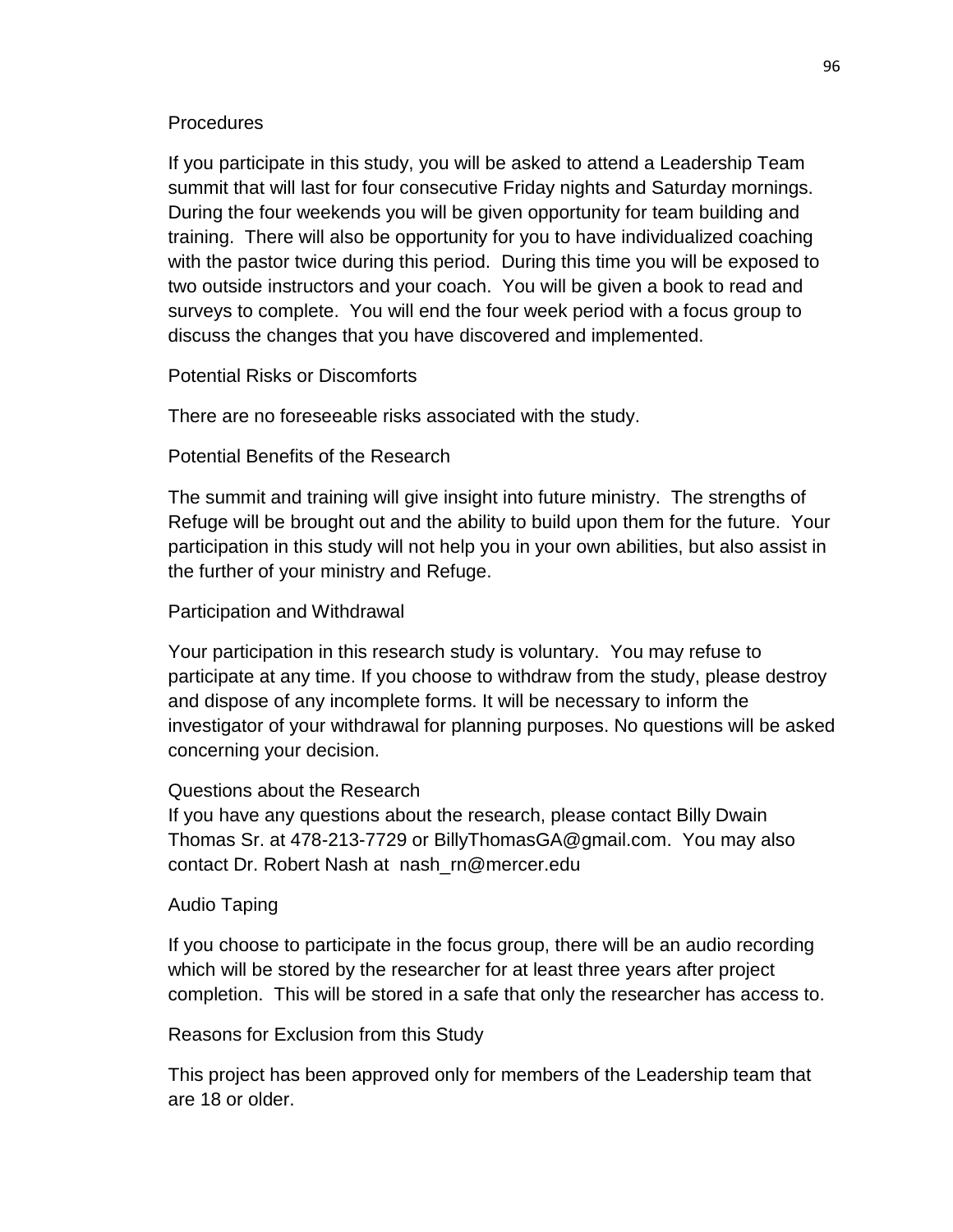## **Procedures**

If you participate in this study, you will be asked to attend a Leadership Team summit that will last for four consecutive Friday nights and Saturday mornings. During the four weekends you will be given opportunity for team building and training. There will also be opportunity for you to have individualized coaching with the pastor twice during this period. During this time you will be exposed to two outside instructors and your coach. You will be given a book to read and surveys to complete. You will end the four week period with a focus group to discuss the changes that you have discovered and implemented.

Potential Risks or Discomforts

There are no foreseeable risks associated with the study.

Potential Benefits of the Research

The summit and training will give insight into future ministry. The strengths of Refuge will be brought out and the ability to build upon them for the future. Your participation in this study will not help you in your own abilities, but also assist in the further of your ministry and Refuge.

## Participation and Withdrawal

Your participation in this research study is voluntary. You may refuse to participate at any time. If you choose to withdraw from the study, please destroy and dispose of any incomplete forms. It will be necessary to inform the investigator of your withdrawal for planning purposes. No questions will be asked concerning your decision.

### Questions about the Research

If you have any questions about the research, please contact Billy Dwain Thomas Sr. at 478-213-7729 or [BillyThomasGA@gmail.com.](mailto:BillyThomasGA@gmail.com) You may also contact Dr. Robert Nash at [nash\\_rn@mercer.edu](mailto:nash_rn@mercer.edu) 

### Audio Taping

If you choose to participate in the focus group, there will be an audio recording which will be stored by the researcher for at least three years after project completion. This will be stored in a safe that only the researcher has access to.

## Reasons for Exclusion from this Study

This project has been approved only for members of the Leadership team that are 18 or older.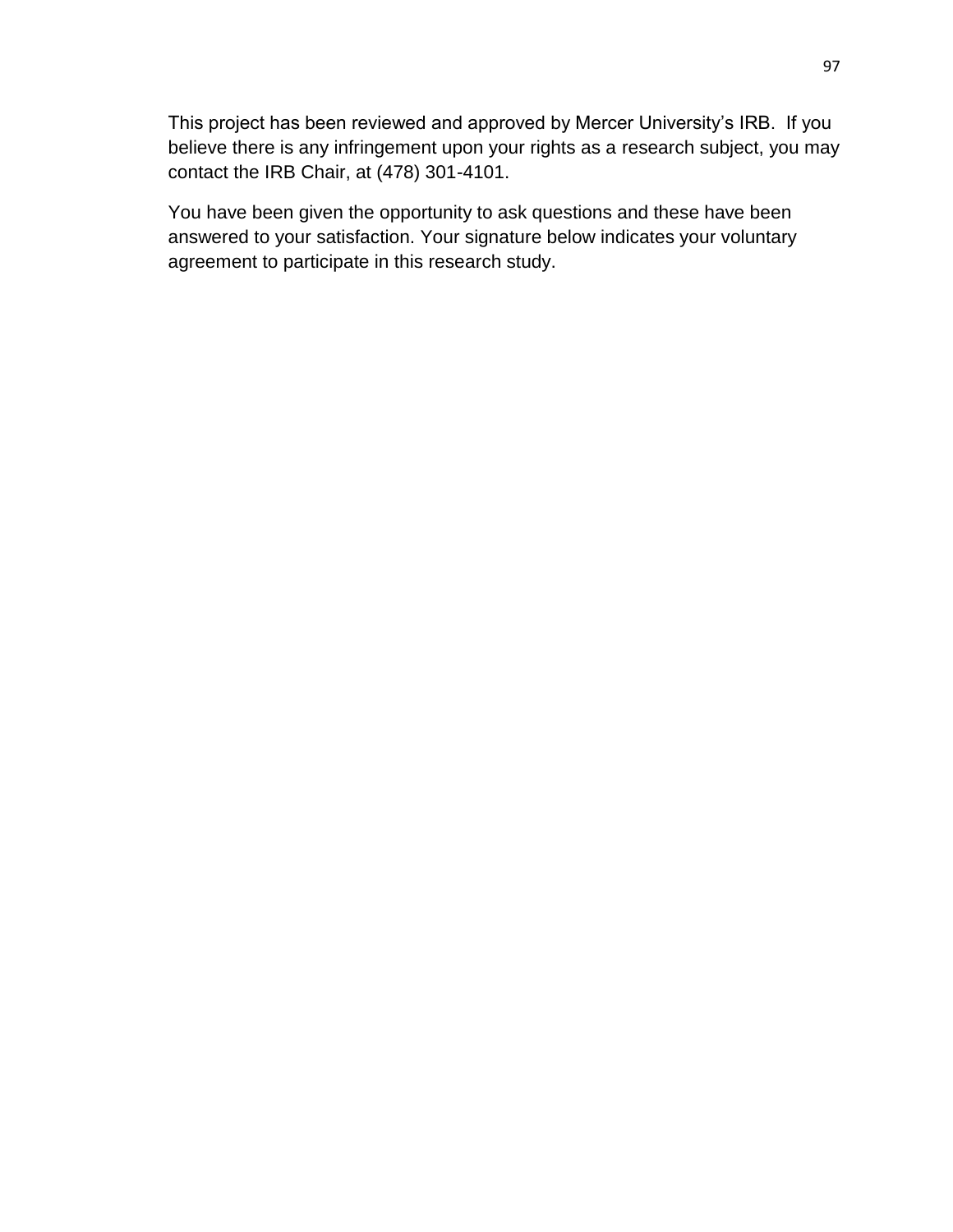This project has been reviewed and approved by Mercer University's IRB. If you believe there is any infringement upon your rights as a research subject, you may contact the IRB Chair, at (478) 301-4101.

You have been given the opportunity to ask questions and these have been answered to your satisfaction. Your signature below indicates your voluntary agreement to participate in this research study.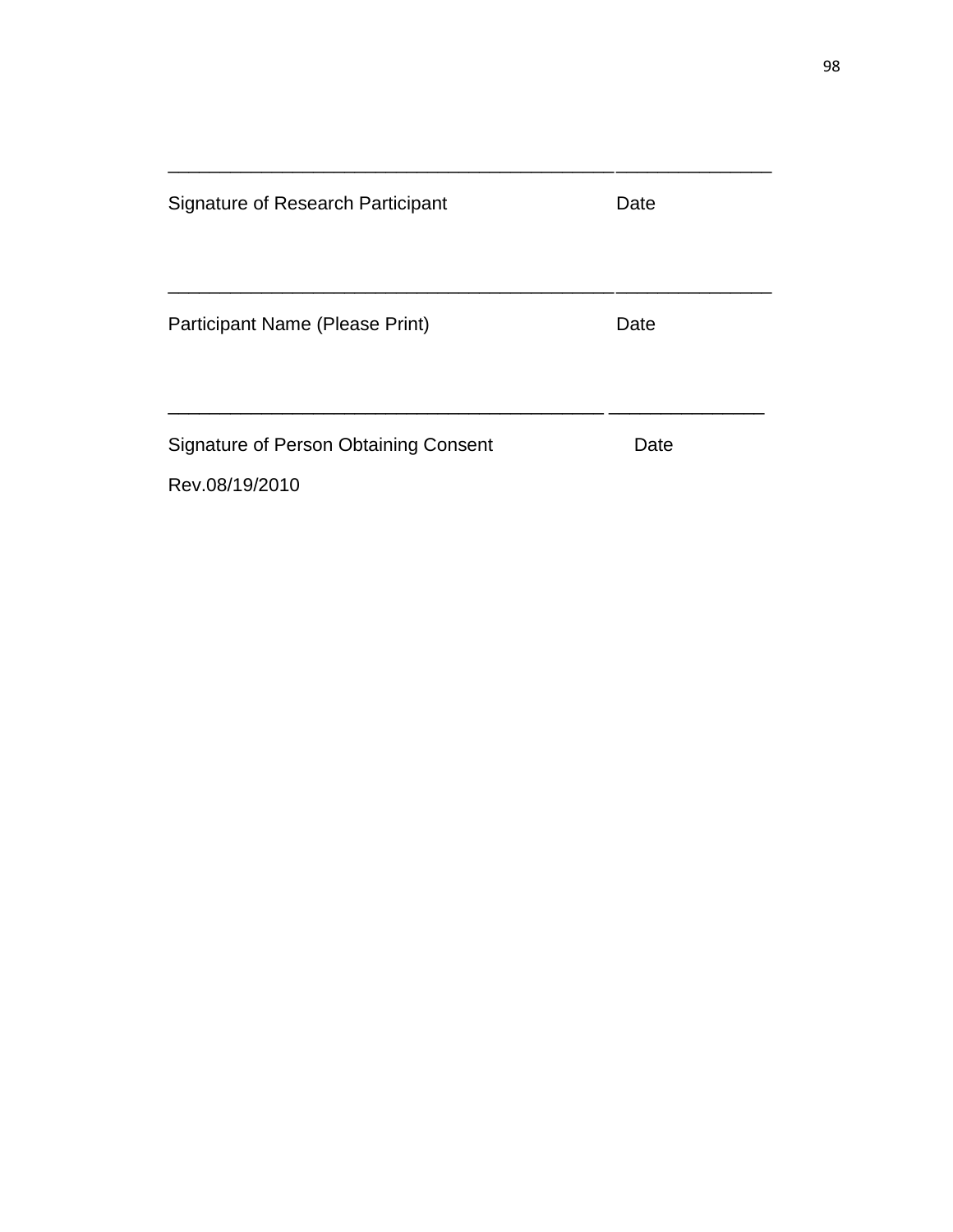| Signature of Research Participant                       | Date |  |
|---------------------------------------------------------|------|--|
| Participant Name (Please Print)                         | Date |  |
| Signature of Person Obtaining Consent<br>Rev.08/19/2010 | Date |  |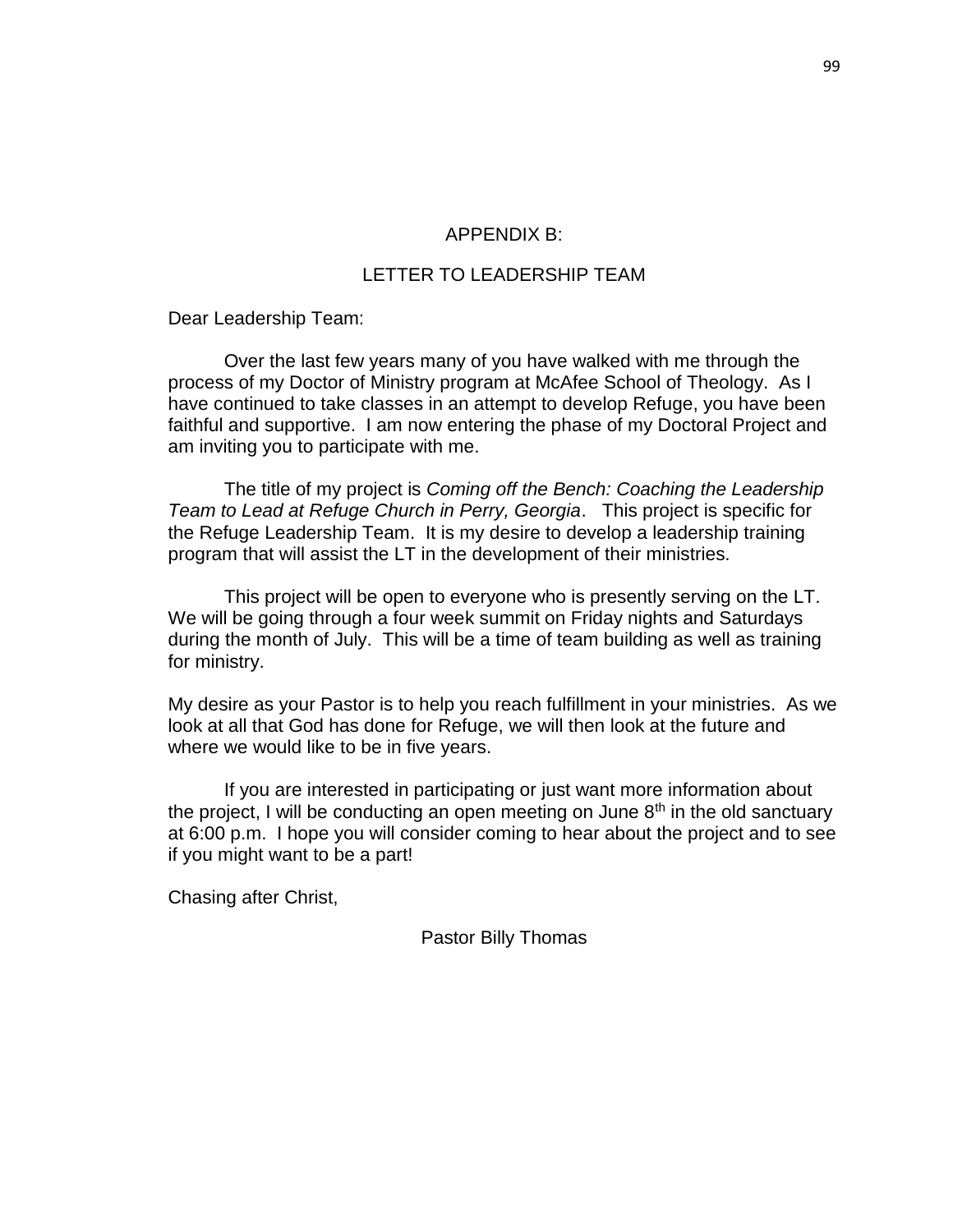### APPENDIX B:

## LETTER TO LEADERSHIP TEAM

Dear Leadership Team:

Over the last few years many of you have walked with me through the process of my Doctor of Ministry program at McAfee School of Theology. As I have continued to take classes in an attempt to develop Refuge, you have been faithful and supportive. I am now entering the phase of my Doctoral Project and am inviting you to participate with me.

The title of my project is *Coming off the Bench: Coaching the Leadership Team to Lead at Refuge Church in Perry, Georgia*. This project is specific for the Refuge Leadership Team. It is my desire to develop a leadership training program that will assist the LT in the development of their ministries.

This project will be open to everyone who is presently serving on the LT. We will be going through a four week summit on Friday nights and Saturdays during the month of July. This will be a time of team building as well as training for ministry.

My desire as your Pastor is to help you reach fulfillment in your ministries. As we look at all that God has done for Refuge, we will then look at the future and where we would like to be in five years.

If you are interested in participating or just want more information about the project, I will be conducting an open meeting on June  $8<sup>th</sup>$  in the old sanctuary at 6:00 p.m. I hope you will consider coming to hear about the project and to see if you might want to be a part!

Chasing after Christ,

Pastor Billy Thomas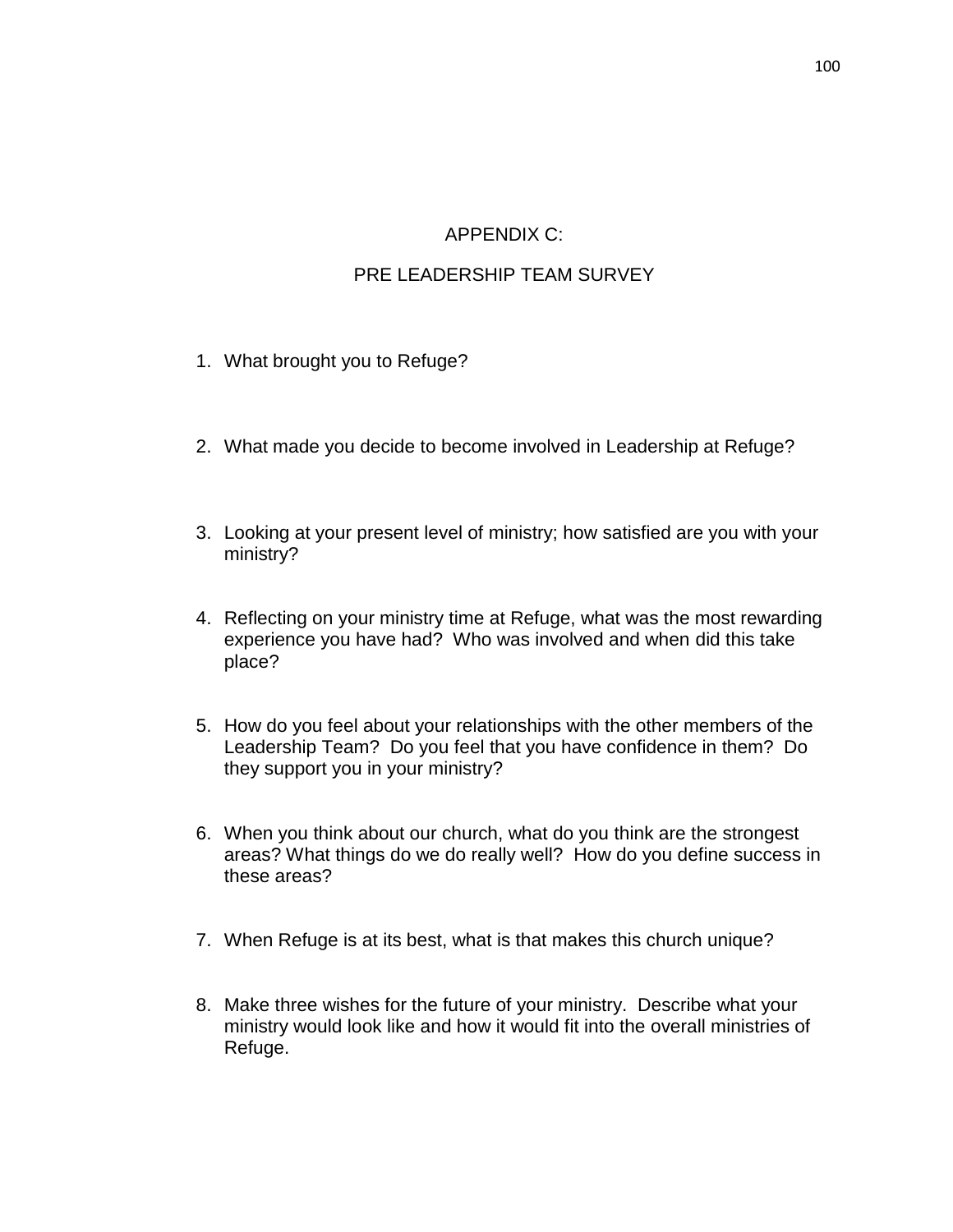## APPENDIX C:

## PRE LEADERSHIP TEAM SURVEY

- 1. What brought you to Refuge?
- 2. What made you decide to become involved in Leadership at Refuge?
- 3. Looking at your present level of ministry; how satisfied are you with your ministry?
- 4. Reflecting on your ministry time at Refuge, what was the most rewarding experience you have had? Who was involved and when did this take place?
- 5. How do you feel about your relationships with the other members of the Leadership Team? Do you feel that you have confidence in them? Do they support you in your ministry?
- 6. When you think about our church, what do you think are the strongest areas? What things do we do really well? How do you define success in these areas?
- 7. When Refuge is at its best, what is that makes this church unique?
- 8. Make three wishes for the future of your ministry. Describe what your ministry would look like and how it would fit into the overall ministries of Refuge.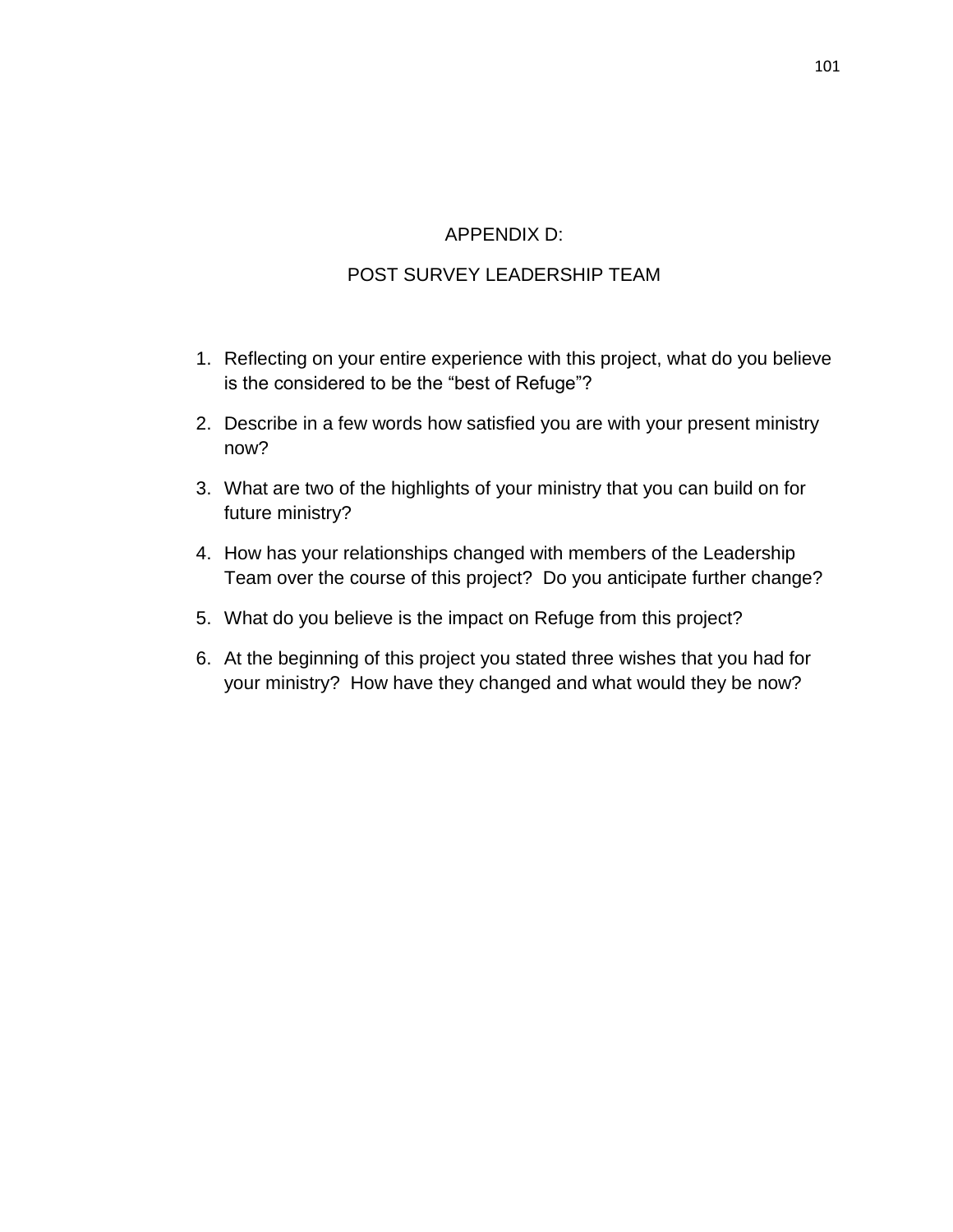## APPENDIX D:

## POST SURVEY LEADERSHIP TEAM

- 1. Reflecting on your entire experience with this project, what do you believe is the considered to be the "best of Refuge"?
- 2. Describe in a few words how satisfied you are with your present ministry now?
- 3. What are two of the highlights of your ministry that you can build on for future ministry?
- 4. How has your relationships changed with members of the Leadership Team over the course of this project? Do you anticipate further change?
- 5. What do you believe is the impact on Refuge from this project?
- 6. At the beginning of this project you stated three wishes that you had for your ministry? How have they changed and what would they be now?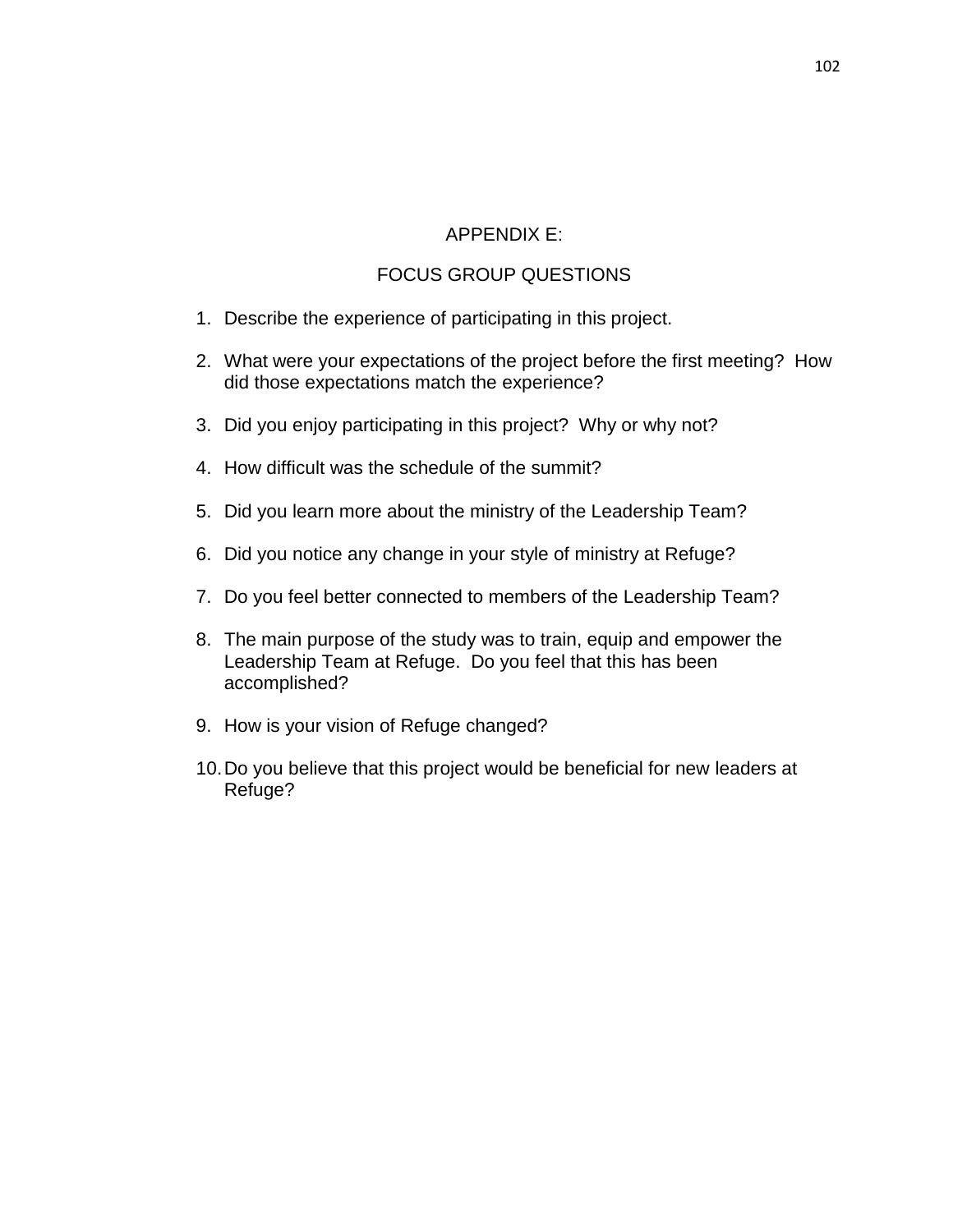## APPENDIX E:

## FOCUS GROUP QUESTIONS

- 1. Describe the experience of participating in this project.
- 2. What were your expectations of the project before the first meeting? How did those expectations match the experience?
- 3. Did you enjoy participating in this project? Why or why not?
- 4. How difficult was the schedule of the summit?
- 5. Did you learn more about the ministry of the Leadership Team?
- 6. Did you notice any change in your style of ministry at Refuge?
- 7. Do you feel better connected to members of the Leadership Team?
- 8. The main purpose of the study was to train, equip and empower the Leadership Team at Refuge. Do you feel that this has been accomplished?
- 9. How is your vision of Refuge changed?
- 10.Do you believe that this project would be beneficial for new leaders at Refuge?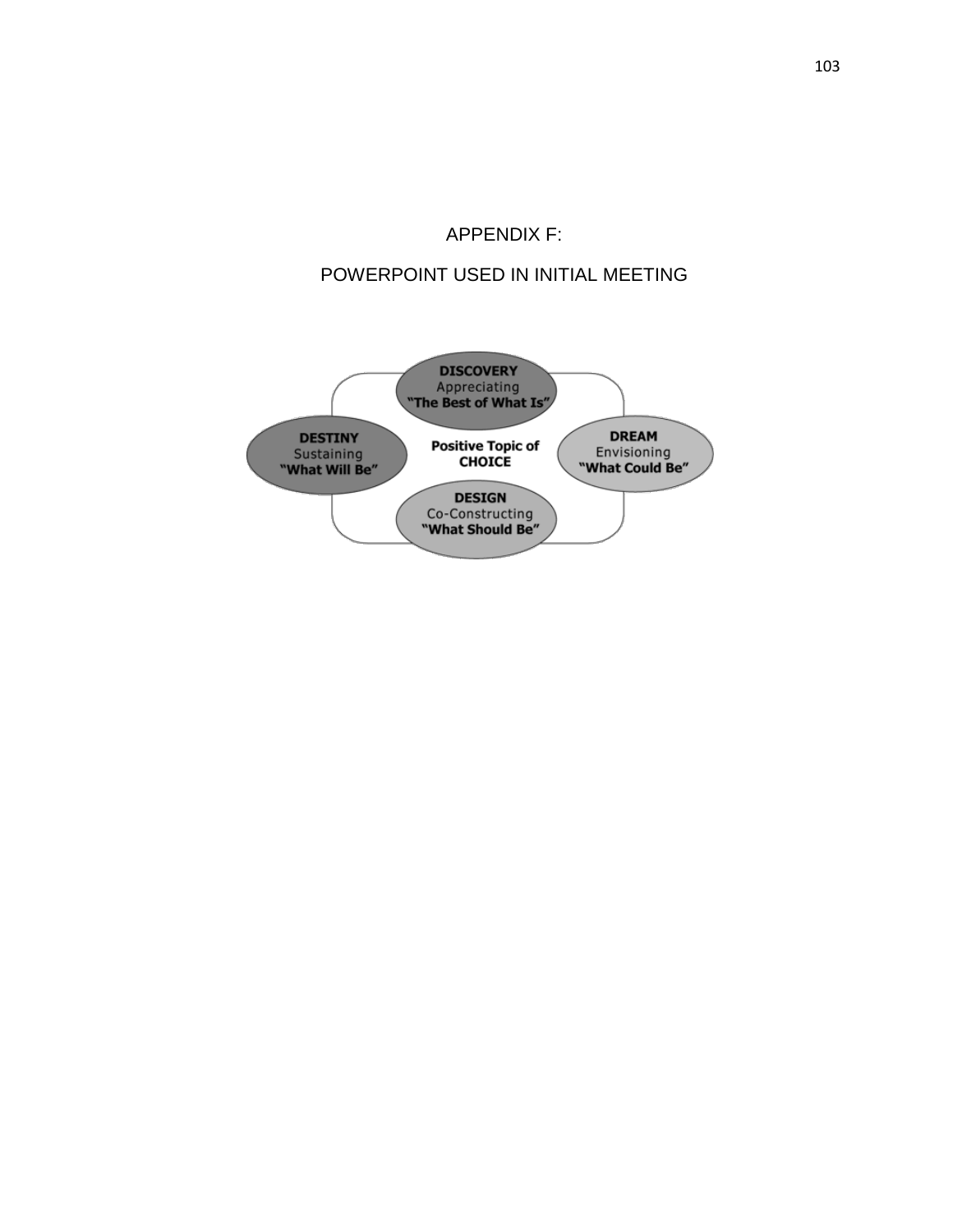# APPENDIX F:

## POWERPOINT USED IN INITIAL MEETING

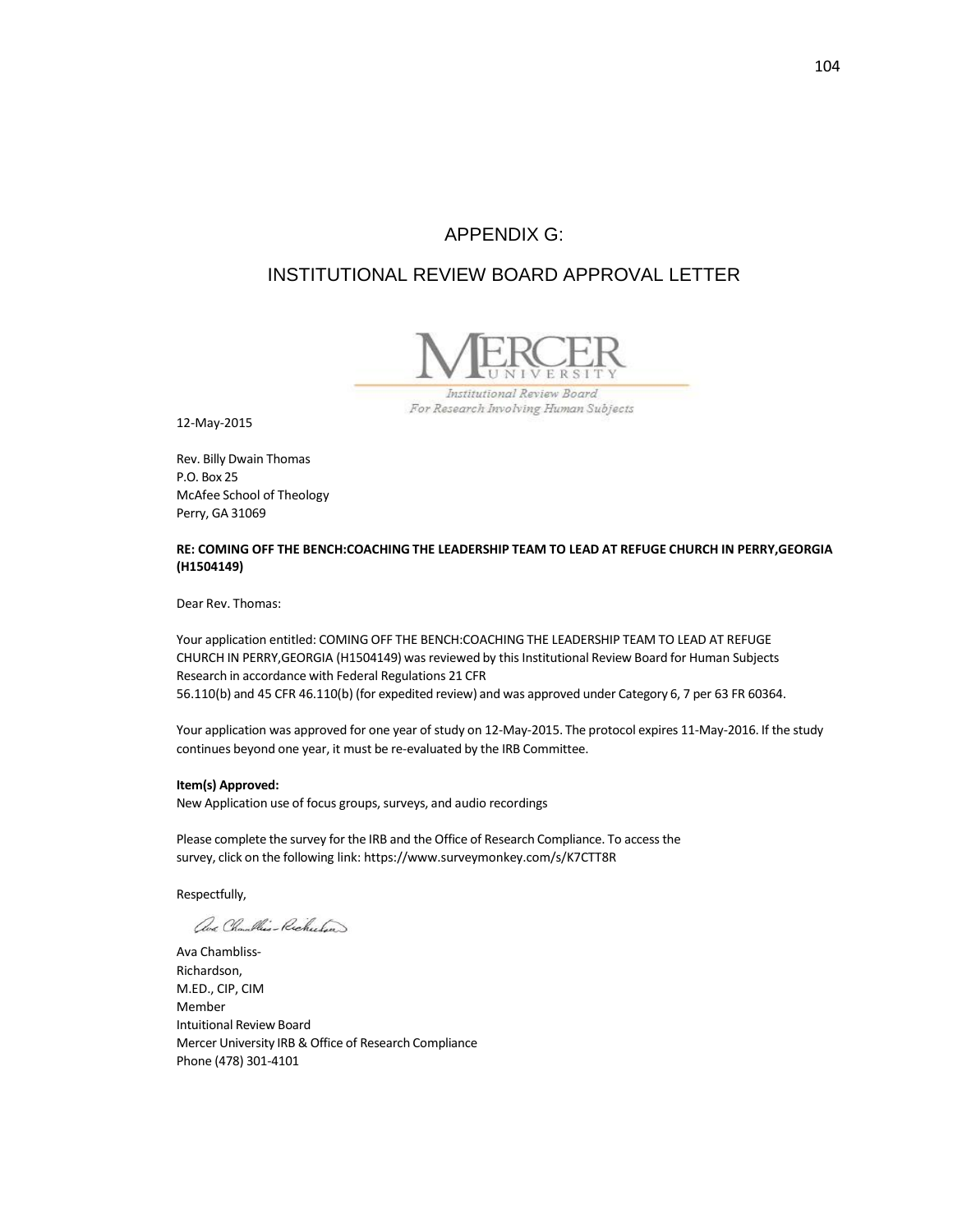## APPENDIX G:

## INSTITUTIONAL REVIEW BOARD APPROVAL LETTER



Institutional Review Board For Research Involving Human Subjects

12-May-2015

Rev. Billy Dwain Thomas P.O. Box 25 McAfee School of Theology Perry, GA 31069

#### **RE: COMING OFF THE BENCH:COACHING THE LEADERSHIP TEAM TO LEAD AT REFUGE CHURCH IN PERRY,GEORGIA (H1504149)**

Dear Rev. Thomas:

Your application entitled: COMING OFF THE BENCH:COACHING THE LEADERSHIP TEAM TO LEAD AT REFUGE CHURCH IN PERRY,GEORGIA (H1504149) was reviewed by this Institutional Review Board for Human Subjects Research in accordance with Federal Regulations 21 [CFR](http://www.accessdata.fda.gov/scripts/cdrh/cfdocs/cfcfr/CFRSearch.cfm?fr=56.110) 56.110(b) and 45 CFR [46.110\(b\)](http://www.hhs.gov/ohrp/humansubjects/guidance/45cfr46.htm#46.110) (for expedited review) and was approved under Category 6, 7 per 63 FR [60364.](http://www.hhs.gov/ohrp/humansubjects/guidance/63fr60364.htm)

Your application was approved for one year of study on 12-May-2015. The protocol expires 11-May-2016. If the study continues beyond one year, it must be re-evaluated by the IRB Committee.

#### **Item(s) Approved:**

New Application use of focus groups, surveys, and audio recordings

Please complete the survey for the IRB and the Office of Research Compliance. To access the survey, click on the following link: <https://www.surveymonkey.com/s/K7CTT8R>

Respectfully,

aus Chambles-Richardson

Ava Chambliss-Richardson, M.ED., CIP, CIM Member Intuitional Review Board Mercer University IRB & Office of Research Compliance Phone (478) 301-4101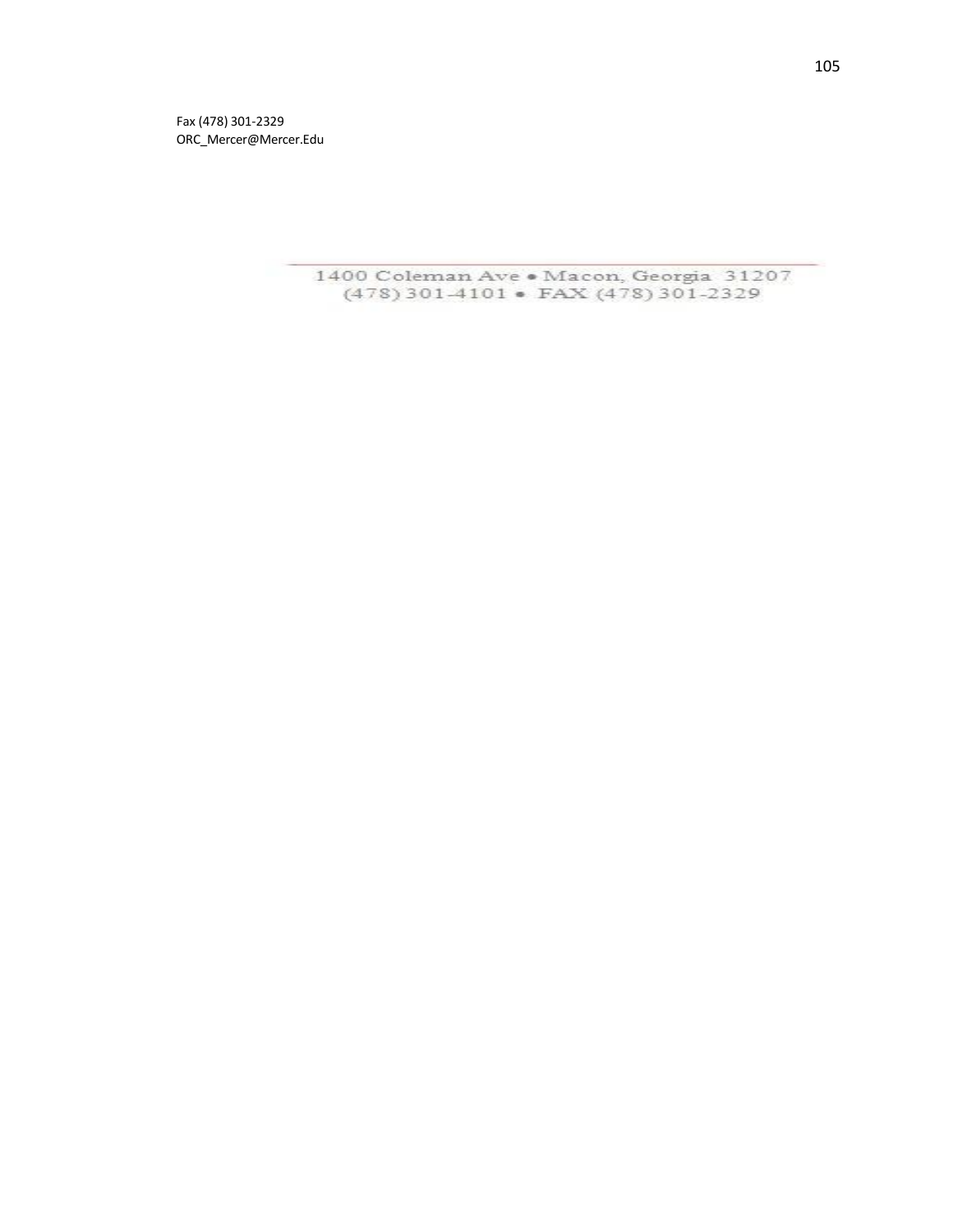Fa x (478 ) 301 -232 9 [ORC\\_Mercer@Mercer.Ed](mailto:ORC_Mercer@Mercer.Edu) u

> 1400 Coleman Ave . Macon, Georgia 31207 (478) 301-4101 • FAX (478) 301-2329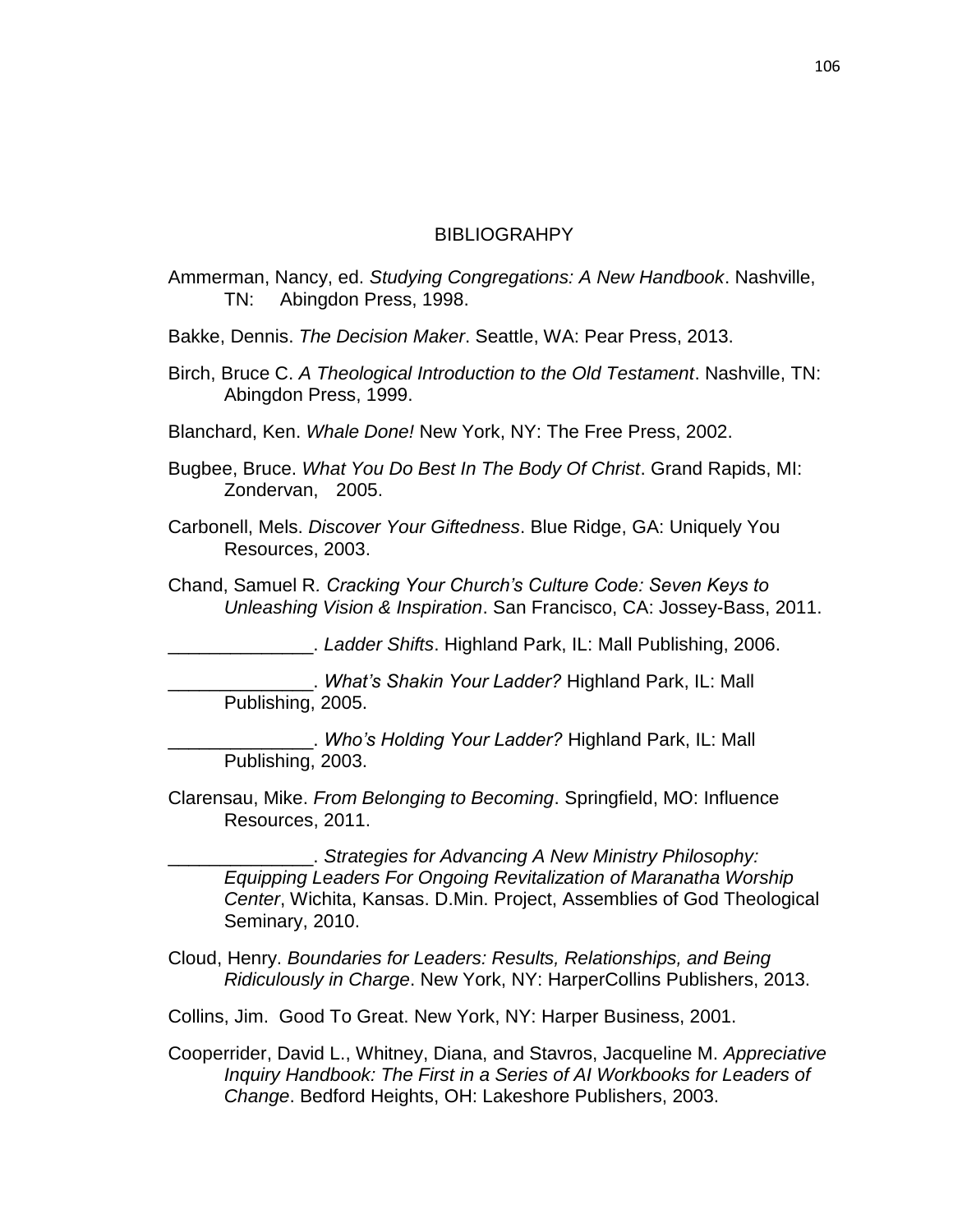### BIBLIOGRAHPY

- Ammerman, Nancy, ed. *Studying Congregations: A New Handbook*. Nashville, TN: Abingdon Press, 1998.
- Bakke, Dennis. *The Decision Maker*. Seattle, WA: Pear Press, 2013.
- Birch, Bruce C. *A Theological Introduction to the Old Testament*. Nashville, TN: Abingdon Press, 1999.
- Blanchard, Ken. *Whale Done!* New York, NY: The Free Press, 2002.
- Bugbee, Bruce. *What You Do Best In The Body Of Christ*. Grand Rapids, MI: Zondervan, 2005.
- Carbonell, Mels. *Discover Your Giftedness*. Blue Ridge, GA: Uniquely You Resources, 2003.
- Chand, Samuel R*. Cracking Your Church's Culture Code: Seven Keys to Unleashing Vision & Inspiration*. San Francisco, CA: Jossey-Bass, 2011.

\_\_\_\_\_\_\_\_\_\_\_\_\_\_. *Ladder Shifts*. Highland Park, IL: Mall Publishing, 2006.

\_\_\_\_\_\_\_\_\_\_\_\_\_\_. *What's Shakin Your Ladder?* Highland Park, IL: Mall Publishing, 2005.

\_\_\_\_\_\_\_\_\_\_\_\_\_\_. *Who's Holding Your Ladder?* Highland Park, IL: Mall Publishing, 2003.

Clarensau, Mike. *From Belonging to Becoming*. Springfield, MO: Influence Resources, 2011.

\_\_\_\_\_\_\_\_\_\_\_\_\_\_. *Strategies for Advancing A New Ministry Philosophy: Equipping Leaders For Ongoing Revitalization of Maranatha Worship Center*, Wichita, Kansas. D.Min. Project, Assemblies of God Theological Seminary, 2010.

Cloud, Henry. *Boundaries for Leaders: Results, Relationships, and Being Ridiculously in Charge*. New York, NY: HarperCollins Publishers, 2013.

Collins, Jim. Good To Great. New York, NY: Harper Business, 2001.

Cooperrider, David L., Whitney, Diana, and Stavros, Jacqueline M. *Appreciative Inquiry Handbook: The First in a Series of AI Workbooks for Leaders of Change*. Bedford Heights, OH: Lakeshore Publishers, 2003.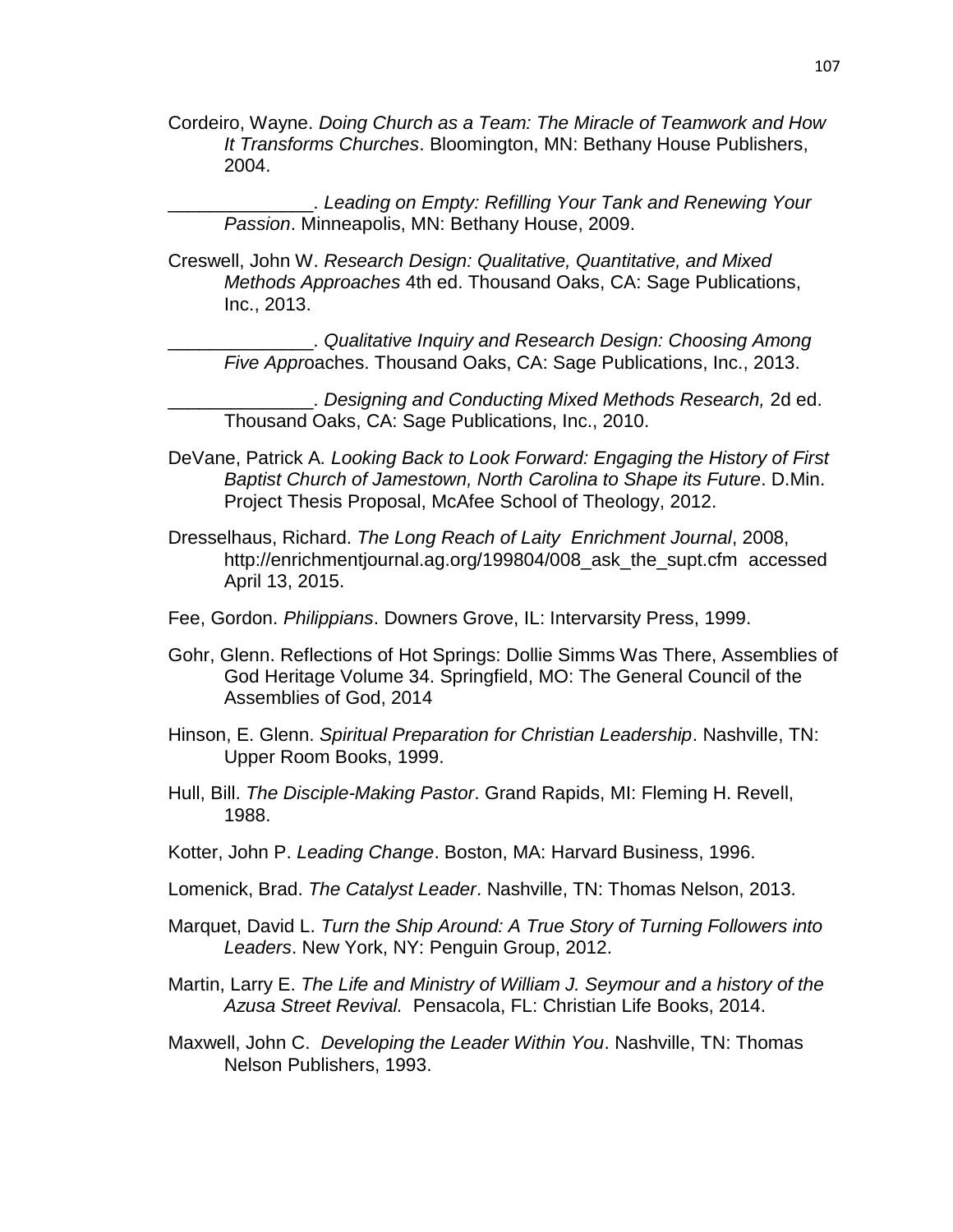Cordeiro, Wayne. *Doing Church as a Team: The Miracle of Teamwork and How It Transforms Churches*. Bloomington, MN: Bethany House Publishers, 2004.

\_\_\_\_\_\_\_\_\_\_\_\_\_\_. *Leading on Empty: Refilling Your Tank and Renewing Your Passion*. Minneapolis, MN: Bethany House, 2009.

Creswell, John W. *Research Design: Qualitative, Quantitative, and Mixed Methods Approaches* 4th ed. Thousand Oaks, CA: Sage Publications, Inc., 2013.

\_\_\_\_\_\_\_\_\_\_\_\_\_\_. *Qualitative Inquiry and Research Design: Choosing Among Five Appr*oaches. Thousand Oaks, CA: Sage Publications, Inc., 2013.

\_\_\_\_\_\_\_\_\_\_\_\_\_\_. *Designing and Conducting Mixed Methods Research,* 2d ed. Thousand Oaks, CA: Sage Publications, Inc., 2010.

- DeVane, Patrick A*. Looking Back to Look Forward: Engaging the History of First Baptist Church of Jamestown, North Carolina to Shape its Future*. D.Min. Project Thesis Proposal, McAfee School of Theology, 2012.
- Dresselhaus, Richard. *The Long Reach of Laity Enrichment Journal*, 2008, [http://enrichmentjournal.ag.org/199804/008\\_ask\\_the\\_supt.cfm](http://enrichmentjournal.ag.org/199804/008_ask_the_supt.cfm) accessed April 13, 2015.
- Fee, Gordon. *Philippians*. Downers Grove, IL: Intervarsity Press, 1999.
- Gohr, Glenn. Reflections of Hot Springs: Dollie Simms Was There, Assemblies of God Heritage Volume 34. Springfield, MO: The General Council of the Assemblies of God, 2014
- Hinson, E. Glenn. *Spiritual Preparation for Christian Leadership*. Nashville, TN: Upper Room Books, 1999.
- Hull, Bill. *The Disciple-Making Pastor*. Grand Rapids, MI: Fleming H. Revell, 1988.
- Kotter, John P. *Leading Change*. Boston, MA: Harvard Business, 1996.
- Lomenick, Brad. *The Catalyst Leader*. Nashville, TN: Thomas Nelson, 2013.
- Marquet, David L. *Turn the Ship Around: A True Story of Turning Followers into Leaders*. New York, NY: Penguin Group, 2012.
- Martin, Larry E. *The Life and Ministry of William J. Seymour and a history of the Azusa Street Revival.* Pensacola, FL: Christian Life Books, 2014.
- Maxwell, John C. *Developing the Leader Within You*. Nashville, TN: Thomas Nelson Publishers, 1993.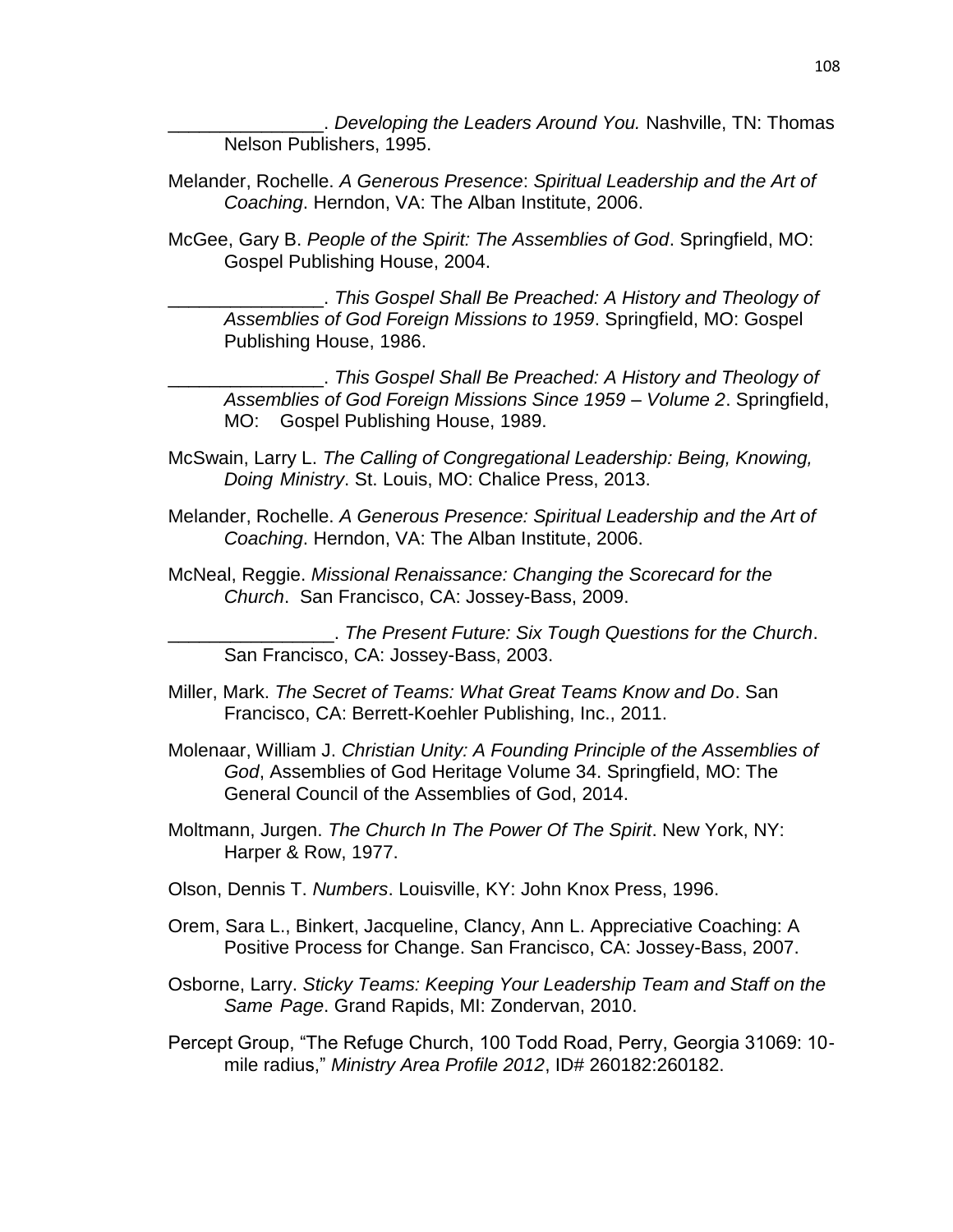Developing the Leaders Around You. Nashville, TN: Thomas Nelson Publishers, 1995.

- Melander, Rochelle. *A Generous Presence*: *Spiritual Leadership and the Art of Coaching*. Herndon, VA: The Alban Institute, 2006.
- McGee, Gary B. *People of the Spirit: The Assemblies of God*. Springfield, MO: Gospel Publishing House, 2004.

\_\_\_\_\_\_\_\_\_\_\_\_\_\_\_. *This Gospel Shall Be Preached: A History and Theology of Assemblies of God Foreign Missions to 1959*. Springfield, MO: Gospel Publishing House, 1986.

\_\_\_\_\_\_\_\_\_\_\_\_\_\_\_. *This Gospel Shall Be Preached: A History and Theology of Assemblies of God Foreign Missions Since 1959 – Volume 2*. Springfield, MO: Gospel Publishing House, 1989.

- McSwain, Larry L. *The Calling of Congregational Leadership: Being, Knowing, Doing Ministry*. St. Louis, MO: Chalice Press, 2013.
- Melander, Rochelle. *A Generous Presence: Spiritual Leadership and the Art of Coaching*. Herndon, VA: The Alban Institute, 2006.
- McNeal, Reggie. *Missional Renaissance: Changing the Scorecard for the Church*. San Francisco, CA: Jossey-Bass, 2009.

\_\_\_\_\_\_\_\_\_\_\_\_\_\_\_\_. *The Present Future: Six Tough Questions for the Church*. San Francisco, CA: Jossey-Bass, 2003.

- Miller, Mark. *The Secret of Teams: What Great Teams Know and Do*. San Francisco, CA: Berrett-Koehler Publishing, Inc., 2011.
- Molenaar, William J. *Christian Unity: A Founding Principle of the Assemblies of God*, Assemblies of God Heritage Volume 34. Springfield, MO: The General Council of the Assemblies of God, 2014.
- Moltmann, Jurgen. *The Church In The Power Of The Spirit*. New York, NY: Harper & Row, 1977.
- Olson, Dennis T. *Numbers*. Louisville, KY: John Knox Press, 1996.
- Orem, Sara L., Binkert, Jacqueline, Clancy, Ann L. Appreciative Coaching: A Positive Process for Change. San Francisco, CA: Jossey-Bass, 2007.
- Osborne, Larry. *Sticky Teams: Keeping Your Leadership Team and Staff on the Same Page*. Grand Rapids, MI: Zondervan, 2010.
- Percept Group, "The Refuge Church, 100 Todd Road, Perry, Georgia 31069: 10 mile radius," *Ministry Area Profile 2012*, ID# 260182:260182.